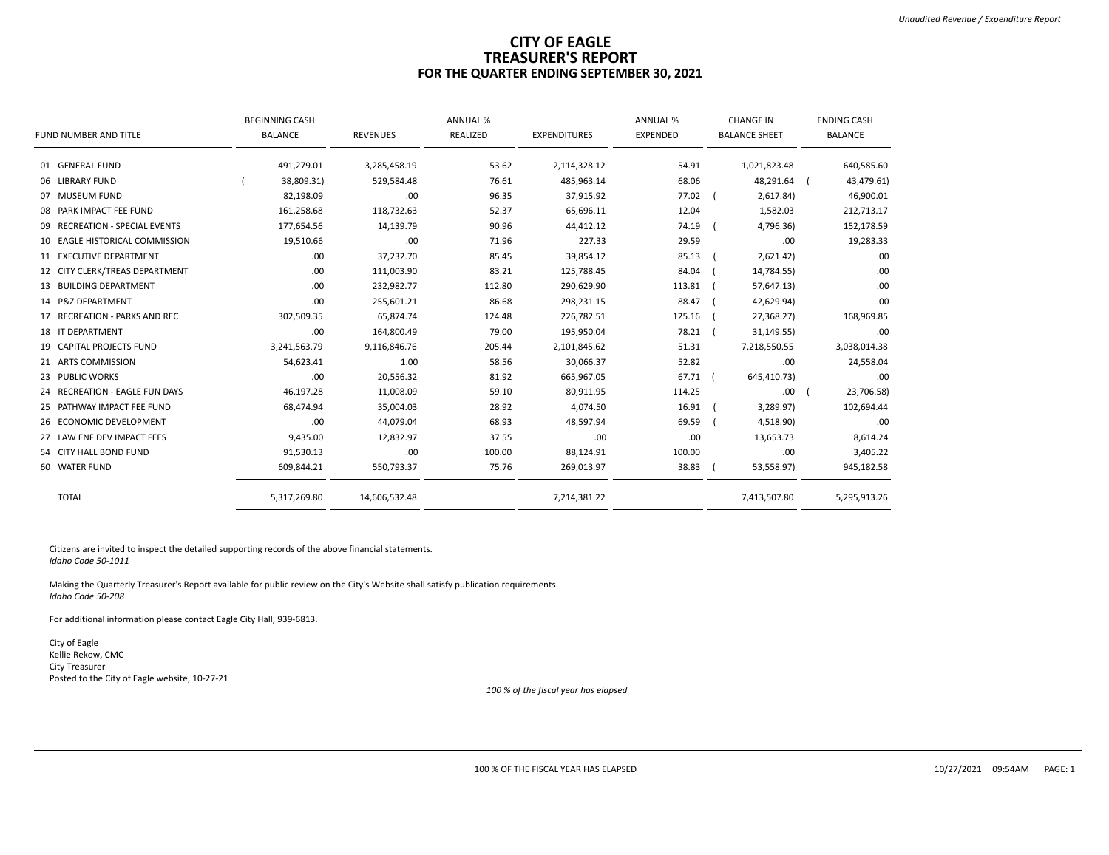## **CITY OF EAGLE TREASURER'S REPORT FOR THE QUARTER ENDING SEPTEMBER 30, 2021**

|                                | <b>BEGINNING CASH</b> |                 | <b>ANNUAL %</b> |                     | <b>ANNUAL %</b> | <b>CHANGE IN</b>     | <b>ENDING CASH</b> |
|--------------------------------|-----------------------|-----------------|-----------------|---------------------|-----------------|----------------------|--------------------|
| FUND NUMBER AND TITLE          | <b>BALANCE</b>        | <b>REVENUES</b> | REALIZED        | <b>EXPENDITURES</b> | <b>EXPENDED</b> | <b>BALANCE SHEET</b> | <b>BALANCE</b>     |
| 01 GENERAL FUND                | 491,279.01            | 3,285,458.19    | 53.62           | 2,114,328.12        | 54.91           | 1,021,823.48         | 640,585.60         |
| 06 LIBRARY FUND                | 38,809.31)            | 529,584.48      | 76.61           | 485,963.14          | 68.06           | 48,291.64            | 43,479.61)         |
| 07 MUSEUM FUND                 | 82,198.09             | .00.            | 96.35           | 37,915.92           | 77.02           | 2,617.84)            | 46,900.01          |
| 08 PARK IMPACT FEE FUND        | 161,258.68            | 118,732.63      | 52.37           | 65,696.11           | 12.04           | 1,582.03             | 212,713.17         |
| 09 RECREATION - SPECIAL EVENTS | 177,654.56            | 14,139.79       | 90.96           | 44,412.12           | 74.19           | 4,796.36)            | 152,178.59         |
| 10 EAGLE HISTORICAL COMMISSION | 19,510.66             | .00             | 71.96           | 227.33              | 29.59           | .00                  | 19,283.33          |
| 11 EXECUTIVE DEPARTMENT        | .00                   | 37,232.70       | 85.45           | 39,854.12           | 85.13           | 2,621.42)            | .00                |
| 12 CITY CLERK/TREAS DEPARTMENT | .00                   | 111,003.90      | 83.21           | 125,788.45          | 84.04           | 14,784.55)           | .00                |
| 13 BUILDING DEPARTMENT         | .00                   | 232,982.77      | 112.80          | 290,629.90          | 113.81          | 57,647.13)           | .00                |
| 14 P&Z DEPARTMENT              | .00                   | 255,601.21      | 86.68           | 298,231.15          | 88.47           | 42,629.94)           | .00                |
| 17 RECREATION - PARKS AND REC  | 302,509.35            | 65,874.74       | 124.48          | 226,782.51          | 125.16          | 27,368.27)           | 168,969.85         |
| 18 IT DEPARTMENT               | .00                   | 164,800.49      | 79.00           | 195,950.04          | 78.21           | 31,149.55)           | .00                |
| 19 CAPITAL PROJECTS FUND       | 3,241,563.79          | 9,116,846.76    | 205.44          | 2,101,845.62        | 51.31           | 7,218,550.55         | 3,038,014.38       |
| 21 ARTS COMMISSION             | 54,623.41             | 1.00            | 58.56           | 30,066.37           | 52.82           | .00                  | 24,558.04          |
| 23 PUBLIC WORKS                | .00                   | 20,556.32       | 81.92           | 665,967.05          | 67.71           | 645,410.73)          | .00                |
| 24 RECREATION - EAGLE FUN DAYS | 46,197.28             | 11,008.09       | 59.10           | 80,911.95           | 114.25          | .00                  | 23,706.58)         |
| 25 PATHWAY IMPACT FEE FUND     | 68,474.94             | 35,004.03       | 28.92           | 4,074.50            | 16.91           | 3,289.97)            | 102,694.44         |
| 26 ECONOMIC DEVELOPMENT        | .00                   | 44,079.04       | 68.93           | 48,597.94           | 69.59           | 4,518.90)            | .00                |
| 27 LAW ENF DEV IMPACT FEES     | 9,435.00              | 12,832.97       | 37.55           | .00                 | .00             | 13,653.73            | 8,614.24           |
| 54 CITY HALL BOND FUND         | 91,530.13             | .00             | 100.00          | 88,124.91           | 100.00          | .00                  | 3,405.22           |
| 60 WATER FUND                  | 609,844.21            | 550,793.37      | 75.76           | 269,013.97          | 38.83           | 53,558.97)           | 945,182.58         |
| <b>TOTAL</b>                   | 5,317,269.80          | 14,606,532.48   |                 | 7,214,381.22        |                 | 7,413,507.80         | 5,295,913.26       |

Citizens are invited to inspect the detailed supporting records of the above financial statements. *Idaho Code 50-1011*

Making the Quarterly Treasurer's Report available for public review on the City's Website shall satisfy publication requirements. *Idaho Code 50-208*

For additional information please contact Eagle City Hall, 939-6813.

City of Eagle Kellie Rekow, CMC City Treasurer Posted to the City of Eagle website, 10-27-21

*100 % of the fiscal year has elapsed*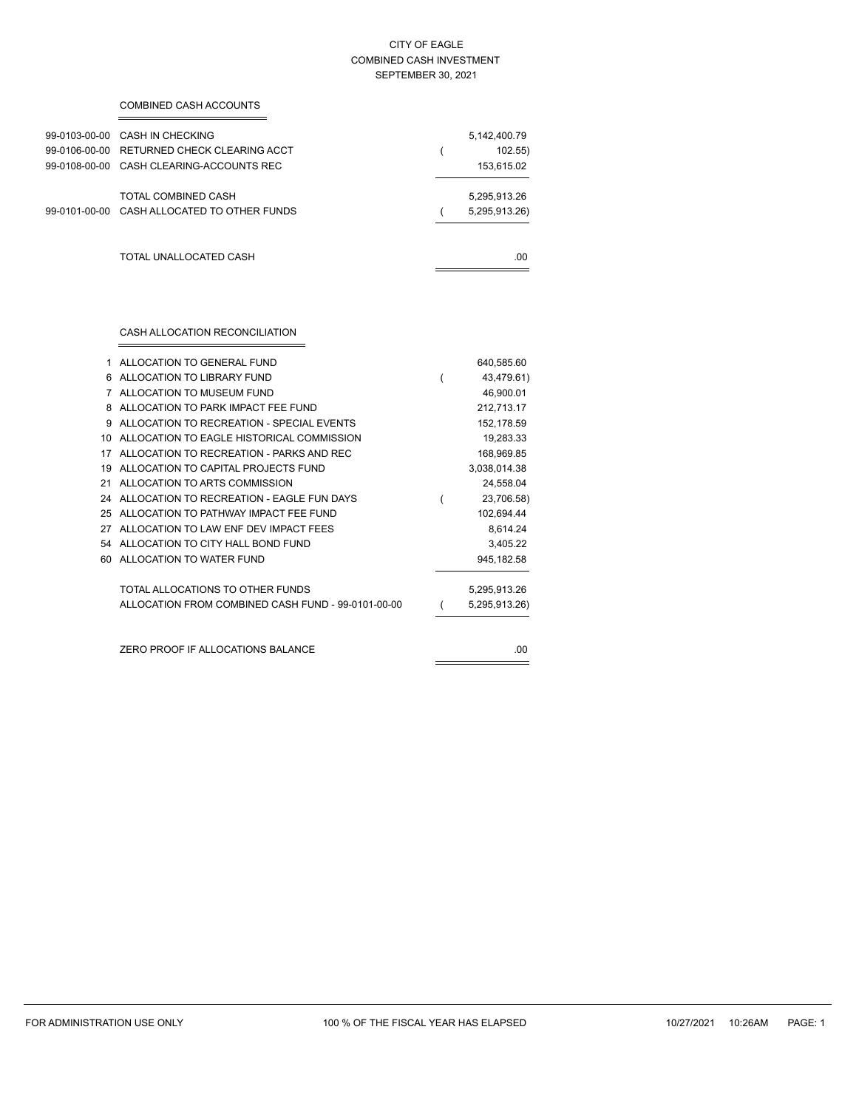### CITY OF EAGLE COMBINED CASH INVESTMENT SEPTEMBER 30, 2021

### COMBINED CASH ACCOUNTS

| 99-0103-00-00<br>99-0106-00-00<br>99-0108-00-00 | CASH IN CHECKING<br>RETURNED CHECK CLEARING ACCT<br>CASH CLEARING-ACCOUNTS REC | 5,142,400.79<br>102.55<br>153,615.02 |
|-------------------------------------------------|--------------------------------------------------------------------------------|--------------------------------------|
| 99-0101-00-00                                   | TOTAL COMBINED CASH<br>CASH ALLOCATED TO OTHER FUNDS                           | 5,295,913.26<br>5,295,913.26)        |
|                                                 | TOTAL UNALLOCATED CASH                                                         | .00                                  |

## CASH ALLOCATION RECONCILIATION

| 1  | ALLOCATION TO GENERAL FUND                         |   | 640,585.60    |
|----|----------------------------------------------------|---|---------------|
| 6  | ALLOCATION TO LIBRARY FUND                         | ( | 43,479.61)    |
| 7  | ALLOCATION TO MUSEUM FUND                          |   | 46,900.01     |
| 8  | ALLOCATION TO PARK IMPACT FFF FUND                 |   | 212,713.17    |
| 9  | ALLOCATION TO RECREATION - SPECIAL EVENTS          |   | 152,178.59    |
| 10 | ALLOCATION TO EAGLE HISTORICAL COMMISSION          |   | 19,283.33     |
| 17 | ALLOCATION TO RECREATION - PARKS AND REC           |   | 168,969.85    |
| 19 | ALLOCATION TO CAPITAL PROJECTS FUND                |   | 3,038,014.38  |
| 21 | ALLOCATION TO ARTS COMMISSION                      |   | 24,558.04     |
| 24 | ALLOCATION TO RECREATION - EAGLE FUN DAYS          |   | 23,706.58)    |
| 25 | ALLOCATION TO PATHWAY IMPACT FFF FUND              |   | 102,694.44    |
| 27 | ALLOCATION TO LAW ENF DEV IMPACT FEES              |   | 8,614.24      |
| 54 | ALLOCATION TO CITY HALL BOND FUND                  |   | 3,405.22      |
| 60 | ALLOCATION TO WATER FUND                           |   | 945, 182.58   |
|    | TOTAL ALLOCATIONS TO OTHER FUNDS                   |   | 5,295,913.26  |
|    | ALLOCATION FROM COMBINED CASH FUND - 99-0101-00-00 |   | 5,295,913.26) |
|    |                                                    |   |               |
|    | ZERO PROOF IF ALLOCATIONS BALANCE                  |   | .00.          |
|    |                                                    |   |               |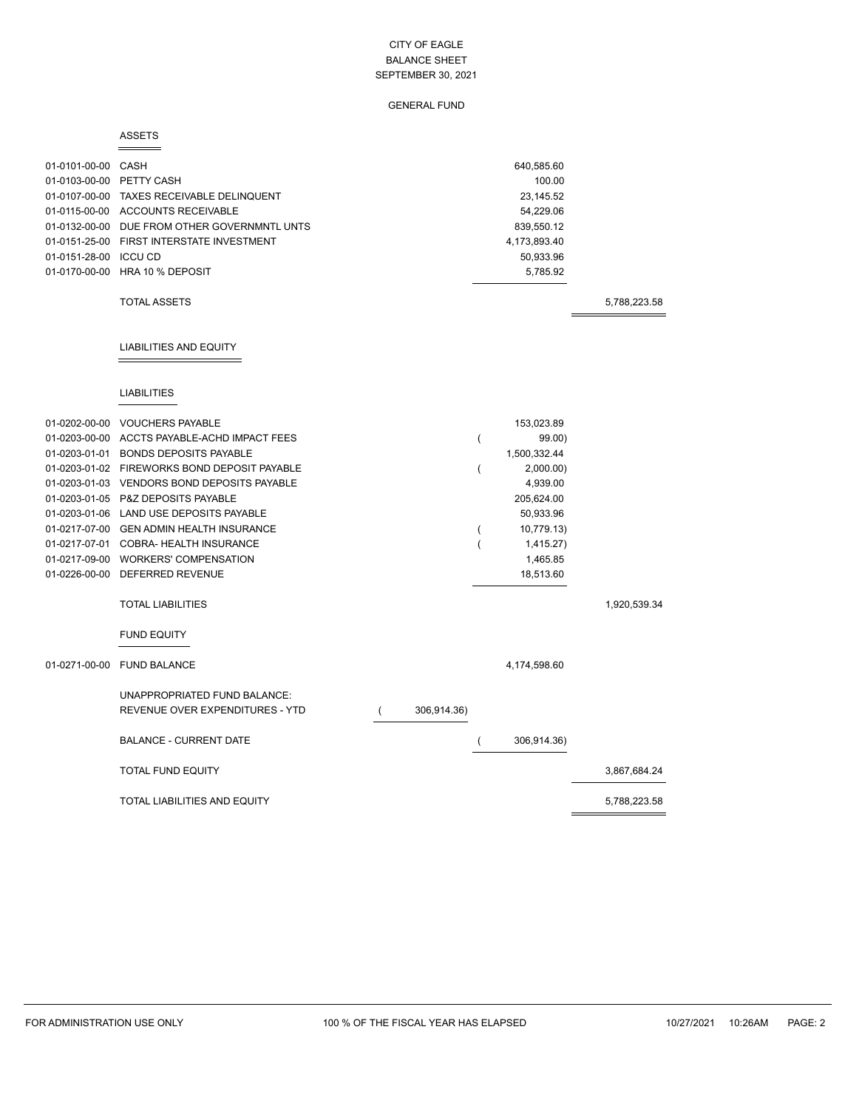## GENERAL FUND

### ASSETS

| 01-0101-00-00 CASH<br>01-0103-00-00 PETTY CASH<br>01-0151-28-00 ICCU CD | 01-0107-00-00 TAXES RECEIVABLE DELINQUENT<br>01-0115-00-00 ACCOUNTS RECEIVABLE<br>01-0132-00-00 DUE FROM OTHER GOVERNMNTL UNTS<br>01-0151-25-00 FIRST INTERSTATE INVESTMENT<br>01-0170-00-00 HRA 10 % DEPOSIT<br><b>TOTAL ASSETS</b>                                                                                                                                                                                                                                                            |             |                                                                                | 640,585.60<br>100.00<br>23,145.52<br>54,229.06<br>839,550.12<br>4,173,893.40<br>50,933.96<br>5,785.92                                        | 5,788,223.58 |
|-------------------------------------------------------------------------|-------------------------------------------------------------------------------------------------------------------------------------------------------------------------------------------------------------------------------------------------------------------------------------------------------------------------------------------------------------------------------------------------------------------------------------------------------------------------------------------------|-------------|--------------------------------------------------------------------------------|----------------------------------------------------------------------------------------------------------------------------------------------|--------------|
|                                                                         | <b>LIABILITIES AND EQUITY</b>                                                                                                                                                                                                                                                                                                                                                                                                                                                                   |             |                                                                                |                                                                                                                                              |              |
|                                                                         | <b>LIABILITIES</b>                                                                                                                                                                                                                                                                                                                                                                                                                                                                              |             |                                                                                |                                                                                                                                              |              |
|                                                                         | 01-0202-00-00 VOUCHERS PAYABLE<br>01-0203-00-00 ACCTS PAYABLE-ACHD IMPACT FEES<br>01-0203-01-01 BONDS DEPOSITS PAYABLE<br>01-0203-01-02 FIREWORKS BOND DEPOSIT PAYABLE<br>01-0203-01-03 VENDORS BOND DEPOSITS PAYABLE<br>01-0203-01-05 P&Z DEPOSITS PAYABLE<br>01-0203-01-06 LAND USE DEPOSITS PAYABLE<br>01-0217-07-00 GEN ADMIN HEALTH INSURANCE<br>01-0217-07-01 COBRA-HEALTH INSURANCE<br>01-0217-09-00 WORKERS' COMPENSATION<br>01-0226-00-00 DEFERRED REVENUE<br><b>TOTAL LIABILITIES</b> |             | $\overline{(}$<br>$\overline{(}$<br>$\overline{ }$<br>$\overline{\phantom{a}}$ | 153,023.89<br>99.00)<br>1,500,332.44<br>2,000.00)<br>4,939.00<br>205,624.00<br>50,933.96<br>10,779.13)<br>1,415.27)<br>1,465.85<br>18,513.60 | 1,920,539.34 |
| 01-0271-00-00                                                           | <b>FUND EQUITY</b><br><b>FUND BALANCE</b>                                                                                                                                                                                                                                                                                                                                                                                                                                                       |             |                                                                                | 4,174,598.60                                                                                                                                 |              |
|                                                                         | UNAPPROPRIATED FUND BALANCE:<br>REVENUE OVER EXPENDITURES - YTD<br>$\overline{ }$                                                                                                                                                                                                                                                                                                                                                                                                               | 306,914.36) |                                                                                |                                                                                                                                              |              |
|                                                                         | <b>BALANCE - CURRENT DATE</b>                                                                                                                                                                                                                                                                                                                                                                                                                                                                   |             | $\overline{ }$                                                                 | 306,914.36)                                                                                                                                  |              |
|                                                                         | <b>TOTAL FUND EQUITY</b>                                                                                                                                                                                                                                                                                                                                                                                                                                                                        |             |                                                                                |                                                                                                                                              | 3,867,684.24 |
|                                                                         | <b>TOTAL LIABILITIES AND EQUITY</b>                                                                                                                                                                                                                                                                                                                                                                                                                                                             |             |                                                                                |                                                                                                                                              | 5,788,223.58 |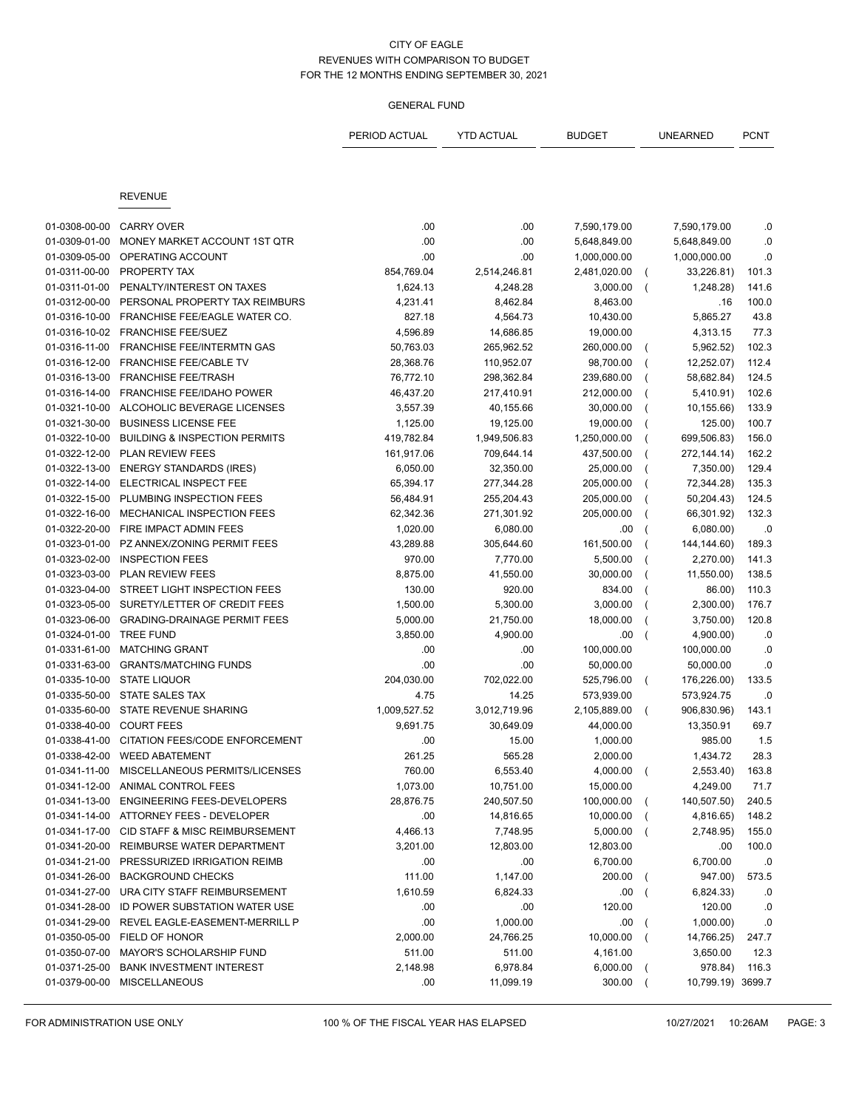|               |                                          | PERIOD ACTUAL | YTD ACTUAL   | <b>BUDGET</b> |                | UNEARNED          | <b>PCNT</b> |
|---------------|------------------------------------------|---------------|--------------|---------------|----------------|-------------------|-------------|
|               |                                          |               |              |               |                |                   |             |
|               |                                          |               |              |               |                |                   |             |
|               | <b>REVENUE</b>                           |               |              |               |                |                   |             |
| 01-0308-00-00 | <b>CARRY OVER</b>                        | .00           | .00          | 7,590,179.00  |                | 7,590,179.00      | .0          |
| 01-0309-01-00 | MONEY MARKET ACCOUNT 1ST QTR             | .00           | .00          | 5,648,849.00  |                | 5,648,849.00      | .0          |
| 01-0309-05-00 | OPERATING ACCOUNT                        | .00           | .00.         | 1,000,000.00  |                | 1,000,000.00      | .0          |
| 01-0311-00-00 | PROPERTY TAX                             | 854,769.04    | 2,514,246.81 | 2,481,020.00  | $\left($       | 33,226.81)        | 101.3       |
| 01-0311-01-00 | PENALTY/INTEREST ON TAXES                | 1,624.13      | 4,248.28     | 3,000.00      |                | 1,248.28)         | 141.6       |
| 01-0312-00-00 | PERSONAL PROPERTY TAX REIMBURS           | 4,231.41      | 8,462.84     | 8,463.00      |                | .16               | 100.0       |
| 01-0316-10-00 | FRANCHISE FEE/EAGLE WATER CO.            | 827.18        | 4,564.73     | 10,430.00     |                | 5,865.27          | 43.8        |
| 01-0316-10-02 | <b>FRANCHISE FEE/SUEZ</b>                | 4,596.89      | 14,686.85    | 19,000.00     |                | 4,313.15          | 77.3        |
| 01-0316-11-00 | FRANCHISE FEE/INTERMTN GAS               | 50,763.03     | 265,962.52   | 260,000.00    |                | 5,962.52)         | 102.3       |
| 01-0316-12-00 | FRANCHISE FEE/CABLE TV                   | 28,368.76     | 110,952.07   | 98,700.00     |                | 12,252.07)        | 112.4       |
| 01-0316-13-00 | <b>FRANCHISE FEE/TRASH</b>               | 76,772.10     | 298,362.84   | 239,680.00    |                | 58,682.84)        | 124.5       |
| 01-0316-14-00 | FRANCHISE FEE/IDAHO POWER                | 46,437.20     | 217,410.91   | 212,000.00    |                | 5,410.91)         | 102.6       |
| 01-0321-10-00 | ALCOHOLIC BEVERAGE LICENSES              | 3,557.39      | 40,155.66    | 30,000.00     |                | 10,155.66)        | 133.9       |
| 01-0321-30-00 | <b>BUSINESS LICENSE FEE</b>              | 1,125.00      | 19,125.00    | 19,000.00     |                | 125.00)           | 100.7       |
| 01-0322-10-00 | <b>BUILDING &amp; INSPECTION PERMITS</b> | 419,782.84    | 1,949,506.83 | 1,250,000.00  |                | 699,506.83)       | 156.0       |
| 01-0322-12-00 | PLAN REVIEW FEES                         | 161,917.06    | 709,644.14   | 437,500.00    |                | 272, 144. 14)     | 162.2       |
| 01-0322-13-00 | <b>ENERGY STANDARDS (IRES)</b>           | 6,050.00      | 32,350.00    | 25,000.00     |                | 7,350.00)         | 129.4       |
| 01-0322-14-00 | ELECTRICAL INSPECT FEE                   | 65,394.17     | 277,344.28   | 205,000.00    |                | 72,344.28)        | 135.3       |
| 01-0322-15-00 | PLUMBING INSPECTION FEES                 | 56,484.91     | 255,204.43   | 205,000.00    |                | 50,204.43)        | 124.5       |
| 01-0322-16-00 | MECHANICAL INSPECTION FEES               | 62,342.36     | 271,301.92   | 205,000.00    |                | 66,301.92)        | 132.3       |
| 01-0322-20-00 | FIRE IMPACT ADMIN FEES                   | 1,020.00      | 6,080.00     | .00           |                | 6,080.00          | .0          |
| 01-0323-01-00 | PZ ANNEX/ZONING PERMIT FEES              | 43,289.88     | 305,644.60   | 161,500.00    |                | 144, 144.60)      | 189.3       |
| 01-0323-02-00 | <b>INSPECTION FEES</b>                   | 970.00        | 7,770.00     | 5,500.00      |                | 2,270.00)         | 141.3       |
| 01-0323-03-00 | PLAN REVIEW FEES                         | 8,875.00      | 41,550.00    | 30,000.00     |                | 11,550.00)        | 138.5       |
| 01-0323-04-00 | STREET LIGHT INSPECTION FEES             | 130.00        | 920.00       | 834.00        |                | 86.00)            | 110.3       |
| 01-0323-05-00 | SURETY/LETTER OF CREDIT FEES             | 1,500.00      | 5,300.00     | 3,000.00      |                | 2,300.00)         | 176.7       |
| 01-0323-06-00 | <b>GRADING-DRAINAGE PERMIT FEES</b>      | 5,000.00      | 21,750.00    | 18,000.00     |                | 3,750.00)         | 120.8       |
| 01-0324-01-00 | <b>TREE FUND</b>                         | 3,850.00      | 4,900.00     | .00           |                | 4,900.00)         | .0          |
| 01-0331-61-00 | <b>MATCHING GRANT</b>                    | .00           | .00.         | 100,000.00    |                | 100,000.00        | .0          |
| 01-0331-63-00 | <b>GRANTS/MATCHING FUNDS</b>             | .00           | .00          | 50,000.00     |                | 50,000.00         | .0          |
| 01-0335-10-00 | <b>STATE LIQUOR</b>                      | 204,030.00    | 702,022.00   | 525,796.00    | $\overline{ }$ | 176,226.00)       | 133.5       |
| 01-0335-50-00 | STATE SALES TAX                          | 4.75          | 14.25        | 573,939.00    |                | 573,924.75        | .0          |
| 01-0335-60-00 | STATE REVENUE SHARING                    | 1,009,527.52  | 3,012,719.96 | 2,105,889.00  | $\left($       | 906,830.96)       | 143.1       |
| 01-0338-40-00 | <b>COURT FEES</b>                        | 9,691.75      | 30,649.09    | 44,000.00     |                | 13,350.91         | 69.7        |
| 01-0338-41-00 | CITATION FEES/CODE ENFORCEMENT           | .00           | 15.00        | 1,000.00      |                | 985.00            | 1.5         |
| 01-0338-42-00 | <b>WEED ABATEMENT</b>                    | 261.25        | 565.28       | 2,000.00      |                | 1,434.72          | 28.3        |
| 01-0341-11-00 | MISCELLANEOUS PERMITS/LICENSES           | 760.00        | 6,553.40     | 4,000.00      | $\sqrt{2}$     | 2,553.40)         | 163.8       |
| 01-0341-12-00 | ANIMAL CONTROL FEES                      | 1,073.00      | 10,751.00    | 15,000.00     |                | 4,249.00          | 71.7        |
| 01-0341-13-00 | ENGINEERING FEES-DEVELOPERS              | 28,876.75     | 240,507.50   | 100,000.00    |                | 140,507.50)       | 240.5       |
| 01-0341-14-00 | ATTORNEY FEES - DEVELOPER                | .00           | 14,816.65    | 10,000.00     |                | 4,816.65)         | 148.2       |
| 01-0341-17-00 | CID STAFF & MISC REIMBURSEMENT           | 4,466.13      | 7,748.95     | 5,000.00      |                | 2,748.95)         | 155.0       |
| 01-0341-20-00 | REIMBURSE WATER DEPARTMENT               | 3,201.00      | 12,803.00    | 12,803.00     |                | .00               | 100.0       |
| 01-0341-21-00 | PRESSURIZED IRRIGATION REIMB             | .00           | .00          | 6,700.00      |                | 6,700.00          | .0          |
| 01-0341-26-00 | <b>BACKGROUND CHECKS</b>                 | 111.00        | 1,147.00     | 200.00        |                | 947.00)           | 573.5       |
| 01-0341-27-00 | URA CITY STAFF REIMBURSEMENT             | 1,610.59      | 6,824.33     | .00           |                | 6,824.33)         | .0          |
| 01-0341-28-00 | ID POWER SUBSTATION WATER USE            | .00           | .00          | 120.00        |                | 120.00            | .0          |
| 01-0341-29-00 | REVEL EAGLE-EASEMENT-MERRILL P           | .00           | 1,000.00     | .00           |                | 1,000.00          | .0          |
| 01-0350-05-00 | FIELD OF HONOR                           | 2,000.00      | 24,766.25    | 10,000.00     | $\overline{ }$ | 14,766.25)        | 247.7       |
| 01-0350-07-00 | MAYOR'S SCHOLARSHIP FUND                 | 511.00        | 511.00       | 4,161.00      |                | 3,650.00          | 12.3        |
| 01-0371-25-00 | <b>BANK INVESTMENT INTEREST</b>          | 2,148.98      | 6,978.84     | 6,000.00      |                | 978.84)           | 116.3       |
| 01-0379-00-00 | <b>MISCELLANEOUS</b>                     | .00           | 11,099.19    | 300.00        |                | 10,799.19) 3699.7 |             |
|               |                                          |               |              |               |                |                   |             |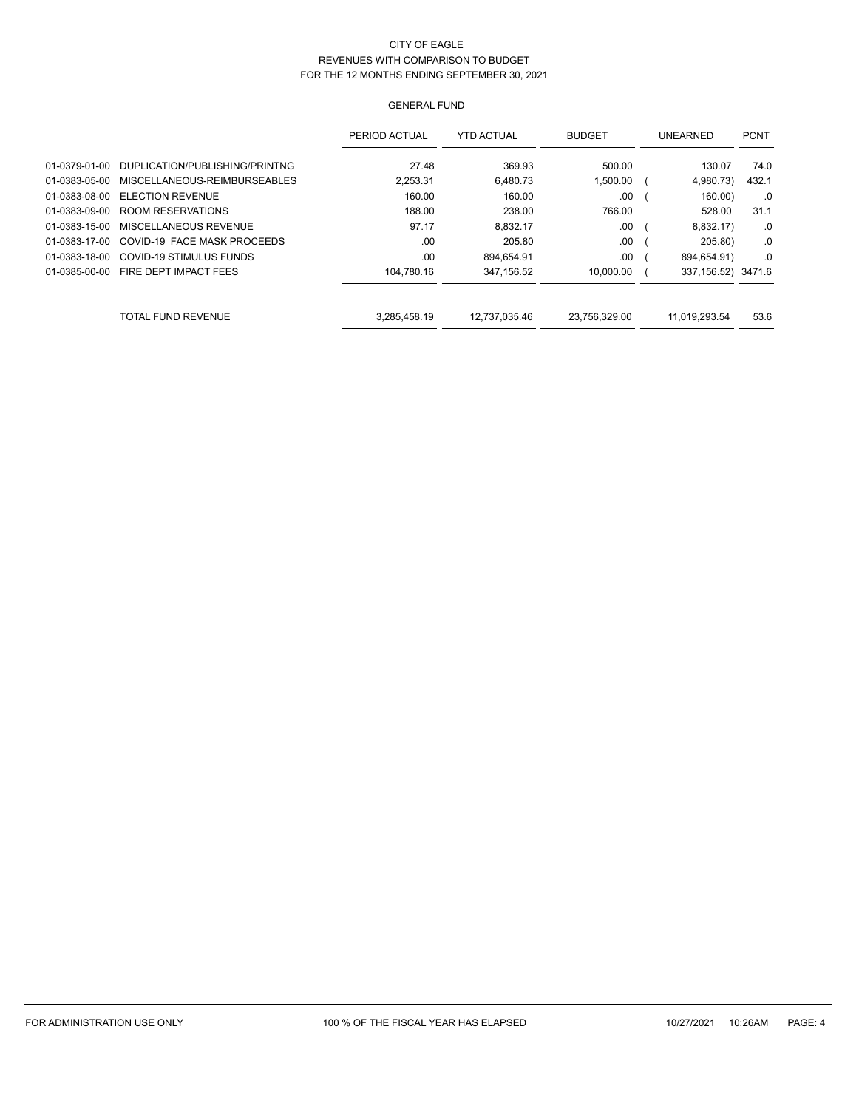|               |                                | PERIOD ACTUAL | <b>YTD ACTUAL</b> | <b>BUDGET</b> | UNEARNED            | <b>PCNT</b> |
|---------------|--------------------------------|---------------|-------------------|---------------|---------------------|-------------|
| 01-0379-01-00 | DUPLICATION/PUBLISHING/PRINTNG | 27.48         | 369.93            | 500.00        | 130.07              | 74.0        |
| 01-0383-05-00 | MISCELLANEOUS-REIMBURSEABLES   | 2.253.31      | 6.480.73          | 1.500.00      | 4,980.73)           | 432.1       |
| 01-0383-08-00 | <b>ELECTION REVENUE</b>        | 160.00        | 160.00            | .00           | 160.00              | .0          |
| 01-0383-09-00 | ROOM RESERVATIONS              | 188.00        | 238.00            | 766.00        | 528.00              | 31.1        |
| 01-0383-15-00 | MISCELLANEOUS REVENUE          | 97.17         | 8.832.17          | .00           | 8,832.17)           | .0          |
| 01-0383-17-00 | COVID-19 FACE MASK PROCEEDS    | .00           | 205.80            | .00           | 205.80)             | .0          |
| 01-0383-18-00 | COVID-19 STIMULUS FUNDS        | .00           | 894.654.91        | .00           | 894,654.91)         | $.0 \,$     |
| 01-0385-00-00 | FIRE DEPT IMPACT FEES          | 104.780.16    | 347,156.52        | 10,000.00     | 337, 156.52) 3471.6 |             |
|               |                                |               |                   |               |                     |             |
|               | TOTAL FUND REVENUE             | 3,285,458.19  | 12,737,035.46     | 23,756,329.00 | 11,019,293.54       | 53.6        |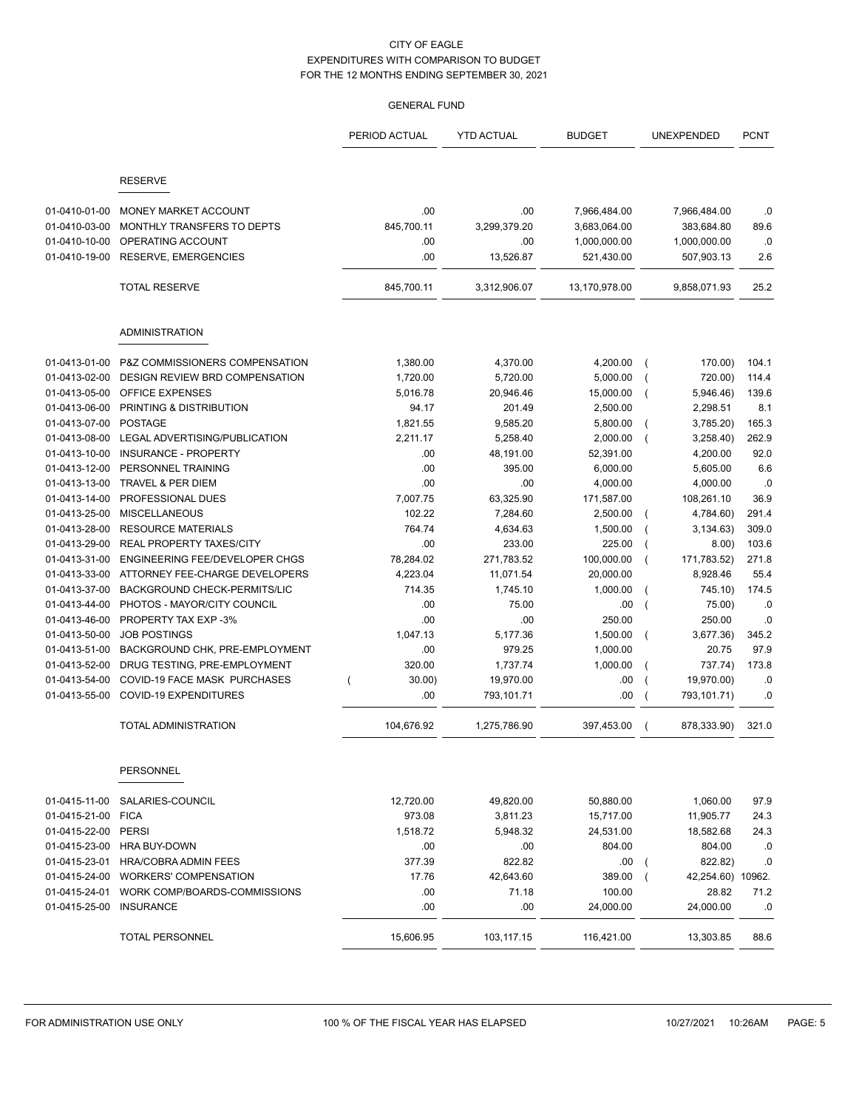|                                                 |                                                                         | PERIOD ACTUAL                      | <b>YTD ACTUAL</b>          | <b>BUDGET</b>                                |                          | UNEXPENDED                                 | <b>PCNT</b>      |
|-------------------------------------------------|-------------------------------------------------------------------------|------------------------------------|----------------------------|----------------------------------------------|--------------------------|--------------------------------------------|------------------|
|                                                 | <b>RESERVE</b>                                                          |                                    |                            |                                              |                          |                                            |                  |
|                                                 |                                                                         |                                    |                            |                                              |                          |                                            |                  |
| 01-0410-01-00<br>01-0410-03-00<br>01-0410-10-00 | MONEY MARKET ACCOUNT<br>MONTHLY TRANSFERS TO DEPTS<br>OPERATING ACCOUNT | .00<br>845,700.11<br>.00           | .00<br>3,299,379.20<br>.00 | 7,966,484.00<br>3,683,064.00<br>1,000,000.00 |                          | 7,966,484.00<br>383,684.80<br>1,000,000.00 | .0<br>89.6<br>.0 |
| 01-0410-19-00                                   | <b>RESERVE, EMERGENCIES</b>                                             | .00                                | 13,526.87                  | 521,430.00                                   |                          | 507,903.13                                 | 2.6              |
|                                                 | <b>TOTAL RESERVE</b>                                                    | 845,700.11                         | 3,312,906.07               | 13,170,978.00                                |                          | 9,858,071.93                               | 25.2             |
|                                                 | <b>ADMINISTRATION</b>                                                   |                                    |                            |                                              |                          |                                            |                  |
| 01-0413-01-00                                   | P&Z COMMISSIONERS COMPENSATION                                          | 1,380.00                           | 4,370.00                   | 4,200.00                                     | $\overline{ }$           | 170.00)                                    | 104.1            |
| 01-0413-02-00                                   | DESIGN REVIEW BRD COMPENSATION                                          | 1,720.00                           | 5,720.00                   | 5,000.00                                     |                          | 720.00)                                    | 114.4            |
| 01-0413-05-00                                   | <b>OFFICE EXPENSES</b>                                                  | 5,016.78                           | 20,946.46                  | 15,000.00                                    | $\overline{ }$           | 5,946.46)                                  | 139.6            |
| 01-0413-06-00                                   | PRINTING & DISTRIBUTION                                                 | 94.17                              | 201.49                     | 2,500.00                                     |                          | 2,298.51                                   | 8.1              |
| 01-0413-07-00                                   | <b>POSTAGE</b>                                                          | 1,821.55                           | 9,585.20                   | 5,800.00                                     | $\overline{ }$           | 3,785.20)                                  | 165.3            |
| 01-0413-08-00                                   | LEGAL ADVERTISING/PUBLICATION                                           | 2,211.17                           | 5,258.40                   | 2,000.00                                     | $\overline{ }$           | 3,258.40                                   | 262.9            |
| 01-0413-10-00                                   | <b>INSURANCE - PROPERTY</b>                                             | .00                                | 48,191.00                  | 52,391.00                                    |                          | 4,200.00                                   | 92.0             |
| 01-0413-12-00                                   | PERSONNEL TRAINING                                                      | .00                                | 395.00                     | 6,000.00                                     |                          | 5.605.00                                   | 6.6              |
| 01-0413-13-00                                   | TRAVEL & PER DIEM                                                       | .00                                | .00                        | 4,000.00                                     |                          | 4,000.00                                   | .0               |
| 01-0413-14-00                                   | PROFESSIONAL DUES                                                       | 7,007.75                           | 63,325.90                  | 171,587.00                                   |                          | 108,261.10                                 | 36.9             |
| 01-0413-25-00                                   | <b>MISCELLANEOUS</b>                                                    | 102.22                             | 7,284.60                   | 2,500.00                                     |                          | 4,784.60)                                  | 291.4            |
| 01-0413-28-00                                   | <b>RESOURCE MATERIALS</b>                                               | 764.74                             | 4,634.63                   | 1,500.00                                     |                          | 3,134.63)                                  | 309.0            |
| 01-0413-29-00                                   | REAL PROPERTY TAXES/CITY                                                | .00                                | 233.00                     | 225.00                                       | $\overline{ }$           | 8.00)                                      | 103.6            |
| 01-0413-31-00                                   | ENGINEERING FEE/DEVELOPER CHGS                                          | 78,284.02                          | 271,783.52                 | 100,000.00                                   | $\overline{ }$           | 171,783.52)                                | 271.8            |
| 01-0413-33-00                                   | ATTORNEY FEE-CHARGE DEVELOPERS                                          | 4,223.04                           | 11,071.54                  | 20,000.00                                    |                          | 8,928.46                                   | 55.4             |
| 01-0413-37-00                                   | BACKGROUND CHECK-PERMITS/LIC                                            | 714.35                             | 1,745.10                   | 1,000.00                                     | $\overline{ }$           | 745.10)                                    | 174.5            |
| 01-0413-44-00                                   | PHOTOS - MAYOR/CITY COUNCIL                                             | .00                                | 75.00                      | .00                                          | $\overline{ }$           | 75.00)                                     | .0               |
| 01-0413-46-00                                   | PROPERTY TAX EXP -3%                                                    | .00                                | .00                        | 250.00                                       |                          | 250.00                                     | .0               |
| 01-0413-50-00                                   | <b>JOB POSTINGS</b>                                                     | 1,047.13                           | 5,177.36                   | 1,500.00                                     | $\overline{\mathcal{L}}$ | 3,677.36)                                  | 345.2            |
| 01-0413-51-00                                   | BACKGROUND CHK, PRE-EMPLOYMENT                                          | .00                                | 979.25                     | 1,000.00                                     |                          | 20.75                                      | 97.9             |
| 01-0413-52-00                                   | DRUG TESTING, PRE-EMPLOYMENT                                            | 320.00                             | 1,737.74                   | 1,000.00                                     | $\overline{ }$           | 737.74)                                    | 173.8            |
| 01-0413-54-00                                   | COVID-19 FACE MASK PURCHASES                                            | 30.00)<br>$\overline{\phantom{a}}$ | 19,970.00                  | .00                                          | $\overline{ }$           | 19,970.00)                                 | .0               |
| 01-0413-55-00                                   | COVID-19 EXPENDITURES                                                   | .00                                | 793,101.71                 | .00                                          | $\overline{ }$           | 793,101.71)                                | .0               |
|                                                 | <b>TOTAL ADMINISTRATION</b>                                             | 104,676.92                         | 1,275,786.90               | 397,453.00                                   | $\overline{ }$           | 878,333.90)                                | 321.0            |
|                                                 | <b>PERSONNEL</b>                                                        |                                    |                            |                                              |                          |                                            |                  |
| 01-0415-11-00                                   | SALARIES-COUNCIL                                                        | 12,720.00                          | 49,820.00                  | 50,880.00                                    |                          | 1,060.00                                   | 97.9             |
| 01-0415-21-00                                   | <b>FICA</b>                                                             | 973.08                             | 3,811.23                   | 15,717.00                                    |                          | 11,905.77                                  | 24.3             |
| 01-0415-22-00                                   | <b>PERSI</b>                                                            | 1,518.72                           | 5,948.32                   | 24,531.00                                    |                          | 18,582.68                                  | 24.3             |
| 01-0415-23-00                                   | <b>HRA BUY-DOWN</b>                                                     | .00                                | .00                        | 804.00                                       |                          | 804.00                                     | .0               |
| 01-0415-23-01                                   | <b>HRA/COBRA ADMIN FEES</b>                                             | 377.39                             | 822.82                     | .00.                                         | $\overline{ }$           | 822.82)                                    | .0               |
| 01-0415-24-00                                   | <b>WORKERS' COMPENSATION</b>                                            | 17.76                              | 42,643.60                  | 389.00                                       | $\overline{ }$           | 42,254.60) 10962.                          |                  |
| 01-0415-24-01                                   | WORK COMP/BOARDS-COMMISSIONS                                            | .00                                | 71.18                      | 100.00                                       |                          | 28.82                                      | 71.2             |
| 01-0415-25-00                                   | <b>INSURANCE</b>                                                        | .00                                | .00                        | 24,000.00                                    |                          | 24,000.00                                  | .0               |
|                                                 | TOTAL PERSONNEL                                                         | 15,606.95                          | 103,117.15                 | 116,421.00                                   |                          | 13,303.85                                  | 88.6             |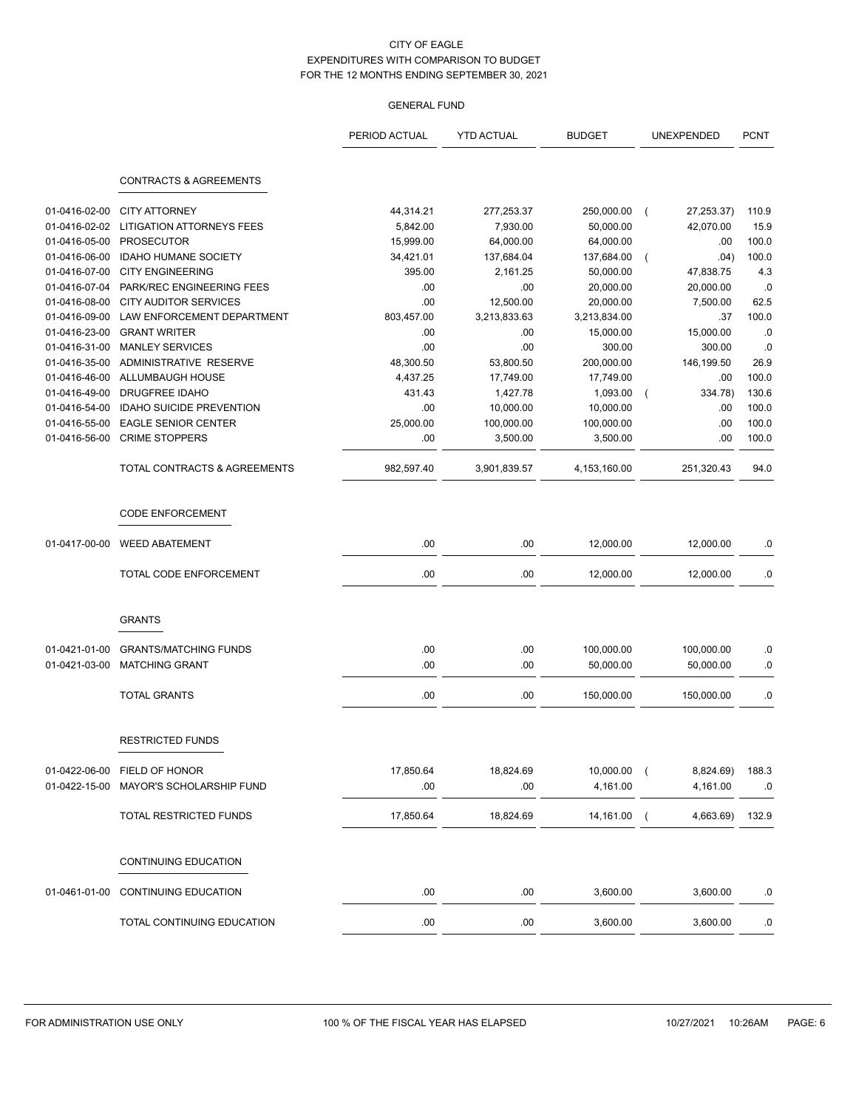|               |                                                     | PERIOD ACTUAL      | <b>YTD ACTUAL</b> | <b>BUDGET</b> | UNEXPENDED                   | <b>PCNT</b> |
|---------------|-----------------------------------------------------|--------------------|-------------------|---------------|------------------------------|-------------|
|               | <b>CONTRACTS &amp; AGREEMENTS</b>                   |                    |                   |               |                              |             |
| 01-0416-02-00 | <b>CITY ATTORNEY</b>                                | 44,314.21          | 277,253.37        | 250,000.00    | 27,253.37)<br>$\overline{ }$ | 110.9       |
| 01-0416-02-02 | <b>LITIGATION ATTORNEYS FEES</b>                    | 5,842.00           | 7,930.00          | 50,000.00     | 42,070.00                    | 15.9        |
| 01-0416-05-00 | <b>PROSECUTOR</b>                                   | 15,999.00          | 64,000.00         | 64,000.00     | .00                          | 100.0       |
| 01-0416-06-00 | <b>IDAHO HUMANE SOCIETY</b>                         | 34,421.01          | 137,684.04        | 137,684.00    | .04)<br>$\overline{ }$       | 100.0       |
| 01-0416-07-00 | <b>CITY ENGINEERING</b>                             | 395.00             | 2,161.25          | 50,000.00     | 47,838.75                    | 4.3         |
| 01-0416-07-04 | PARK/REC ENGINEERING FEES                           | .00                | .00               | 20,000.00     | 20,000.00                    | .0          |
| 01-0416-08-00 | <b>CITY AUDITOR SERVICES</b>                        | .00                | 12,500.00         | 20,000.00     | 7,500.00                     | 62.5        |
| 01-0416-09-00 | LAW ENFORCEMENT DEPARTMENT                          | 803,457.00         | 3,213,833.63      | 3,213,834.00  | .37                          | 100.0       |
| 01-0416-23-00 | <b>GRANT WRITER</b>                                 | .00                | .00               | 15,000.00     | 15,000.00                    | .0          |
| 01-0416-31-00 | <b>MANLEY SERVICES</b>                              | .00                | .00               | 300.00        | 300.00                       | .0          |
| 01-0416-35-00 | ADMINISTRATIVE RESERVE                              | 48,300.50          | 53,800.50         | 200,000.00    | 146,199.50                   | 26.9        |
| 01-0416-46-00 | ALLUMBAUGH HOUSE                                    |                    |                   |               | .00                          | 100.0       |
| 01-0416-49-00 | DRUGFREE IDAHO                                      | 4,437.25<br>431.43 | 17,749.00         | 17,749.00     |                              |             |
|               |                                                     |                    | 1,427.78          | 1,093.00      | 334.78)                      | 130.6       |
| 01-0416-54-00 | <b>IDAHO SUICIDE PREVENTION</b>                     | .00<br>25,000.00   | 10,000.00         | 10,000.00     | .00                          | 100.0       |
| 01-0416-55-00 | <b>EAGLE SENIOR CENTER</b><br><b>CRIME STOPPERS</b> |                    | 100,000.00        | 100,000.00    | .00                          | 100.0       |
| 01-0416-56-00 |                                                     | .00                | 3,500.00          | 3,500.00      | .00                          | 100.0       |
|               | TOTAL CONTRACTS & AGREEMENTS                        | 982,597.40         | 3,901,839.57      | 4,153,160.00  | 251,320.43                   | 94.0        |
|               | <b>CODE ENFORCEMENT</b>                             |                    |                   |               |                              |             |
| 01-0417-00-00 | <b>WEED ABATEMENT</b>                               | .00                | .00               | 12,000.00     | 12,000.00                    | .0          |
|               | TOTAL CODE ENFORCEMENT                              | .00                | .00               | 12,000.00     | 12,000.00                    | .0          |
|               | <b>GRANTS</b>                                       |                    |                   |               |                              |             |
|               |                                                     |                    |                   |               |                              |             |
| 01-0421-01-00 | <b>GRANTS/MATCHING FUNDS</b>                        | .00                | .00               | 100,000.00    | 100,000.00                   | .0          |
| 01-0421-03-00 | <b>MATCHING GRANT</b>                               | .00                | .00               | 50,000.00     | 50,000.00                    | .0          |
|               | <b>TOTAL GRANTS</b>                                 | .00                | .00               | 150,000.00    | 150,000.00                   | .0          |
|               | <b>RESTRICTED FUNDS</b>                             |                    |                   |               |                              |             |
|               |                                                     |                    |                   |               |                              |             |
|               | 01-0422-06-00 FIELD OF HONOR                        | 17,850.64          | 18,824.69         | 10,000.00     | 8,824.69)<br>$\sqrt{ }$      | 188.3       |
|               | 01-0422-15-00 MAYOR'S SCHOLARSHIP FUND              | .00                | .00               | 4,161.00      | 4,161.00                     | .0          |
|               | TOTAL RESTRICTED FUNDS                              | 17,850.64          | 18,824.69         | 14,161.00     | 4,663.69)<br>$\sqrt{ }$      | 132.9       |
|               | CONTINUING EDUCATION                                |                    |                   |               |                              |             |
|               | 01-0461-01-00 CONTINUING EDUCATION                  | .00                | .00               | 3,600.00      | 3,600.00                     | .0          |
|               |                                                     |                    |                   |               |                              |             |
|               | TOTAL CONTINUING EDUCATION                          | .00                | .00               | 3,600.00      | 3,600.00                     | .0          |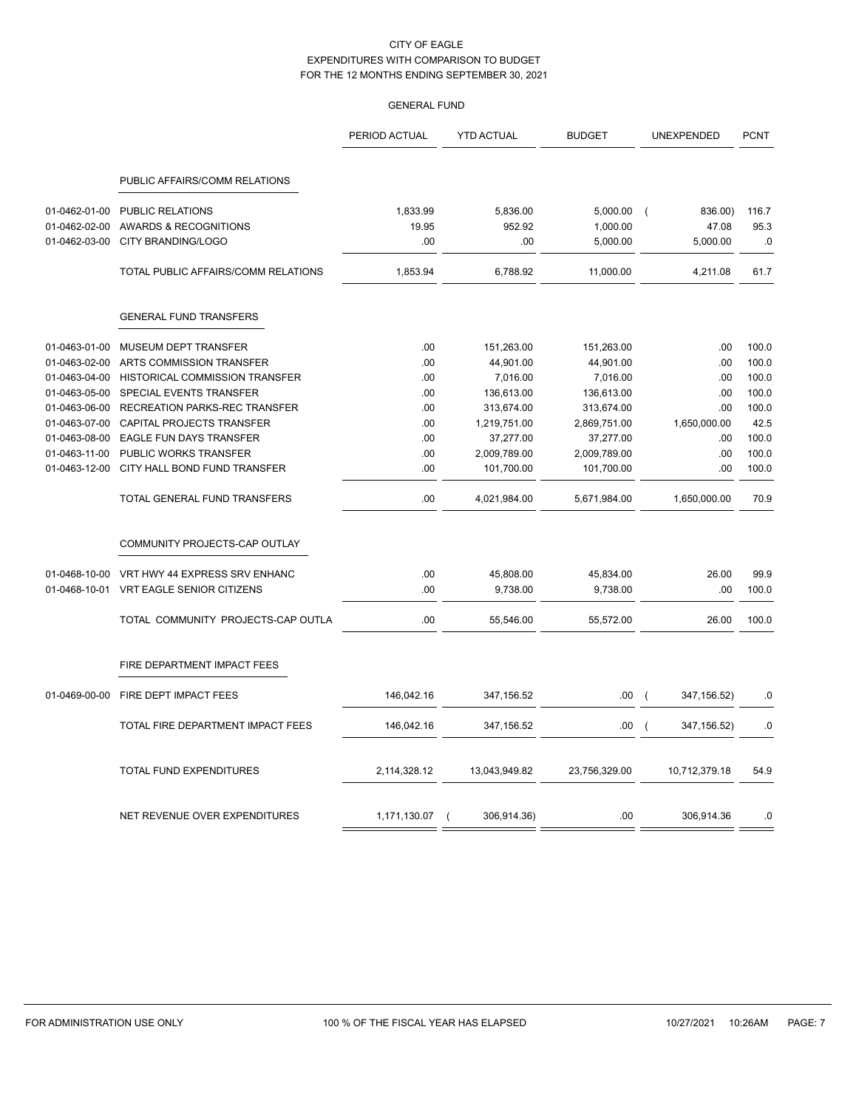## GENERAL FUND

|                                                 |                                                                        | PERIOD ACTUAL            | <b>YTD ACTUAL</b>         | <b>BUDGET</b>                    | UNEXPENDED                                 | <b>PCNT</b>         |
|-------------------------------------------------|------------------------------------------------------------------------|--------------------------|---------------------------|----------------------------------|--------------------------------------------|---------------------|
|                                                 | PUBLIC AFFAIRS/COMM RELATIONS                                          |                          |                           |                                  |                                            |                     |
| 01-0462-01-00<br>01-0462-02-00<br>01-0462-03-00 | <b>PUBLIC RELATIONS</b><br>AWARDS & RECOGNITIONS<br>CITY BRANDING/LOGO | 1,833.99<br>19.95<br>.00 | 5,836.00<br>952.92<br>.00 | 5,000.00<br>1,000.00<br>5,000.00 | 836.00)<br>$\sqrt{2}$<br>47.08<br>5,000.00 | 116.7<br>95.3<br>.0 |
|                                                 | TOTAL PUBLIC AFFAIRS/COMM RELATIONS                                    | 1,853.94                 | 6,788.92                  | 11,000.00                        | 4,211.08                                   | 61.7                |
|                                                 | <b>GENERAL FUND TRANSFERS</b>                                          |                          |                           |                                  |                                            |                     |
| 01-0463-01-00                                   | <b>MUSEUM DEPT TRANSFER</b>                                            | .00                      | 151,263.00                | 151,263.00                       | .00                                        | 100.0               |
| 01-0463-02-00                                   | ARTS COMMISSION TRANSFER                                               | .00                      | 44,901.00                 | 44,901.00                        | .00                                        | 100.0               |
| 01-0463-04-00                                   | <b>HISTORICAL COMMISSION TRANSFER</b>                                  | .00                      | 7,016.00                  | 7,016.00                         | .00                                        | 100.0               |
| 01-0463-05-00                                   | SPECIAL EVENTS TRANSFER                                                | .00                      | 136,613.00                | 136,613.00                       | .00                                        | 100.0               |
| 01-0463-06-00                                   | <b>RECREATION PARKS-REC TRANSFER</b>                                   | .00                      | 313,674.00                | 313,674.00                       | .00                                        | 100.0               |
| 01-0463-07-00                                   | CAPITAL PROJECTS TRANSFER                                              | .00                      | 1,219,751.00              | 2,869,751.00                     | 1,650,000.00                               | 42.5                |
| 01-0463-08-00                                   | <b>EAGLE FUN DAYS TRANSFER</b>                                         | .00                      | 37,277.00                 | 37,277.00                        | .00                                        | 100.0               |
| 01-0463-11-00                                   | PUBLIC WORKS TRANSFER                                                  | .00                      | 2,009,789.00              | 2,009,789.00                     | .00                                        | 100.0               |
| 01-0463-12-00                                   | CITY HALL BOND FUND TRANSFER                                           | .00                      | 101,700.00                | 101,700.00                       | .00                                        | 100.0               |
|                                                 | TOTAL GENERAL FUND TRANSFERS                                           | .00                      | 4,021,984.00              | 5,671,984.00                     | 1,650,000.00                               | 70.9                |
|                                                 | COMMUNITY PROJECTS-CAP OUTLAY                                          |                          |                           |                                  |                                            |                     |
| 01-0468-10-00                                   | VRT HWY 44 EXPRESS SRV ENHANC                                          | .00                      | 45,808.00                 | 45,834.00                        | 26.00                                      | 99.9                |
| 01-0468-10-01                                   | VRT EAGLE SENIOR CITIZENS                                              | .00                      | 9,738.00                  | 9,738.00                         | .00                                        | 100.0               |
|                                                 | TOTAL COMMUNITY PROJECTS-CAP OUTLA                                     | .00                      | 55,546.00                 | 55,572.00                        | 26.00                                      | 100.0               |
|                                                 | FIRE DEPARTMENT IMPACT FEES                                            |                          |                           |                                  |                                            |                     |
| 01-0469-00-00                                   | FIRE DEPT IMPACT FEES                                                  | 146,042.16               | 347,156.52                | .00.                             | 347,156.52)<br>$\sqrt{2}$                  | .0                  |
|                                                 | TOTAL FIRE DEPARTMENT IMPACT FEES                                      | 146,042.16               | 347,156.52                | .00                              | 347, 156.52)<br>$\left($                   | .0                  |
|                                                 | TOTAL FUND EXPENDITURES                                                | 2,114,328.12             | 13,043,949.82             | 23,756,329.00                    | 10,712,379.18                              | 54.9                |
|                                                 | NET REVENUE OVER EXPENDITURES                                          | 1,171,130.07             | 306,914.36)               | .00                              | 306,914.36                                 | .0                  |

 $=$   $=$ 

 $=$   $=$ 

 $=$   $=$ 

 $=$   $=$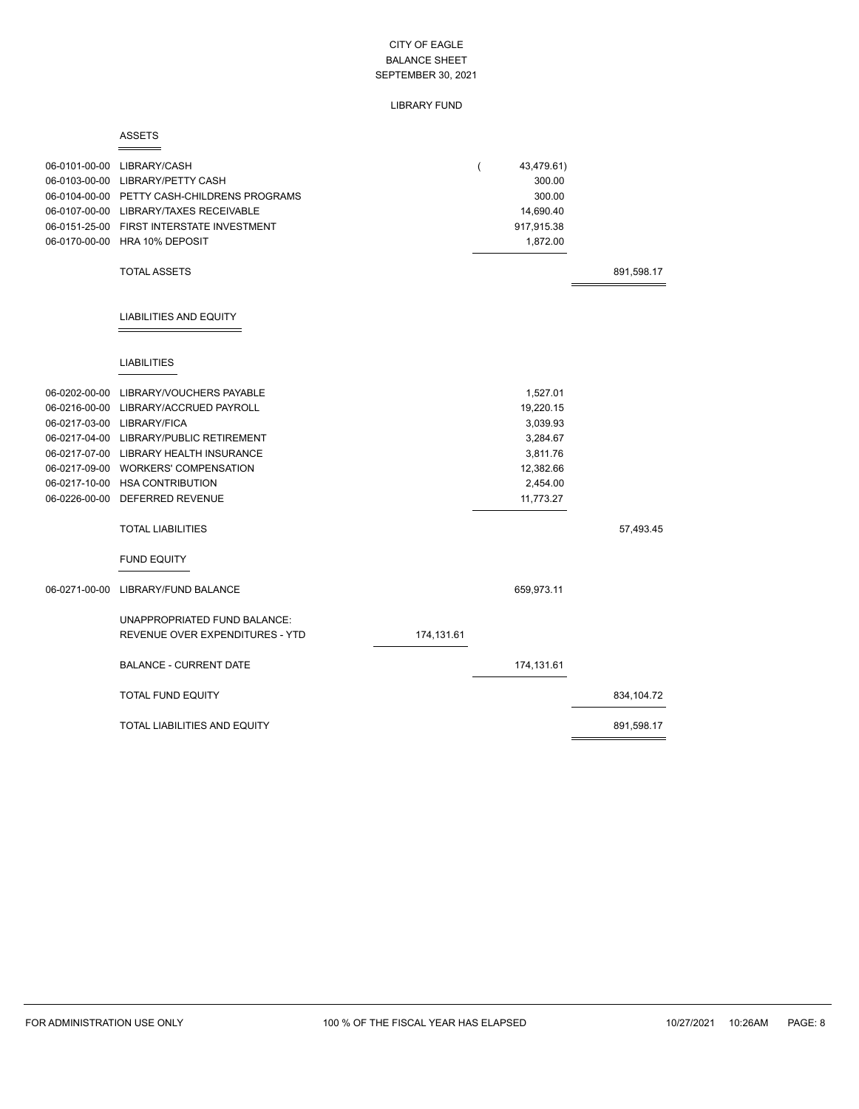## LIBRARY FUND

#### ASSETS  $=$

|               | 06-0101-00-00 LIBRARY/CASH<br>06-0103-00-00 LIBRARY/PETTY CASH<br>06-0104-00-00 PETTY CASH-CHILDRENS PROGRAMS<br>06-0107-00-00 LIBRARY/TAXES RECEIVABLE<br>06-0151-25-00 FIRST INTERSTATE INVESTMENT<br>06-0170-00-00 HRA 10% DEPOSIT                                                                                                             |            | ( | 43,479.61)<br>300.00<br>300.00<br>14,690.40<br>917,915.38<br>1,872.00                           |            |
|---------------|---------------------------------------------------------------------------------------------------------------------------------------------------------------------------------------------------------------------------------------------------------------------------------------------------------------------------------------------------|------------|---|-------------------------------------------------------------------------------------------------|------------|
|               | <b>TOTAL ASSETS</b>                                                                                                                                                                                                                                                                                                                               |            |   |                                                                                                 | 891,598.17 |
|               | <b>LIABILITIES AND EQUITY</b>                                                                                                                                                                                                                                                                                                                     |            |   |                                                                                                 |            |
|               | <b>LIABILITIES</b>                                                                                                                                                                                                                                                                                                                                |            |   |                                                                                                 |            |
| 06-0202-00-00 | LIBRARY/VOUCHERS PAYABLE<br>06-0216-00-00 LIBRARY/ACCRUED PAYROLL<br>06-0217-03-00 LIBRARY/FICA<br>06-0217-04-00 LIBRARY/PUBLIC RETIREMENT<br>06-0217-07-00 LIBRARY HEALTH INSURANCE<br>06-0217-09-00 WORKERS' COMPENSATION<br>06-0217-10-00 HSA CONTRIBUTION<br>06-0226-00-00 DEFERRED REVENUE<br><b>TOTAL LIABILITIES</b><br><b>FUND EQUITY</b> |            |   | 1,527.01<br>19,220.15<br>3,039.93<br>3,284.67<br>3,811.76<br>12,382.66<br>2,454.00<br>11,773.27 | 57,493.45  |
| 06-0271-00-00 | LIBRARY/FUND BALANCE                                                                                                                                                                                                                                                                                                                              |            |   | 659,973.11                                                                                      |            |
|               | UNAPPROPRIATED FUND BALANCE:<br>REVENUE OVER EXPENDITURES - YTD                                                                                                                                                                                                                                                                                   | 174,131.61 |   |                                                                                                 |            |
|               | <b>BALANCE - CURRENT DATE</b>                                                                                                                                                                                                                                                                                                                     |            |   | 174,131.61                                                                                      |            |
|               | <b>TOTAL FUND EQUITY</b>                                                                                                                                                                                                                                                                                                                          |            |   |                                                                                                 | 834,104.72 |
|               | TOTAL LIABILITIES AND EQUITY                                                                                                                                                                                                                                                                                                                      |            |   |                                                                                                 | 891,598.17 |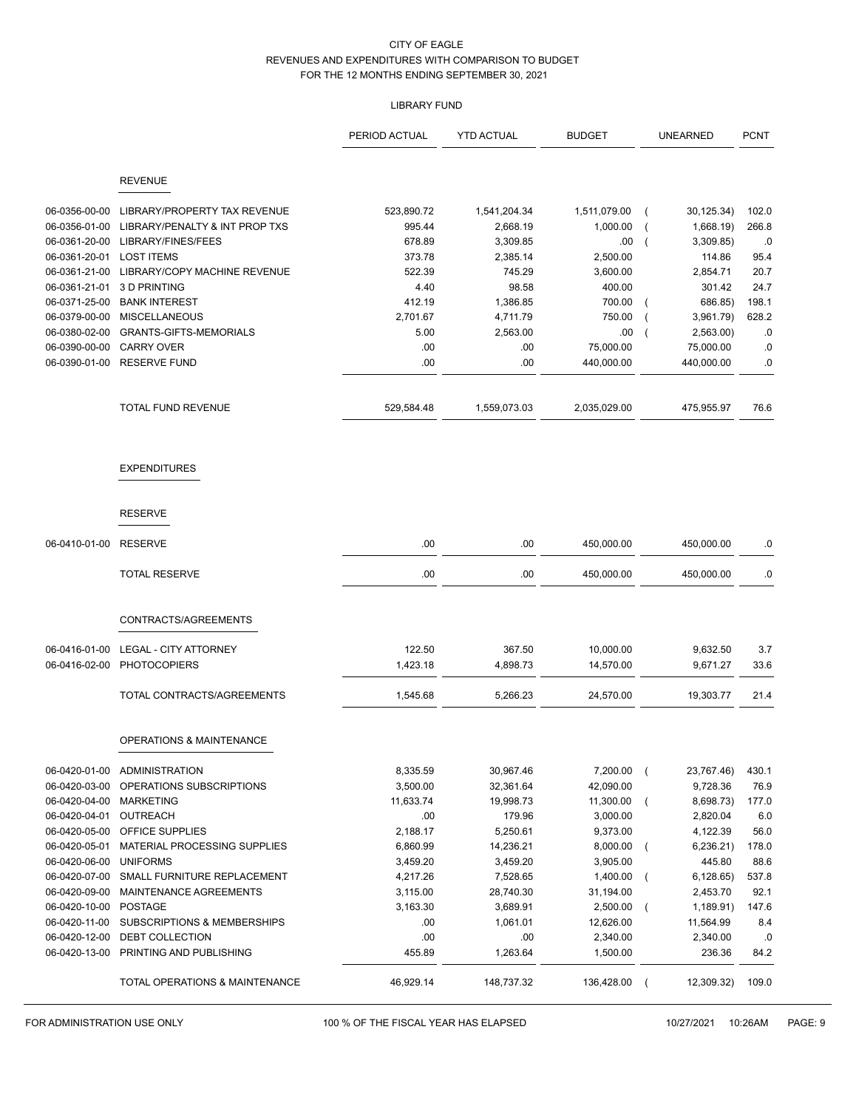## LIBRARY FUND

|                                |                                              | PERIOD ACTUAL         | <b>YTD ACTUAL</b>        | <b>BUDGET</b>         | <b>UNEARNED</b>                   | <b>PCNT</b>    |
|--------------------------------|----------------------------------------------|-----------------------|--------------------------|-----------------------|-----------------------------------|----------------|
|                                | <b>REVENUE</b>                               |                       |                          |                       |                                   |                |
| 06-0356-00-00                  | LIBRARY/PROPERTY TAX REVENUE                 | 523,890.72            |                          | 1,511,079.00          |                                   |                |
| 06-0356-01-00                  | LIBRARY/PENALTY & INT PROP TXS               | 995.44                | 1,541,204.34<br>2,668.19 | 1,000.00              | 30,125.34)<br>1,668.19)           | 102.0<br>266.8 |
| 06-0361-20-00                  | LIBRARY/FINES/FEES                           | 678.89                | 3,309.85                 | .00                   | 3,309.85)                         | .0             |
| 06-0361-20-01                  | <b>LOST ITEMS</b>                            | 373.78                | 2,385.14                 | 2,500.00              | 114.86                            | 95.4           |
| 06-0361-21-00                  | LIBRARY/COPY MACHINE REVENUE                 | 522.39                | 745.29                   | 3,600.00              | 2,854.71                          | 20.7           |
| 06-0361-21-01                  | 3 D PRINTING                                 | 4.40                  | 98.58                    | 400.00                | 301.42                            | 24.7           |
| 06-0371-25-00                  | <b>BANK INTEREST</b>                         | 412.19                | 1,386.85                 | 700.00                | 686.85)                           | 198.1          |
| 06-0379-00-00                  | <b>MISCELLANEOUS</b>                         | 2,701.67              | 4,711.79                 | 750.00                | 3,961.79)                         | 628.2          |
| 06-0380-02-00                  | <b>GRANTS-GIFTS-MEMORIALS</b>                | 5.00                  | 2,563.00                 | .00                   | 2,563.00)                         | .0             |
| 06-0390-00-00                  | <b>CARRY OVER</b>                            | .00                   | .00                      | 75,000.00             | 75,000.00                         | .0             |
| 06-0390-01-00                  | <b>RESERVE FUND</b>                          | .00                   | .00.                     | 440,000.00            | 440,000.00                        | .0             |
|                                | <b>TOTAL FUND REVENUE</b>                    | 529,584.48            | 1,559,073.03             | 2,035,029.00          | 475,955.97                        | 76.6           |
|                                | <b>EXPENDITURES</b>                          |                       |                          |                       |                                   |                |
|                                | <b>RESERVE</b>                               |                       |                          |                       |                                   |                |
| 06-0410-01-00                  | <b>RESERVE</b>                               | .00                   | .00                      | 450,000.00            | 450,000.00                        | .0             |
|                                | <b>TOTAL RESERVE</b>                         | .00                   | .00                      | 450,000.00            | 450,000.00                        | .0             |
|                                | CONTRACTS/AGREEMENTS                         |                       |                          |                       |                                   |                |
|                                |                                              |                       |                          |                       |                                   |                |
| 06-0416-01-00                  | <b>LEGAL - CITY ATTORNEY</b>                 | 122.50                | 367.50                   | 10,000.00             | 9,632.50                          | 3.7            |
| 06-0416-02-00                  | <b>PHOTOCOPIERS</b>                          | 1,423.18              | 4,898.73                 | 14,570.00             | 9,671.27                          | 33.6           |
|                                | TOTAL CONTRACTS/AGREEMENTS                   | 1,545.68              | 5,266.23                 | 24,570.00             | 19,303.77                         | 21.4           |
|                                | <b>OPERATIONS &amp; MAINTENANCE</b>          |                       |                          |                       |                                   |                |
|                                |                                              |                       |                          |                       |                                   |                |
|                                | 06-0420-01-00 ADMINISTRATION                 | 8,335.59              | 30,967.46                | 7,200.00              | 23,767.46)<br>$\left($            | 430.1          |
| 06-0420-03-00<br>06-0420-04-00 | OPERATIONS SUBSCRIPTIONS<br><b>MARKETING</b> | 3,500.00<br>11,633.74 | 32,361.64                | 42,090.00             | 9,728.36                          | 76.9           |
| 06-0420-04-01                  | OUTREACH                                     | .00                   | 19,998.73<br>179.96      | 11,300.00<br>3,000.00 | 8,698.73)<br>$\left($<br>2,820.04 | 177.0<br>6.0   |
| 06-0420-05-00                  | OFFICE SUPPLIES                              | 2,188.17              | 5,250.61                 | 9,373.00              |                                   | 56.0           |
| 06-0420-05-01                  | MATERIAL PROCESSING SUPPLIES                 |                       |                          |                       | 4,122.39                          | 178.0          |
|                                | <b>UNIFORMS</b>                              | 6,860.99              | 14,236.21                | 8,000.00<br>3,905.00  | 6,236.21)<br>$\left($             |                |
| 06-0420-06-00<br>06-0420-07-00 | SMALL FURNITURE REPLACEMENT                  | 3,459.20<br>4,217.26  | 3,459.20<br>7,528.65     | 1,400.00              | 445.80<br>6,128.65)<br>$\left($   | 88.6<br>537.8  |
| 06-0420-09-00                  | MAINTENANCE AGREEMENTS                       | 3,115.00              | 28,740.30                | 31,194.00             | 2,453.70                          | 92.1           |
| 06-0420-10-00                  | POSTAGE                                      | 3,163.30              | 3,689.91                 | 2,500.00              | 1,189.91)<br>$\left($             | 147.6          |
| 06-0420-11-00                  | <b>SUBSCRIPTIONS &amp; MEMBERSHIPS</b>       |                       |                          |                       | 11,564.99                         |                |
|                                | DEBT COLLECTION                              | .00.<br>.00           | 1,061.01                 | 12,626.00             | 2,340.00                          | 8.4            |
| 06-0420-12-00<br>06-0420-13-00 | PRINTING AND PUBLISHING                      | 455.89                | .00<br>1,263.64          | 2,340.00<br>1,500.00  | 236.36                            | .0<br>84.2     |
|                                | TOTAL OPERATIONS & MAINTENANCE               | 46,929.14             | 148,737.32               | 136,428.00            | 12,309.32)<br>$\overline{ }$      | 109.0          |

FOR ADMINISTRATION USE ONLY **100 % OF THE FISCAL YEAR HAS ELAPSED** 100/27/2021 10:26AM PAGE: 9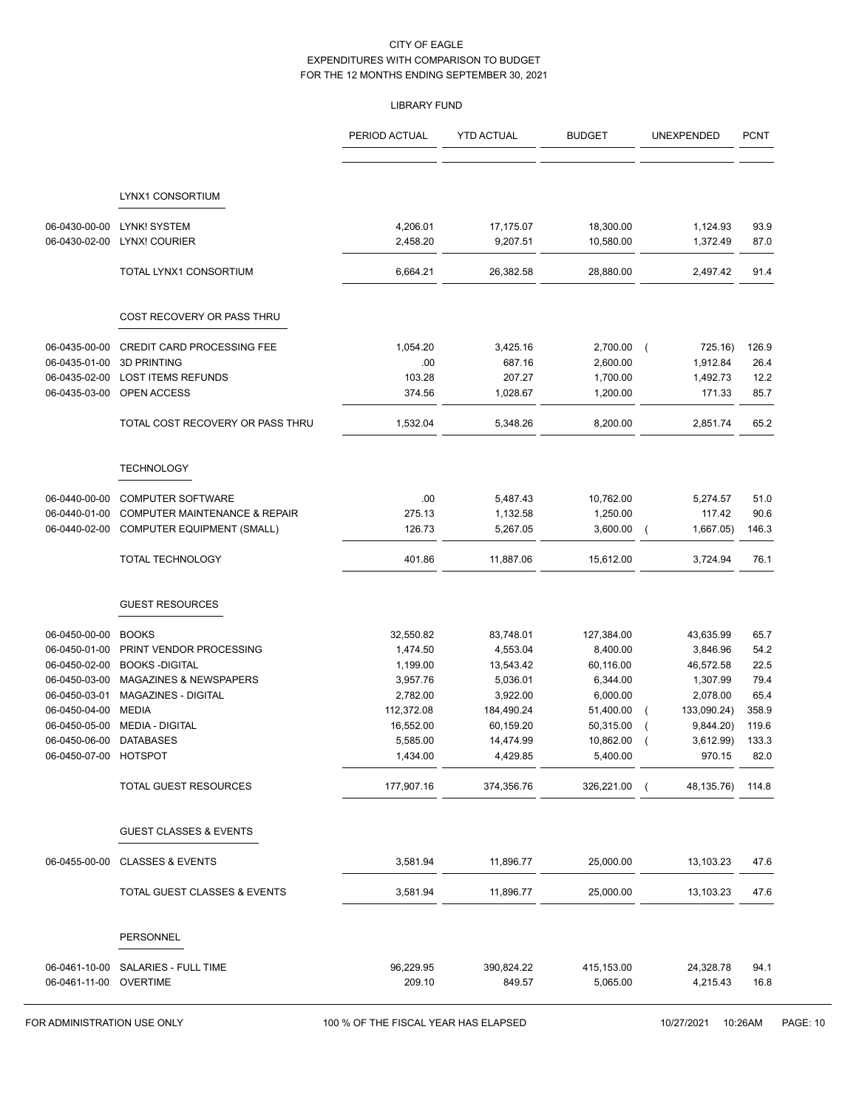## LIBRARY FUND

|                                |                                                 | PERIOD ACTUAL        | <b>YTD ACTUAL</b>     | <b>BUDGET</b>         | UNEXPENDED                    | <b>PCNT</b>  |
|--------------------------------|-------------------------------------------------|----------------------|-----------------------|-----------------------|-------------------------------|--------------|
|                                |                                                 |                      |                       |                       |                               |              |
|                                |                                                 |                      |                       |                       |                               |              |
|                                | LYNX1 CONSORTIUM                                |                      |                       |                       |                               |              |
| 06-0430-00-00                  | LYNK! SYSTEM                                    | 4,206.01             | 17,175.07             | 18,300.00             | 1,124.93                      | 93.9         |
| 06-0430-02-00                  | <b>LYNX! COURIER</b>                            | 2,458.20             | 9,207.51              | 10,580.00             | 1,372.49                      | 87.0         |
|                                | TOTAL LYNX1 CONSORTIUM                          | 6,664.21             | 26,382.58             | 28,880.00             | 2,497.42                      | 91.4         |
|                                | COST RECOVERY OR PASS THRU                      |                      |                       |                       |                               |              |
| 06-0435-00-00                  | CREDIT CARD PROCESSING FEE                      | 1,054.20             | 3,425.16              | 2,700.00              | 725.16)<br>$\overline{ }$     | 126.9        |
| 06-0435-01-00                  | 3D PRINTING                                     | .00                  | 687.16                | 2,600.00              | 1,912.84                      | 26.4         |
| 06-0435-02-00                  | <b>LOST ITEMS REFUNDS</b>                       | 103.28               | 207.27                | 1,700.00              | 1,492.73                      | 12.2         |
| 06-0435-03-00                  | OPEN ACCESS                                     | 374.56               | 1,028.67              | 1,200.00              | 171.33                        | 85.7         |
|                                | TOTAL COST RECOVERY OR PASS THRU                | 1,532.04             | 5,348.26              | 8,200.00              | 2,851.74                      | 65.2         |
|                                | <b>TECHNOLOGY</b>                               |                      |                       |                       |                               |              |
|                                |                                                 |                      |                       |                       |                               |              |
| 06-0440-00-00                  | <b>COMPUTER SOFTWARE</b>                        | .00                  | 5,487.43              | 10,762.00             | 5,274.57                      | 51.0         |
| 06-0440-01-00                  | COMPUTER MAINTENANCE & REPAIR                   | 275.13               | 1,132.58              | 1,250.00              | 117.42                        | 90.6         |
| 06-0440-02-00                  | <b>COMPUTER EQUIPMENT (SMALL)</b>               | 126.73               | 5,267.05              | 3,600.00              | 1,667.05)<br>$\overline{ }$   | 146.3        |
|                                | <b>TOTAL TECHNOLOGY</b>                         | 401.86               | 11,887.06             | 15,612.00             | 3,724.94                      | 76.1         |
|                                | <b>GUEST RESOURCES</b>                          |                      |                       |                       |                               |              |
|                                |                                                 |                      |                       |                       |                               |              |
| 06-0450-00-00                  | <b>BOOKS</b>                                    | 32,550.82            | 83,748.01             | 127,384.00            | 43,635.99                     | 65.7         |
| 06-0450-01-00<br>06-0450-02-00 | PRINT VENDOR PROCESSING<br><b>BOOKS-DIGITAL</b> | 1,474.50<br>1,199.00 | 4,553.04<br>13,543.42 | 8,400.00<br>60,116.00 | 3,846.96<br>46,572.58         | 54.2<br>22.5 |
| 06-0450-03-00                  | <b>MAGAZINES &amp; NEWSPAPERS</b>               | 3,957.76             | 5,036.01              | 6,344.00              | 1,307.99                      | 79.4         |
| 06-0450-03-01                  | MAGAZINES - DIGITAL                             | 2,782.00             | 3,922.00              | 6,000.00              | 2,078.00                      | 65.4         |
| 06-0450-04-00                  | <b>MEDIA</b>                                    | 112,372.08           | 184,490.24            | 51,400.00             | 133,090.24)<br>$\overline{ }$ | 358.9        |
| 06-0450-05-00                  | <b>MEDIA - DIGITAL</b>                          | 16,552.00            | 60,159.20             | 50,315.00             | 9,844.20)                     | 119.6        |
| 06-0450-06-00 DATABASES        |                                                 | 5,585.00             | 14,474.99             | 10,862.00             | 3,612.99)                     | 133.3        |
| 06-0450-07-00 HOTSPOT          |                                                 | 1,434.00             | 4,429.85              | 5,400.00              | 970.15                        | 82.0         |
|                                | TOTAL GUEST RESOURCES                           | 177,907.16           | 374,356.76            | 326,221.00            | 48,135.76)                    | 114.8        |
|                                | <b>GUEST CLASSES &amp; EVENTS</b>               |                      |                       |                       |                               |              |
| 06-0455-00-00                  | <b>CLASSES &amp; EVENTS</b>                     | 3,581.94             | 11,896.77             | 25,000.00             | 13,103.23                     | 47.6         |
|                                |                                                 |                      |                       |                       |                               |              |
|                                | TOTAL GUEST CLASSES & EVENTS                    | 3,581.94             | 11,896.77             | 25,000.00             | 13,103.23                     | 47.6         |
|                                | PERSONNEL                                       |                      |                       |                       |                               |              |
|                                | 06-0461-10-00 SALARIES - FULL TIME              | 96,229.95            | 390,824.22            | 415,153.00            | 24,328.78                     | 94.1         |
| 06-0461-11-00 OVERTIME         |                                                 | 209.10               | 849.57                | 5,065.00              | 4,215.43                      | 16.8         |

FOR ADMINISTRATION USE ONLY **100 % OF THE FISCAL YEAR HAS ELAPSED** 10/27/2021 10:26AM PAGE: 10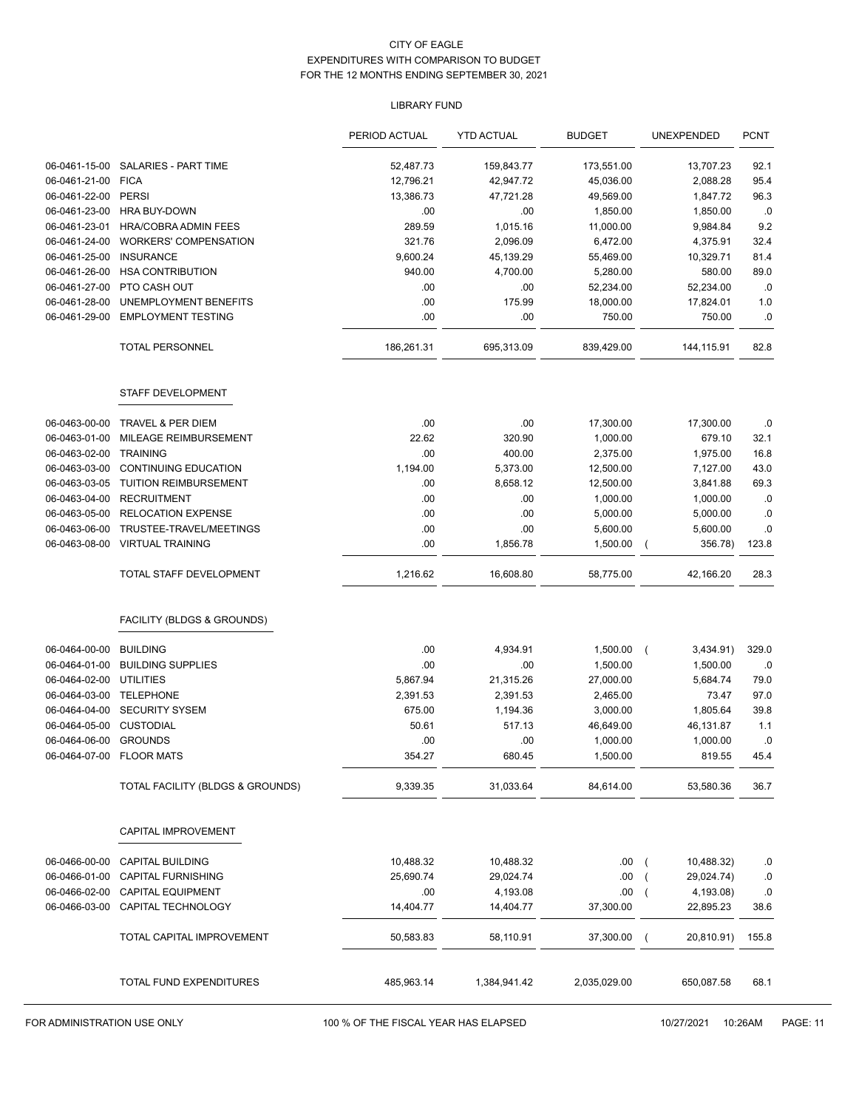## LIBRARY FUND

|                          |                                  | PERIOD ACTUAL | <b>YTD ACTUAL</b> | <b>BUDGET</b> | UNEXPENDED                  | <b>PCNT</b> |
|--------------------------|----------------------------------|---------------|-------------------|---------------|-----------------------------|-------------|
| 06-0461-15-00            | SALARIES - PART TIME             | 52,487.73     | 159,843.77        | 173,551.00    | 13,707.23                   | 92.1        |
| 06-0461-21-00            | <b>FICA</b>                      | 12,796.21     | 42,947.72         | 45,036.00     | 2,088.28                    | 95.4        |
| 06-0461-22-00            | <b>PERSI</b>                     | 13,386.73     | 47,721.28         | 49,569.00     | 1,847.72                    | 96.3        |
| 06-0461-23-00            | <b>HRA BUY-DOWN</b>              | .00           | .00.              | 1,850.00      | 1,850.00                    | .0          |
| 06-0461-23-01            | <b>HRA/COBRA ADMIN FEES</b>      | 289.59        | 1,015.16          | 11,000.00     | 9,984.84                    | 9.2         |
| 06-0461-24-00            | <b>WORKERS' COMPENSATION</b>     | 321.76        | 2,096.09          | 6,472.00      | 4,375.91                    | 32.4        |
| 06-0461-25-00            | <b>INSURANCE</b>                 | 9,600.24      | 45,139.29         | 55,469.00     | 10,329.71                   | 81.4        |
| 06-0461-26-00            | <b>HSA CONTRIBUTION</b>          | 940.00        | 4,700.00          | 5,280.00      | 580.00                      | 89.0        |
| 06-0461-27-00            | PTO CASH OUT                     | .00           | .00               | 52,234.00     | 52,234.00                   | .0          |
| 06-0461-28-00            | UNEMPLOYMENT BENEFITS            | .00           | 175.99            | 18,000.00     | 17,824.01                   | 1.0         |
| 06-0461-29-00            | <b>EMPLOYMENT TESTING</b>        | .00           | .00               | 750.00        | 750.00                      | .0          |
|                          | TOTAL PERSONNEL                  | 186,261.31    | 695,313.09        | 839,429.00    | 144,115.91                  | 82.8        |
|                          | STAFF DEVELOPMENT                |               |                   |               |                             |             |
| 06-0463-00-00            | TRAVEL & PER DIEM                | .00           | .00               | 17,300.00     | 17,300.00                   | .0          |
| 06-0463-01-00            | MILEAGE REIMBURSEMENT            | 22.62         | 320.90            | 1,000.00      | 679.10                      | 32.1        |
| 06-0463-02-00            | <b>TRAINING</b>                  | .00           | 400.00            | 2,375.00      | 1,975.00                    | 16.8        |
| 06-0463-03-00            | <b>CONTINUING EDUCATION</b>      | 1,194.00      | 5,373.00          | 12,500.00     | 7,127.00                    | 43.0        |
| 06-0463-03-05            | <b>TUITION REIMBURSEMENT</b>     | .00           | 8,658.12          | 12,500.00     | 3,841.88                    | 69.3        |
| 06-0463-04-00            | <b>RECRUITMENT</b>               | .00           | .00               | 1,000.00      | 1,000.00                    | .0          |
| 06-0463-05-00            | <b>RELOCATION EXPENSE</b>        | .00           | .00               | 5,000.00      | 5,000.00                    | .0          |
| 06-0463-06-00            | TRUSTEE-TRAVEL/MEETINGS          | .00           | .00               | 5,600.00      | 5,600.00                    | .0          |
| 06-0463-08-00            | <b>VIRTUAL TRAINING</b>          | .00           | 1,856.78          | 1,500.00      | 356.78)                     | 123.8       |
|                          | TOTAL STAFF DEVELOPMENT          | 1,216.62      | 16,608.80         | 58,775.00     | 42,166.20                   | 28.3        |
|                          | FACILITY (BLDGS & GROUNDS)       |               |                   |               |                             |             |
| 06-0464-00-00            | <b>BUILDING</b>                  | .00           | 4,934.91          | 1,500.00      | 3,434.91)<br>$\overline{ }$ | 329.0       |
| 06-0464-01-00            | <b>BUILDING SUPPLIES</b>         | .00           | .00.              | 1,500.00      | 1,500.00                    | .0          |
| 06-0464-02-00            | <b>UTILITIES</b>                 | 5,867.94      | 21,315.26         | 27,000.00     | 5,684.74                    | 79.0        |
| 06-0464-03-00            | <b>TELEPHONE</b>                 | 2,391.53      | 2,391.53          | 2,465.00      | 73.47                       | 97.0        |
| 06-0464-04-00            | <b>SECURITY SYSEM</b>            | 675.00        | 1,194.36          | 3,000.00      | 1,805.64                    | 39.8        |
| 06-0464-05-00            | <b>CUSTODIAL</b>                 | 50.61         | 517.13            | 46,649.00     | 46,131.87                   | 1.1         |
| 06-0464-06-00 GROUNDS    |                                  | .00           | .00.              | 1,000.00      | 1,000.00                    | .0          |
| 06-0464-07-00 FLOOR MATS |                                  | 354.27        | 680.45            | 1,500.00      | 819.55                      | 45.4        |
|                          | TOTAL FACILITY (BLDGS & GROUNDS) | 9,339.35      | 31,033.64         | 84,614.00     | 53,580.36                   | 36.7        |
|                          | CAPITAL IMPROVEMENT              |               |                   |               |                             |             |
| 06-0466-00-00            | <b>CAPITAL BUILDING</b>          | 10,488.32     | 10,488.32         | .00           | 10,488.32)                  | .0          |
| 06-0466-01-00            | <b>CAPITAL FURNISHING</b>        | 25,690.74     | 29,024.74         | .00           | 29,024.74)                  | .0          |
| 06-0466-02-00            | <b>CAPITAL EQUIPMENT</b>         | .00           | 4,193.08          | .00           | 4,193.08)                   | .0          |
| 06-0466-03-00            | CAPITAL TECHNOLOGY               | 14,404.77     | 14,404.77         | 37,300.00     | 22,895.23                   | 38.6        |
|                          | TOTAL CAPITAL IMPROVEMENT        | 50,583.83     | 58,110.91         | 37,300.00     | 20,810.91)<br>$\left($      | 155.8       |
|                          | TOTAL FUND EXPENDITURES          | 485,963.14    | 1,384,941.42      | 2,035,029.00  | 650,087.58                  | 68.1        |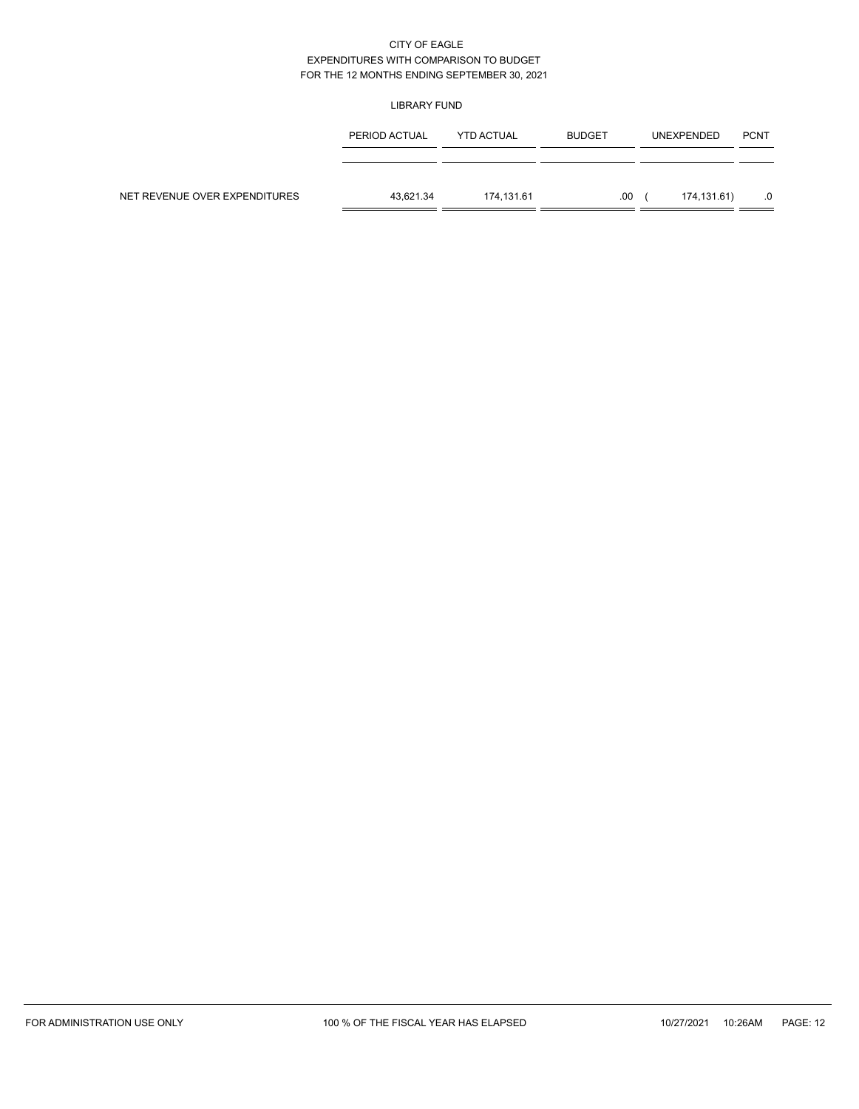### LIBRARY FUND

|                               | PERIOD ACTUAL | <b>YTD ACTUAL</b> | <b>BUDGET</b> | <b>UNEXPENDED</b> | <b>PCNT</b> |
|-------------------------------|---------------|-------------------|---------------|-------------------|-------------|
|                               |               |                   |               |                   |             |
| NET REVENUE OVER EXPENDITURES | 43.621.34     | 174.131.61        | .00           | 174,131.61)       |             |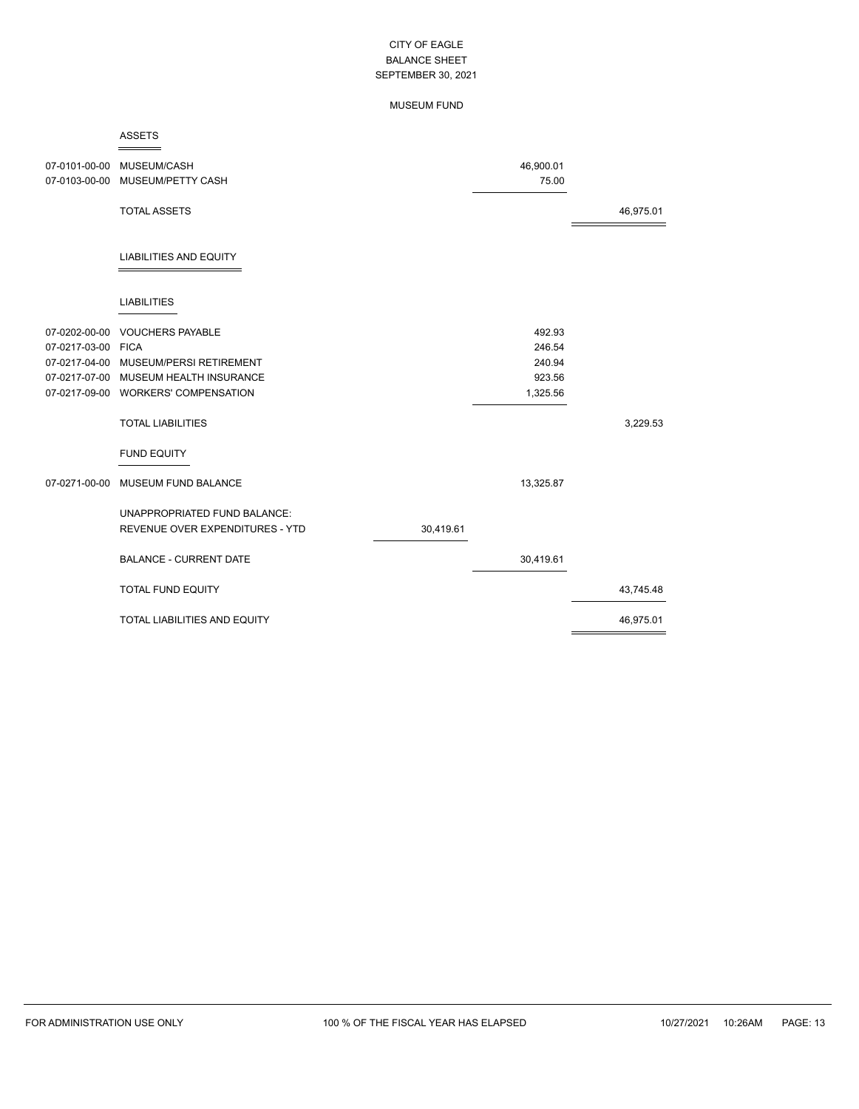### MUSEUM FUND

#### ASSETS ÷

|                                     | 07-0101-00-00 MUSEUM/CASH<br>07-0103-00-00 MUSEUM/PETTY CASH |           | 46,900.01<br>75.00 |           |
|-------------------------------------|--------------------------------------------------------------|-----------|--------------------|-----------|
|                                     | <b>TOTAL ASSETS</b>                                          |           |                    | 46,975.01 |
|                                     | <b>LIABILITIES AND EQUITY</b>                                |           |                    |           |
|                                     | <b>LIABILITIES</b>                                           |           |                    |           |
| 07-0202-00-00<br>07-0217-03-00 FICA | <b>VOUCHERS PAYABLE</b>                                      |           | 492.93<br>246.54   |           |
|                                     | 07-0217-04-00 MUSEUM/PERSI RETIREMENT                        |           | 240.94             |           |
|                                     | 07-0217-07-00 MUSEUM HEALTH INSURANCE                        |           | 923.56             |           |
|                                     | 07-0217-09-00 WORKERS' COMPENSATION                          |           | 1,325.56           |           |
|                                     |                                                              |           |                    |           |
|                                     | <b>TOTAL LIABILITIES</b>                                     |           |                    | 3,229.53  |
|                                     | <b>FUND EQUITY</b>                                           |           |                    |           |
| 07-0271-00-00                       | MUSEUM FUND BALANCE                                          |           | 13,325.87          |           |
|                                     | UNAPPROPRIATED FUND BALANCE:                                 |           |                    |           |
|                                     | REVENUE OVER EXPENDITURES - YTD                              | 30,419.61 |                    |           |
|                                     |                                                              |           |                    |           |
|                                     | <b>BALANCE - CURRENT DATE</b>                                |           | 30,419.61          |           |
|                                     | <b>TOTAL FUND EQUITY</b>                                     |           |                    | 43,745.48 |
|                                     | <b>TOTAL LIABILITIES AND EQUITY</b>                          |           |                    | 46,975.01 |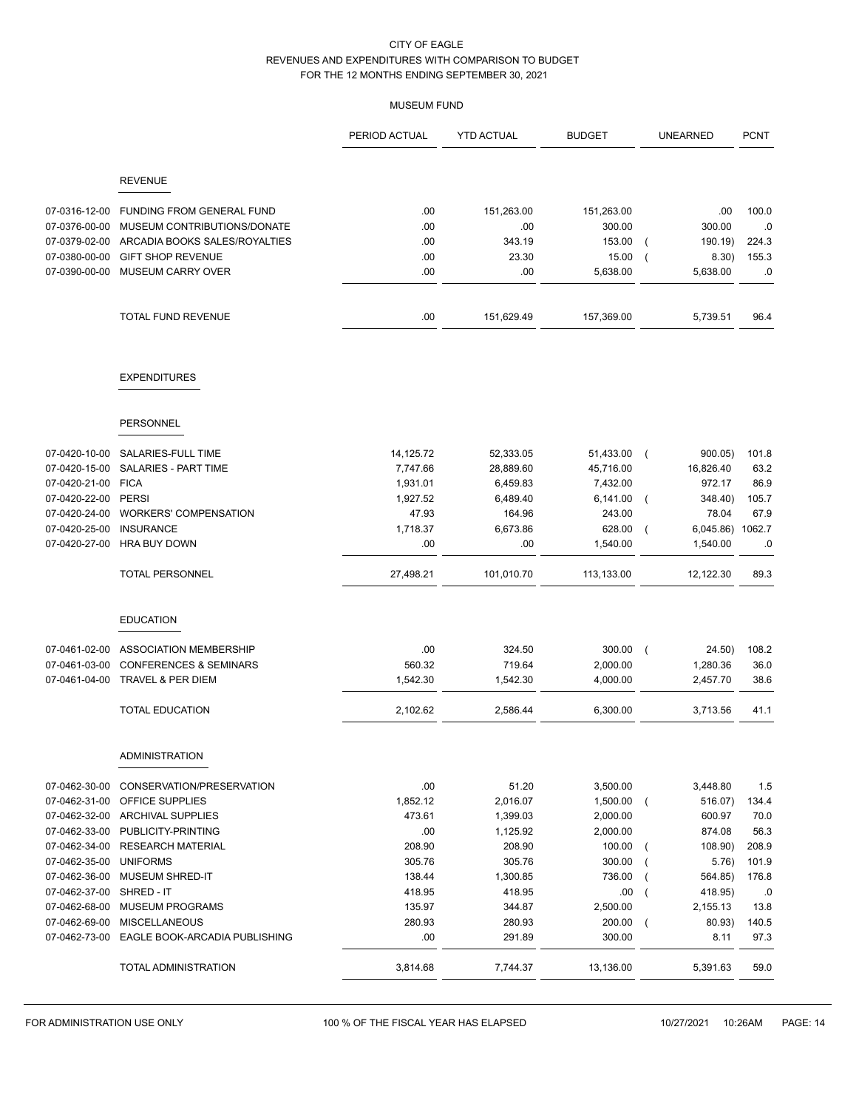## MUSEUM FUND

|                          |                                                      | PERIOD ACTUAL | <b>YTD ACTUAL</b> | <b>BUDGET</b> | <b>UNEARNED</b>                     | <b>PCNT</b> |
|--------------------------|------------------------------------------------------|---------------|-------------------|---------------|-------------------------------------|-------------|
|                          | <b>REVENUE</b>                                       |               |                   |               |                                     |             |
|                          |                                                      |               |                   |               |                                     |             |
| 07-0316-12-00            | FUNDING FROM GENERAL FUND                            | .00           | 151,263.00        | 151,263.00    | .00                                 | 100.0       |
| 07-0376-00-00            | MUSEUM CONTRIBUTIONS/DONATE                          | .00           | .00               | 300.00        | 300.00                              | .0          |
| 07-0379-02-00            | ARCADIA BOOKS SALES/ROYALTIES                        | .00           | 343.19            | 153.00        | 190.19)<br>$\left($                 | 224.3       |
| 07-0380-00-00            | <b>GIFT SHOP REVENUE</b><br><b>MUSEUM CARRY OVER</b> | .00           | 23.30             | 15.00         | 8.30)<br>$\left($                   | 155.3       |
| 07-0390-00-00            |                                                      | .00           | .00               | 5,638.00      | 5,638.00                            | .0          |
|                          | <b>TOTAL FUND REVENUE</b>                            | .00           | 151,629.49        | 157,369.00    | 5,739.51                            | 96.4        |
|                          | <b>EXPENDITURES</b>                                  |               |                   |               |                                     |             |
|                          | <b>PERSONNEL</b>                                     |               |                   |               |                                     |             |
|                          |                                                      |               |                   |               |                                     |             |
| 07-0420-10-00            | SALARIES-FULL TIME                                   | 14,125.72     | 52,333.05         | 51,433.00     | 900.05)<br>$\sqrt{ }$               | 101.8       |
| 07-0420-15-00            | SALARIES - PART TIME                                 | 7,747.66      | 28,889.60         | 45,716.00     | 16,826.40                           | 63.2        |
| 07-0420-21-00 FICA       |                                                      | 1,931.01      | 6,459.83          | 7,432.00      | 972.17                              | 86.9        |
| 07-0420-22-00            | PERSI                                                | 1,927.52      | 6,489.40          | 6,141.00      | 348.40)<br>$\left($                 | 105.7       |
| 07-0420-24-00            | <b>WORKERS' COMPENSATION</b>                         | 47.93         | 164.96            | 243.00        | 78.04                               | 67.9        |
| 07-0420-25-00            | <b>INSURANCE</b>                                     | 1,718.37      | 6,673.86          | 628.00        | 6,045.86) 1062.7<br>$\left($        |             |
| 07-0420-27-00            | <b>HRA BUY DOWN</b>                                  | .00           | .00               | 1,540.00      | 1,540.00                            | .0          |
|                          | <b>TOTAL PERSONNEL</b>                               | 27,498.21     | 101,010.70        | 113,133.00    | 12,122.30                           | 89.3        |
|                          | <b>EDUCATION</b>                                     |               |                   |               |                                     |             |
| 07-0461-02-00            | ASSOCIATION MEMBERSHIP                               | .00           | 324.50            | 300.00        | 24.50)<br>$\left($                  | 108.2       |
| 07-0461-03-00            | <b>CONFERENCES &amp; SEMINARS</b>                    | 560.32        | 719.64            | 2,000.00      | 1,280.36                            | 36.0        |
| 07-0461-04-00            | TRAVEL & PER DIEM                                    | 1,542.30      | 1,542.30          | 4,000.00      | 2,457.70                            | 38.6        |
|                          | <b>TOTAL EDUCATION</b>                               | 2,102.62      | 2,586.44          | 6,300.00      | 3,713.56                            | 41.1        |
|                          | <b>ADMINISTRATION</b>                                |               |                   |               |                                     |             |
| 07-0462-30-00            | CONSERVATION/PRESERVATION                            | .00           | 51.20             | 3,500.00      | 3,448.80                            | 1.5         |
| 07-0462-31-00            | OFFICE SUPPLIES                                      | 1,852.12      | 2,016.07          | 1,500.00      | 516.07)<br>$\overline{ }$           | 134.4       |
|                          | 07-0462-32-00 ARCHIVAL SUPPLIES                      | 473.61        | 1,399.03          | 2,000.00      | 600.97                              | 70.0        |
| 07-0462-33-00            | PUBLICITY-PRINTING                                   | .00           | 1,125.92          | 2,000.00      | 874.08                              | 56.3        |
| 07-0462-34-00            | <b>RESEARCH MATERIAL</b>                             | 208.90        | 208.90            | 100.00        | 108.90)<br>$\overline{ }$           | 208.9       |
| 07-0462-35-00            | <b>UNIFORMS</b>                                      | 305.76        | 305.76            | 300.00        | 5.76)<br>$\overline{ }$             | 101.9       |
| 07-0462-36-00            | <b>MUSEUM SHRED-IT</b>                               | 138.44        | 1,300.85          | 736.00        | 564.85)<br>$\overline{ }$           | 176.8       |
| 07-0462-37-00 SHRED - IT |                                                      | 418.95        | 418.95            | .00           | 418.95)<br>$\overline{\phantom{a}}$ | .0          |
| 07-0462-68-00            | <b>MUSEUM PROGRAMS</b>                               | 135.97        | 344.87            | 2,500.00      | 2,155.13                            | 13.8        |
| 07-0462-69-00            | <b>MISCELLANEOUS</b>                                 | 280.93        | 280.93            | 200.00        | 80.93)<br>$\overline{ }$            | 140.5       |
| 07-0462-73-00            | EAGLE BOOK-ARCADIA PUBLISHING                        | .00           | 291.89            | 300.00        | 8.11                                | 97.3        |
|                          | TOTAL ADMINISTRATION                                 | 3,814.68      | 7,744.37          | 13,136.00     | 5,391.63                            | 59.0        |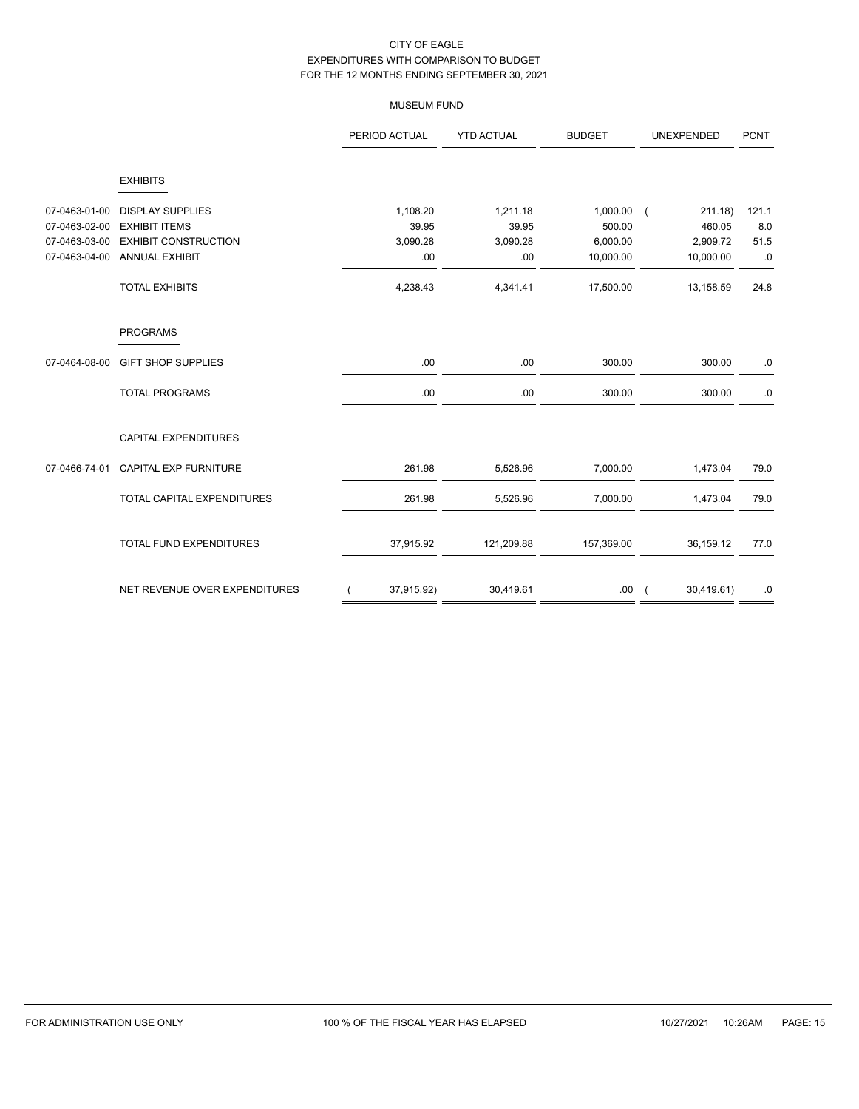## MUSEUM FUND

|               |                               | PERIOD ACTUAL |            | <b>YTD ACTUAL</b> | <b>BUDGET</b> | UNEXPENDED                   | <b>PCNT</b> |
|---------------|-------------------------------|---------------|------------|-------------------|---------------|------------------------------|-------------|
|               | <b>EXHIBITS</b>               |               |            |                   |               |                              |             |
| 07-0463-01-00 | <b>DISPLAY SUPPLIES</b>       |               | 1,108.20   | 1,211.18          | 1,000.00      | 211.18)<br>$\sqrt{ }$        | 121.1       |
| 07-0463-02-00 | <b>EXHIBIT ITEMS</b>          |               | 39.95      | 39.95             | 500.00        | 460.05                       | 8.0         |
| 07-0463-03-00 | <b>EXHIBIT CONSTRUCTION</b>   |               | 3,090.28   | 3,090.28          | 6,000.00      | 2,909.72                     | 51.5        |
| 07-0463-04-00 | ANNUAL EXHIBIT                |               | .00        | .00.              | 10,000.00     | 10,000.00                    | .0          |
|               | <b>TOTAL EXHIBITS</b>         |               | 4,238.43   | 4,341.41          | 17,500.00     | 13,158.59                    | 24.8        |
|               | <b>PROGRAMS</b>               |               |            |                   |               |                              |             |
| 07-0464-08-00 | <b>GIFT SHOP SUPPLIES</b>     |               | .00        | .00.              | 300.00        | 300.00                       | .0          |
|               | <b>TOTAL PROGRAMS</b>         |               | .00        | .00               | 300.00        | 300.00                       | .0          |
|               | CAPITAL EXPENDITURES          |               |            |                   |               |                              |             |
| 07-0466-74-01 | CAPITAL EXP FURNITURE         |               | 261.98     | 5,526.96          | 7,000.00      | 1,473.04                     | 79.0        |
|               | TOTAL CAPITAL EXPENDITURES    |               | 261.98     | 5,526.96          | 7,000.00      | 1,473.04                     | 79.0        |
|               | TOTAL FUND EXPENDITURES       |               | 37,915.92  | 121,209.88        | 157,369.00    | 36,159.12                    | 77.0        |
|               | NET REVENUE OVER EXPENDITURES |               | 37,915.92) | 30,419.61         | .00           | 30,419.61)<br>$\overline{ }$ | .0          |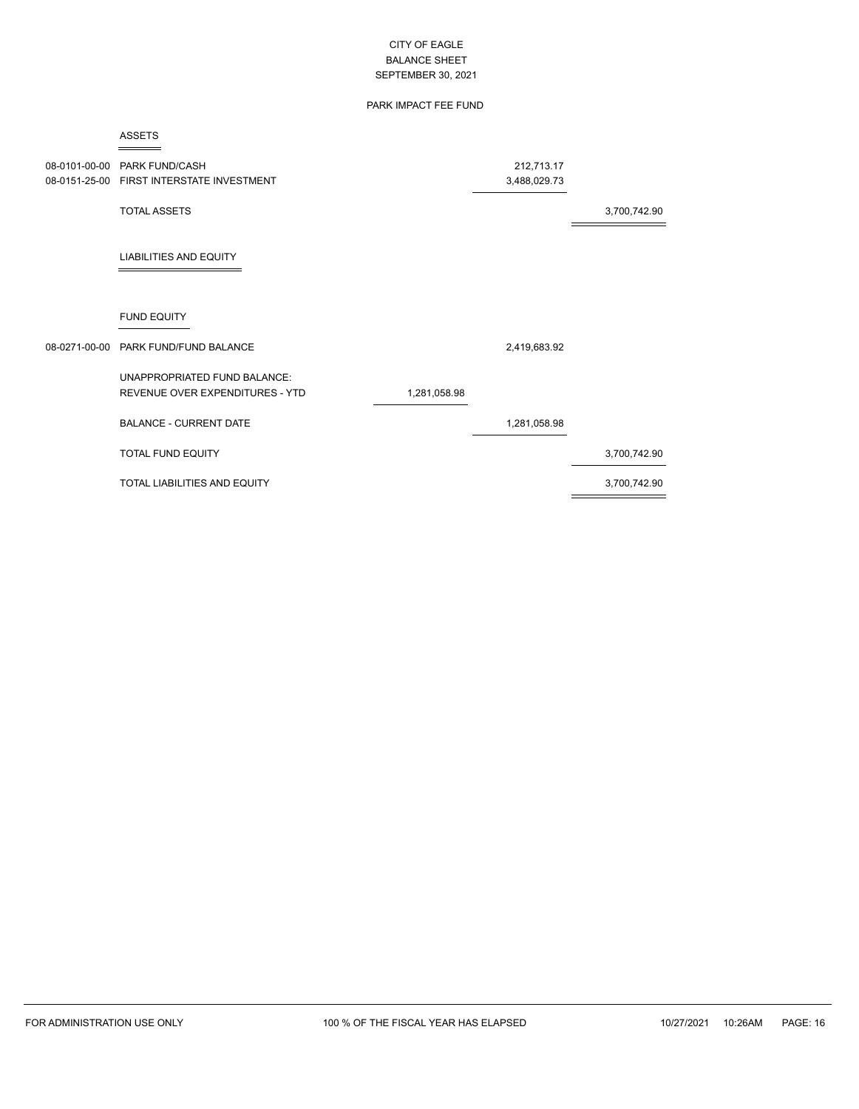## PARK IMPACT FEE FUND

#### ASSETS  $=$

| 08-0101-00-00 | PARK FUND/CASH<br>08-0151-25-00 FIRST INTERSTATE INVESTMENT     |              | 212,713.17<br>3,488,029.73 |              |
|---------------|-----------------------------------------------------------------|--------------|----------------------------|--------------|
|               | <b>TOTAL ASSETS</b>                                             |              |                            | 3,700,742.90 |
|               | <b>LIABILITIES AND EQUITY</b>                                   |              |                            |              |
|               | <b>FUND EQUITY</b>                                              |              |                            |              |
|               | 08-0271-00-00 PARK FUND/FUND BALANCE                            |              | 2,419,683.92               |              |
|               | UNAPPROPRIATED FUND BALANCE:<br>REVENUE OVER EXPENDITURES - YTD | 1,281,058.98 |                            |              |
|               | <b>BALANCE - CURRENT DATE</b>                                   |              | 1,281,058.98               |              |
|               | <b>TOTAL FUND EQUITY</b>                                        |              |                            | 3,700,742.90 |
|               | TOTAL LIABILITIES AND EQUITY                                    |              |                            | 3,700,742.90 |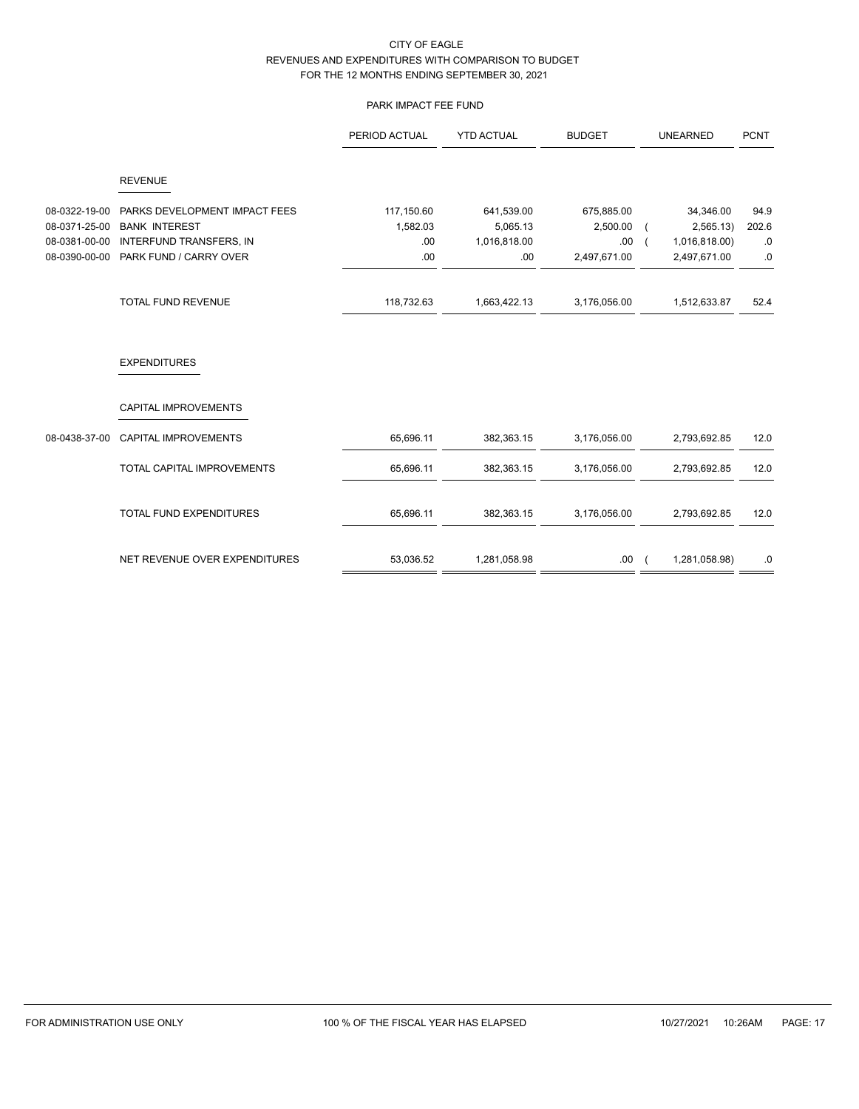## PARK IMPACT FEE FUND

|               |                               | PERIOD ACTUAL | <b>YTD ACTUAL</b> | <b>BUDGET</b> | <b>UNEARNED</b> | <b>PCNT</b> |
|---------------|-------------------------------|---------------|-------------------|---------------|-----------------|-------------|
|               | <b>REVENUE</b>                |               |                   |               |                 |             |
| 08-0322-19-00 | PARKS DEVELOPMENT IMPACT FEES | 117,150.60    | 641,539.00        | 675,885.00    | 34,346.00       | 94.9        |
| 08-0371-25-00 | <b>BANK INTEREST</b>          | 1,582.03      | 5,065.13          | 2,500.00      | 2,565.13        | 202.6       |
| 08-0381-00-00 | INTERFUND TRANSFERS, IN       | .00.          | 1,016,818.00      | .00           | 1,016,818.00)   | .0          |
| 08-0390-00-00 | PARK FUND / CARRY OVER        | .00.          | .00.              | 2,497,671.00  | 2,497,671.00    | .0          |
|               | TOTAL FUND REVENUE            | 118,732.63    | 1,663,422.13      | 3,176,056.00  | 1,512,633.87    | 52.4        |
|               | <b>EXPENDITURES</b>           |               |                   |               |                 |             |
|               | CAPITAL IMPROVEMENTS          |               |                   |               |                 |             |
| 08-0438-37-00 | CAPITAL IMPROVEMENTS          | 65,696.11     | 382,363.15        | 3,176,056.00  | 2,793,692.85    | 12.0        |
|               | TOTAL CAPITAL IMPROVEMENTS    | 65,696.11     | 382,363.15        | 3,176,056.00  | 2,793,692.85    | 12.0        |
|               | TOTAL FUND EXPENDITURES       | 65,696.11     | 382,363.15        | 3,176,056.00  | 2,793,692.85    | 12.0        |
|               | NET REVENUE OVER EXPENDITURES | 53,036.52     | 1,281,058.98      | .00.          | 1,281,058.98)   | .0          |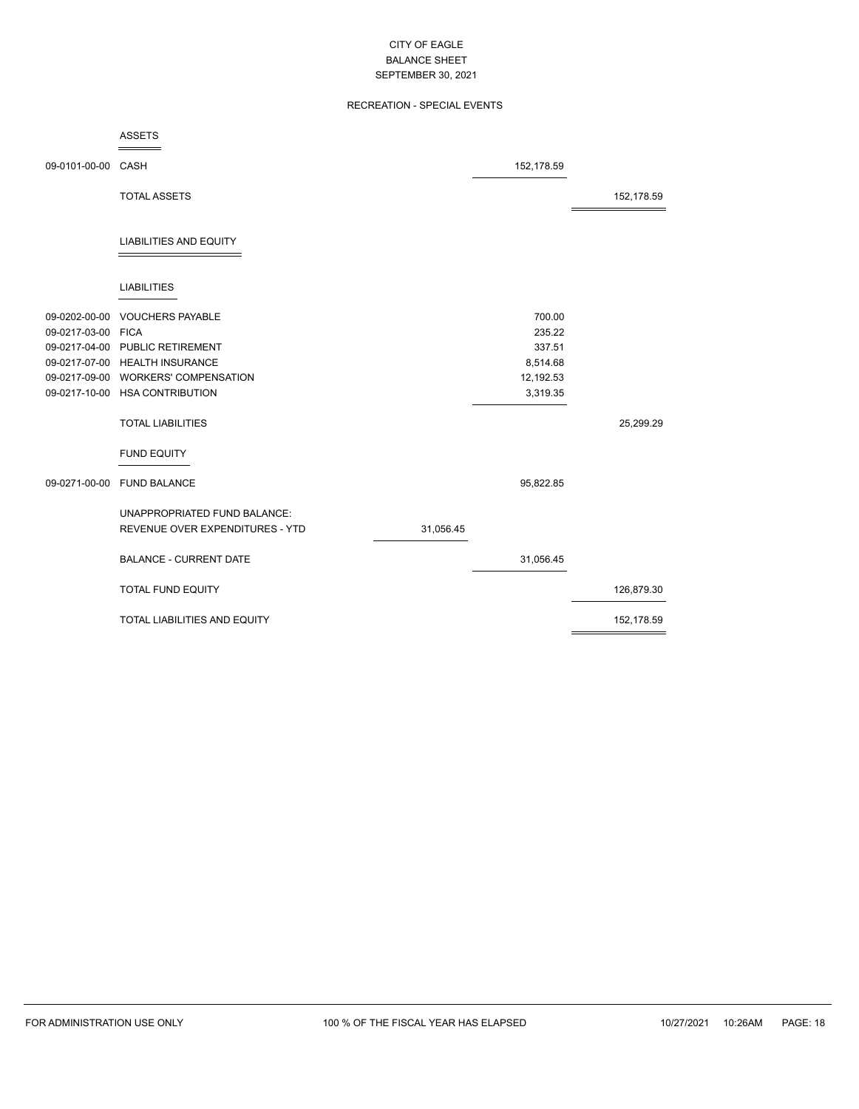## RECREATION - SPECIAL EVENTS

|                    | <b>ASSETS</b>                   |           |            |            |
|--------------------|---------------------------------|-----------|------------|------------|
| 09-0101-00-00 CASH |                                 |           | 152,178.59 |            |
|                    | <b>TOTAL ASSETS</b>             |           |            | 152,178.59 |
|                    | <b>LIABILITIES AND EQUITY</b>   |           |            |            |
|                    | <b>LIABILITIES</b>              |           |            |            |
| 09-0202-00-00      | <b>VOUCHERS PAYABLE</b>         |           | 700.00     |            |
| 09-0217-03-00 FICA |                                 |           | 235.22     |            |
|                    | 09-0217-04-00 PUBLIC RETIREMENT |           | 337.51     |            |
|                    | 09-0217-07-00 HEALTH INSURANCE  |           | 8,514.68   |            |
| 09-0217-09-00      | <b>WORKERS' COMPENSATION</b>    |           | 12,192.53  |            |
|                    | 09-0217-10-00 HSA CONTRIBUTION  |           | 3,319.35   |            |
|                    | <b>TOTAL LIABILITIES</b>        |           |            | 25,299.29  |
|                    | <b>FUND EQUITY</b>              |           |            |            |
|                    | 09-0271-00-00 FUND BALANCE      |           | 95,822.85  |            |
|                    | UNAPPROPRIATED FUND BALANCE:    |           |            |            |
|                    | REVENUE OVER EXPENDITURES - YTD | 31,056.45 |            |            |
|                    | <b>BALANCE - CURRENT DATE</b>   |           | 31,056.45  |            |
|                    | <b>TOTAL FUND EQUITY</b>        |           |            | 126,879.30 |
|                    | TOTAL LIABILITIES AND EQUITY    |           |            | 152,178.59 |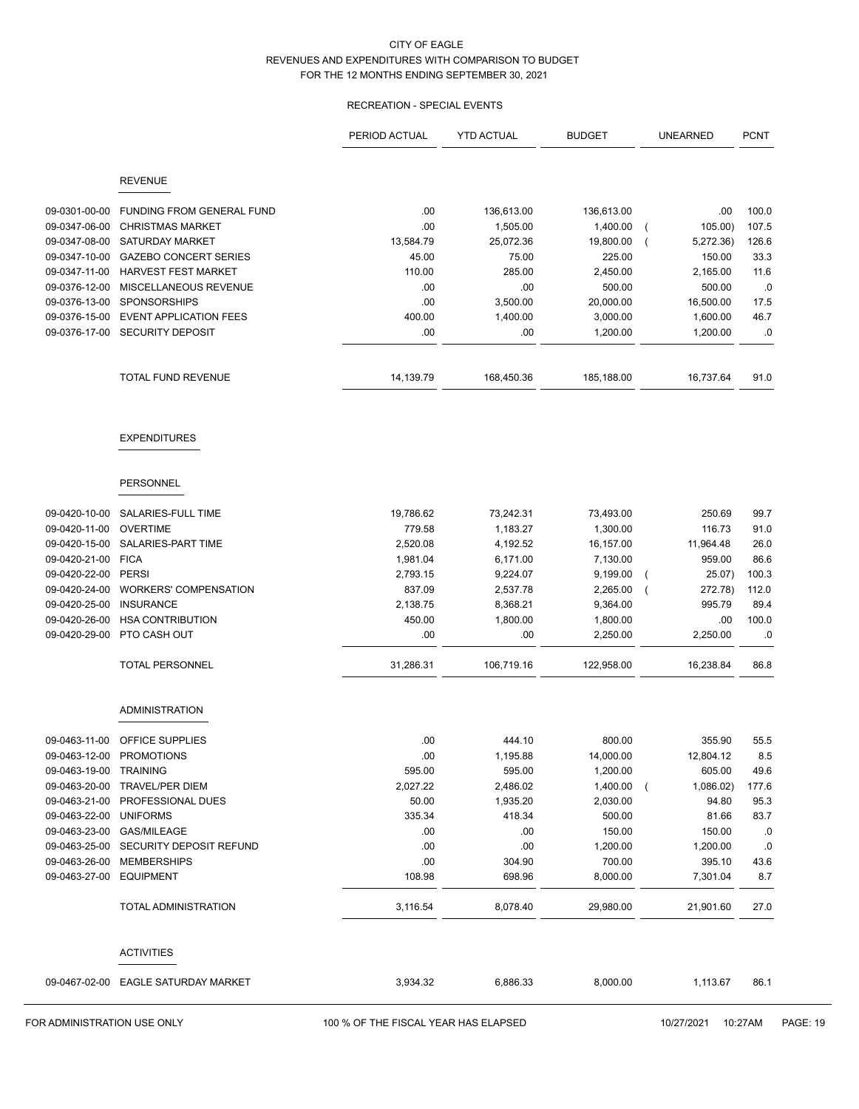## RECREATION - SPECIAL EVENTS

|                                |                                                      | PERIOD ACTUAL | <b>YTD ACTUAL</b>     | <b>BUDGET</b>         | <b>UNEARNED</b>             | <b>PCNT</b>    |
|--------------------------------|------------------------------------------------------|---------------|-----------------------|-----------------------|-----------------------------|----------------|
|                                | <b>REVENUE</b>                                       |               |                       |                       |                             |                |
|                                |                                                      |               |                       |                       |                             |                |
| 09-0301-00-00<br>09-0347-06-00 | FUNDING FROM GENERAL FUND<br><b>CHRISTMAS MARKET</b> | .00<br>.00    | 136,613.00            | 136,613.00            | .00                         | 100.0<br>107.5 |
| 09-0347-08-00                  | <b>SATURDAY MARKET</b>                               | 13,584.79     | 1,505.00<br>25,072.36 | 1,400.00<br>19,800.00 | 105.00)<br>5,272.36)        | 126.6          |
| 09-0347-10-00                  | <b>GAZEBO CONCERT SERIES</b>                         | 45.00         | 75.00                 | 225.00                | 150.00                      | 33.3           |
| 09-0347-11-00                  | <b>HARVEST FEST MARKET</b>                           | 110.00        | 285.00                | 2,450.00              | 2,165.00                    | 11.6           |
| 09-0376-12-00                  | MISCELLANEOUS REVENUE                                | .00           | .00                   | 500.00                | 500.00                      | .0             |
| 09-0376-13-00                  | <b>SPONSORSHIPS</b>                                  | .00           | 3,500.00              | 20,000.00             | 16,500.00                   | 17.5           |
| 09-0376-15-00                  | <b>EVENT APPLICATION FEES</b>                        | 400.00        | 1,400.00              | 3,000.00              | 1,600.00                    | 46.7           |
| 09-0376-17-00                  | <b>SECURITY DEPOSIT</b>                              | .00           | .00                   | 1,200.00              | 1,200.00                    | .0             |
|                                | TOTAL FUND REVENUE                                   | 14,139.79     | 168,450.36            | 185,188.00            | 16,737.64                   | 91.0           |
|                                | <b>EXPENDITURES</b>                                  |               |                       |                       |                             |                |
|                                | <b>PERSONNEL</b>                                     |               |                       |                       |                             |                |
| 09-0420-10-00                  | SALARIES-FULL TIME                                   | 19,786.62     | 73,242.31             | 73,493.00             | 250.69                      | 99.7           |
| 09-0420-11-00                  | <b>OVERTIME</b>                                      | 779.58        | 1,183.27              | 1,300.00              | 116.73                      | 91.0           |
| 09-0420-15-00                  | SALARIES-PART TIME                                   | 2,520.08      | 4,192.52              | 16,157.00             | 11,964.48                   | 26.0           |
| 09-0420-21-00                  | <b>FICA</b>                                          | 1,981.04      | 6,171.00              | 7,130.00              | 959.00                      | 86.6           |
| 09-0420-22-00                  | <b>PERSI</b>                                         | 2,793.15      | 9,224.07              | 9,199.00              | 25.07)<br>$\overline{ }$    | 100.3          |
| 09-0420-24-00                  | <b>WORKERS' COMPENSATION</b>                         | 837.09        | 2,537.78              | 2,265.00              | 272.78)                     | 112.0          |
| 09-0420-25-00                  | <b>INSURANCE</b>                                     | 2,138.75      | 8,368.21              | 9,364.00              | 995.79                      | 89.4           |
| 09-0420-26-00                  | <b>HSA CONTRIBUTION</b>                              | 450.00        | 1,800.00              | 1,800.00              | .00                         | 100.0          |
| 09-0420-29-00                  | PTO CASH OUT                                         | .00           | .00                   | 2,250.00              | 2,250.00                    | .0             |
|                                | <b>TOTAL PERSONNEL</b>                               | 31,286.31     | 106,719.16            | 122,958.00            | 16,238.84                   | 86.8           |
|                                | <b>ADMINISTRATION</b>                                |               |                       |                       |                             |                |
| 09-0463-11-00                  | <b>OFFICE SUPPLIES</b>                               | .00           | 444.10                | 800.00                | 355.90                      | 55.5           |
| 09-0463-12-00                  | <b>PROMOTIONS</b>                                    | .00           | 1,195.88              | 14,000.00             | 12,804.12                   | 8.5            |
| 09-0463-19-00                  | <b>TRAINING</b>                                      | 595.00        | 595.00                | 1,200.00              | 605.00                      | 49.6           |
| 09-0463-20-00                  | <b>TRAVEL/PER DIEM</b>                               | 2,027.22      | 2,486.02              | 1,400.00              | 1,086.02)<br>$\overline{ }$ | 177.6          |
| 09-0463-21-00                  | PROFESSIONAL DUES                                    | 50.00         | 1,935.20              | 2,030.00              | 94.80                       | 95.3           |
| 09-0463-22-00                  | <b>UNIFORMS</b>                                      | 335.34        | 418.34                | 500.00                | 81.66                       | 83.7           |
| 09-0463-23-00                  | GAS/MILEAGE                                          | .00           | .00                   | 150.00                | 150.00                      | .0             |
| 09-0463-25-00                  | SECURITY DEPOSIT REFUND                              | .00           | .00                   | 1,200.00              | 1,200.00                    | $.0\,$         |
| 09-0463-26-00                  | <b>MEMBERSHIPS</b>                                   | .00           | 304.90                | 700.00                | 395.10                      | 43.6           |
| 09-0463-27-00                  | <b>EQUIPMENT</b>                                     | 108.98        | 698.96                | 8,000.00              | 7,301.04                    | 8.7            |
|                                | TOTAL ADMINISTRATION                                 | 3,116.54      | 8,078.40              | 29,980.00             | 21,901.60                   | 27.0           |
|                                | <b>ACTIVITIES</b>                                    |               |                       |                       |                             |                |
|                                | 09-0467-02-00 EAGLE SATURDAY MARKET                  | 3,934.32      | 6,886.33              | 8,000.00              | 1,113.67                    | 86.1           |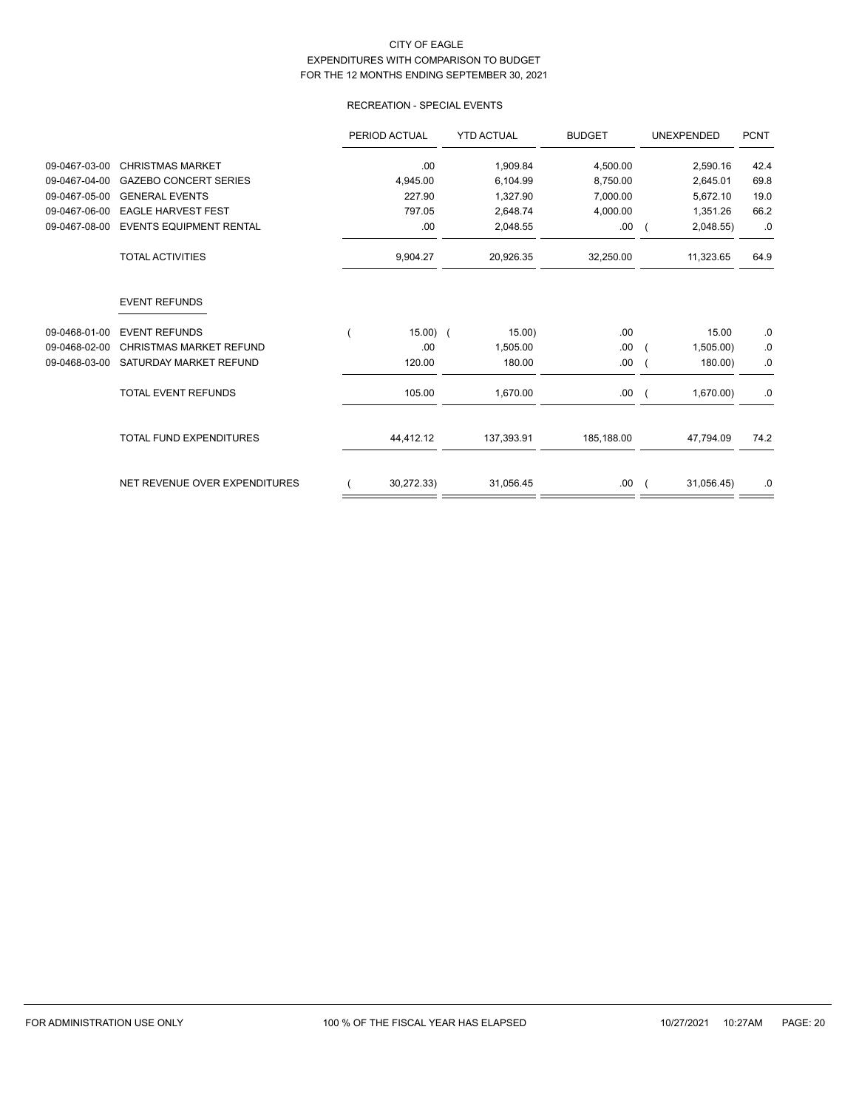## RECREATION - SPECIAL EVENTS

|               |                                | PERIOD ACTUAL | <b>YTD ACTUAL</b> | <b>BUDGET</b> | <b>UNEXPENDED</b> | <b>PCNT</b> |
|---------------|--------------------------------|---------------|-------------------|---------------|-------------------|-------------|
| 09-0467-03-00 | <b>CHRISTMAS MARKET</b>        | .00           | 1,909.84          | 4,500.00      | 2,590.16          | 42.4        |
| 09-0467-04-00 | <b>GAZEBO CONCERT SERIES</b>   | 4,945.00      | 6,104.99          | 8,750.00      | 2,645.01          | 69.8        |
| 09-0467-05-00 | <b>GENERAL EVENTS</b>          | 227.90        | 1,327.90          | 7,000.00      | 5,672.10          | 19.0        |
| 09-0467-06-00 | <b>EAGLE HARVEST FEST</b>      | 797.05        | 2,648.74          | 4,000.00      | 1,351.26          | 66.2        |
| 09-0467-08-00 | <b>EVENTS EQUIPMENT RENTAL</b> | .00.          | 2,048.55          | .00.          | 2,048.55          | .0          |
|               | <b>TOTAL ACTIVITIES</b>        | 9,904.27      | 20,926.35         | 32,250.00     | 11,323.65         | 64.9        |
|               | <b>EVENT REFUNDS</b>           |               |                   |               |                   |             |
| 09-0468-01-00 | <b>EVENT REFUNDS</b>           | $15.00)$ (    | 15.00)            | .00.          | 15.00             | .0          |
| 09-0468-02-00 | <b>CHRISTMAS MARKET REFUND</b> | .00.          | 1,505.00          | .00.          | 1,505.00)         | 0.          |
| 09-0468-03-00 | SATURDAY MARKET REFUND         | 120.00        | 180.00            | .00.          | 180.00)           | 0.          |
|               | <b>TOTAL EVENT REFUNDS</b>     | 105.00        | 1,670.00          | .00           | 1,670.00          | .0          |
|               | <b>TOTAL FUND EXPENDITURES</b> | 44,412.12     | 137,393.91        | 185,188.00    | 47.794.09         | 74.2        |
|               | NET REVENUE OVER EXPENDITURES  | 30,272.33)    | 31,056.45         | .00.          | 31,056.45)        | .0          |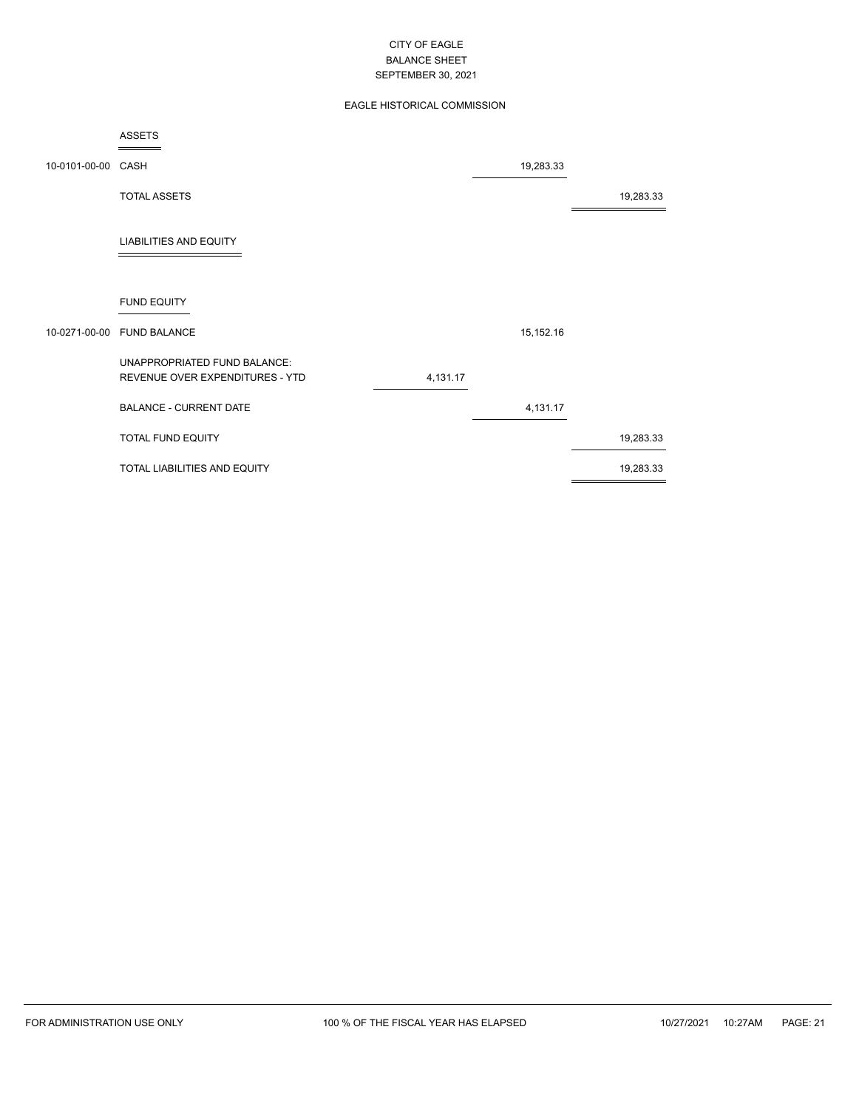## EAGLE HISTORICAL COMMISSION

|                    | ASSETS                                                          |          |             |           |
|--------------------|-----------------------------------------------------------------|----------|-------------|-----------|
| 10-0101-00-00 CASH |                                                                 |          | 19,283.33   |           |
|                    | <b>TOTAL ASSETS</b>                                             |          |             | 19,283.33 |
|                    | <b>LIABILITIES AND EQUITY</b>                                   |          |             |           |
|                    | <b>FUND EQUITY</b>                                              |          |             |           |
|                    | 10-0271-00-00 FUND BALANCE                                      |          | 15, 152. 16 |           |
|                    | UNAPPROPRIATED FUND BALANCE:<br>REVENUE OVER EXPENDITURES - YTD | 4,131.17 |             |           |
|                    | <b>BALANCE - CURRENT DATE</b>                                   |          | 4,131.17    |           |
|                    | TOTAL FUND EQUITY                                               |          |             | 19,283.33 |
|                    | TOTAL LIABILITIES AND EQUITY                                    |          |             | 19,283.33 |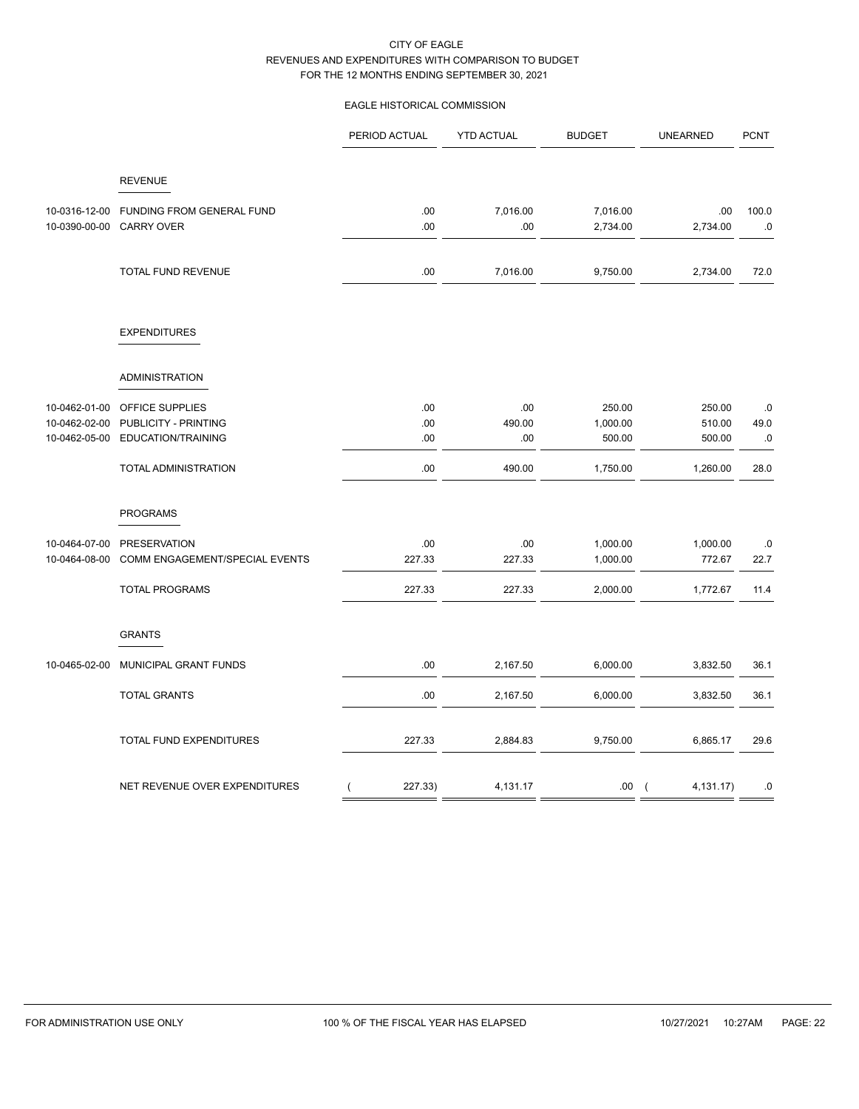## EAGLE HISTORICAL COMMISSION

|                                                 |                                                               | PERIOD ACTUAL             | <b>YTD ACTUAL</b>    | <b>BUDGET</b>                | <b>UNEARNED</b>             | <b>PCNT</b>      |
|-------------------------------------------------|---------------------------------------------------------------|---------------------------|----------------------|------------------------------|-----------------------------|------------------|
|                                                 | <b>REVENUE</b>                                                |                           |                      |                              |                             |                  |
| 10-0316-12-00<br>10-0390-00-00                  | FUNDING FROM GENERAL FUND<br><b>CARRY OVER</b>                | .00<br>.00                | 7,016.00<br>.00      | 7,016.00<br>2,734.00         | .00<br>2,734.00             | 100.0<br>.0      |
|                                                 | TOTAL FUND REVENUE                                            | .00                       | 7,016.00             | 9,750.00                     | 2,734.00                    | 72.0             |
|                                                 | <b>EXPENDITURES</b>                                           |                           |                      |                              |                             |                  |
|                                                 | <b>ADMINISTRATION</b>                                         |                           |                      |                              |                             |                  |
| 10-0462-01-00<br>10-0462-02-00<br>10-0462-05-00 | OFFICE SUPPLIES<br>PUBLICITY - PRINTING<br>EDUCATION/TRAINING | .00<br>.00<br>.00         | .00<br>490.00<br>.00 | 250.00<br>1,000.00<br>500.00 | 250.00<br>510.00<br>500.00  | .0<br>49.0<br>.0 |
|                                                 | TOTAL ADMINISTRATION                                          | .00                       | 490.00               | 1,750.00                     | 1,260.00                    | 28.0             |
|                                                 | <b>PROGRAMS</b>                                               |                           |                      |                              |                             |                  |
| 10-0464-07-00<br>10-0464-08-00                  | <b>PRESERVATION</b><br>COMM ENGAGEMENT/SPECIAL EVENTS         | .00<br>227.33             | .00<br>227.33        | 1,000.00<br>1,000.00         | 1,000.00<br>772.67          | .0<br>22.7       |
|                                                 | <b>TOTAL PROGRAMS</b>                                         | 227.33                    | 227.33               | 2,000.00                     | 1,772.67                    | 11.4             |
|                                                 | <b>GRANTS</b>                                                 |                           |                      |                              |                             |                  |
| 10-0465-02-00                                   | MUNICIPAL GRANT FUNDS                                         | .00                       | 2,167.50             | 6,000.00                     | 3,832.50                    | 36.1             |
|                                                 | <b>TOTAL GRANTS</b>                                           | .00                       | 2,167.50             | 6,000.00                     | 3,832.50                    | 36.1             |
|                                                 | TOTAL FUND EXPENDITURES                                       | 227.33                    | 2,884.83             | 9,750.00                     | 6,865.17                    | 29.6             |
|                                                 | NET REVENUE OVER EXPENDITURES                                 | 227.33)<br>$\overline{(}$ | 4,131.17             | .00                          | 4,131.17)<br>$\overline{ }$ | .0               |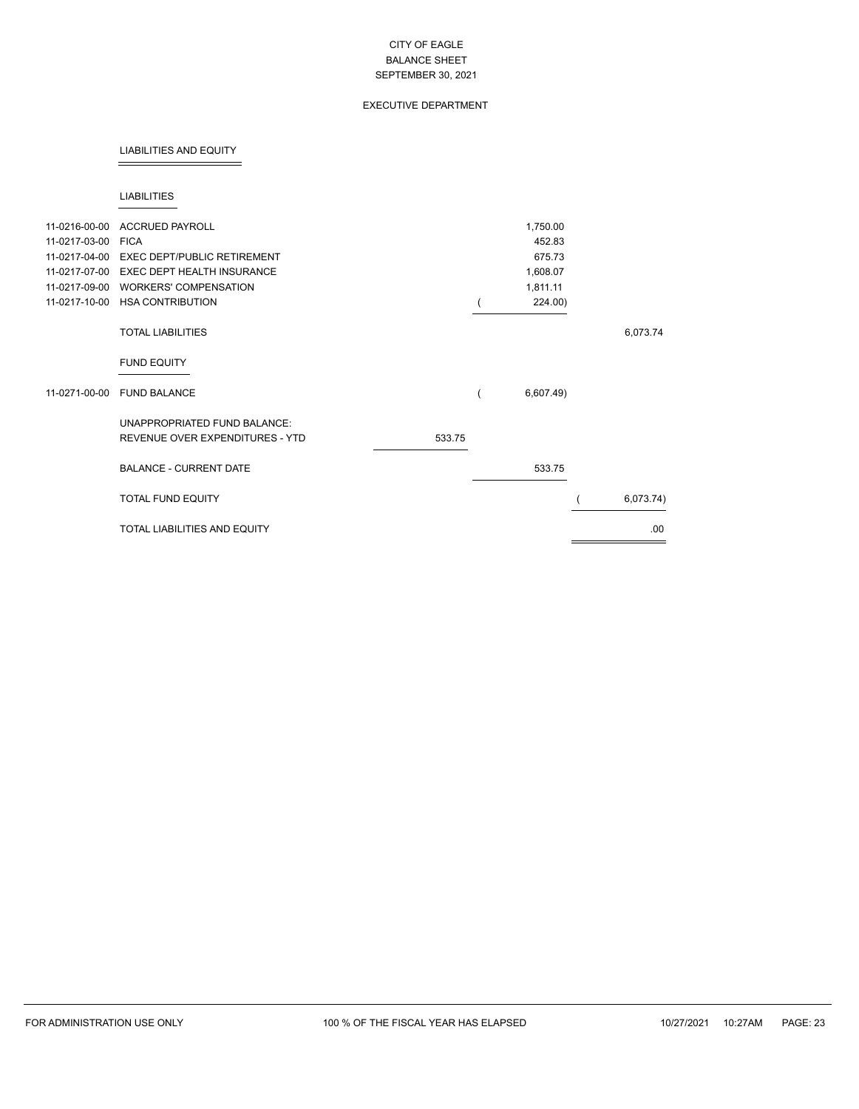## EXECUTIVE DEPARTMENT

#### LIABILITIES AND EQUITY

#### LIABILITIES

| 11-0216-00-00 | <b>ACCRUED PAYROLL</b>              |        | 1,750.00  |           |
|---------------|-------------------------------------|--------|-----------|-----------|
| 11-0217-03-00 | <b>FICA</b>                         |        | 452.83    |           |
|               |                                     |        |           |           |
| 11-0217-04-00 | <b>EXEC DEPT/PUBLIC RETIREMENT</b>  |        | 675.73    |           |
| 11-0217-07-00 | <b>EXEC DEPT HEALTH INSURANCE</b>   |        | 1,608.07  |           |
| 11-0217-09-00 | <b>WORKERS' COMPENSATION</b>        |        | 1,811.11  |           |
| 11-0217-10-00 | <b>HSA CONTRIBUTION</b>             |        | 224.00)   |           |
|               | <b>TOTAL LIABILITIES</b>            |        |           | 6,073.74  |
|               | <b>FUND EQUITY</b>                  |        |           |           |
| 11-0271-00-00 | <b>FUND BALANCE</b>                 |        | 6,607.49) |           |
|               | UNAPPROPRIATED FUND BALANCE:        |        |           |           |
|               | REVENUE OVER EXPENDITURES - YTD     | 533.75 |           |           |
|               | <b>BALANCE - CURRENT DATE</b>       |        | 533.75    |           |
|               | TOTAL FUND EQUITY                   |        |           | 6,073.74) |
|               | <b>TOTAL LIABILITIES AND EQUITY</b> |        |           | .00       |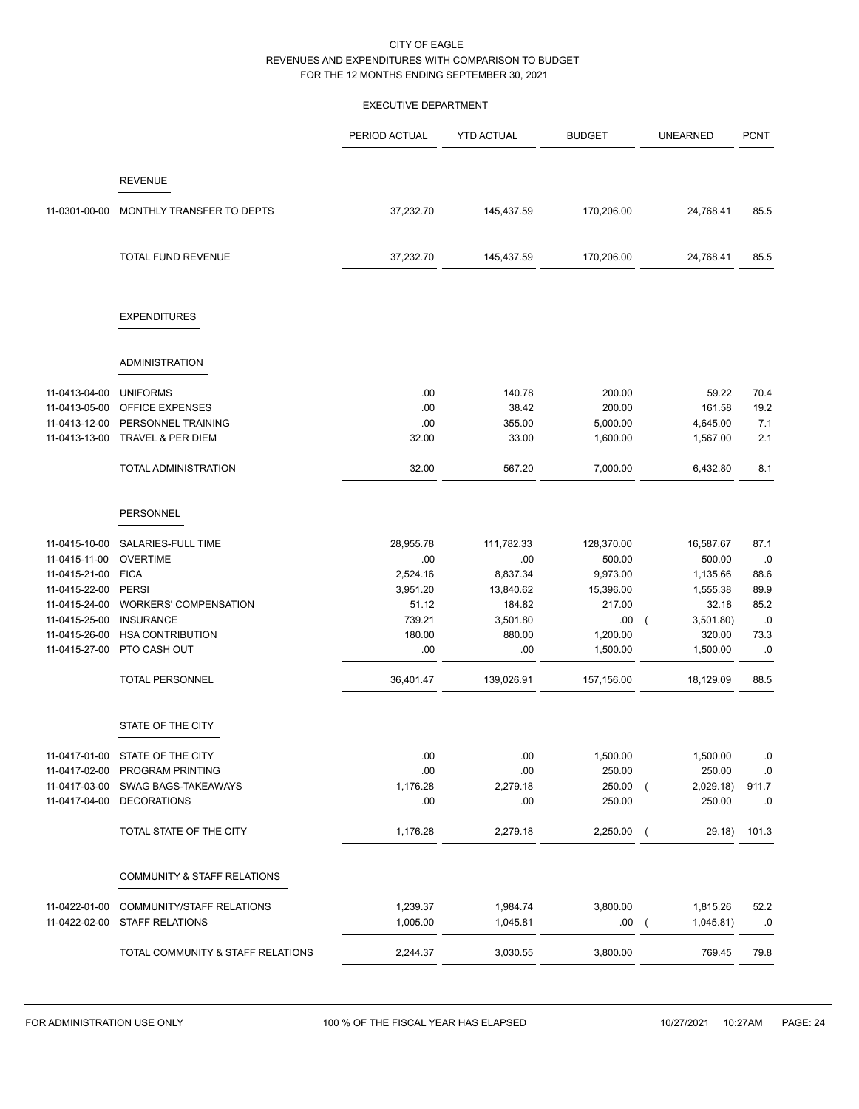## EXECUTIVE DEPARTMENT

|                                |                                                     | PERIOD ACTUAL        | <b>YTD ACTUAL</b>    | <b>BUDGET</b>    | <b>UNEARNED</b>                         | <b>PCNT</b> |
|--------------------------------|-----------------------------------------------------|----------------------|----------------------|------------------|-----------------------------------------|-------------|
|                                | <b>REVENUE</b>                                      |                      |                      |                  |                                         |             |
| 11-0301-00-00                  | MONTHLY TRANSFER TO DEPTS                           | 37,232.70            | 145,437.59           | 170,206.00       | 24,768.41                               | 85.5        |
|                                | TOTAL FUND REVENUE                                  | 37,232.70            | 145,437.59           | 170,206.00       | 24,768.41                               | 85.5        |
|                                | <b>EXPENDITURES</b>                                 |                      |                      |                  |                                         |             |
|                                | <b>ADMINISTRATION</b>                               |                      |                      |                  |                                         |             |
|                                |                                                     |                      |                      |                  | 59.22                                   | 70.4        |
| 11-0413-04-00<br>11-0413-05-00 | <b>UNIFORMS</b><br><b>OFFICE EXPENSES</b>           | .00<br>.00           | 140.78<br>38.42      | 200.00<br>200.00 | 161.58                                  | 19.2        |
| 11-0413-12-00                  | PERSONNEL TRAINING                                  | .00                  | 355.00               | 5,000.00         | 4,645.00                                | 7.1         |
| 11-0413-13-00                  | <b>TRAVEL &amp; PER DIEM</b>                        | 32.00                | 33.00                | 1,600.00         | 1,567.00                                | 2.1         |
|                                | TOTAL ADMINISTRATION                                | 32.00                | 567.20               | 7,000.00         | 6,432.80                                | 8.1         |
|                                | PERSONNEL                                           |                      |                      |                  |                                         |             |
| 11-0415-10-00                  | SALARIES-FULL TIME                                  | 28,955.78            | 111,782.33           | 128,370.00       | 16,587.67                               | 87.1        |
| 11-0415-11-00                  | <b>OVERTIME</b>                                     | .00.                 | .00                  | 500.00           | 500.00                                  | .0          |
| 11-0415-21-00                  | <b>FICA</b>                                         | 2,524.16             | 8,837.34             | 9,973.00         | 1,135.66                                | 88.6        |
| 11-0415-22-00                  | <b>PERSI</b>                                        | 3,951.20             | 13,840.62            | 15,396.00        | 1,555.38                                | 89.9        |
| 11-0415-24-00                  | <b>WORKERS' COMPENSATION</b>                        | 51.12                | 184.82               | 217.00           | 32.18                                   | 85.2        |
| 11-0415-25-00                  | <b>INSURANCE</b>                                    | 739.21               | 3,501.80             | .00              | 3,501.80)<br>$\sqrt{2}$                 | .0          |
| 11-0415-26-00                  | <b>HSA CONTRIBUTION</b>                             | 180.00               | 880.00               | 1,200.00         | 320.00                                  | 73.3        |
| 11-0415-27-00                  | PTO CASH OUT                                        | .00                  | .00.                 | 1,500.00         | 1,500.00                                | .0          |
|                                | <b>TOTAL PERSONNEL</b>                              | 36,401.47            | 139,026.91           | 157,156.00       | 18,129.09                               | 88.5        |
|                                | STATE OF THE CITY                                   |                      |                      |                  |                                         |             |
|                                | 11-0417-01-00 STATE OF THE CITY                     | .00                  | .00                  | 1,500.00         | 1,500.00                                | .0          |
| 11-0417-02-00                  | PROGRAM PRINTING                                    | .00                  | .00                  | 250.00           | 250.00                                  | .0          |
| 11-0417-03-00                  | SWAG BAGS-TAKEAWAYS                                 | 1,176.28             | 2,279.18             | 250.00           | 2,029.18<br>$\sqrt{ }$                  | 911.7       |
| 11-0417-04-00                  | <b>DECORATIONS</b>                                  | .00                  | .00                  | 250.00           | 250.00                                  | .0          |
|                                | TOTAL STATE OF THE CITY                             | 1,176.28             | 2,279.18             | 2,250.00         | 29.18)<br>$\sqrt{ }$                    | 101.3       |
|                                | COMMUNITY & STAFF RELATIONS                         |                      |                      |                  |                                         |             |
|                                |                                                     |                      |                      |                  |                                         |             |
| 11-0422-01-00<br>11-0422-02-00 | COMMUNITY/STAFF RELATIONS<br><b>STAFF RELATIONS</b> | 1,239.37<br>1,005.00 | 1,984.74<br>1,045.81 | 3,800.00<br>.00  | 1,815.26<br>1,045.81)<br>$\overline{ }$ | 52.2<br>.0  |
|                                |                                                     |                      |                      |                  |                                         |             |
|                                | TOTAL COMMUNITY & STAFF RELATIONS                   | 2,244.37             | 3,030.55             | 3,800.00         | 769.45                                  | 79.8        |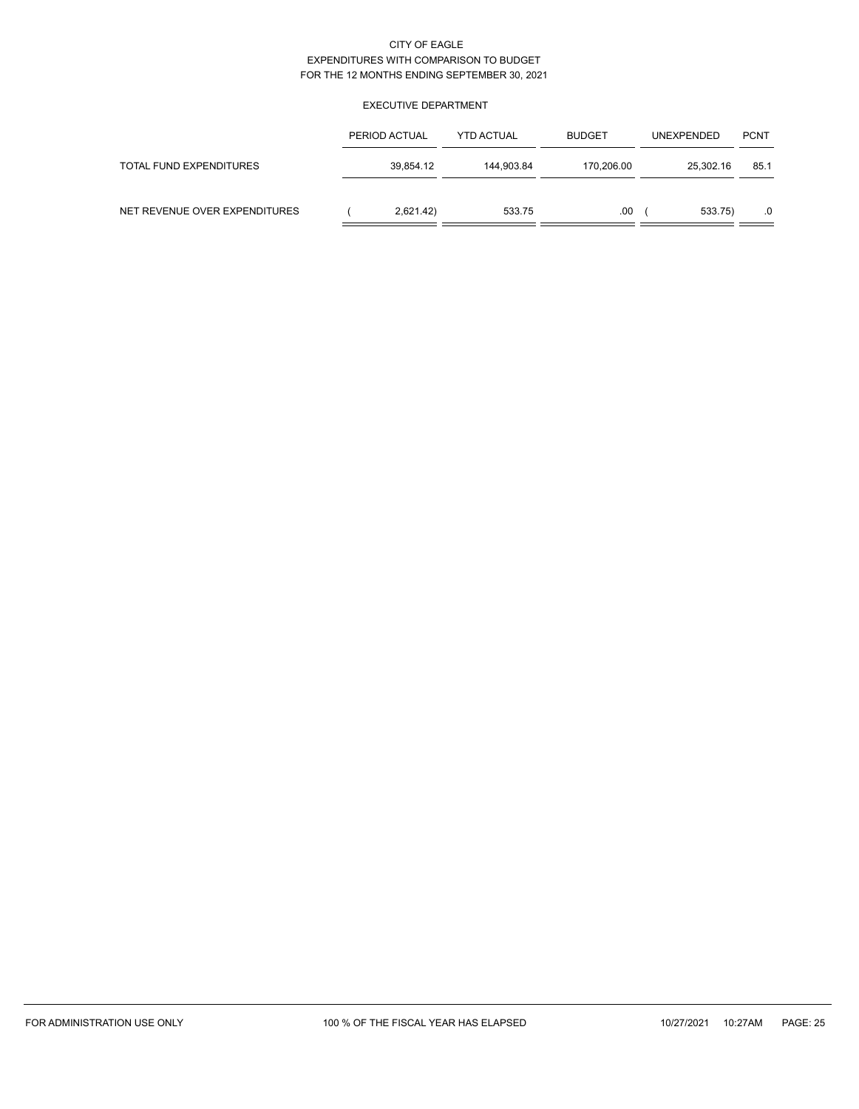## EXECUTIVE DEPARTMENT

|                               | PERIOD ACTUAL | <b>YTD ACTUAL</b> | <b>BUDGET</b> | <b>UNEXPENDED</b> | <b>PCNT</b> |
|-------------------------------|---------------|-------------------|---------------|-------------------|-------------|
| TOTAL FUND EXPENDITURES       | 39,854.12     | 144.903.84        | 170,206.00    | 25,302.16         | 85.1        |
| NET REVENUE OVER EXPENDITURES | 2,621.42)     | 533.75            | .00           | 533.75)           | .0          |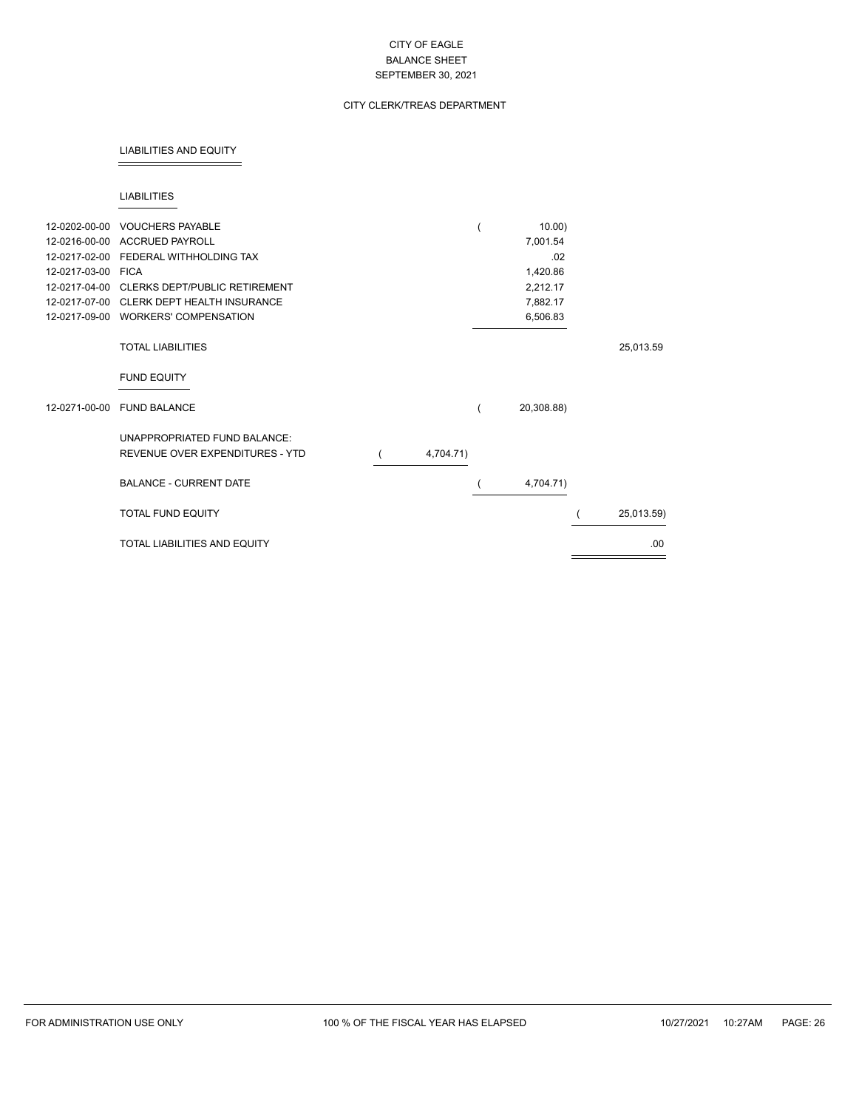## CITY CLERK/TREAS DEPARTMENT

#### LIABILITIES AND EQUITY

#### LIABILITIES

| 12-0202-00-00<br>12-0216-00-00<br>12-0217-02-00<br>12-0217-03-00<br>12-0217-04-00<br>12-0217-07-00<br>12-0217-09-00 | <b>VOUCHERS PAYABLE</b><br><b>ACCRUED PAYROLL</b><br>FEDERAL WITHHOLDING TAX<br><b>FICA</b><br><b>CLERKS DEPT/PUBLIC RETIREMENT</b><br>CLERK DEPT HEALTH INSURANCE<br><b>WORKERS' COMPENSATION</b> |           | $10.00$ )<br>7,001.54<br>.02<br>1,420.86<br>2,212.17<br>7,882.17<br>6,506.83 |            |
|---------------------------------------------------------------------------------------------------------------------|----------------------------------------------------------------------------------------------------------------------------------------------------------------------------------------------------|-----------|------------------------------------------------------------------------------|------------|
|                                                                                                                     | <b>TOTAL LIABILITIES</b>                                                                                                                                                                           |           |                                                                              | 25,013.59  |
|                                                                                                                     | <b>FUND EQUITY</b>                                                                                                                                                                                 |           |                                                                              |            |
| 12-0271-00-00                                                                                                       | <b>FUND BALANCE</b>                                                                                                                                                                                |           | 20,308.88)                                                                   |            |
|                                                                                                                     | UNAPPROPRIATED FUND BALANCE:<br>REVENUE OVER EXPENDITURES - YTD                                                                                                                                    | 4,704.71) |                                                                              |            |
|                                                                                                                     | <b>BALANCE - CURRENT DATE</b>                                                                                                                                                                      |           | 4,704.71)                                                                    |            |
|                                                                                                                     | TOTAL FUND EQUITY                                                                                                                                                                                  |           |                                                                              | 25,013.59) |
|                                                                                                                     | <b>TOTAL LIABILITIES AND EQUITY</b>                                                                                                                                                                |           |                                                                              | .00        |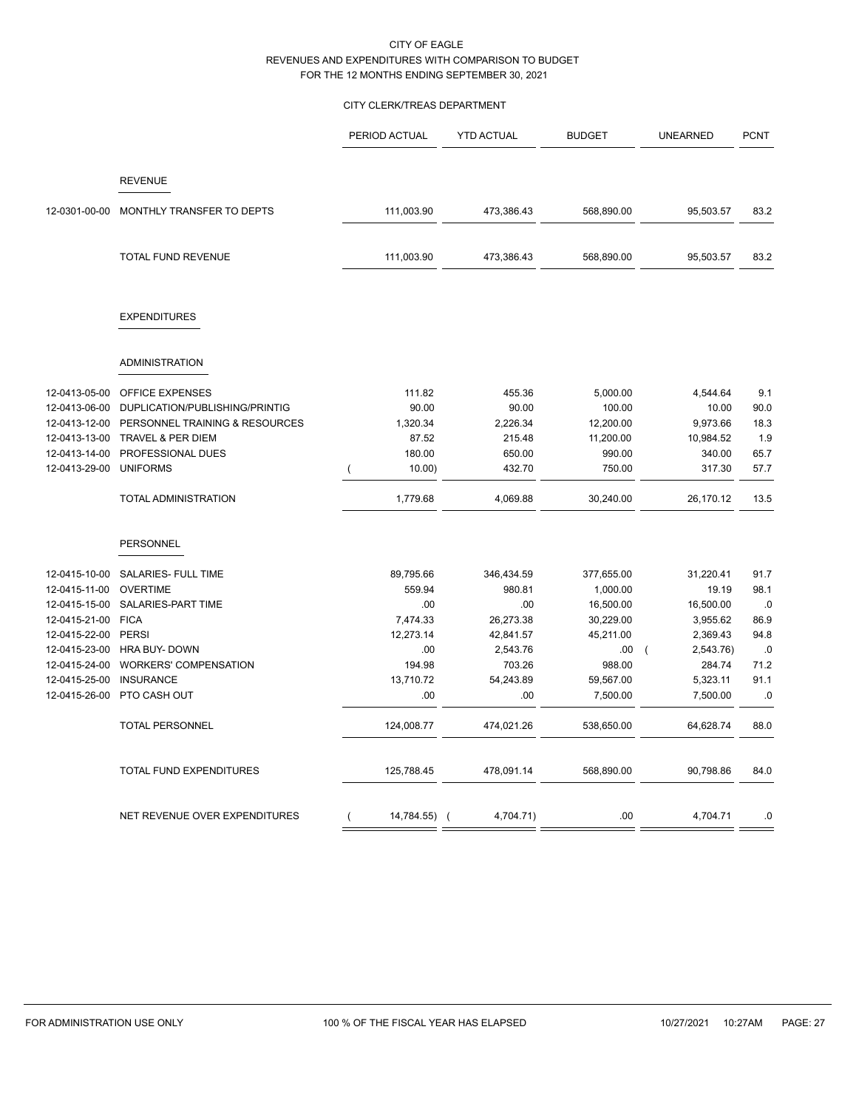## CITY CLERK/TREAS DEPARTMENT

|               |                                | PERIOD ACTUAL     | <b>YTD ACTUAL</b> | <b>BUDGET</b> | <b>UNEARNED</b>       | <b>PCNT</b> |
|---------------|--------------------------------|-------------------|-------------------|---------------|-----------------------|-------------|
|               |                                |                   |                   |               |                       |             |
|               | <b>REVENUE</b>                 |                   |                   |               |                       |             |
| 12-0301-00-00 | MONTHLY TRANSFER TO DEPTS      | 111,003.90        | 473,386.43        | 568,890.00    | 95,503.57             | 83.2        |
|               | <b>TOTAL FUND REVENUE</b>      | 111,003.90        | 473,386.43        | 568,890.00    | 95,503.57             | 83.2        |
|               | <b>EXPENDITURES</b>            |                   |                   |               |                       |             |
|               |                                |                   |                   |               |                       |             |
|               | <b>ADMINISTRATION</b>          |                   |                   |               |                       |             |
| 12-0413-05-00 | <b>OFFICE EXPENSES</b>         | 111.82            | 455.36            | 5,000.00      | 4,544.64              | 9.1         |
| 12-0413-06-00 | DUPLICATION/PUBLISHING/PRINTIG | 90.00             | 90.00             | 100.00        | 10.00                 | 90.0        |
| 12-0413-12-00 | PERSONNEL TRAINING & RESOURCES | 1,320.34          | 2,226.34          | 12,200.00     | 9,973.66              | 18.3        |
| 12-0413-13-00 | TRAVEL & PER DIEM              | 87.52             | 215.48            | 11,200.00     | 10,984.52             | 1.9         |
| 12-0413-14-00 | PROFESSIONAL DUES              | 180.00            | 650.00            | 990.00        | 340.00                | 65.7        |
| 12-0413-29-00 | <b>UNIFORMS</b>                | $10.00$ )         | 432.70            | 750.00        | 317.30                | 57.7        |
|               | <b>TOTAL ADMINISTRATION</b>    | 1,779.68          | 4,069.88          | 30,240.00     | 26,170.12             | 13.5        |
|               | <b>PERSONNEL</b>               |                   |                   |               |                       |             |
| 12-0415-10-00 | SALARIES- FULL TIME            | 89,795.66         | 346,434.59        | 377,655.00    | 31,220.41             | 91.7        |
| 12-0415-11-00 | <b>OVERTIME</b>                | 559.94            | 980.81            | 1,000.00      | 19.19                 | 98.1        |
| 12-0415-15-00 | SALARIES-PART TIME             | .00               | .00               | 16,500.00     | 16,500.00             | $.0\,$      |
| 12-0415-21-00 | <b>FICA</b>                    | 7,474.33          | 26,273.38         | 30,229.00     | 3,955.62              | 86.9        |
| 12-0415-22-00 | PERSI                          | 12,273.14         | 42,841.57         | 45,211.00     | 2,369.43              | 94.8        |
| 12-0415-23-00 | HRA BUY- DOWN                  | .00               | 2,543.76          | .00           | 2,543.76)<br>$\left($ | $.0\,$      |
| 12-0415-24-00 | <b>WORKERS' COMPENSATION</b>   | 194.98            | 703.26            | 988.00        | 284.74                | 71.2        |
| 12-0415-25-00 | <b>INSURANCE</b>               | 13,710.72         | 54,243.89         | 59,567.00     | 5,323.11              | 91.1        |
| 12-0415-26-00 | PTO CASH OUT                   | .00               | .00               | 7,500.00      | 7,500.00              | .0          |
|               | <b>TOTAL PERSONNEL</b>         | 124,008.77        | 474,021.26        | 538,650.00    | 64,628.74             | 88.0        |
|               | TOTAL FUND EXPENDITURES        | 125,788.45        | 478,091.14        | 568,890.00    | 90,798.86             | 84.0        |
|               | NET REVENUE OVER EXPENDITURES  | 14,784.55) (<br>( | 4,704.71)         | .00           | 4,704.71              | .0          |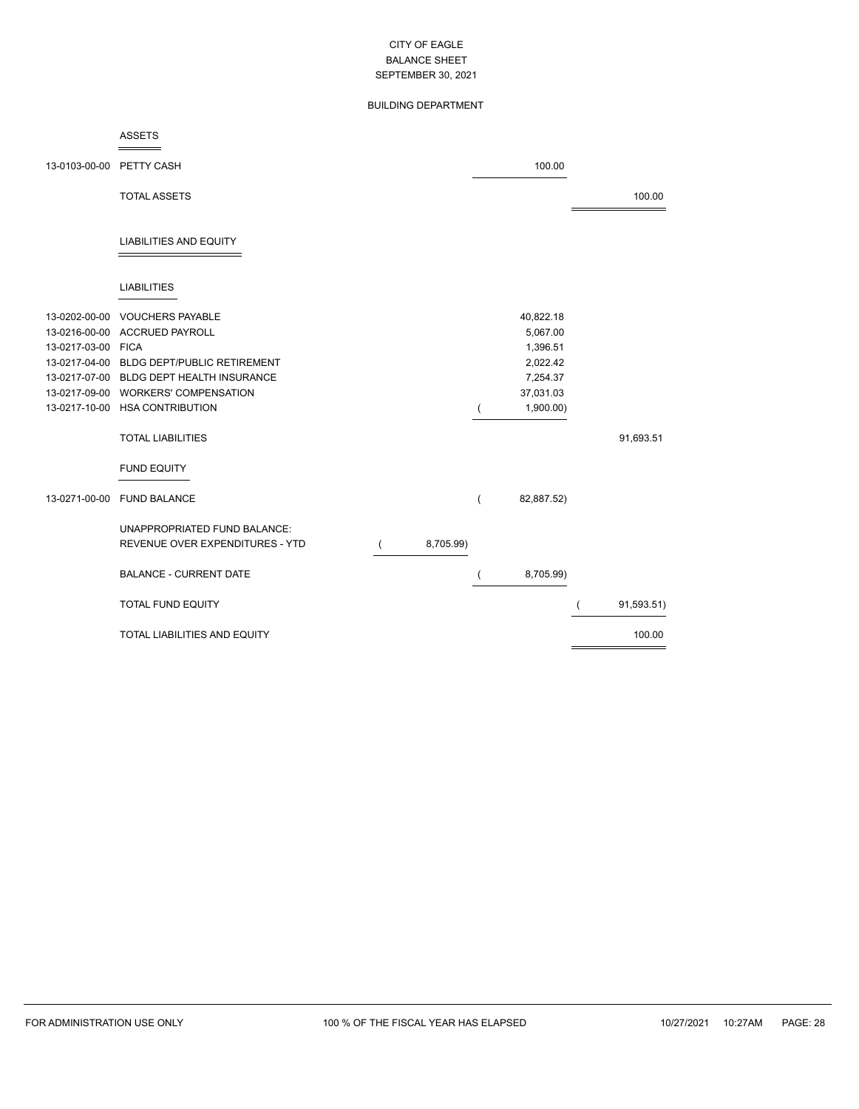## BUILDING DEPARTMENT

### ASSETS

| 13-0103-00-00      | PETTY CASH                                |           |                | 100.00     |            |
|--------------------|-------------------------------------------|-----------|----------------|------------|------------|
|                    | <b>TOTAL ASSETS</b>                       |           |                |            | 100.00     |
|                    | <b>LIABILITIES AND EQUITY</b>             |           |                |            |            |
|                    | <b>LIABILITIES</b>                        |           |                |            |            |
| 13-0202-00-00      | <b>VOUCHERS PAYABLE</b>                   |           |                | 40,822.18  |            |
| 13-0216-00-00      | <b>ACCRUED PAYROLL</b>                    |           |                | 5,067.00   |            |
| 13-0217-03-00 FICA |                                           |           |                | 1,396.51   |            |
|                    | 13-0217-04-00 BLDG DEPT/PUBLIC RETIREMENT |           |                | 2,022.42   |            |
|                    | 13-0217-07-00 BLDG DEPT HEALTH INSURANCE  |           |                | 7,254.37   |            |
|                    | 13-0217-09-00 WORKERS' COMPENSATION       |           |                | 37,031.03  |            |
|                    | 13-0217-10-00 HSA CONTRIBUTION            |           |                | 1,900.00)  |            |
|                    | <b>TOTAL LIABILITIES</b>                  |           |                |            | 91,693.51  |
|                    | <b>FUND EQUITY</b>                        |           |                |            |            |
| 13-0271-00-00      | <b>FUND BALANCE</b>                       |           | $\overline{(}$ | 82,887.52) |            |
|                    | UNAPPROPRIATED FUND BALANCE:              |           |                |            |            |
|                    | REVENUE OVER EXPENDITURES - YTD           | 8,705.99) |                |            |            |
|                    |                                           |           |                |            |            |
|                    | <b>BALANCE - CURRENT DATE</b>             |           |                | 8,705.99)  |            |
|                    | <b>TOTAL FUND EQUITY</b>                  |           |                |            | 91,593.51) |
|                    | <b>TOTAL LIABILITIES AND EQUITY</b>       |           |                |            | 100.00     |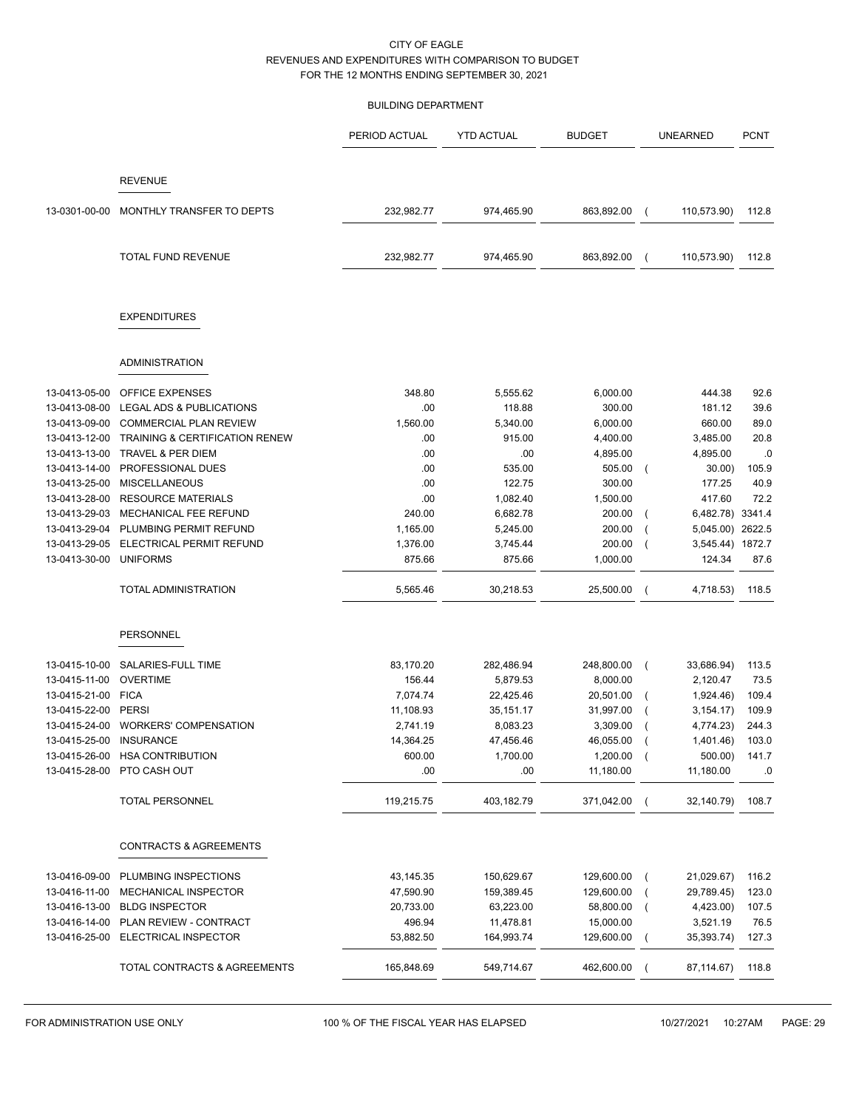### BUILDING DEPARTMENT

|                                |                                                  | PERIOD ACTUAL         | <b>YTD ACTUAL</b>     | <b>BUDGET</b>         |                | <b>UNEARNED</b>        | <b>PCNT</b>    |
|--------------------------------|--------------------------------------------------|-----------------------|-----------------------|-----------------------|----------------|------------------------|----------------|
|                                | <b>REVENUE</b>                                   |                       |                       |                       |                |                        |                |
|                                |                                                  |                       |                       |                       |                |                        |                |
| 13-0301-00-00                  | MONTHLY TRANSFER TO DEPTS                        | 232,982.77            | 974,465.90            | 863,892.00            |                | 110,573.90)            | 112.8          |
|                                | <b>TOTAL FUND REVENUE</b>                        | 232,982.77            | 974,465.90            | 863,892.00            | $\overline{ }$ | 110,573.90)            | 112.8          |
|                                | <b>EXPENDITURES</b>                              |                       |                       |                       |                |                        |                |
|                                | <b>ADMINISTRATION</b>                            |                       |                       |                       |                |                        |                |
| 13-0413-05-00                  | <b>OFFICE EXPENSES</b>                           | 348.80                | 5,555.62              | 6,000.00              |                | 444.38                 | 92.6           |
| 13-0413-08-00                  | LEGAL ADS & PUBLICATIONS                         | .00.                  | 118.88                | 300.00                |                | 181.12                 | 39.6           |
| 13-0413-09-00                  | <b>COMMERCIAL PLAN REVIEW</b>                    | 1,560.00              | 5,340.00              | 6,000.00              |                | 660.00                 | 89.0           |
| 13-0413-12-00                  | <b>TRAINING &amp; CERTIFICATION RENEW</b>        | .00                   | 915.00                | 4,400.00              |                | 3,485.00               | 20.8           |
| 13-0413-13-00                  | <b>TRAVEL &amp; PER DIEM</b>                     | .00                   | .00.                  | 4,895.00              |                | 4,895.00               | .0             |
| 13-0413-14-00                  | PROFESSIONAL DUES                                | .00                   | 535.00                | 505.00                | $\overline{ }$ | 30.00                  | 105.9          |
| 13-0413-25-00                  | <b>MISCELLANEOUS</b>                             | .00                   | 122.75                | 300.00                |                | 177.25                 | 40.9           |
| 13-0413-28-00                  | <b>RESOURCE MATERIALS</b>                        | .00                   | 1,082.40              | 1,500.00              |                | 417.60                 | 72.2           |
| 13-0413-29-03                  | MECHANICAL FEE REFUND                            | 240.00                | 6,682.78              | 200.00                |                | 6,482.78) 3341.4       |                |
| 13-0413-29-04                  | PLUMBING PERMIT REFUND                           | 1,165.00              | 5,245.00              | 200.00                |                | 5,045.00)              | 2622.5         |
| 13-0413-29-05                  | ELECTRICAL PERMIT REFUND                         | 1,376.00              | 3,745.44              | 200.00                |                | 3,545.44) 1872.7       |                |
| 13-0413-30-00                  | <b>UNIFORMS</b>                                  | 875.66                | 875.66                | 1,000.00              |                | 124.34                 | 87.6           |
|                                | TOTAL ADMINISTRATION                             | 5,565.46              | 30,218.53             | 25,500.00             |                | 4,718.53)              | 118.5          |
|                                | <b>PERSONNEL</b>                                 |                       |                       |                       |                |                        |                |
|                                |                                                  |                       |                       |                       |                |                        |                |
| 13-0415-10-00                  | SALARIES-FULL TIME                               | 83,170.20             | 282,486.94            | 248,800.00            | $\overline{ }$ | 33,686.94)             | 113.5          |
| 13-0415-11-00                  | <b>OVERTIME</b>                                  | 156.44                | 5,879.53              | 8,000.00              |                | 2,120.47               | 73.5           |
| 13-0415-21-00                  | <b>FICA</b>                                      | 7,074.74              | 22,425.46             | 20,501.00             |                | 1,924.46)              | 109.4          |
| 13-0415-22-00                  | <b>PERSI</b>                                     | 11,108.93             | 35,151.17             | 31,997.00             |                | 3, 154.17              | 109.9          |
| 13-0415-24-00<br>13-0415-25-00 | <b>WORKERS' COMPENSATION</b><br><b>INSURANCE</b> | 2,741.19<br>14,364.25 | 8,083.23<br>47,456.46 | 3,309.00<br>46,055.00 |                | 4,774.23)<br>1,401.46) | 244.3<br>103.0 |
| 13-0415-26-00                  | <b>HSA CONTRIBUTION</b>                          | 600.00                | 1,700.00              | 1,200.00              | $\left($       | 500.00)                | 141.7          |
| 13-0415-28-00                  | PTO CASH OUT                                     | .00                   | .00.                  | 11,180.00             |                | 11,180.00              | .0             |
|                                |                                                  |                       |                       |                       |                |                        |                |
|                                | TOTAL PERSONNEL                                  | 119,215.75            | 403,182.79            | 371,042.00            |                | 32,140.79)             | 108.7          |
|                                | CONTRACTS & AGREEMENTS                           |                       |                       |                       |                |                        |                |
| 13-0416-09-00                  | PLUMBING INSPECTIONS                             | 43, 145. 35           | 150,629.67            | 129,600.00            |                | 21,029.67)             | 116.2          |
| 13-0416-11-00                  | MECHANICAL INSPECTOR                             | 47,590.90             | 159,389.45            | 129,600.00            |                | 29,789.45)             | 123.0          |
| 13-0416-13-00                  | <b>BLDG INSPECTOR</b>                            | 20,733.00             | 63,223.00             | 58,800.00             |                | 4,423.00)              | 107.5          |
| 13-0416-14-00                  | PLAN REVIEW - CONTRACT                           | 496.94                | 11,478.81             | 15,000.00             |                | 3,521.19               | 76.5           |
|                                | 13-0416-25-00 ELECTRICAL INSPECTOR               | 53,882.50             | 164,993.74            | 129,600.00            | $\left($       | 35,393.74)             | 127.3          |
|                                |                                                  |                       |                       |                       |                |                        |                |
|                                | TOTAL CONTRACTS & AGREEMENTS                     | 165,848.69            | 549,714.67            | 462,600.00            |                | 87,114.67)             | 118.8          |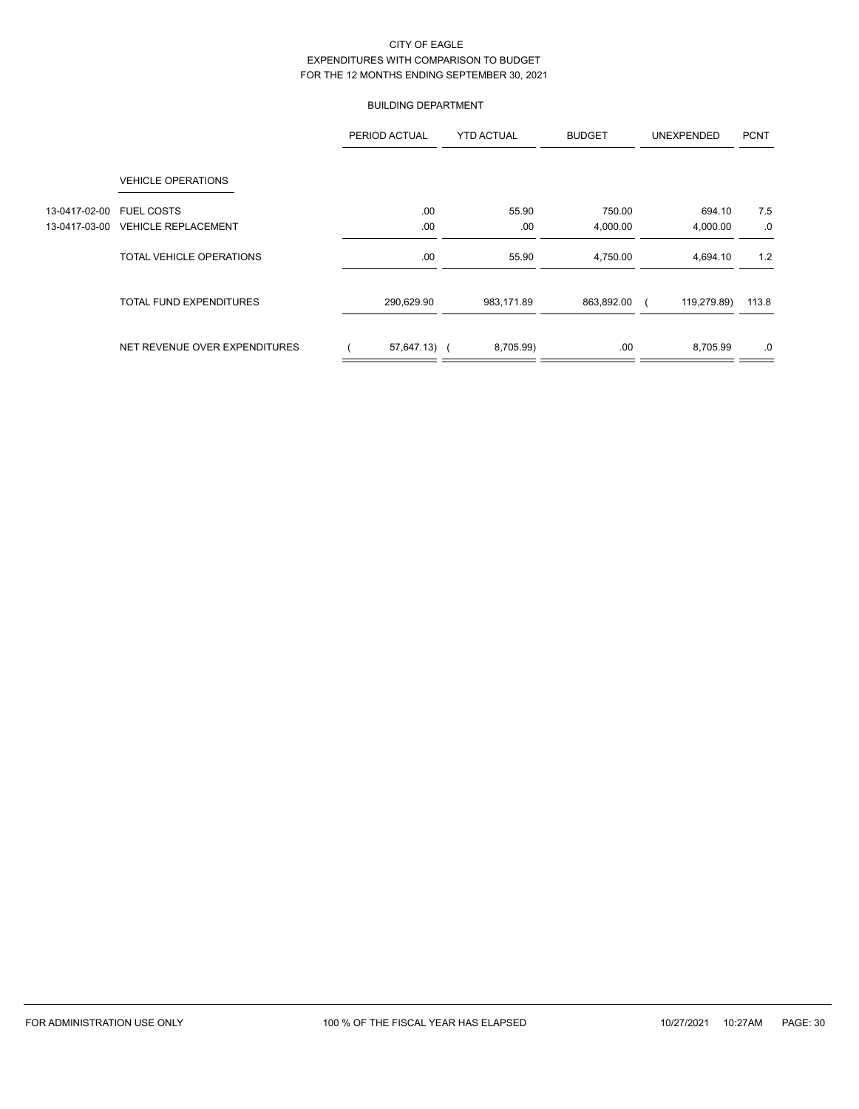## BUILDING DEPARTMENT

|               |                                | PERIOD ACTUAL | <b>YTD ACTUAL</b> |            | <b>BUDGET</b> |     | <b>UNEXPENDED</b> | <b>PCNT</b> |
|---------------|--------------------------------|---------------|-------------------|------------|---------------|-----|-------------------|-------------|
|               | <b>VEHICLE OPERATIONS</b>      |               |                   |            |               |     |                   |             |
| 13-0417-02-00 | <b>FUEL COSTS</b>              | .00           |                   | 55.90      | 750.00        |     | 694.10            | 7.5         |
| 13-0417-03-00 | <b>VEHICLE REPLACEMENT</b>     | .00           |                   | .00.       | 4,000.00      |     | 4,000.00          | .0          |
|               | TOTAL VEHICLE OPERATIONS       | .00           |                   | 55.90      | 4,750.00      |     | 4,694.10          | 1.2         |
|               | <b>TOTAL FUND EXPENDITURES</b> | 290,629.90    |                   | 983,171.89 | 863,892.00    |     | 119,279.89)       | 113.8       |
|               | NET REVENUE OVER EXPENDITURES  | 57,647.13) (  |                   | 8,705.99)  |               | .00 | 8,705.99          | .0          |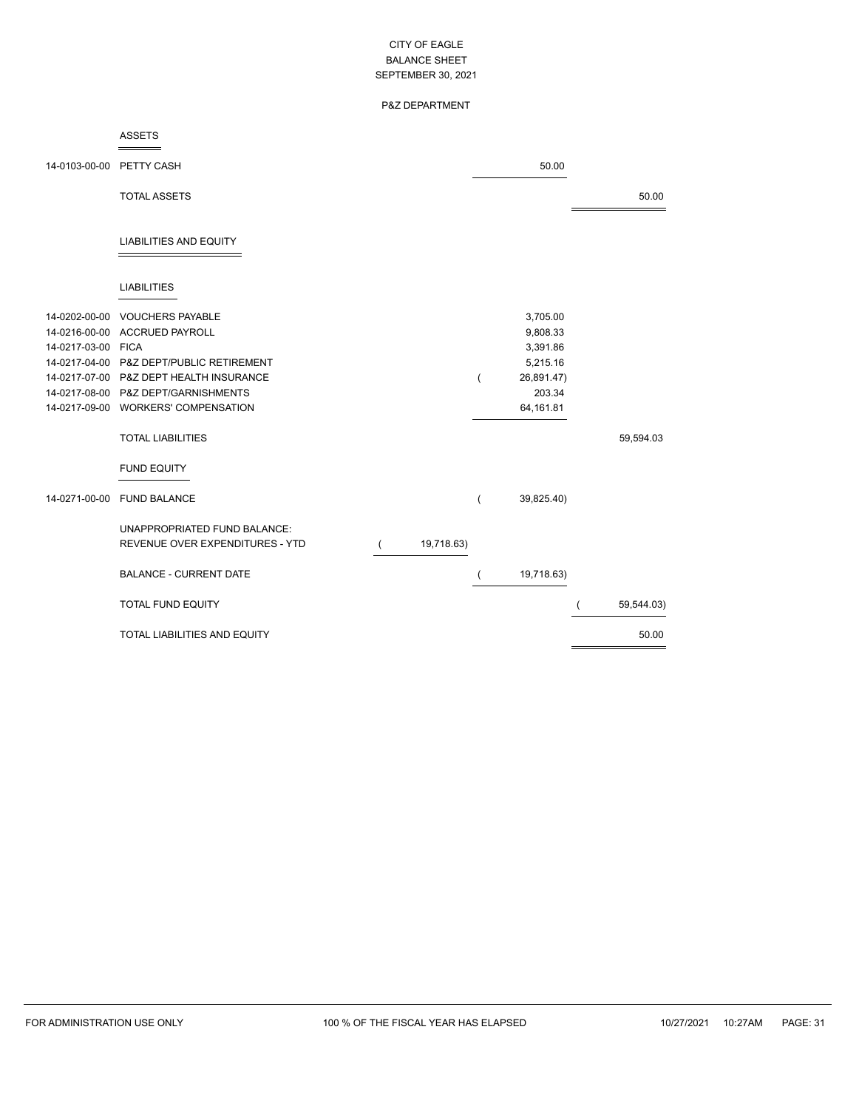## P&Z DEPARTMENT

### ASSETS

| 14-0103-00-00 PETTY CASH |                                          |            |   | 50.00      |            |
|--------------------------|------------------------------------------|------------|---|------------|------------|
|                          | <b>TOTAL ASSETS</b>                      |            |   |            | 50.00      |
|                          | <b>LIABILITIES AND EQUITY</b>            |            |   |            |            |
|                          | <b>LIABILITIES</b>                       |            |   |            |            |
| 14-0202-00-00            | <b>VOUCHERS PAYABLE</b>                  |            |   | 3,705.00   |            |
| 14-0216-00-00            | ACCRUED PAYROLL                          |            |   | 9,808.33   |            |
| 14-0217-03-00 FICA       |                                          |            |   | 3,391.86   |            |
|                          | 14-0217-04-00 P&Z DEPT/PUBLIC RETIREMENT |            |   | 5,215.16   |            |
|                          | 14-0217-07-00 P&Z DEPT HEALTH INSURANCE  |            | ( | 26,891.47) |            |
|                          | 14-0217-08-00 P&Z DEPT/GARNISHMENTS      |            |   | 203.34     |            |
|                          | 14-0217-09-00 WORKERS' COMPENSATION      |            |   | 64,161.81  |            |
|                          | <b>TOTAL LIABILITIES</b>                 |            |   |            | 59,594.03  |
|                          | <b>FUND EQUITY</b>                       |            |   |            |            |
| 14-0271-00-00            | <b>FUND BALANCE</b>                      |            | ( | 39,825.40) |            |
|                          | UNAPPROPRIATED FUND BALANCE:             |            |   |            |            |
|                          | REVENUE OVER EXPENDITURES - YTD          | 19,718.63) |   |            |            |
|                          | <b>BALANCE - CURRENT DATE</b>            |            |   | 19,718.63) |            |
|                          | <b>TOTAL FUND EQUITY</b>                 |            |   |            | 59,544.03) |
|                          | <b>TOTAL LIABILITIES AND EQUITY</b>      |            |   |            | 50.00      |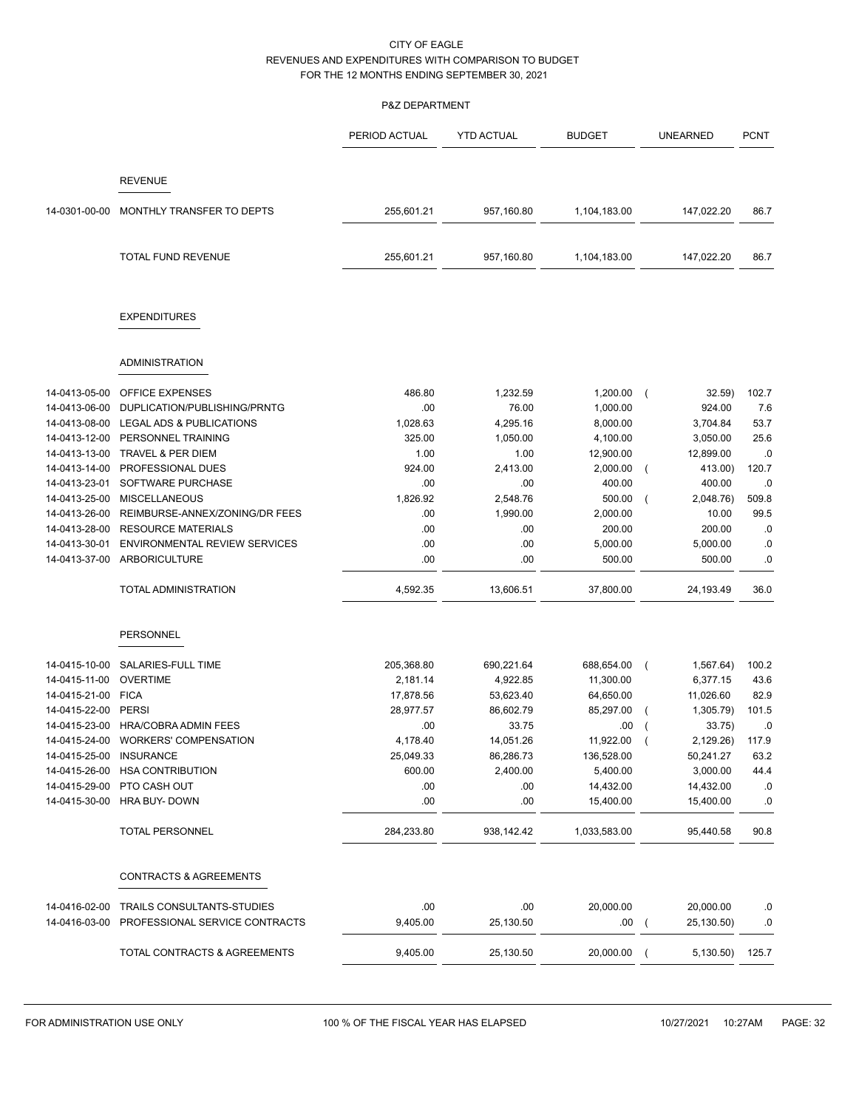## P&Z DEPARTMENT

|                                |                                                              | PERIOD ACTUAL   | <b>YTD ACTUAL</b> | <b>BUDGET</b>     |                | <b>UNEARNED</b>         | <b>PCNT</b>      |
|--------------------------------|--------------------------------------------------------------|-----------------|-------------------|-------------------|----------------|-------------------------|------------------|
|                                | <b>REVENUE</b>                                               |                 |                   |                   |                |                         |                  |
|                                |                                                              |                 |                   |                   |                |                         |                  |
| 14-0301-00-00                  | MONTHLY TRANSFER TO DEPTS                                    | 255,601.21      | 957,160.80        | 1,104,183.00      |                | 147,022.20              | 86.7             |
|                                | <b>TOTAL FUND REVENUE</b>                                    | 255,601.21      | 957,160.80        | 1,104,183.00      |                | 147,022.20              | 86.7             |
|                                | <b>EXPENDITURES</b>                                          |                 |                   |                   |                |                         |                  |
|                                | <b>ADMINISTRATION</b>                                        |                 |                   |                   |                |                         |                  |
| 14-0413-05-00                  | <b>OFFICE EXPENSES</b>                                       | 486.80          | 1,232.59          | 1,200.00          | $\overline{ }$ | 32.59)                  | 102.7            |
| 14-0413-06-00                  | DUPLICATION/PUBLISHING/PRNTG                                 | .00             | 76.00             | 1,000.00          |                | 924.00                  | 7.6              |
| 14-0413-08-00                  | LEGAL ADS & PUBLICATIONS                                     | 1,028.63        | 4,295.16          | 8,000.00          |                | 3,704.84                | 53.7             |
| 14-0413-12-00                  | PERSONNEL TRAINING                                           | 325.00          | 1,050.00          | 4,100.00          |                | 3,050.00                | 25.6             |
| 14-0413-13-00                  | <b>TRAVEL &amp; PER DIEM</b>                                 | 1.00            | 1.00              | 12,900.00         |                | 12,899.00               | .0               |
| 14-0413-14-00                  | PROFESSIONAL DUES                                            | 924.00          | 2,413.00          | 2,000.00          |                | 413.00)                 | 120.7            |
| 14-0413-23-01                  | SOFTWARE PURCHASE                                            | .00             | .00               | 400.00            |                | 400.00                  | .0               |
| 14-0413-25-00                  | <b>MISCELLANEOUS</b>                                         | 1,826.92        | 2,548.76          | 500.00            |                | 2,048.76)               | 509.8            |
| 14-0413-26-00                  | REIMBURSE-ANNEX/ZONING/DR FEES                               | .00             | 1,990.00          | 2,000.00          |                | 10.00                   | 99.5             |
| 14-0413-28-00                  | <b>RESOURCE MATERIALS</b>                                    | .00             | .00               | 200.00            |                | 200.00                  | .0               |
| 14-0413-30-01                  | <b>ENVIRONMENTAL REVIEW SERVICES</b>                         | .00             | .00               | 5,000.00          |                | 5,000.00                | .0               |
| 14-0413-37-00                  | ARBORICULTURE                                                | .00             | .00               | 500.00            |                | 500.00                  | .0               |
|                                | <b>TOTAL ADMINISTRATION</b>                                  | 4,592.35        | 13,606.51         | 37,800.00         |                | 24,193.49               | 36.0             |
|                                | PERSONNEL                                                    |                 |                   |                   |                |                         |                  |
| 14-0415-10-00                  | SALARIES-FULL TIME                                           | 205,368.80      | 690,221.64        | 688,654.00        | $\left($       | 1,567.64)               | 100.2            |
| 14-0415-11-00                  | <b>OVERTIME</b>                                              | 2,181.14        | 4,922.85          | 11,300.00         |                | 6,377.15                | 43.6             |
| 14-0415-21-00                  | <b>FICA</b>                                                  | 17,878.56       | 53,623.40         | 64,650.00         |                | 11,026.60               | 82.9             |
| 14-0415-22-00                  | <b>PERSI</b>                                                 | 28,977.57       | 86,602.79         | 85,297.00         |                | 1,305.79)               | 101.5            |
| 14-0415-23-00                  | <b>HRA/COBRA ADMIN FEES</b>                                  | .00             | 33.75             | .00               |                | 33.75)                  | .0               |
| 14-0415-24-00                  | <b>WORKERS' COMPENSATION</b>                                 | 4,178.40        | 14,051.26         | 11,922.00         |                | 2,129.26)               | 117.9            |
| 14-0415-25-00                  | <b>INSURANCE</b>                                             | 25,049.33       | 86,286.73         | 136,528.00        |                | 50,241.27               | 63.2             |
| 14-0415-26-00                  | <b>HSA CONTRIBUTION</b>                                      | 600.00          | 2,400.00          | 5,400.00          |                | 3,000.00                | 44.4             |
| 14-0415-29-00                  | PTO CASH OUT                                                 | .00             | .00               | 14,432.00         |                | 14,432.00               | .0               |
| 14-0415-30-00                  | HRA BUY- DOWN                                                | .00             | .00               | 15,400.00         |                | 15,400.00               | .0               |
|                                | TOTAL PERSONNEL                                              | 284,233.80      | 938,142.42        | 1,033,583.00      |                | 95,440.58               | 90.8             |
|                                | <b>CONTRACTS &amp; AGREEMENTS</b>                            |                 |                   |                   |                |                         |                  |
|                                |                                                              |                 |                   |                   |                |                         |                  |
| 14-0416-02-00<br>14-0416-03-00 | TRAILS CONSULTANTS-STUDIES<br>PROFESSIONAL SERVICE CONTRACTS | .00<br>9,405.00 | .00<br>25,130.50  | 20,000.00<br>.00. | $\left($       | 20,000.00<br>25,130.50) | .0<br>${\bf .0}$ |
|                                | TOTAL CONTRACTS & AGREEMENTS                                 | 9,405.00        | 25,130.50         | 20,000.00         |                | 5,130.50)               | 125.7            |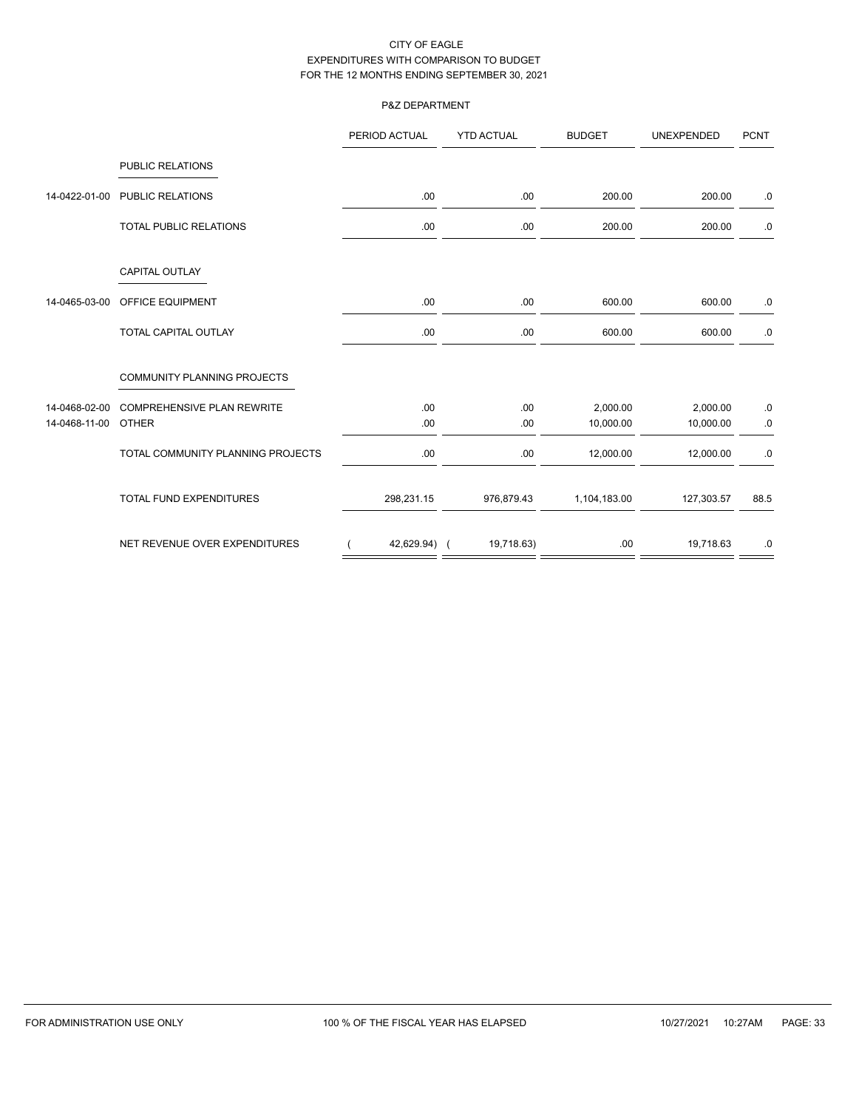## P&Z DEPARTMENT

|               |                                    | PERIOD ACTUAL | <b>YTD ACTUAL</b> | <b>BUDGET</b> | <b>UNEXPENDED</b> | <b>PCNT</b> |
|---------------|------------------------------------|---------------|-------------------|---------------|-------------------|-------------|
|               | <b>PUBLIC RELATIONS</b>            |               |                   |               |                   |             |
| 14-0422-01-00 | <b>PUBLIC RELATIONS</b>            | .00.          | .00.              | 200.00        | 200.00            | .0          |
|               | TOTAL PUBLIC RELATIONS             | .00.          | .00.              | 200.00        | 200.00            | .0          |
|               | CAPITAL OUTLAY                     |               |                   |               |                   |             |
| 14-0465-03-00 | OFFICE EQUIPMENT                   | .00.          | .00               | 600.00        | 600.00            | .0          |
|               | <b>TOTAL CAPITAL OUTLAY</b>        | .00           | .00               | 600.00        | 600.00            | $.0\,$      |
|               | <b>COMMUNITY PLANNING PROJECTS</b> |               |                   |               |                   |             |
| 14-0468-02-00 | <b>COMPREHENSIVE PLAN REWRITE</b>  | .00.          | .00.              | 2,000.00      | 2,000.00          | $.0\,$      |
| 14-0468-11-00 | <b>OTHER</b>                       | .00.          | .00.              | 10,000.00     | 10,000.00         | .0          |
|               | TOTAL COMMUNITY PLANNING PROJECTS  | .00.          | .00.              | 12,000.00     | 12,000.00         | .0          |
|               | <b>TOTAL FUND EXPENDITURES</b>     | 298,231.15    | 976,879.43        | 1,104,183.00  | 127,303.57        | 88.5        |
|               | NET REVENUE OVER EXPENDITURES      | 42,629.94) (  | 19,718.63)        | .00           | 19,718.63         | .0          |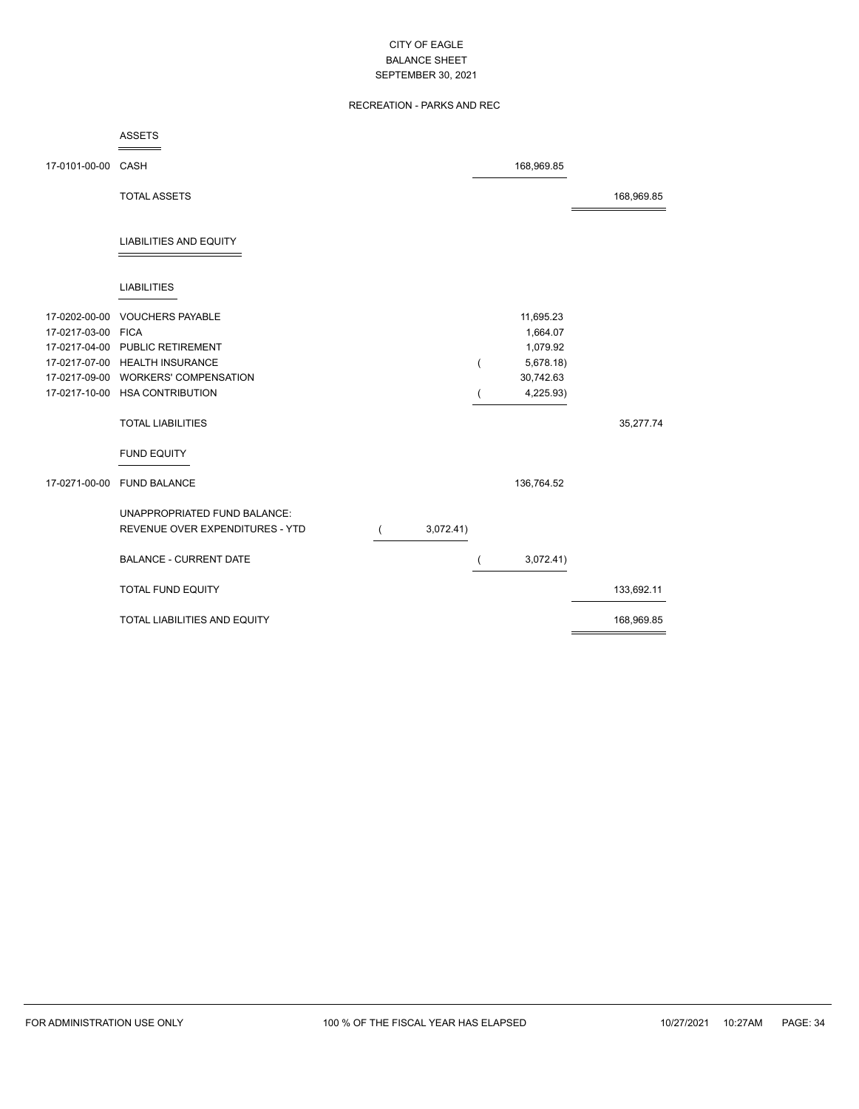## RECREATION - PARKS AND REC

|                                     | <b>ASSETS</b>                       |           |   |                       |            |
|-------------------------------------|-------------------------------------|-----------|---|-----------------------|------------|
| 17-0101-00-00 CASH                  |                                     |           |   | 168,969.85            |            |
|                                     | <b>TOTAL ASSETS</b>                 |           |   |                       | 168,969.85 |
|                                     | <b>LIABILITIES AND EQUITY</b>       |           |   |                       |            |
|                                     | <b>LIABILITIES</b>                  |           |   |                       |            |
| 17-0202-00-00<br>17-0217-03-00 FICA | <b>VOUCHERS PAYABLE</b>             |           |   | 11,695.23<br>1,664.07 |            |
|                                     | 17-0217-04-00 PUBLIC RETIREMENT     |           |   | 1,079.92              |            |
|                                     | 17-0217-07-00 HEALTH INSURANCE      |           | ( | 5,678.18)             |            |
|                                     | 17-0217-09-00 WORKERS' COMPENSATION |           |   | 30,742.63             |            |
|                                     | 17-0217-10-00 HSA CONTRIBUTION      |           |   | 4,225.93)             |            |
|                                     | <b>TOTAL LIABILITIES</b>            |           |   |                       | 35,277.74  |
|                                     | <b>FUND EQUITY</b>                  |           |   |                       |            |
|                                     | 17-0271-00-00 FUND BALANCE          |           |   | 136,764.52            |            |
|                                     | UNAPPROPRIATED FUND BALANCE:        |           |   |                       |            |
|                                     | REVENUE OVER EXPENDITURES - YTD     | 3,072.41) |   |                       |            |
|                                     | <b>BALANCE - CURRENT DATE</b>       |           |   | 3,072.41)             |            |
|                                     | <b>TOTAL FUND EQUITY</b>            |           |   |                       | 133,692.11 |
|                                     | TOTAL LIABILITIES AND EQUITY        |           |   |                       | 168,969.85 |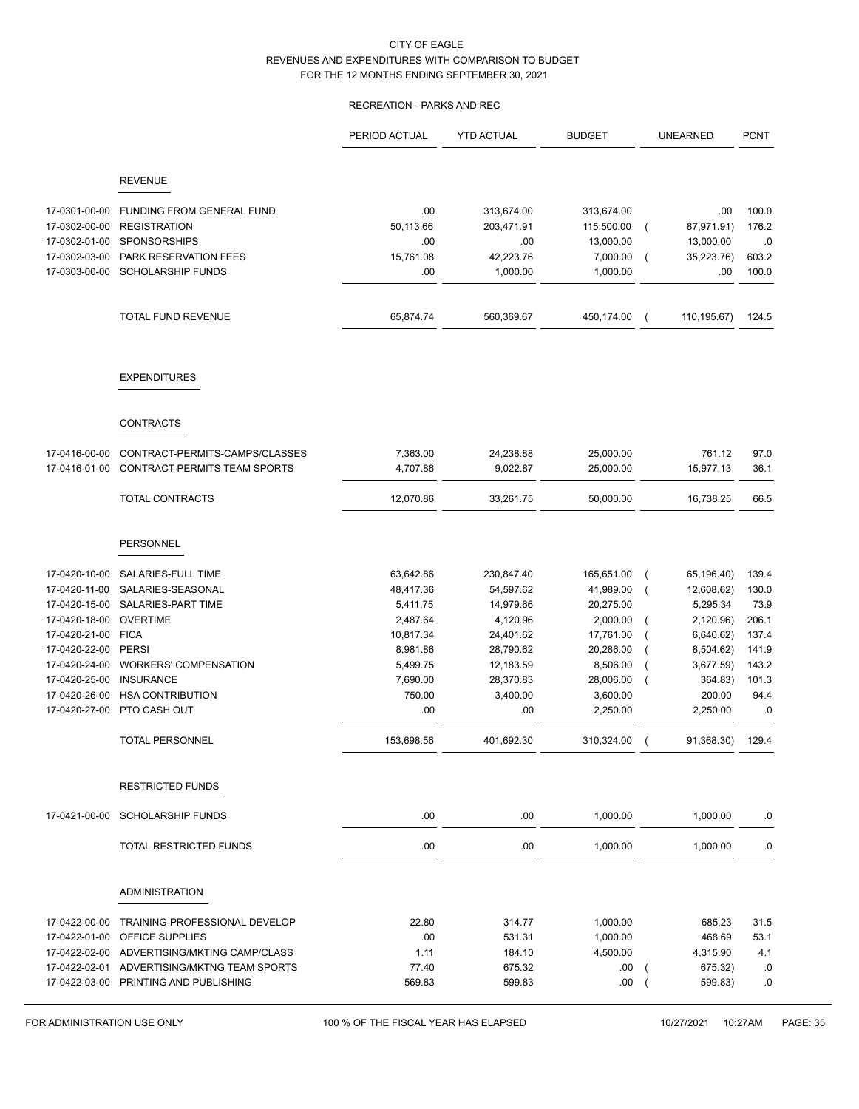# RECREATION - PARKS AND REC

|               |                                             | PERIOD ACTUAL | <b>YTD ACTUAL</b> | <b>BUDGET</b> |                | <b>UNEARNED</b> | <b>PCNT</b> |
|---------------|---------------------------------------------|---------------|-------------------|---------------|----------------|-----------------|-------------|
|               | <b>REVENUE</b>                              |               |                   |               |                |                 |             |
|               |                                             |               |                   |               |                |                 |             |
| 17-0301-00-00 | <b>FUNDING FROM GENERAL FUND</b>            | .00.          | 313,674.00        | 313,674.00    |                | .00             | 100.0       |
| 17-0302-00-00 | <b>REGISTRATION</b>                         | 50,113.66     | 203,471.91        | 115,500.00    | $\overline{ }$ | 87,971.91)      | 176.2       |
| 17-0302-01-00 | <b>SPONSORSHIPS</b>                         | .00           | .00               | 13,000.00     |                | 13,000.00       | .0          |
| 17-0302-03-00 | PARK RESERVATION FEES                       | 15,761.08     | 42,223.76         | 7,000.00      |                | 35,223.76)      | 603.2       |
| 17-0303-00-00 | <b>SCHOLARSHIP FUNDS</b>                    | .00           | 1,000.00          | 1,000.00      |                | .00             | 100.0       |
|               | <b>TOTAL FUND REVENUE</b>                   | 65,874.74     | 560,369.67        | 450,174.00    |                | 110,195.67)     | 124.5       |
|               | <b>EXPENDITURES</b>                         |               |                   |               |                |                 |             |
|               | <b>CONTRACTS</b>                            |               |                   |               |                |                 |             |
|               |                                             |               |                   |               |                |                 |             |
| 17-0416-00-00 | CONTRACT-PERMITS-CAMPS/CLASSES              | 7,363.00      | 24,238.88         | 25,000.00     |                | 761.12          | 97.0        |
| 17-0416-01-00 | CONTRACT-PERMITS TEAM SPORTS                | 4,707.86      | 9,022.87          | 25,000.00     |                | 15,977.13       | 36.1        |
|               | TOTAL CONTRACTS                             | 12,070.86     | 33,261.75         | 50,000.00     |                | 16,738.25       | 66.5        |
|               | <b>PERSONNEL</b>                            |               |                   |               |                |                 |             |
| 17-0420-10-00 | SALARIES-FULL TIME                          | 63,642.86     | 230,847.40        | 165,651.00    | $\overline{ }$ | 65,196.40)      | 139.4       |
| 17-0420-11-00 | SALARIES-SEASONAL                           | 48,417.36     | 54,597.62         | 41,989.00     |                | 12,608.62)      | 130.0       |
| 17-0420-15-00 | SALARIES-PART TIME                          | 5,411.75      | 14,979.66         | 20,275.00     |                | 5,295.34        | 73.9        |
| 17-0420-18-00 | <b>OVERTIME</b>                             | 2,487.64      | 4,120.96          | 2,000.00      |                | 2,120.96)       | 206.1       |
| 17-0420-21-00 | <b>FICA</b>                                 | 10,817.34     | 24,401.62         | 17,761.00     |                | 6,640.62)       | 137.4       |
| 17-0420-22-00 | <b>PERSI</b>                                | 8,981.86      | 28,790.62         | 20,286.00     |                | 8,504.62)       | 141.9       |
| 17-0420-24-00 | <b>WORKERS' COMPENSATION</b>                | 5,499.75      | 12,183.59         | 8,506.00      |                | 3,677.59        | 143.2       |
| 17-0420-25-00 | <b>INSURANCE</b>                            | 7,690.00      | 28,370.83         | 28,006.00     |                | 364.83)         | 101.3       |
| 17-0420-26-00 | <b>HSA CONTRIBUTION</b>                     | 750.00        | 3,400.00          | 3,600.00      |                | 200.00          | 94.4        |
| 17-0420-27-00 | PTO CASH OUT                                | .00           | .00.              | 2,250.00      |                | 2,250.00        | .0          |
|               | <b>TOTAL PERSONNEL</b>                      | 153,698.56    | 401,692.30        | 310,324.00    |                | 91,368.30)      | 129.4       |
|               | <b>RESTRICTED FUNDS</b>                     |               |                   |               |                |                 |             |
|               | 17-0421-00-00 SCHOLARSHIP FUNDS             | .00.          | .00               | 1,000.00      |                | 1,000.00        | .0          |
|               | TOTAL RESTRICTED FUNDS                      | .00.          | .00               | 1,000.00      |                | 1,000.00        | 0.          |
|               | <b>ADMINISTRATION</b>                       |               |                   |               |                |                 |             |
| 17-0422-00-00 | TRAINING-PROFESSIONAL DEVELOP               | 22.80         | 314.77            | 1,000.00      |                | 685.23          | 31.5        |
| 17-0422-01-00 | OFFICE SUPPLIES                             | .00.          | 531.31            | 1,000.00      |                | 468.69          | 53.1        |
|               | 17-0422-02-00 ADVERTISING/MKTING CAMP/CLASS | 1.11          | 184.10            | 4,500.00      |                | 4,315.90        | 4.1         |
|               | 17-0422-02-01 ADVERTISING/MKTNG TEAM SPORTS | 77.40         | 675.32            | .00.          |                | 675.32)         | .0          |
|               | 17-0422-03-00 PRINTING AND PUBLISHING       | 569.83        | 599.83            | .00           |                | 599.83)         | .0          |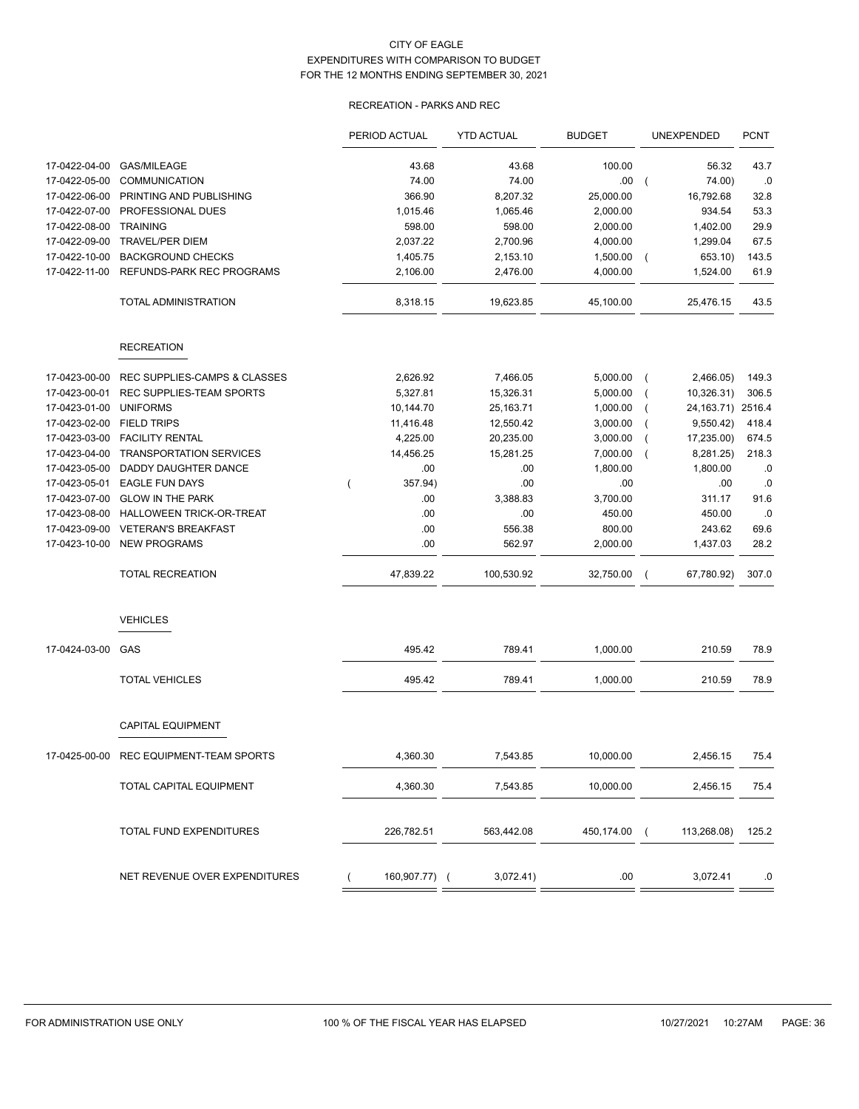## RECREATION - PARKS AND REC

|               |                                | PERIOD ACTUAL | <b>YTD ACTUAL</b> | <b>BUDGET</b> | UNEXPENDED                   | <b>PCNT</b> |
|---------------|--------------------------------|---------------|-------------------|---------------|------------------------------|-------------|
| 17-0422-04-00 | <b>GAS/MILEAGE</b>             | 43.68         | 43.68             | 100.00        | 56.32                        | 43.7        |
| 17-0422-05-00 | <b>COMMUNICATION</b>           | 74.00         | 74.00             | .00           | 74.00)<br>$\left($           | .0          |
| 17-0422-06-00 | PRINTING AND PUBLISHING        | 366.90        | 8,207.32          | 25,000.00     | 16,792.68                    | 32.8        |
| 17-0422-07-00 | PROFESSIONAL DUES              | 1,015.46      | 1,065.46          | 2,000.00      | 934.54                       | 53.3        |
| 17-0422-08-00 | <b>TRAINING</b>                | 598.00        | 598.00            | 2,000.00      | 1,402.00                     | 29.9        |
| 17-0422-09-00 | <b>TRAVEL/PER DIEM</b>         | 2,037.22      | 2,700.96          | 4,000.00      | 1,299.04                     | 67.5        |
| 17-0422-10-00 | <b>BACKGROUND CHECKS</b>       | 1,405.75      | 2,153.10          | 1,500.00      | 653.10)<br>$\sqrt{2}$        | 143.5       |
| 17-0422-11-00 | REFUNDS-PARK REC PROGRAMS      | 2,106.00      | 2,476.00          | 4,000.00      | 1,524.00                     | 61.9        |
|               | TOTAL ADMINISTRATION           | 8,318.15      | 19,623.85         | 45,100.00     | 25,476.15                    | 43.5        |
|               | <b>RECREATION</b>              |               |                   |               |                              |             |
| 17-0423-00-00 | REC SUPPLIES-CAMPS & CLASSES   | 2,626.92      | 7,466.05          | 5,000.00      | 2,466.05)<br>$\overline{ }$  | 149.3       |
| 17-0423-00-01 | REC SUPPLIES-TEAM SPORTS       | 5,327.81      | 15,326.31         | 5,000.00      | 10,326.31)<br>$\overline{ }$ | 306.5       |
| 17-0423-01-00 | <b>UNIFORMS</b>                | 10,144.70     | 25,163.71         | 1,000.00      | 24, 163. 71) 2516. 4         |             |
| 17-0423-02-00 | <b>FIELD TRIPS</b>             | 11,416.48     | 12,550.42         | 3,000.00      | 9,550.42)                    | 418.4       |
| 17-0423-03-00 | <b>FACILITY RENTAL</b>         | 4,225.00      | 20,235.00         | 3,000.00      | 17,235.00)                   | 674.5       |
| 17-0423-04-00 | <b>TRANSPORTATION SERVICES</b> | 14,456.25     | 15,281.25         | 7,000.00      | 8,281.25)                    | 218.3       |
| 17-0423-05-00 | <b>DADDY DAUGHTER DANCE</b>    | .00           | .00               | 1,800.00      | 1,800.00                     | .0          |
| 17-0423-05-01 | <b>EAGLE FUN DAYS</b>          | 357.94)       | .00               | .00           | .00                          | .0          |
| 17-0423-07-00 | <b>GLOW IN THE PARK</b>        | .00           | 3,388.83          | 3,700.00      | 311.17                       | 91.6        |
| 17-0423-08-00 | HALLOWEEN TRICK-OR-TREAT       | .00           | .00               | 450.00        | 450.00                       | .0          |
| 17-0423-09-00 | <b>VETERAN'S BREAKFAST</b>     | .00           | 556.38            | 800.00        | 243.62                       | 69.6        |
| 17-0423-10-00 | <b>NEW PROGRAMS</b>            | .00           | 562.97            | 2,000.00      | 1,437.03                     | 28.2        |
|               | <b>TOTAL RECREATION</b>        | 47,839.22     | 100,530.92        | 32,750.00     | 67,780.92)                   | 307.0       |
|               | <b>VEHICLES</b>                |               |                   |               |                              |             |
| 17-0424-03-00 | GAS                            | 495.42        | 789.41            | 1,000.00      | 210.59                       | 78.9        |
|               | <b>TOTAL VEHICLES</b>          | 495.42        | 789.41            | 1,000.00      | 210.59                       | 78.9        |
|               | <b>CAPITAL EQUIPMENT</b>       |               |                   |               |                              |             |
| 17-0425-00-00 | REC EQUIPMENT-TEAM SPORTS      | 4,360.30      | 7,543.85          | 10,000.00     | 2,456.15                     | 75.4        |
|               | TOTAL CAPITAL EQUIPMENT        | 4,360.30      | 7,543.85          | 10,000.00     | 2,456.15                     | 75.4        |
|               | TOTAL FUND EXPENDITURES        | 226,782.51    | 563,442.08        | 450,174.00 (  | 113,268.08)                  | 125.2       |
|               | NET REVENUE OVER EXPENDITURES  | 160,907.77) ( | 3,072.41)         | .00           | 3,072.41                     | .0          |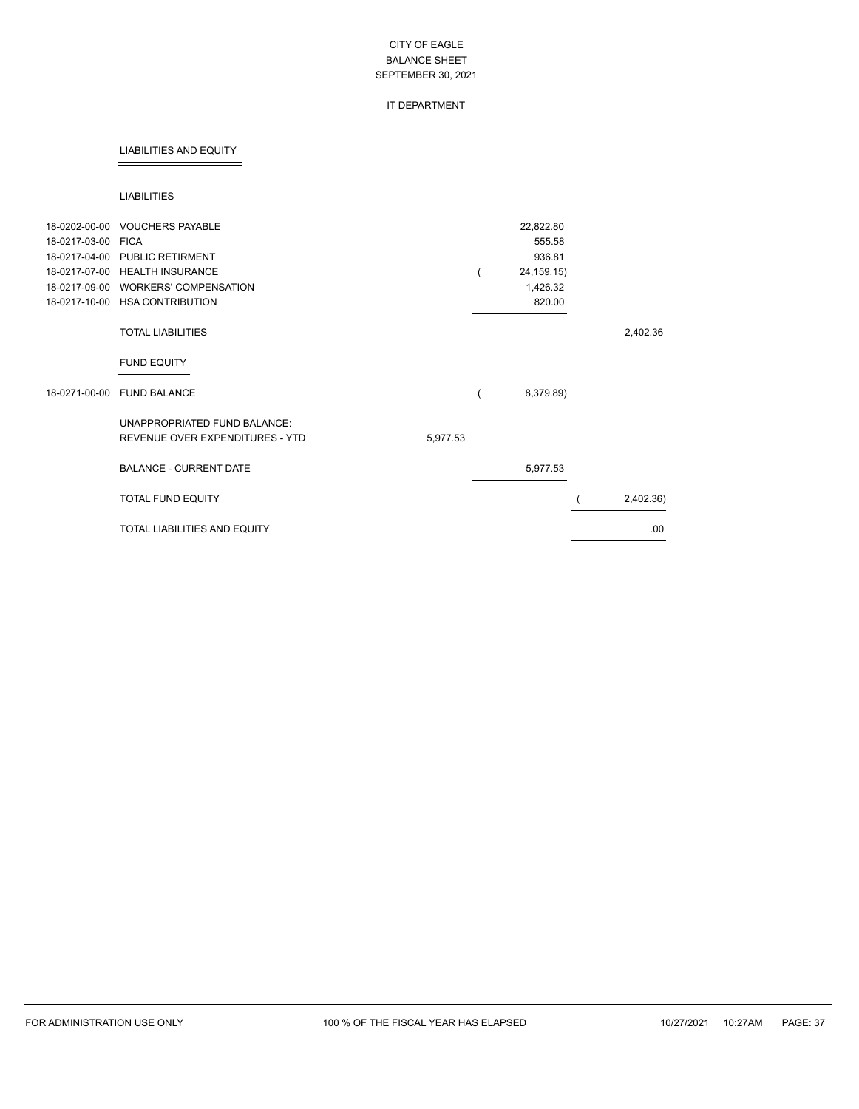## IT DEPARTMENT

#### LIABILITIES AND EQUITY

#### LIABILITIES

| 18-0202-00-00 | <b>VOUCHERS PAYABLE</b>             |          | 22,822.80    |           |
|---------------|-------------------------------------|----------|--------------|-----------|
| 18-0217-03-00 | <b>FICA</b>                         |          | 555.58       |           |
|               | 18-0217-04-00 PUBLIC RETIRMENT      |          | 936.81       |           |
|               | 18-0217-07-00 HEALTH INSURANCE      |          | 24, 159. 15) |           |
| 18-0217-09-00 | <b>WORKERS' COMPENSATION</b>        |          | 1,426.32     |           |
| 18-0217-10-00 | <b>HSA CONTRIBUTION</b>             |          | 820.00       |           |
|               | <b>TOTAL LIABILITIES</b>            |          |              | 2,402.36  |
|               | <b>FUND EQUITY</b>                  |          |              |           |
| 18-0271-00-00 | <b>FUND BALANCE</b>                 |          | 8,379.89)    |           |
|               | UNAPPROPRIATED FUND BALANCE:        |          |              |           |
|               | REVENUE OVER EXPENDITURES - YTD     | 5,977.53 |              |           |
|               | <b>BALANCE - CURRENT DATE</b>       |          | 5,977.53     |           |
|               | TOTAL FUND EQUITY                   |          |              | 2,402.36) |
|               | <b>TOTAL LIABILITIES AND EQUITY</b> |          |              | .00       |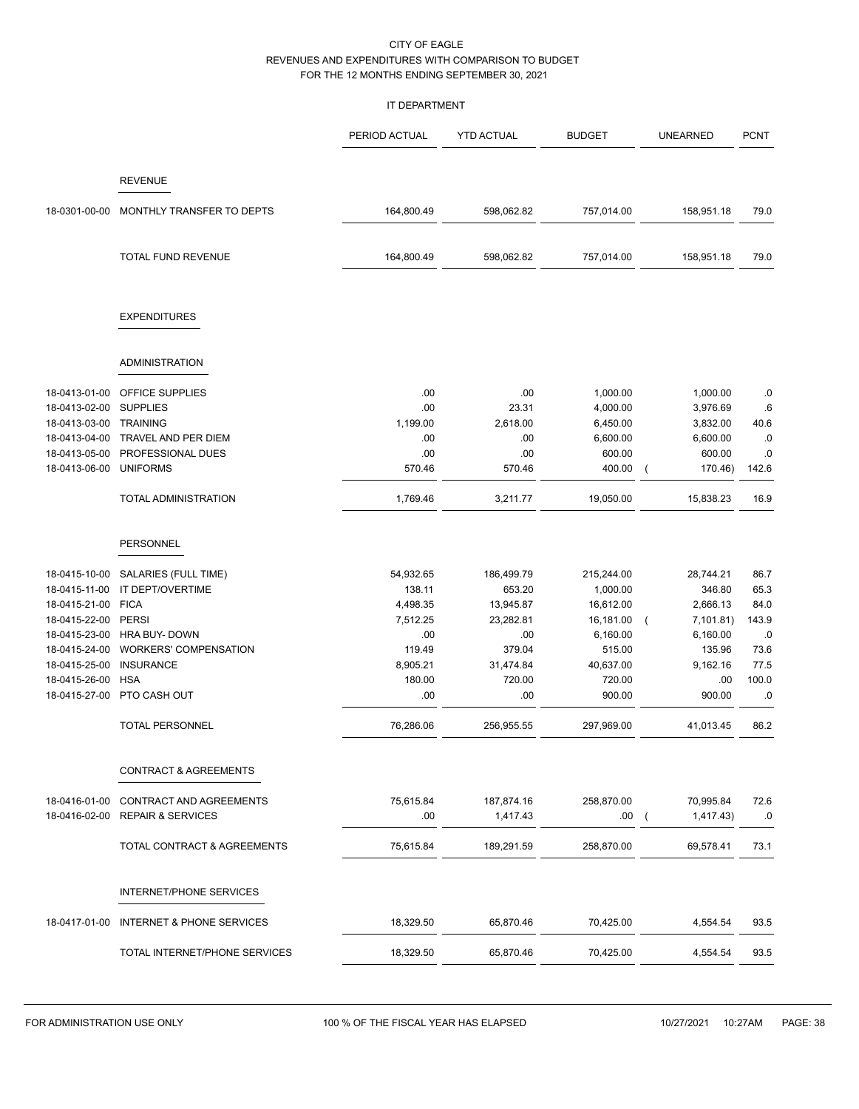### IT DEPARTMENT

|                                |                                      | PERIOD ACTUAL | <b>YTD ACTUAL</b> | <b>BUDGET</b>        | <b>UNEARNED</b>         | <b>PCNT</b> |
|--------------------------------|--------------------------------------|---------------|-------------------|----------------------|-------------------------|-------------|
|                                | <b>REVENUE</b>                       |               |                   |                      |                         |             |
| 18-0301-00-00                  | MONTHLY TRANSFER TO DEPTS            | 164,800.49    | 598,062.82        | 757,014.00           | 158,951.18              | 79.0        |
|                                | TOTAL FUND REVENUE                   | 164,800.49    | 598,062.82        | 757,014.00           | 158,951.18              | 79.0        |
|                                | <b>EXPENDITURES</b>                  |               |                   |                      |                         |             |
|                                | <b>ADMINISTRATION</b>                |               |                   |                      |                         |             |
|                                | <b>OFFICE SUPPLIES</b>               |               |                   |                      |                         |             |
| 18-0413-01-00<br>18-0413-02-00 | <b>SUPPLIES</b>                      | .00<br>.00    | .00<br>23.31      | 1,000.00<br>4,000.00 | 1,000.00<br>3,976.69    | .0<br>.6    |
| 18-0413-03-00 TRAINING         |                                      | 1,199.00      | 2,618.00          | 6,450.00             | 3,832.00                | 40.6        |
| 18-0413-04-00                  | TRAVEL AND PER DIEM                  | .00           | .00               | 6,600.00             | 6,600.00                | .0          |
| 18-0413-05-00                  | PROFESSIONAL DUES                    | .00           | .00               | 600.00               | 600.00                  | 0.0         |
| 18-0413-06-00                  | <b>UNIFORMS</b>                      | 570.46        | 570.46            | 400.00               | 170.46)                 | 142.6       |
|                                | TOTAL ADMINISTRATION                 | 1,769.46      | 3,211.77          | 19,050.00            | 15,838.23               | 16.9        |
|                                | PERSONNEL                            |               |                   |                      |                         |             |
|                                |                                      |               |                   |                      |                         |             |
| 18-0415-10-00                  | SALARIES (FULL TIME)                 | 54,932.65     | 186,499.79        | 215,244.00           | 28,744.21               | 86.7        |
| 18-0415-11-00                  | IT DEPT/OVERTIME                     | 138.11        | 653.20            | 1,000.00             | 346.80                  | 65.3        |
| 18-0415-21-00                  | <b>FICA</b>                          | 4,498.35      | 13,945.87         | 16,612.00            | 2,666.13                | 84.0        |
| 18-0415-22-00                  | <b>PERSI</b>                         | 7,512.25      | 23,282.81         | 16,181.00            | 7,101.81)<br>$\left($   | 143.9       |
| 18-0415-23-00                  | HRA BUY- DOWN                        | .00           | .00               | 6,160.00             | 6,160.00                | .0          |
| 18-0415-24-00                  | <b>WORKERS' COMPENSATION</b>         | 119.49        | 379.04            | 515.00               | 135.96                  | 73.6        |
| 18-0415-25-00                  | <b>INSURANCE</b>                     | 8,905.21      | 31,474.84         | 40,637.00            | 9,162.16                | 77.5        |
| 18-0415-26-00<br>18-0415-27-00 | <b>HSA</b><br>PTO CASH OUT           | 180.00<br>.00 | 720.00<br>.00     | 720.00<br>900.00     | .00<br>900.00           | 100.0<br>.0 |
|                                |                                      |               |                   |                      |                         |             |
|                                | <b>TOTAL PERSONNEL</b>               | 76,286.06     | 256,955.55        | 297,969.00           | 41,013.45               | 86.2        |
|                                | <b>CONTRACT &amp; AGREEMENTS</b>     |               |                   |                      |                         |             |
| 18-0416-01-00                  | CONTRACT AND AGREEMENTS              | 75,615.84     | 187,874.16        | 258,870.00           | 70,995.84               | 72.6        |
| 18-0416-02-00                  | <b>REPAIR &amp; SERVICES</b>         | .00           | 1,417.43          | .00.                 | 1,417.43)<br>$\sqrt{2}$ | .0          |
|                                |                                      |               |                   |                      |                         |             |
|                                | TOTAL CONTRACT & AGREEMENTS          | 75,615.84     | 189,291.59        | 258,870.00           | 69,578.41               | 73.1        |
|                                | INTERNET/PHONE SERVICES              |               |                   |                      |                         |             |
| 18-0417-01-00                  | <b>INTERNET &amp; PHONE SERVICES</b> | 18,329.50     | 65,870.46         | 70,425.00            | 4,554.54                | 93.5        |
|                                | TOTAL INTERNET/PHONE SERVICES        | 18,329.50     | 65,870.46         | 70,425.00            | 4,554.54                | 93.5        |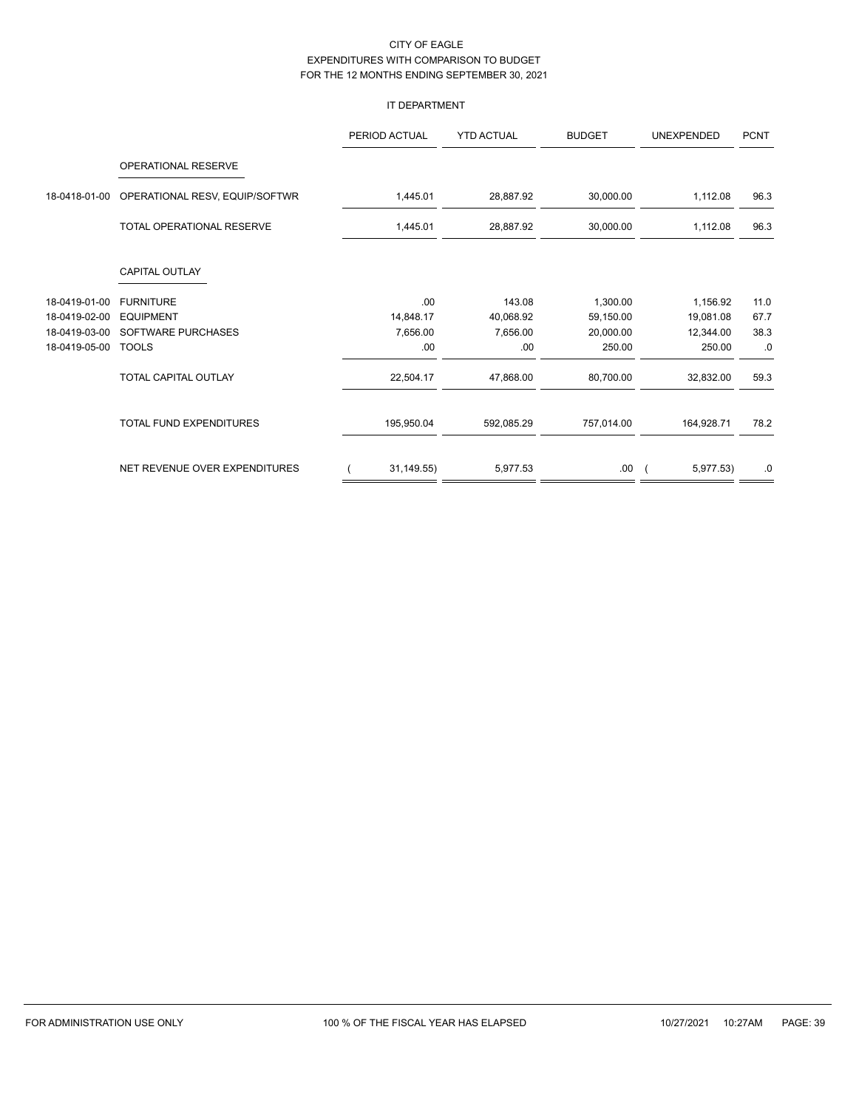## IT DEPARTMENT

|               |                                  | PERIOD ACTUAL | <b>YTD ACTUAL</b> | <b>BUDGET</b> | <b>UNEXPENDED</b> | <b>PCNT</b> |
|---------------|----------------------------------|---------------|-------------------|---------------|-------------------|-------------|
|               | <b>OPERATIONAL RESERVE</b>       |               |                   |               |                   |             |
| 18-0418-01-00 | OPERATIONAL RESV, EQUIP/SOFTWR   | 1,445.01      | 28,887.92         | 30,000.00     | 1,112.08          | 96.3        |
|               | <b>TOTAL OPERATIONAL RESERVE</b> | 1,445.01      | 28,887.92         | 30,000.00     | 1,112.08          | 96.3        |
|               | <b>CAPITAL OUTLAY</b>            |               |                   |               |                   |             |
| 18-0419-01-00 | <b>FURNITURE</b>                 | .00.          | 143.08            | 1,300.00      | 1,156.92          | 11.0        |
| 18-0419-02-00 | <b>EQUIPMENT</b>                 | 14,848.17     | 40,068.92         | 59,150.00     | 19,081.08         | 67.7        |
| 18-0419-03-00 | SOFTWARE PURCHASES               | 7,656.00      | 7,656.00          | 20,000.00     | 12,344.00         | 38.3        |
| 18-0419-05-00 | <b>TOOLS</b>                     | .00           | .00               | 250.00        | 250.00            | .0          |
|               | TOTAL CAPITAL OUTLAY             | 22,504.17     | 47,868.00         | 80,700.00     | 32,832.00         | 59.3        |
|               | <b>TOTAL FUND EXPENDITURES</b>   | 195,950.04    | 592,085.29        | 757,014.00    | 164,928.71        | 78.2        |
|               | NET REVENUE OVER EXPENDITURES    | 31,149.55)    | 5,977.53          | .00.          | 5,977.53)         | .0          |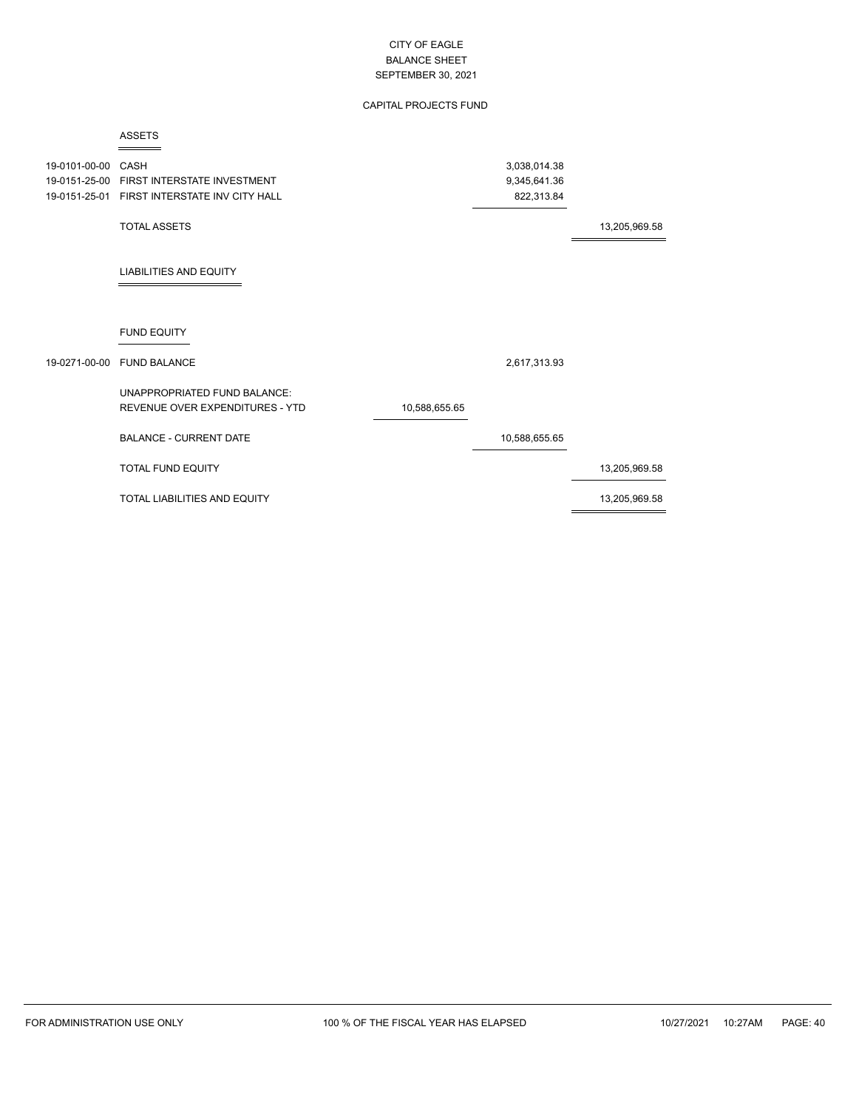## CAPITAL PROJECTS FUND

### ASSETS

| 19-0101-00-00 | CASH                                                            |               | 3,038,014.38  |               |
|---------------|-----------------------------------------------------------------|---------------|---------------|---------------|
|               | 19-0151-25-00 FIRST INTERSTATE INVESTMENT                       |               | 9,345,641.36  |               |
|               | 19-0151-25-01 FIRST INTERSTATE INV CITY HALL                    |               | 822,313.84    |               |
|               | <b>TOTAL ASSETS</b>                                             |               |               | 13,205,969.58 |
|               | <b>LIABILITIES AND EQUITY</b>                                   |               |               |               |
|               | <b>FUND EQUITY</b>                                              |               |               |               |
| 19-0271-00-00 | <b>FUND BALANCE</b>                                             |               | 2,617,313.93  |               |
|               | UNAPPROPRIATED FUND BALANCE:<br>REVENUE OVER EXPENDITURES - YTD | 10,588,655.65 |               |               |
|               | <b>BALANCE - CURRENT DATE</b>                                   |               | 10,588,655.65 |               |
|               | <b>TOTAL FUND EQUITY</b>                                        |               |               | 13,205,969.58 |
|               | <b>TOTAL LIABILITIES AND EQUITY</b>                             |               |               | 13,205,969.58 |
|               |                                                                 |               |               |               |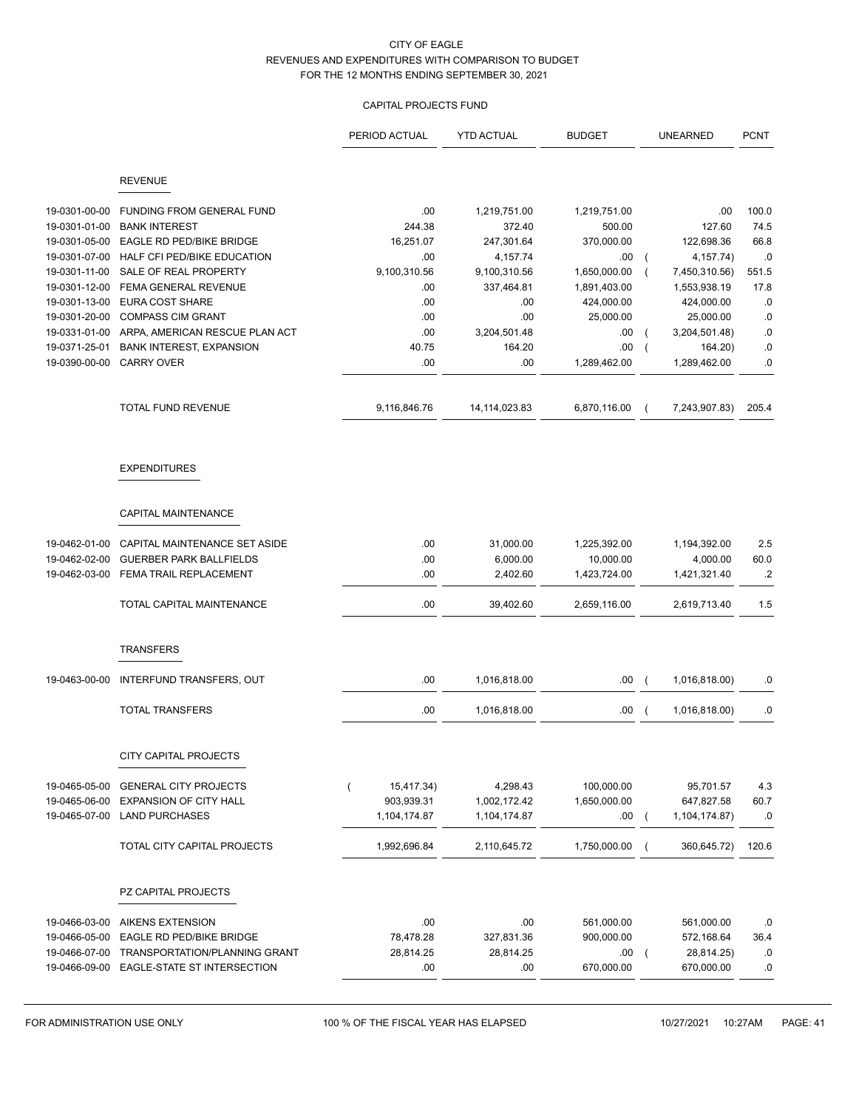## CAPITAL PROJECTS FUND

|               |                                           | PERIOD ACTUAL                | <b>YTD ACTUAL</b> | <b>BUDGET</b> | <b>UNEARNED</b> | <b>PCNT</b>     |
|---------------|-------------------------------------------|------------------------------|-------------------|---------------|-----------------|-----------------|
|               | <b>REVENUE</b>                            |                              |                   |               |                 |                 |
| 19-0301-00-00 | FUNDING FROM GENERAL FUND                 | .00.                         | 1,219,751.00      | 1,219,751.00  | .00             | 100.0           |
| 19-0301-01-00 | <b>BANK INTEREST</b>                      | 244.38                       | 372.40            | 500.00        | 127.60          | 74.5            |
| 19-0301-05-00 | EAGLE RD PED/BIKE BRIDGE                  | 16,251.07                    | 247,301.64        | 370,000.00    | 122,698.36      | 66.8            |
| 19-0301-07-00 | HALF CFI PED/BIKE EDUCATION               | .00.                         | 4,157.74          | .00           | 4, 157.74)      | .0              |
| 19-0301-11-00 | SALE OF REAL PROPERTY                     | 9,100,310.56                 | 9,100,310.56      | 1,650,000.00  | 7,450,310.56)   | 551.5           |
| 19-0301-12-00 | FEMA GENERAL REVENUE                      | .00                          | 337,464.81        | 1,891,403.00  | 1,553,938.19    | 17.8            |
| 19-0301-13-00 | <b>EURA COST SHARE</b>                    | .00.                         | .00               | 424,000.00    | 424,000.00      | .0              |
| 19-0301-20-00 | <b>COMPASS CIM GRANT</b>                  | .00                          | .00               | 25,000.00     | 25,000.00       | .0              |
| 19-0331-01-00 | ARPA, AMERICAN RESCUE PLAN ACT            | .00                          | 3,204,501.48      | .00.          | 3,204,501.48)   | .0              |
| 19-0371-25-01 | <b>BANK INTEREST, EXPANSION</b>           | 40.75                        | 164.20            | .00.          | 164.20)         | .0              |
|               | 19-0390-00-00 CARRY OVER                  | .00                          | .00               | 1,289,462.00  | 1,289,462.00    | .0              |
|               | <b>TOTAL FUND REVENUE</b>                 | 9,116,846.76                 | 14, 114, 023.83   | 6,870,116.00  | 7,243,907.83)   | 205.4           |
|               | <b>EXPENDITURES</b>                       |                              |                   |               |                 |                 |
|               | CAPITAL MAINTENANCE                       |                              |                   |               |                 |                 |
| 19-0462-01-00 | CAPITAL MAINTENANCE SET ASIDE             | .00                          | 31,000.00         | 1,225,392.00  | 1,194,392.00    | 2.5             |
| 19-0462-02-00 | <b>GUERBER PARK BALLFIELDS</b>            | .00.                         | 6,000.00          | 10,000.00     | 4,000.00        | 60.0            |
| 19-0462-03-00 | FEMA TRAIL REPLACEMENT                    | .00                          | 2,402.60          | 1,423,724.00  | 1,421,321.40    | $.2\phantom{0}$ |
|               | TOTAL CAPITAL MAINTENANCE                 | .00                          | 39,402.60         | 2,659,116.00  | 2,619,713.40    | 1.5             |
|               | <b>TRANSFERS</b>                          |                              |                   |               |                 |                 |
| 19-0463-00-00 | INTERFUND TRANSFERS, OUT                  | .00                          | 1,016,818.00      | .00           | 1,016,818.00)   | .0              |
|               | <b>TOTAL TRANSFERS</b>                    | .00                          | 1,016,818.00      | .00           | 1,016,818.00)   | .0              |
|               | CITY CAPITAL PROJECTS                     |                              |                   |               |                 |                 |
| 19-0465-05-00 | <b>GENERAL CITY PROJECTS</b>              | 15,417.34)<br>$\overline{(}$ | 4,298.43          | 100,000.00    | 95,701.57       | 4.3             |
| 19-0465-06-00 | <b>EXPANSION OF CITY HALL</b>             | 903,939.31                   | 1,002,172.42      | 1,650,000.00  | 647,827.58      | 60.7            |
| 19-0465-07-00 | <b>LAND PURCHASES</b>                     | 1,104,174.87                 | 1,104,174.87      | .00.          | 1,104,174.87)   | .0              |
|               | <b>TOTAL CITY CAPITAL PROJECTS</b>        | 1,992,696.84                 | 2,110,645.72      | 1,750,000.00  | 360,645.72)     | 120.6           |
|               | PZ CAPITAL PROJECTS                       |                              |                   |               |                 |                 |
|               |                                           |                              |                   |               |                 |                 |
| 19-0466-03-00 | <b>AIKENS EXTENSION</b>                   | .00                          | .00               | 561,000.00    | 561,000.00      | .0              |
| 19-0466-05-00 | EAGLE RD PED/BIKE BRIDGE                  | 78,478.28                    | 327,831.36        | 900,000.00    | 572,168.64      | 36.4            |
| 19-0466-07-00 | TRANSPORTATION/PLANNING GRANT             | 28,814.25                    | 28,814.25         | .00           | 28,814.25)      | .0              |
|               | 19-0466-09-00 EAGLE-STATE ST INTERSECTION | .00.                         | .00               | 670,000.00    | 670,000.00      | .0              |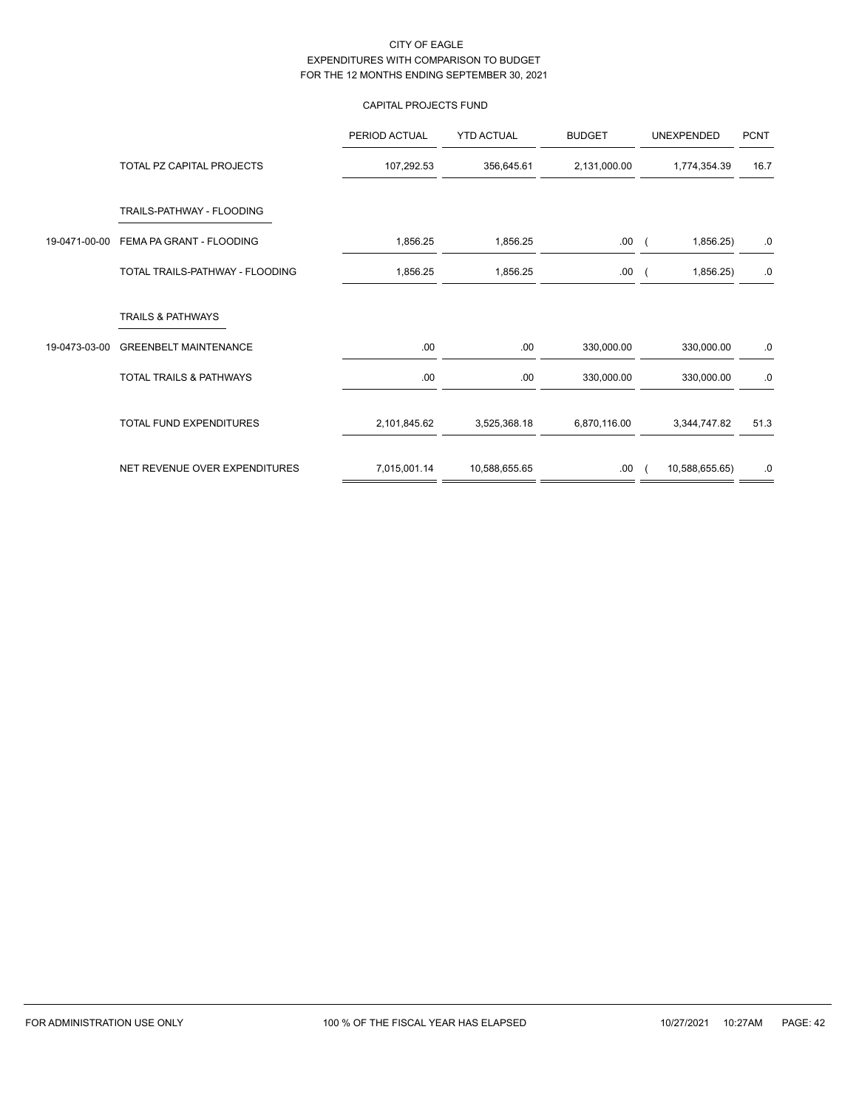## CAPITAL PROJECTS FUND

|               |                                 | PERIOD ACTUAL | <b>YTD ACTUAL</b> | <b>BUDGET</b> | UNEXPENDED     | <b>PCNT</b> |
|---------------|---------------------------------|---------------|-------------------|---------------|----------------|-------------|
|               | TOTAL PZ CAPITAL PROJECTS       | 107,292.53    | 356,645.61        | 2,131,000.00  | 1,774,354.39   | 16.7        |
|               | TRAILS-PATHWAY - FLOODING       |               |                   |               |                |             |
| 19-0471-00-00 | FEMA PA GRANT - FLOODING        | 1,856.25      | 1,856.25          | .00.          | 1,856.25       | .0          |
|               | TOTAL TRAILS-PATHWAY - FLOODING | 1,856.25      | 1,856.25          | .00.          | 1,856.25       | $.0\,$      |
|               | <b>TRAILS &amp; PATHWAYS</b>    |               |                   |               |                |             |
| 19-0473-03-00 | <b>GREENBELT MAINTENANCE</b>    | .00           | .00               | 330,000.00    | 330,000.00     | .0          |
|               | TOTAL TRAILS & PATHWAYS         | .00           | .00               | 330,000.00    | 330,000.00     | .0          |
|               | TOTAL FUND EXPENDITURES         | 2,101,845.62  | 3,525,368.18      | 6,870,116.00  | 3,344,747.82   | 51.3        |
|               | NET REVENUE OVER EXPENDITURES   | 7,015,001.14  | 10,588,655.65     | .00.          | 10,588,655.65) | .0          |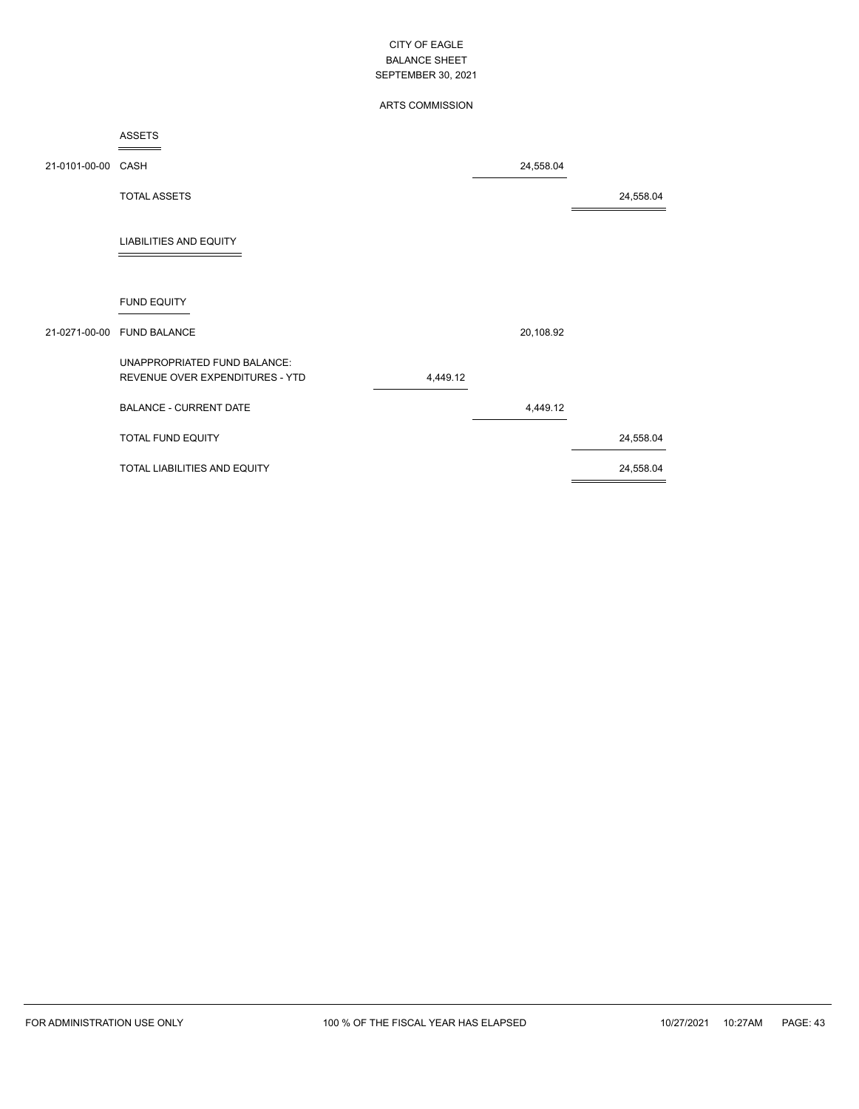## ARTS COMMISSION

### ASSETS

| 21-0101-00-00 CASH |                                                                 |          | 24,558.04 |           |
|--------------------|-----------------------------------------------------------------|----------|-----------|-----------|
|                    | <b>TOTAL ASSETS</b>                                             |          |           | 24,558.04 |
|                    | <b>LIABILITIES AND EQUITY</b>                                   |          |           |           |
|                    | <b>FUND EQUITY</b>                                              |          |           |           |
| 21-0271-00-00      | <b>FUND BALANCE</b>                                             |          | 20,108.92 |           |
|                    | UNAPPROPRIATED FUND BALANCE:<br>REVENUE OVER EXPENDITURES - YTD | 4,449.12 |           |           |
|                    | <b>BALANCE - CURRENT DATE</b>                                   |          | 4,449.12  |           |
|                    | <b>TOTAL FUND EQUITY</b>                                        |          |           | 24,558.04 |
|                    | TOTAL LIABILITIES AND EQUITY                                    |          |           | 24,558.04 |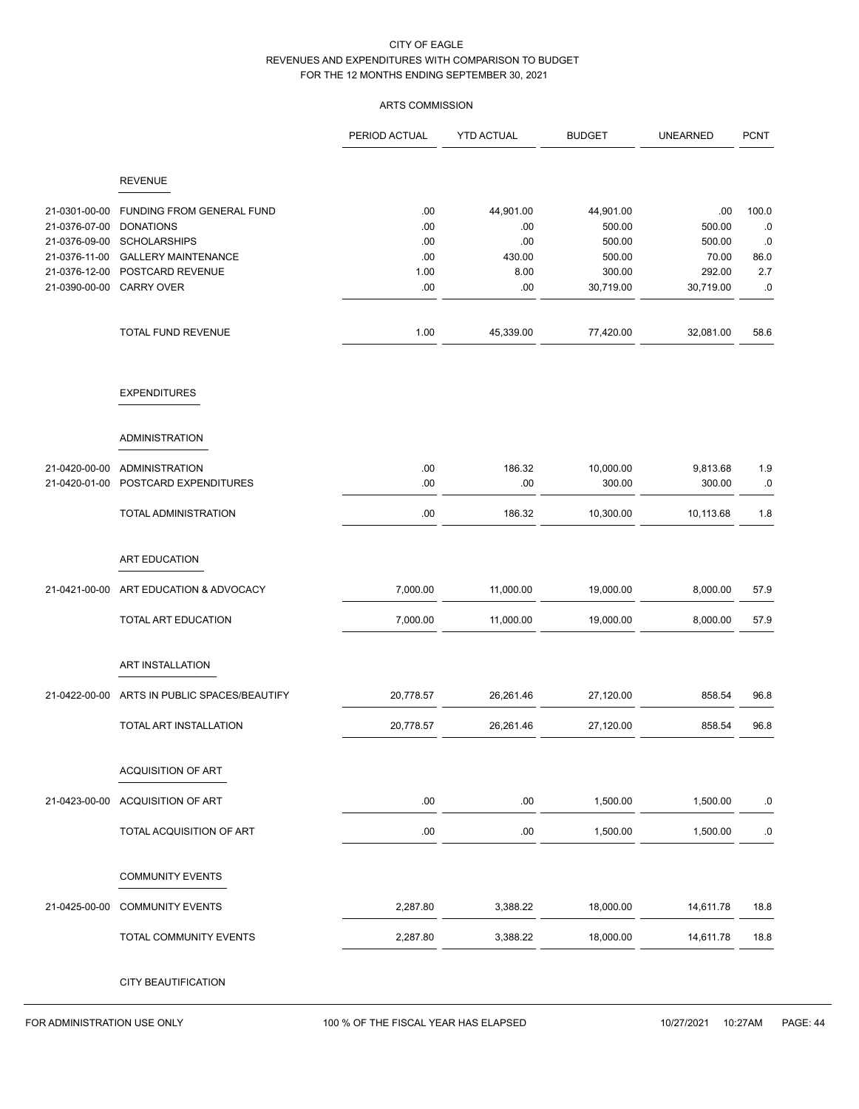## ARTS COMMISSION

|               |                                  | PERIOD ACTUAL | <b>YTD ACTUAL</b> | <b>BUDGET</b> | <b>UNEARNED</b> | <b>PCNT</b> |
|---------------|----------------------------------|---------------|-------------------|---------------|-----------------|-------------|
|               | <b>REVENUE</b>                   |               |                   |               |                 |             |
| 21-0301-00-00 | <b>FUNDING FROM GENERAL FUND</b> | .00           | 44,901.00         | 44,901.00     | .00             | 100.0       |
| 21-0376-07-00 | <b>DONATIONS</b>                 | .00           | .00               | 500.00        | 500.00          | $.0\,$      |
| 21-0376-09-00 | <b>SCHOLARSHIPS</b>              | .00           | .00               | 500.00        | 500.00          | .0          |
| 21-0376-11-00 | <b>GALLERY MAINTENANCE</b>       | .00           | 430.00            | 500.00        | 70.00           | 86.0        |
| 21-0376-12-00 | POSTCARD REVENUE                 | 1.00          | 8.00              | 300.00        | 292.00          | 2.7         |
| 21-0390-00-00 | <b>CARRY OVER</b>                | .00           | .00               | 30,719.00     | 30,719.00       | .0          |
|               | TOTAL FUND REVENUE               | 1.00          | 45,339.00         | 77,420.00     | 32,081.00       | 58.6        |
|               | <b>EXPENDITURES</b>              |               |                   |               |                 |             |
|               | <b>ADMINISTRATION</b>            |               |                   |               |                 |             |
|               |                                  |               |                   |               |                 |             |
| 21-0420-00-00 | <b>ADMINISTRATION</b>            | .00           | 186.32            | 10,000.00     | 9,813.68        | 1.9         |
| 21-0420-01-00 | POSTCARD EXPENDITURES            | .00           | .00               | 300.00        | 300.00          | $.0\,$      |
|               | TOTAL ADMINISTRATION             | .00           | 186.32            | 10,300.00     | 10,113.68       | 1.8         |
|               | ART EDUCATION                    |               |                   |               |                 |             |
| 21-0421-00-00 | ART EDUCATION & ADVOCACY         | 7,000.00      | 11,000.00         | 19,000.00     | 8,000.00        | 57.9        |
|               | TOTAL ART EDUCATION              | 7,000.00      | 11,000.00         | 19,000.00     | 8,000.00        | 57.9        |
|               | ART INSTALLATION                 |               |                   |               |                 |             |
|               |                                  |               |                   |               |                 |             |
| 21-0422-00-00 | ARTS IN PUBLIC SPACES/BEAUTIFY   | 20,778.57     | 26,261.46         | 27,120.00     | 858.54          | 96.8        |
|               | TOTAL ART INSTALLATION           | 20,778.57     | 26,261.46         | 27,120.00     | 858.54          | 96.8        |
|               | <b>ACQUISITION OF ART</b>        |               |                   |               |                 |             |
| 21-0423-00-00 | ACQUISITION OF ART               | .00           | .00               | 1,500.00      | 1,500.00        | .0          |
|               | TOTAL ACQUISITION OF ART         | .00           | .00               | 1,500.00      | 1,500.00        | .0          |
|               | <b>COMMUNITY EVENTS</b>          |               |                   |               |                 |             |
| 21-0425-00-00 | <b>COMMUNITY EVENTS</b>          | 2,287.80      | 3,388.22          | 18,000.00     | 14,611.78       | 18.8        |
|               | TOTAL COMMUNITY EVENTS           | 2,287.80      | 3,388.22          | 18,000.00     | 14,611.78       | 18.8        |
|               |                                  |               |                   |               |                 |             |
|               | CITY BEAUTIFICATION              |               |                   |               |                 |             |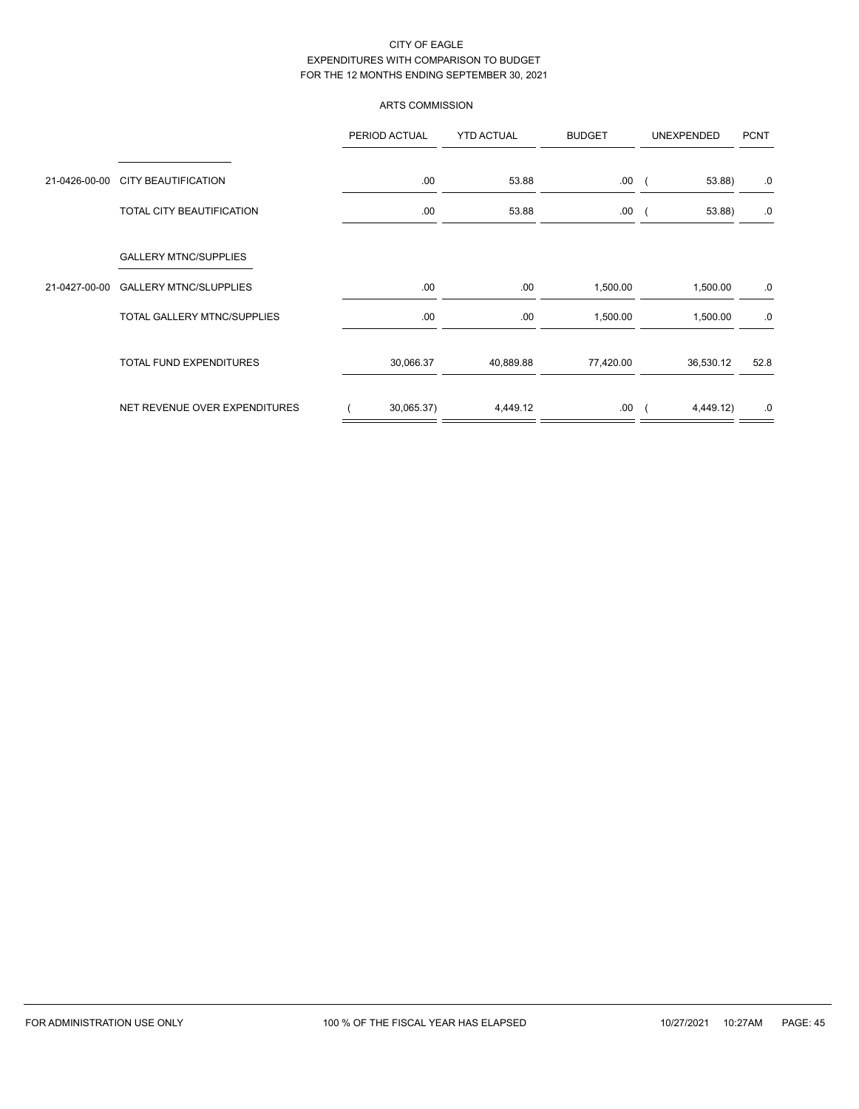## ARTS COMMISSION

|               |                                    | PERIOD ACTUAL | <b>YTD ACTUAL</b> | <b>BUDGET</b> | UNEXPENDED | <b>PCNT</b> |
|---------------|------------------------------------|---------------|-------------------|---------------|------------|-------------|
| 21-0426-00-00 | <b>CITY BEAUTIFICATION</b>         | .00.          | 53.88             | .00.          | 53.88)     | .0          |
|               | TOTAL CITY BEAUTIFICATION          | .00.          | 53.88             | .00.          | 53.88)     | .0          |
|               | <b>GALLERY MTNC/SUPPLIES</b>       |               |                   |               |            |             |
| 21-0427-00-00 | <b>GALLERY MTNC/SLUPPLIES</b>      | .00           | .00               | 1,500.00      | 1,500.00   | .0          |
|               | <b>TOTAL GALLERY MTNC/SUPPLIES</b> | .00.          | .00               | 1,500.00      | 1,500.00   | .0          |
|               | <b>TOTAL FUND EXPENDITURES</b>     | 30,066.37     | 40,889.88         | 77,420.00     | 36,530.12  | 52.8        |
|               | NET REVENUE OVER EXPENDITURES      | 30,065.37)    | 4,449.12          | .00.          | 4,449.12)  | .0          |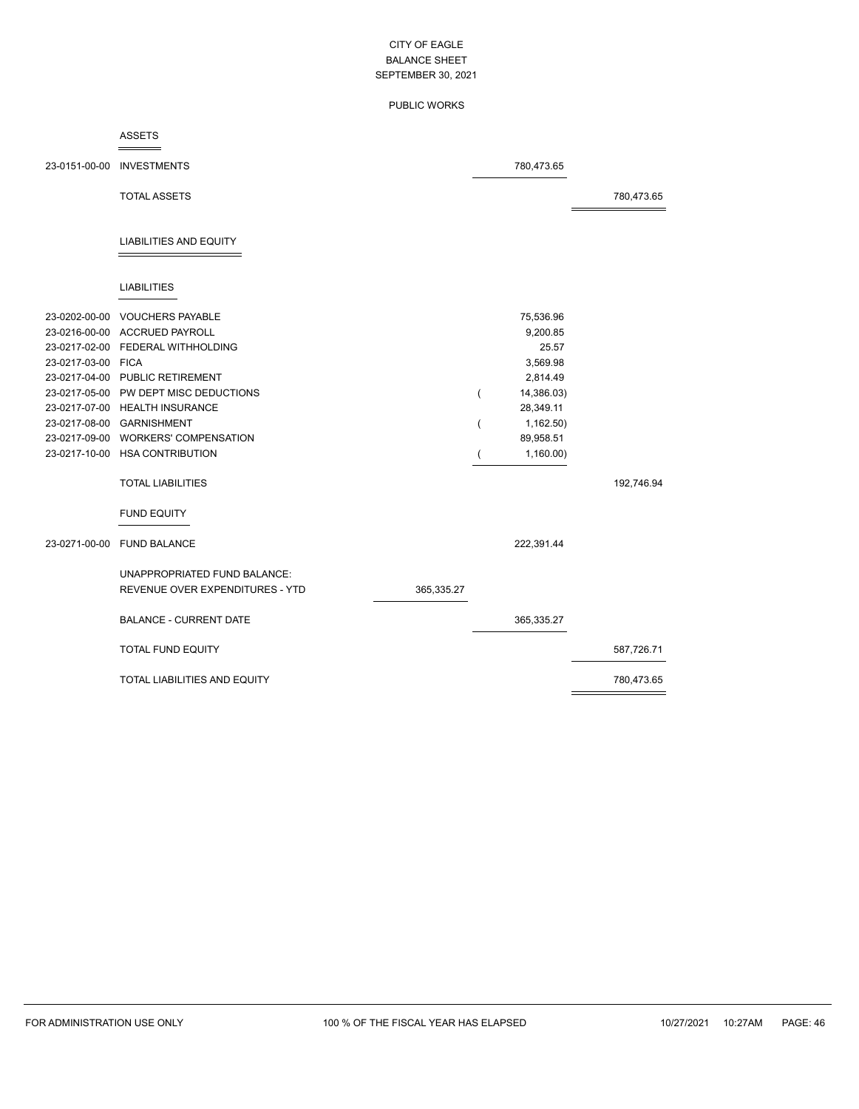### PUBLIC WORKS

#### ASSETS  $=$

|                    | 23-0151-00-00 INVESTMENTS             |            |                | 780,473.65 |            |
|--------------------|---------------------------------------|------------|----------------|------------|------------|
|                    | <b>TOTAL ASSETS</b>                   |            |                |            | 780,473.65 |
|                    | <b>LIABILITIES AND EQUITY</b>         |            |                |            |            |
|                    | <b>LIABILITIES</b>                    |            |                |            |            |
|                    | 23-0202-00-00 VOUCHERS PAYABLE        |            |                | 75,536.96  |            |
|                    | 23-0216-00-00 ACCRUED PAYROLL         |            |                | 9,200.85   |            |
|                    | 23-0217-02-00 FEDERAL WITHHOLDING     |            |                | 25.57      |            |
| 23-0217-03-00 FICA |                                       |            |                | 3,569.98   |            |
|                    | 23-0217-04-00 PUBLIC RETIREMENT       |            |                | 2,814.49   |            |
|                    | 23-0217-05-00 PW DEPT MISC DEDUCTIONS |            | $\overline{(}$ | 14,386.03) |            |
|                    | 23-0217-07-00 HEALTH INSURANCE        |            |                | 28,349.11  |            |
|                    | 23-0217-08-00 GARNISHMENT             |            | $\overline{(}$ | 1,162.50)  |            |
|                    | 23-0217-09-00 WORKERS' COMPENSATION   |            |                | 89,958.51  |            |
|                    | 23-0217-10-00 HSA CONTRIBUTION        |            |                | 1,160.00   |            |
|                    | <b>TOTAL LIABILITIES</b>              |            |                |            | 192,746.94 |
|                    | <b>FUND EQUITY</b>                    |            |                |            |            |
|                    | 23-0271-00-00 FUND BALANCE            |            |                | 222,391.44 |            |
|                    | UNAPPROPRIATED FUND BALANCE:          |            |                |            |            |
|                    | REVENUE OVER EXPENDITURES - YTD       | 365,335.27 |                |            |            |
|                    | <b>BALANCE - CURRENT DATE</b>         |            |                | 365,335.27 |            |
|                    | <b>TOTAL FUND EQUITY</b>              |            |                |            | 587,726.71 |
|                    | <b>TOTAL LIABILITIES AND EQUITY</b>   |            |                |            | 780,473.65 |

 $\equiv$ 

L,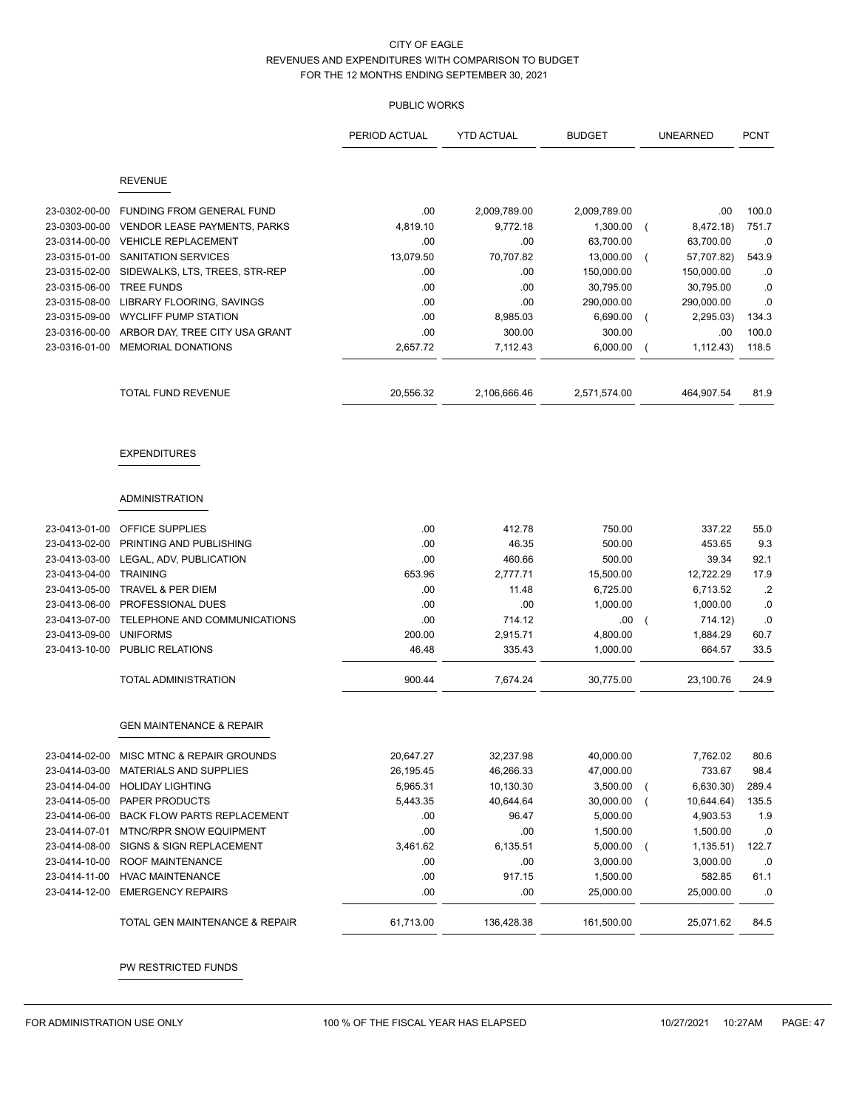## PUBLIC WORKS

|                                |                                                | PERIOD ACTUAL | <b>YTD ACTUAL</b> | <b>BUDGET</b>          | <b>UNEARNED</b>             | <b>PCNT</b>     |
|--------------------------------|------------------------------------------------|---------------|-------------------|------------------------|-----------------------------|-----------------|
|                                | <b>REVENUE</b>                                 |               |                   |                        |                             |                 |
|                                |                                                |               |                   |                        |                             |                 |
| 23-0302-00-00                  | <b>FUNDING FROM GENERAL FUND</b>               | .00           | 2,009,789.00      | 2,009,789.00           | .00                         | 100.0           |
| 23-0303-00-00                  | VENDOR LEASE PAYMENTS, PARKS                   | 4,819.10      | 9,772.18          | 1,300.00               | 8,472.18)                   | 751.7           |
| 23-0314-00-00                  | <b>VEHICLE REPLACEMENT</b>                     | .00           | .00.              | 63,700.00              | 63,700.00                   | .0              |
| 23-0315-01-00                  | SANITATION SERVICES                            | 13,079.50     | 70,707.82         | 13,000.00              | 57,707.82)                  | 543.9           |
| 23-0315-02-00                  | SIDEWALKS, LTS, TREES, STR-REP                 | .00           | .00               | 150,000.00             | 150,000.00                  | .0              |
| 23-0315-06-00                  | <b>TREE FUNDS</b><br>LIBRARY FLOORING, SAVINGS | .00           | .00.<br>.00       | 30,795.00              | 30,795.00                   | .0<br>.0        |
| 23-0315-08-00<br>23-0315-09-00 | <b>WYCLIFF PUMP STATION</b>                    | .00<br>.00    | 8,985.03          | 290,000.00<br>6,690.00 | 290,000.00                  | 134.3           |
| 23-0316-00-00                  | ARBOR DAY, TREE CITY USA GRANT                 | .00           | 300.00            | 300.00                 | 2,295.03)<br>.00            | 100.0           |
| 23-0316-01-00                  | <b>MEMORIAL DONATIONS</b>                      | 2,657.72      | 7,112.43          | 6,000.00               | 1,112.43)<br>$\overline{ }$ | 118.5           |
|                                |                                                |               |                   |                        |                             |                 |
|                                | TOTAL FUND REVENUE                             | 20,556.32     | 2,106,666.46      | 2,571,574.00           | 464,907.54                  | 81.9            |
|                                | <b>EXPENDITURES</b>                            |               |                   |                        |                             |                 |
|                                | <b>ADMINISTRATION</b>                          |               |                   |                        |                             |                 |
| 23-0413-01-00                  | OFFICE SUPPLIES                                | .00           | 412.78            | 750.00                 | 337.22                      | 55.0            |
| 23-0413-02-00                  | PRINTING AND PUBLISHING                        | .00           | 46.35             | 500.00                 | 453.65                      | 9.3             |
| 23-0413-03-00                  | LEGAL, ADV, PUBLICATION                        | .00           | 460.66            | 500.00                 | 39.34                       | 92.1            |
| 23-0413-04-00                  | <b>TRAINING</b>                                | 653.96        | 2,777.71          | 15,500.00              | 12,722.29                   | 17.9            |
| 23-0413-05-00                  | TRAVEL & PER DIEM                              | .00           | 11.48             | 6,725.00               | 6,713.52                    | $.2\phantom{0}$ |
| 23-0413-06-00                  | PROFESSIONAL DUES                              | .00           | .00               | 1,000.00               | 1,000.00                    | .0              |
| 23-0413-07-00                  | TELEPHONE AND COMMUNICATIONS                   | .00           | 714.12            | .00                    | 714.12)<br>$\overline{ }$   | .0              |
| 23-0413-09-00                  | <b>UNIFORMS</b>                                | 200.00        | 2,915.71          | 4,800.00               | 1,884.29                    | 60.7            |
| 23-0413-10-00                  | PUBLIC RELATIONS                               | 46.48         | 335.43            | 1,000.00               | 664.57                      | 33.5            |
|                                | TOTAL ADMINISTRATION                           | 900.44        | 7,674.24          | 30,775.00              | 23,100.76                   | 24.9            |
|                                | <b>GEN MAINTENANCE &amp; REPAIR</b>            |               |                   |                        |                             |                 |
| 23-0414-02-00                  | MISC MTNC & REPAIR GROUNDS                     | 20,647.27     | 32,237.98         | 40,000.00              | 7,762.02                    | 80.6            |
| 23-0414-03-00                  | MATERIALS AND SUPPLIES                         | 26,195.45     | 46,266.33         | 47,000.00              | 733.67                      | 98.4            |
| 23-0414-04-00                  | <b>HOLIDAY LIGHTING</b>                        | 5,965.31      | 10,130.30         | 3,500.00               | 6,630.30)                   | 289.4           |
| 23-0414-05-00                  | PAPER PRODUCTS                                 | 5,443.35      | 40,644.64         | 30,000.00              | 10,644.64)                  | 135.5           |
| 23-0414-06-00                  | <b>BACK FLOW PARTS REPLACEMENT</b>             | .00           | 96.47             | 5,000.00               | 4,903.53                    | 1.9             |
| 23-0414-07-01                  | MTNC/RPR SNOW EQUIPMENT                        | .00           | .00               | 1,500.00               | 1,500.00                    | .0              |
| 23-0414-08-00                  | SIGNS & SIGN REPLACEMENT                       | 3,461.62      | 6,135.51          | 5,000.00               | 1,135.51)<br>$\overline{ }$ | 122.7           |
| 23-0414-10-00                  | ROOF MAINTENANCE                               | .00           | .00               | 3,000.00               | 3,000.00                    | .0              |
| 23-0414-11-00                  | <b>HVAC MAINTENANCE</b>                        | .00           | 917.15            | 1,500.00               | 582.85                      | 61.1            |
| 23-0414-12-00                  | <b>EMERGENCY REPAIRS</b>                       | .00           | .00               | 25,000.00              | 25,000.00                   | .0              |
|                                | TOTAL GEN MAINTENANCE & REPAIR                 | 61,713.00     | 136,428.38        | 161,500.00             | 25,071.62                   | 84.5            |

PW RESTRICTED FUNDS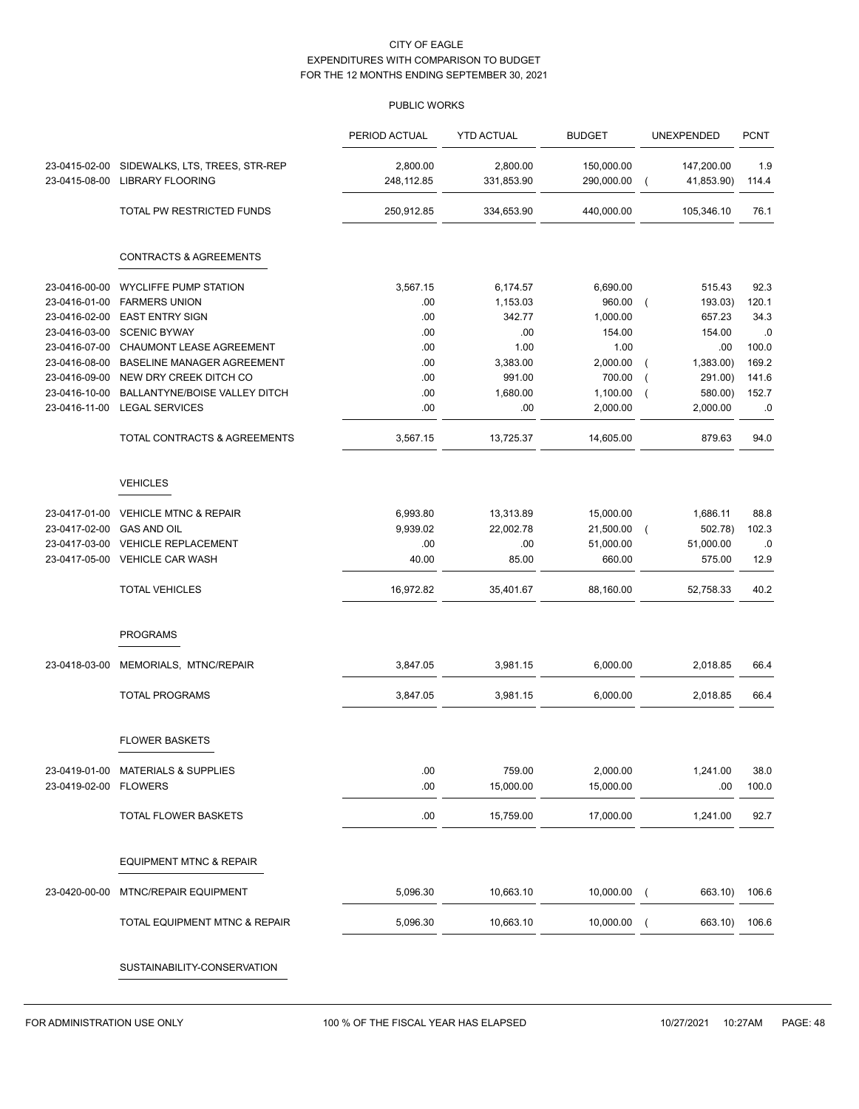|                                |                                                           | PERIOD ACTUAL          | <b>YTD ACTUAL</b>      | <b>BUDGET</b>            |                | UNEXPENDED               | <b>PCNT</b>  |
|--------------------------------|-----------------------------------------------------------|------------------------|------------------------|--------------------------|----------------|--------------------------|--------------|
| 23-0415-02-00<br>23-0415-08-00 | SIDEWALKS, LTS, TREES, STR-REP<br><b>LIBRARY FLOORING</b> | 2,800.00<br>248,112.85 | 2,800.00<br>331,853.90 | 150,000.00<br>290,000.00 | $\overline{ }$ | 147,200.00<br>41,853.90) | 1.9<br>114.4 |
|                                | TOTAL PW RESTRICTED FUNDS                                 | 250,912.85             | 334,653.90             | 440,000.00               |                | 105,346.10               | 76.1         |
|                                | <b>CONTRACTS &amp; AGREEMENTS</b>                         |                        |                        |                          |                |                          |              |
| 23-0416-00-00                  | <b>WYCLIFFE PUMP STATION</b>                              | 3,567.15               | 6,174.57               | 6,690.00                 |                | 515.43                   | 92.3         |
| 23-0416-01-00                  | <b>FARMERS UNION</b>                                      | .00                    | 1,153.03               | 960.00                   | $\left($       | 193.03)                  | 120.1        |
| 23-0416-02-00                  | <b>EAST ENTRY SIGN</b>                                    | .00                    | 342.77                 | 1,000.00                 |                | 657.23                   | 34.3         |
| 23-0416-03-00                  | <b>SCENIC BYWAY</b>                                       | .00                    | .00                    | 154.00                   |                | 154.00                   | $.0$         |
| 23-0416-07-00                  | CHAUMONT LEASE AGREEMENT                                  | .00                    | 1.00                   | 1.00                     |                | .00                      | 100.0        |
| 23-0416-08-00                  | BASELINE MANAGER AGREEMENT                                | .00                    | 3,383.00               | 2,000.00                 | $\overline{ }$ | 1,383.00)                | 169.2        |
| 23-0416-09-00                  | NEW DRY CREEK DITCH CO                                    | .00                    | 991.00                 | 700.00                   | $\overline{ }$ | 291.00)                  | 141.6        |
| 23-0416-10-00<br>23-0416-11-00 | BALLANTYNE/BOISE VALLEY DITCH<br><b>LEGAL SERVICES</b>    | .00<br>.00             | 1,680.00<br>.00        | 1,100.00<br>2,000.00     | $\overline{ }$ | 580.00)<br>2,000.00      | 152.7<br>.0  |
|                                | TOTAL CONTRACTS & AGREEMENTS                              | 3,567.15               | 13,725.37              | 14,605.00                |                | 879.63                   | 94.0         |
|                                |                                                           |                        |                        |                          |                |                          |              |
|                                | <b>VEHICLES</b>                                           |                        |                        |                          |                |                          |              |
| 23-0417-01-00                  | <b>VEHICLE MTNC &amp; REPAIR</b>                          | 6,993.80               | 13,313.89              | 15,000.00                |                | 1,686.11                 | 88.8         |
| 23-0417-02-00                  | GAS AND OIL                                               | 9,939.02               | 22,002.78              | 21,500.00                | $\left($       | 502.78)                  | 102.3        |
| 23-0417-03-00                  | <b>VEHICLE REPLACEMENT</b>                                | .00                    | .00                    | 51,000.00                |                | 51,000.00                | .0           |
|                                | 23-0417-05-00 VEHICLE CAR WASH                            | 40.00                  | 85.00                  | 660.00                   |                | 575.00                   | 12.9         |
|                                | <b>TOTAL VEHICLES</b>                                     | 16,972.82              | 35,401.67              | 88,160.00                |                | 52,758.33                | 40.2         |
|                                | <b>PROGRAMS</b>                                           |                        |                        |                          |                |                          |              |
| 23-0418-03-00                  | MEMORIALS, MTNC/REPAIR                                    | 3,847.05               | 3,981.15               | 6,000.00                 |                | 2,018.85                 | 66.4         |
|                                | <b>TOTAL PROGRAMS</b>                                     | 3,847.05               | 3,981.15               | 6,000.00                 |                | 2,018.85                 | 66.4         |
|                                |                                                           |                        |                        |                          |                |                          |              |
|                                | <b>FLOWER BASKETS</b>                                     |                        |                        |                          |                |                          |              |
|                                | 23-0419-01-00 MATERIALS & SUPPLIES                        | .00                    | 759.00                 | 2,000.00                 |                | 1,241.00                 | 38.0         |
| 23-0419-02-00 FLOWERS          |                                                           | .00                    | 15,000.00              | 15,000.00                |                | .00                      | 100.0        |
|                                | TOTAL FLOWER BASKETS                                      | .00                    | 15,759.00              | 17,000.00                |                | 1,241.00                 | 92.7         |
|                                | <b>EQUIPMENT MTNC &amp; REPAIR</b>                        |                        |                        |                          |                |                          |              |
|                                |                                                           |                        |                        |                          |                |                          |              |
| 23-0420-00-00                  | <b>MTNC/REPAIR EQUIPMENT</b>                              | 5,096.30               | 10,663.10              | 10,000.00                | $\sqrt{2}$     | 663.10)                  | 106.6        |
|                                | TOTAL EQUIPMENT MTNC & REPAIR                             | 5,096.30               | 10,663.10              | 10,000.00                |                | 663.10)                  | 106.6        |
|                                | SUSTAINABILITY-CONSERVATION                               |                        |                        |                          |                |                          |              |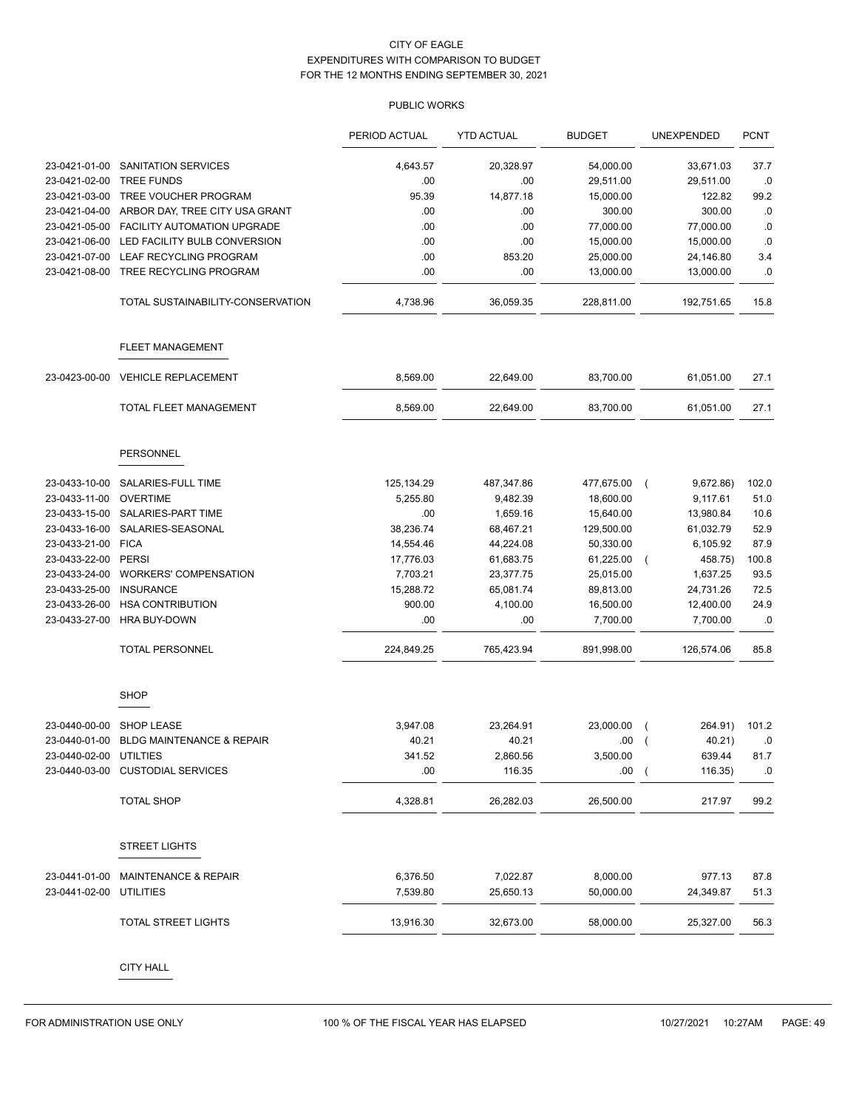|                        |                                      | PERIOD ACTUAL | <b>YTD ACTUAL</b> | <b>BUDGET</b> | <b>UNEXPENDED</b>         | <b>PCNT</b> |
|------------------------|--------------------------------------|---------------|-------------------|---------------|---------------------------|-------------|
| 23-0421-01-00          | <b>SANITATION SERVICES</b>           | 4,643.57      | 20,328.97         | 54,000.00     | 33,671.03                 | 37.7        |
| 23-0421-02-00          | <b>TREE FUNDS</b>                    | .00           | .00               | 29,511.00     | 29,511.00                 | .0          |
| 23-0421-03-00          | TREE VOUCHER PROGRAM                 | 95.39         | 14,877.18         | 15,000.00     | 122.82                    | 99.2        |
| 23-0421-04-00          | ARBOR DAY, TREE CITY USA GRANT       | .00           | .00               | 300.00        | 300.00                    | .0          |
| 23-0421-05-00          | FACILITY AUTOMATION UPGRADE          | .00           | .00               | 77,000.00     | 77,000.00                 | .0          |
| 23-0421-06-00          | LED FACILITY BULB CONVERSION         | .00           | .00               | 15,000.00     | 15,000.00                 | .0          |
| 23-0421-07-00          | LEAF RECYCLING PROGRAM               | .00           | 853.20            | 25,000.00     | 24,146.80                 | 3.4         |
| 23-0421-08-00          | TREE RECYCLING PROGRAM               | .00           | .00               | 13,000.00     | 13,000.00                 | 0.0         |
|                        | TOTAL SUSTAINABILITY-CONSERVATION    | 4,738.96      | 36,059.35         | 228,811.00    | 192,751.65                | 15.8        |
|                        | <b>FLEET MANAGEMENT</b>              |               |                   |               |                           |             |
| 23-0423-00-00          | <b>VEHICLE REPLACEMENT</b>           | 8,569.00      | 22,649.00         | 83,700.00     | 61,051.00                 | 27.1        |
|                        | TOTAL FLEET MANAGEMENT               | 8,569.00      | 22,649.00         | 83,700.00     | 61,051.00                 | 27.1        |
|                        | <b>PERSONNEL</b>                     |               |                   |               |                           |             |
| 23-0433-10-00          | SALARIES-FULL TIME                   | 125,134.29    | 487,347.86        | 477,675.00    | 9,672.86)<br>$\sqrt{ }$   | 102.0       |
| 23-0433-11-00          | <b>OVERTIME</b>                      | 5,255.80      | 9,482.39          | 18,600.00     | 9,117.61                  | 51.0        |
| 23-0433-15-00          | SALARIES-PART TIME                   | .00           | 1,659.16          | 15,640.00     | 13,980.84                 | 10.6        |
| 23-0433-16-00          | SALARIES-SEASONAL                    | 38,236.74     | 68,467.21         | 129,500.00    | 61,032.79                 | 52.9        |
| 23-0433-21-00          | <b>FICA</b>                          | 14,554.46     | 44,224.08         | 50,330.00     | 6,105.92                  | 87.9        |
| 23-0433-22-00          | <b>PERSI</b>                         | 17,776.03     | 61,683.75         | 61,225.00     | 458.75)<br>$\sqrt{2}$     | 100.8       |
| 23-0433-24-00          | <b>WORKERS' COMPENSATION</b>         | 7,703.21      | 23,377.75         | 25,015.00     | 1,637.25                  | 93.5        |
| 23-0433-25-00          | <b>INSURANCE</b>                     | 15,288.72     | 65,081.74         | 89,813.00     | 24,731.26                 | 72.5        |
| 23-0433-26-00          | <b>HSA CONTRIBUTION</b>              | 900.00        | 4,100.00          | 16,500.00     | 12,400.00                 | 24.9        |
| 23-0433-27-00          | HRA BUY-DOWN                         | .00           | .00               | 7,700.00      | 7,700.00                  | .0          |
|                        | <b>TOTAL PERSONNEL</b>               | 224,849.25    | 765,423.94        | 891,998.00    | 126,574.06                | 85.8        |
|                        | <b>SHOP</b>                          |               |                   |               |                           |             |
| 23-0440-00-00          | <b>SHOP LEASE</b>                    | 3,947.08      | 23,264.91         | 23,000.00     | 264.91)<br>$\overline{ }$ | 101.2       |
| 23-0440-01-00          | <b>BLDG MAINTENANCE &amp; REPAIR</b> | 40.21         | 40.21             | .00           | 40.21)<br>$\overline{ }$  | .0          |
| 23-0440-02-00 UTILTIES |                                      | 341.52        | 2,860.56          | 3.500.00      | 639.44                    | 81.7        |
|                        | 23-0440-03-00 CUSTODIAL SERVICES     | .00           | 116.35            | .00(          | 116.35)                   | $\cdot$ 0   |
|                        | <b>TOTAL SHOP</b>                    | 4,328.81      | 26,282.03         | 26,500.00     | 217.97                    | 99.2        |
|                        | <b>STREET LIGHTS</b>                 |               |                   |               |                           |             |
| 23-0441-01-00          | <b>MAINTENANCE &amp; REPAIR</b>      | 6,376.50      | 7,022.87          | 8,000.00      | 977.13                    | 87.8        |
| 23-0441-02-00          | <b>UTILITIES</b>                     | 7,539.80      | 25,650.13         | 50,000.00     | 24,349.87                 | 51.3        |
|                        | TOTAL STREET LIGHTS                  | 13,916.30     | 32,673.00         | 58,000.00     | 25,327.00                 | 56.3        |
|                        |                                      |               |                   |               |                           |             |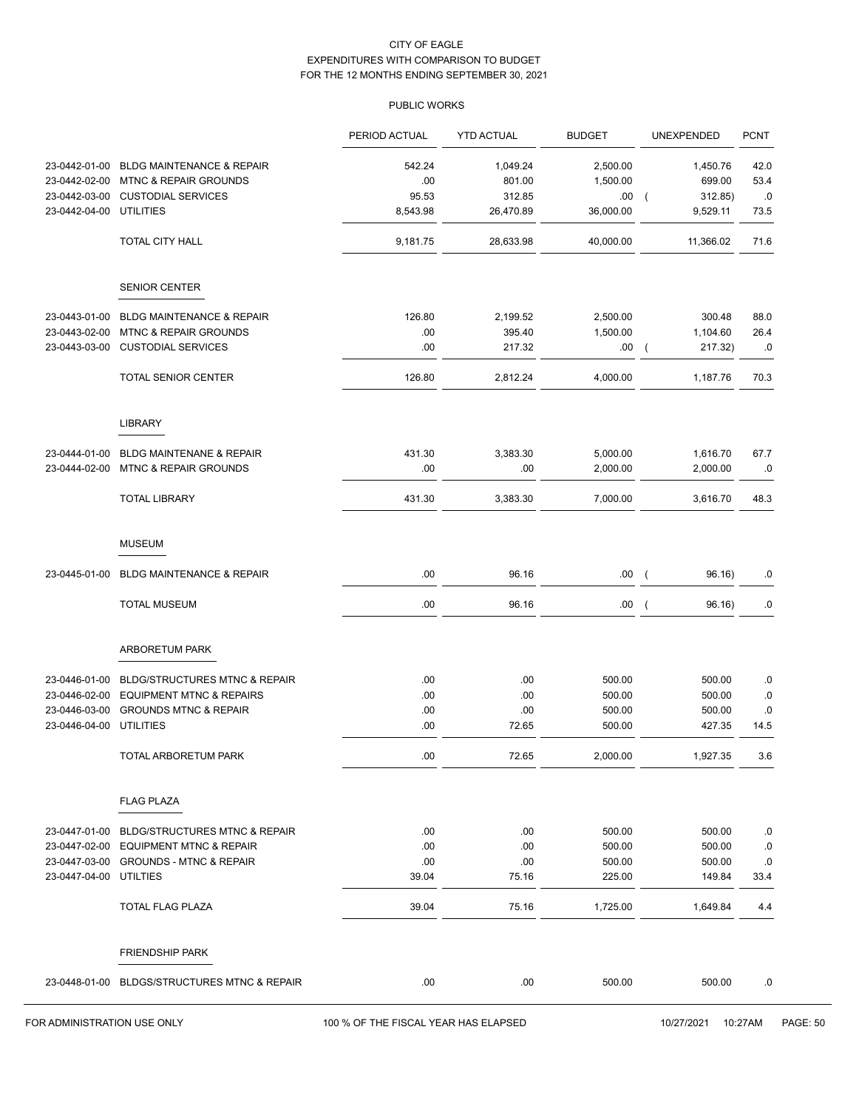|               |                                           | PERIOD ACTUAL | <b>YTD ACTUAL</b> | <b>BUDGET</b> | UNEXPENDED                          | <b>PCNT</b> |
|---------------|-------------------------------------------|---------------|-------------------|---------------|-------------------------------------|-------------|
| 23-0442-01-00 | BLDG MAINTENANCE & REPAIR                 | 542.24        | 1,049.24          | 2,500.00      | 1,450.76                            | 42.0        |
| 23-0442-02-00 | <b>MTNC &amp; REPAIR GROUNDS</b>          | .00.          | 801.00            | 1,500.00      | 699.00                              | 53.4        |
| 23-0442-03-00 | <b>CUSTODIAL SERVICES</b>                 | 95.53         | 312.85            | .00           | 312.85)<br>$\overline{ }$           | .0          |
| 23-0442-04-00 | <b>UTILITIES</b>                          | 8,543.98      | 26,470.89         | 36,000.00     | 9,529.11                            | 73.5        |
|               | TOTAL CITY HALL                           | 9,181.75      | 28,633.98         | 40,000.00     | 11,366.02                           | 71.6        |
|               | <b>SENIOR CENTER</b>                      |               |                   |               |                                     |             |
| 23-0443-01-00 | BLDG MAINTENANCE & REPAIR                 | 126.80        | 2,199.52          | 2,500.00      | 300.48                              | 88.0        |
| 23-0443-02-00 | <b>MTNC &amp; REPAIR GROUNDS</b>          | .00           | 395.40            | 1,500.00      | 1,104.60                            | 26.4        |
| 23-0443-03-00 | <b>CUSTODIAL SERVICES</b>                 | .00           | 217.32            | .00           | 217.32)<br>$\overline{\phantom{a}}$ | .0          |
|               | TOTAL SENIOR CENTER                       | 126.80        | 2,812.24          | 4,000.00      | 1,187.76                            | 70.3        |
|               | <b>LIBRARY</b>                            |               |                   |               |                                     |             |
| 23-0444-01-00 | BLDG MAINTENANE & REPAIR                  | 431.30        | 3,383.30          | 5,000.00      | 1,616.70                            | 67.7        |
| 23-0444-02-00 | <b>MTNC &amp; REPAIR GROUNDS</b>          | .00.          | .00               | 2,000.00      | 2,000.00                            | .0          |
|               | <b>TOTAL LIBRARY</b>                      | 431.30        | 3,383.30          | 7,000.00      | 3,616.70                            | 48.3        |
|               | <b>MUSEUM</b>                             |               |                   |               |                                     |             |
| 23-0445-01-00 | <b>BLDG MAINTENANCE &amp; REPAIR</b>      | .00           | 96.16             | .00           | 96.16)<br>$\overline{\phantom{a}}$  | .0          |
|               | <b>TOTAL MUSEUM</b>                       | .00           | 96.16             | .00           | 96.16)<br>$\overline{ }$            | .0          |
|               | ARBORETUM PARK                            |               |                   |               |                                     |             |
| 23-0446-01-00 | <b>BLDG/STRUCTURES MTNC &amp; REPAIR</b>  | .00.          | .00               | 500.00        | 500.00                              | .0          |
| 23-0446-02-00 | <b>EQUIPMENT MTNC &amp; REPAIRS</b>       | .00           | .00               | 500.00        | 500.00                              | .0          |
| 23-0446-03-00 | <b>GROUNDS MTNC &amp; REPAIR</b>          | .00           | .00               | 500.00        | 500.00                              | .0          |
| 23-0446-04-00 | <b>UTILITIES</b>                          | .00           | 72.65             | 500.00        | 427.35                              | 14.5        |
|               | TOTAL ARBORETUM PARK                      | .00           | 72.65             | 2,000.00      | 1,927.35                            | 3.6         |
|               | <b>FLAG PLAZA</b>                         |               |                   |               |                                     |             |
| 23-0447-01-00 | <b>BLDG/STRUCTURES MTNC &amp; REPAIR</b>  | .00.          | .00               | 500.00        | 500.00                              | .0          |
| 23-0447-02-00 | <b>EQUIPMENT MTNC &amp; REPAIR</b>        | .00           | .00               | 500.00        | 500.00                              | .0          |
| 23-0447-03-00 | <b>GROUNDS - MTNC &amp; REPAIR</b>        | .00           | .00               | 500.00        | 500.00                              | .0          |
| 23-0447-04-00 | <b>UTILTIES</b>                           | 39.04         | 75.16             | 225.00        | 149.84                              | 33.4        |
|               | TOTAL FLAG PLAZA                          | 39.04         | 75.16             | 1,725.00      | 1,649.84                            | 4.4         |
|               | <b>FRIENDSHIP PARK</b>                    |               |                   |               |                                     |             |
| 23-0448-01-00 | <b>BLDGS/STRUCTURES MTNC &amp; REPAIR</b> | .00.          | .00               | 500.00        | 500.00                              | .0          |
|               |                                           |               |                   |               |                                     |             |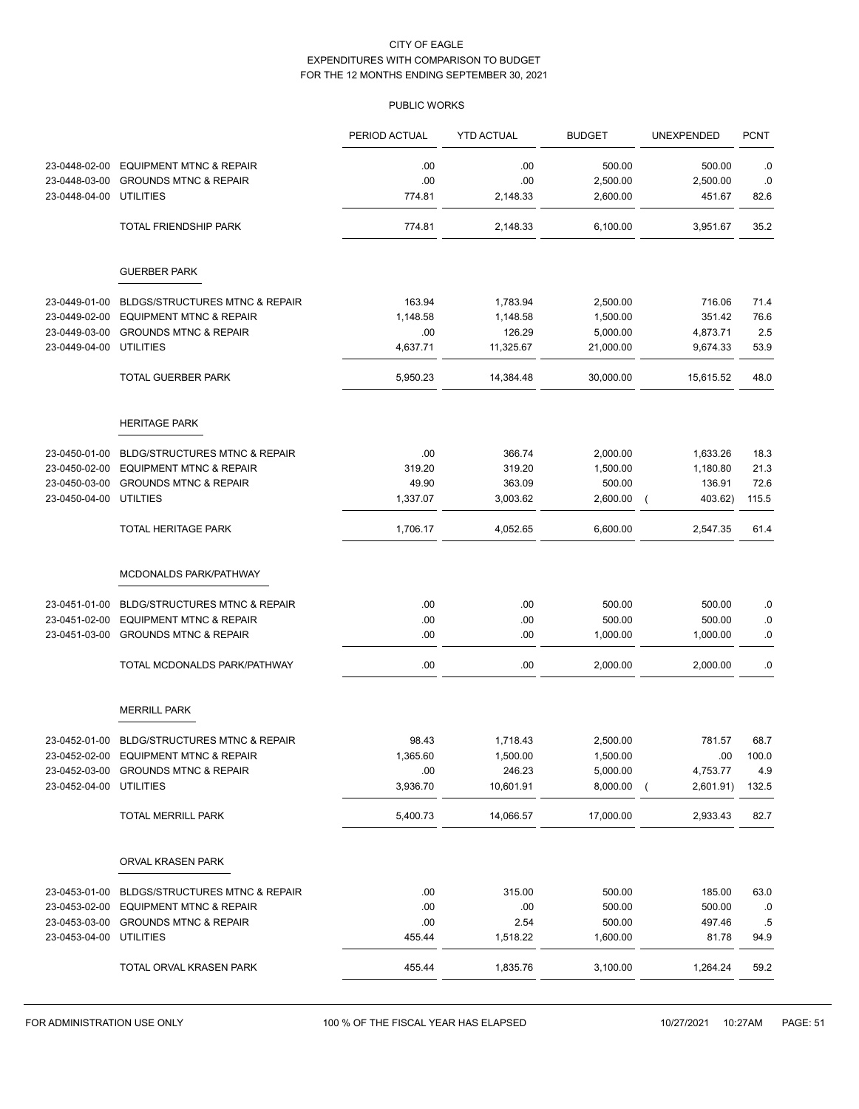|               |                                             | PERIOD ACTUAL | <b>YTD ACTUAL</b> | <b>BUDGET</b> | UNEXPENDED          | <b>PCNT</b> |
|---------------|---------------------------------------------|---------------|-------------------|---------------|---------------------|-------------|
| 23-0448-02-00 | <b>EQUIPMENT MTNC &amp; REPAIR</b>          | .00           | .00               | 500.00        | 500.00              | .0          |
| 23-0448-03-00 | <b>GROUNDS MTNC &amp; REPAIR</b>            | .00           | .00               | 2,500.00      | 2,500.00            | .0          |
| 23-0448-04-00 | <b>UTILITIES</b>                            | 774.81        | 2,148.33          | 2,600.00      | 451.67              | 82.6        |
|               | TOTAL FRIENDSHIP PARK                       | 774.81        | 2,148.33          | 6,100.00      | 3,951.67            | 35.2        |
|               | <b>GUERBER PARK</b>                         |               |                   |               |                     |             |
| 23-0449-01-00 | <b>BLDGS/STRUCTURES MTNC &amp; REPAIR</b>   | 163.94        | 1,783.94          | 2,500.00      | 716.06              | 71.4        |
| 23-0449-02-00 | <b>EQUIPMENT MTNC &amp; REPAIR</b>          | 1,148.58      | 1,148.58          | 1,500.00      | 351.42              | 76.6        |
| 23-0449-03-00 | <b>GROUNDS MTNC &amp; REPAIR</b>            | .00           | 126.29            | 5,000.00      | 4,873.71            | 2.5         |
| 23-0449-04-00 | <b>UTILITIES</b>                            | 4,637.71      | 11,325.67         | 21,000.00     | 9,674.33            | 53.9        |
|               | <b>TOTAL GUERBER PARK</b>                   | 5,950.23      | 14,384.48         | 30,000.00     | 15,615.52           | 48.0        |
|               | <b>HERITAGE PARK</b>                        |               |                   |               |                     |             |
| 23-0450-01-00 | <b>BLDG/STRUCTURES MTNC &amp; REPAIR</b>    | .00           | 366.74            | 2,000.00      | 1,633.26            | 18.3        |
| 23-0450-02-00 | <b>EQUIPMENT MTNC &amp; REPAIR</b>          | 319.20        | 319.20            | 1,500.00      | 1,180.80            | 21.3        |
| 23-0450-03-00 | <b>GROUNDS MTNC &amp; REPAIR</b>            | 49.90         | 363.09            | 500.00        | 136.91              | 72.6        |
| 23-0450-04-00 | <b>UTILTIES</b>                             | 1,337.07      | 3,003.62          | 2,600.00      | 403.62)<br>$\left($ | 115.5       |
|               | TOTAL HERITAGE PARK                         | 1,706.17      | 4,052.65          | 6,600.00      | 2,547.35            | 61.4        |
|               | MCDONALDS PARK/PATHWAY                      |               |                   |               |                     |             |
| 23-0451-01-00 | <b>BLDG/STRUCTURES MTNC &amp; REPAIR</b>    | .00           | .00               | 500.00        | 500.00              | .0          |
| 23-0451-02-00 | <b>EQUIPMENT MTNC &amp; REPAIR</b>          | .00           | .00               | 500.00        | 500.00              | .0          |
| 23-0451-03-00 | <b>GROUNDS MTNC &amp; REPAIR</b>            | .00           | .00               | 1,000.00      | 1,000.00            | 0.0         |
|               | TOTAL MCDONALDS PARK/PATHWAY                | .00           | .00               | 2,000.00      | 2,000.00            | .0          |
|               | <b>MERRILL PARK</b>                         |               |                   |               |                     |             |
|               | 23-0452-01-00 BLDG/STRUCTURES MTNC & REPAIR | 98.43         | 1,718.43          | 2,500.00      | 781.57              | 68.7        |
| 23-0452-02-00 | <b>EQUIPMENT MTNC &amp; REPAIR</b>          | 1,365.60      | 1,500.00          | 1,500.00      | .00                 | 100.0       |
|               | 23-0452-03-00 GROUNDS MTNC & REPAIR         | .00.          | 246.23            | 5,000.00      | 4,753.77            | 4.9         |
| 23-0452-04-00 | <b>UTILITIES</b>                            | 3,936.70      | 10,601.91         | 8,000.00      | 2,601.91)           | 132.5       |
|               | TOTAL MERRILL PARK                          | 5,400.73      | 14,066.57         | 17,000.00     | 2,933.43            | 82.7        |
|               | ORVAL KRASEN PARK                           |               |                   |               |                     |             |
| 23-0453-01-00 | <b>BLDGS/STRUCTURES MTNC &amp; REPAIR</b>   | .00.          | 315.00            | 500.00        | 185.00              | 63.0        |
| 23-0453-02-00 | <b>EQUIPMENT MTNC &amp; REPAIR</b>          | .00.          | .00               | 500.00        | 500.00              | .0          |
| 23-0453-03-00 | <b>GROUNDS MTNC &amp; REPAIR</b>            | .00           | 2.54              | 500.00        | 497.46              | .5          |
| 23-0453-04-00 | <b>UTILITIES</b>                            | 455.44        | 1,518.22          | 1,600.00      | 81.78               | 94.9        |
|               | TOTAL ORVAL KRASEN PARK                     | 455.44        | 1,835.76          | 3,100.00      | 1,264.24            | 59.2        |
|               |                                             |               |                   |               |                     |             |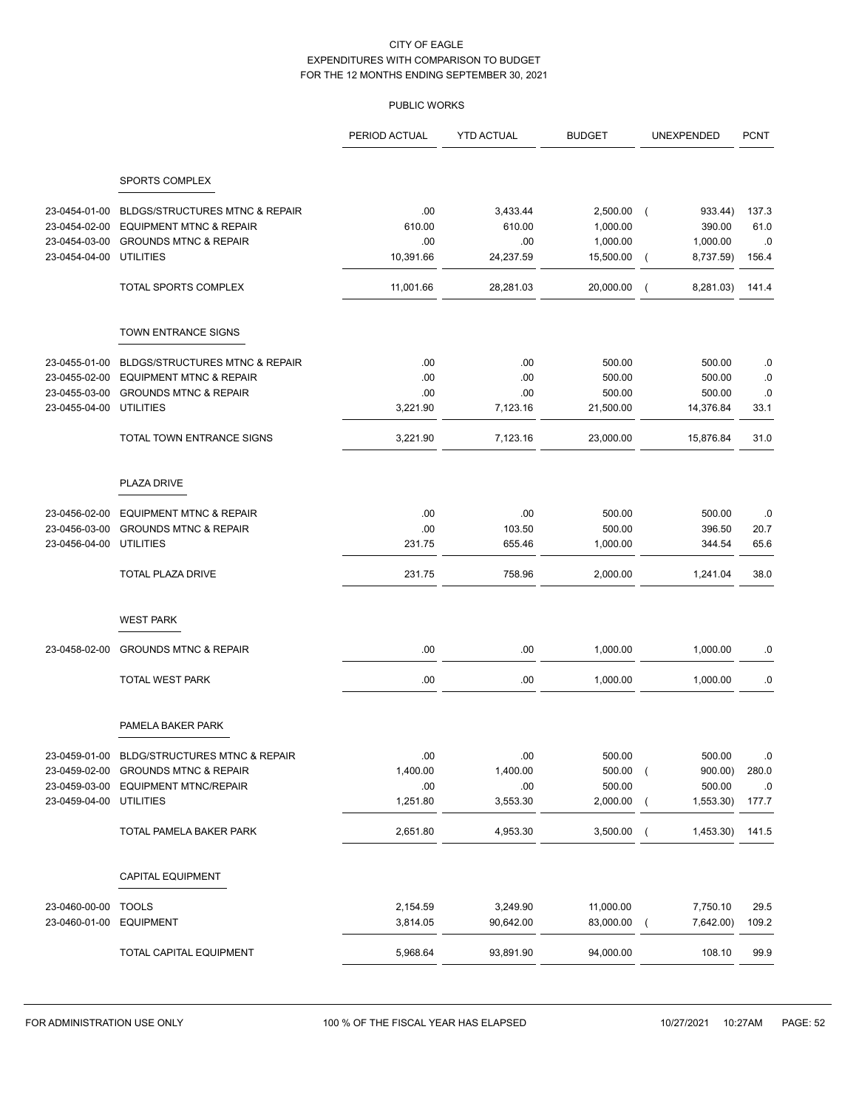|                         |                                           | PERIOD ACTUAL | <b>YTD ACTUAL</b> | <b>BUDGET</b> | UNEXPENDED                    | <b>PCNT</b> |
|-------------------------|-------------------------------------------|---------------|-------------------|---------------|-------------------------------|-------------|
|                         |                                           |               |                   |               |                               |             |
|                         | SPORTS COMPLEX                            |               |                   |               |                               |             |
| 23-0454-01-00           | <b>BLDGS/STRUCTURES MTNC &amp; REPAIR</b> | .00           | 3,433.44          | 2,500.00      | 933.44)<br>$\sqrt{ }$         | 137.3       |
| 23-0454-02-00           | <b>EQUIPMENT MTNC &amp; REPAIR</b>        | 610.00        | 610.00            | 1,000.00      | 390.00                        | 61.0        |
| 23-0454-03-00           | <b>GROUNDS MTNC &amp; REPAIR</b>          | .00           | .00               | 1,000.00      | 1,000.00                      | .0          |
| 23-0454-04-00 UTILITIES |                                           | 10,391.66     | 24,237.59         | 15,500.00     | 8,737.59)<br>$\overline{ }$   | 156.4       |
|                         | TOTAL SPORTS COMPLEX                      | 11,001.66     | 28,281.03         | 20,000.00     | 8,281.03)<br>$\overline{ }$   | 141.4       |
|                         | TOWN ENTRANCE SIGNS                       |               |                   |               |                               |             |
| 23-0455-01-00           | <b>BLDGS/STRUCTURES MTNC &amp; REPAIR</b> | .00           | .00               | 500.00        | 500.00                        | .0          |
|                         | 23-0455-02-00 EQUIPMENT MTNC & REPAIR     | .00           | .00               | 500.00        | 500.00                        | .0          |
| 23-0455-03-00           | <b>GROUNDS MTNC &amp; REPAIR</b>          | .00           | .00               | 500.00        | 500.00                        | .0          |
| 23-0455-04-00 UTILITIES |                                           | 3,221.90      | 7,123.16          | 21,500.00     | 14,376.84                     | 33.1        |
|                         | TOTAL TOWN ENTRANCE SIGNS                 | 3,221.90      | 7,123.16          | 23,000.00     | 15,876.84                     | 31.0        |
|                         | PLAZA DRIVE                               |               |                   |               |                               |             |
| 23-0456-02-00           | <b>EQUIPMENT MTNC &amp; REPAIR</b>        | .00           | .00.              | 500.00        | 500.00                        | .0          |
| 23-0456-03-00           | <b>GROUNDS MTNC &amp; REPAIR</b>          | .00           | 103.50            | 500.00        | 396.50                        | 20.7        |
| 23-0456-04-00           | <b>UTILITIES</b>                          | 231.75        | 655.46            | 1,000.00      | 344.54                        | 65.6        |
|                         | TOTAL PLAZA DRIVE                         | 231.75        | 758.96            | 2,000.00      | 1,241.04                      | 38.0        |
|                         | <b>WEST PARK</b>                          |               |                   |               |                               |             |
| 23-0458-02-00           | <b>GROUNDS MTNC &amp; REPAIR</b>          | .00           | .00               | 1,000.00      | 1,000.00                      | .0          |
|                         | <b>TOTAL WEST PARK</b>                    | .00           | .00.              | 1,000.00      | 1,000.00                      | .0          |
|                         | PAMELA BAKER PARK                         |               |                   |               |                               |             |
| 23-0459-01-00           | <b>BLDG/STRUCTURES MTNC &amp; REPAIR</b>  | .00           | .00               | 500.00        | 500.00                        | $\cdot$ .0  |
|                         | 23-0459-02-00 GROUNDS MTNC & REPAIR       | 1,400.00      | 1,400.00          | $500.00$ (    | 900.00)                       | 280.0       |
|                         | 23-0459-03-00 EQUIPMENT MTNC/REPAIR       | .00.          | .00               | 500.00        | 500.00                        | .0          |
| 23-0459-04-00 UTILITIES |                                           | 1,251.80      | 3,553.30          | $2,000.00$ (  | 1,553.30                      | 177.7       |
|                         | TOTAL PAMELA BAKER PARK                   | 2,651.80      | 4,953.30          | 3,500.00      | 1,453.30) 141.5<br>$\sqrt{2}$ |             |
|                         | <b>CAPITAL EQUIPMENT</b>                  |               |                   |               |                               |             |
|                         |                                           |               |                   |               |                               |             |
| 23-0460-00-00 TOOLS     |                                           | 2,154.59      | 3,249.90          | 11,000.00     | 7,750.10                      | 29.5        |
| 23-0460-01-00 EQUIPMENT |                                           | 3,814.05      | 90,642.00         | 83,000.00     | 7,642.00)<br>$\sqrt{ }$       | 109.2       |
|                         | TOTAL CAPITAL EQUIPMENT                   | 5,968.64      | 93,891.90         | 94,000.00     | 108.10                        | 99.9        |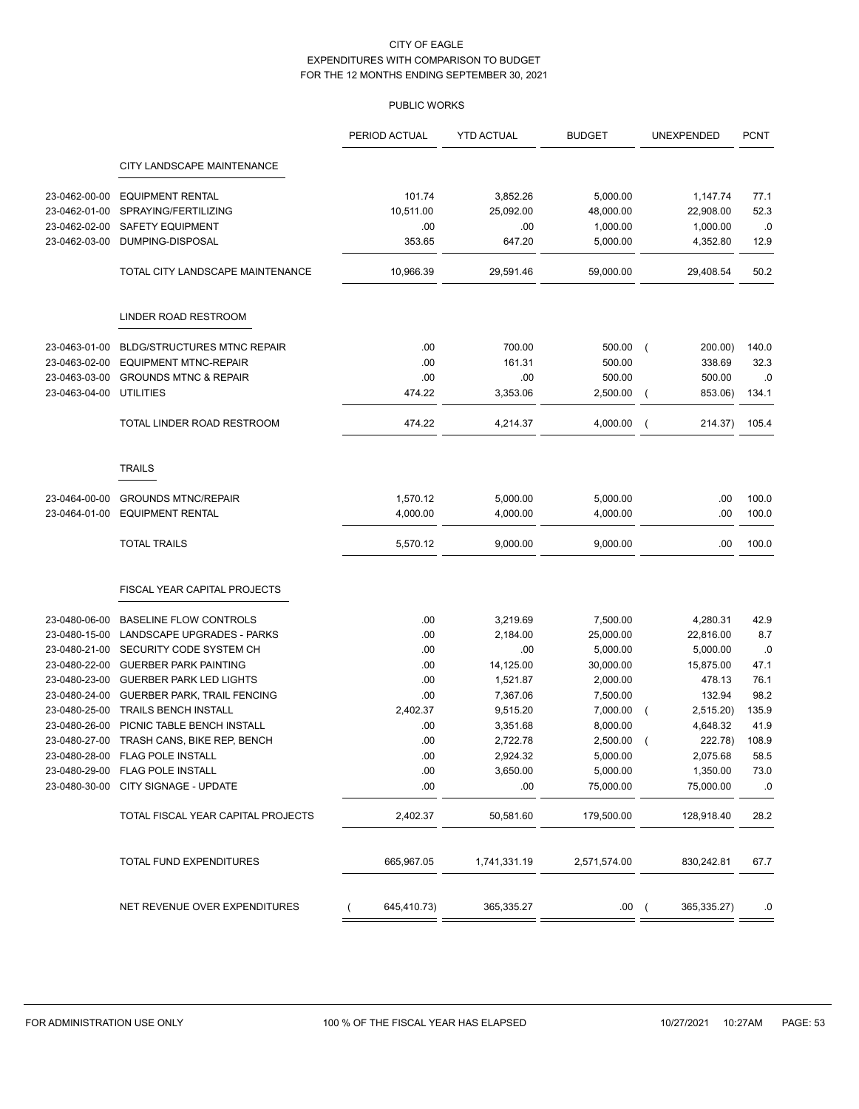|               |                                           | PERIOD ACTUAL                 | <b>YTD ACTUAL</b> | <b>BUDGET</b> | UNEXPENDED                | <b>PCNT</b> |
|---------------|-------------------------------------------|-------------------------------|-------------------|---------------|---------------------------|-------------|
|               | CITY LANDSCAPE MAINTENANCE                |                               |                   |               |                           |             |
| 23-0462-00-00 | <b>EQUIPMENT RENTAL</b>                   | 101.74                        | 3,852.26          | 5,000.00      | 1,147.74                  | 77.1        |
| 23-0462-01-00 | SPRAYING/FERTILIZING                      | 10,511.00                     | 25,092.00         | 48,000.00     | 22,908.00                 | 52.3        |
| 23-0462-02-00 | <b>SAFETY EQUIPMENT</b>                   | .00                           | .00               | 1,000.00      | 1,000.00                  | .0          |
| 23-0462-03-00 | DUMPING-DISPOSAL                          | 353.65                        | 647.20            | 5,000.00      | 4,352.80                  | 12.9        |
|               | TOTAL CITY LANDSCAPE MAINTENANCE          | 10,966.39                     | 29,591.46         | 59,000.00     | 29,408.54                 | 50.2        |
|               | LINDER ROAD RESTROOM                      |                               |                   |               |                           |             |
| 23-0463-01-00 | <b>BLDG/STRUCTURES MTNC REPAIR</b>        | .00                           | 700.00            | 500.00        | 200.00)<br>$\left($       | 140.0       |
| 23-0463-02-00 | <b>EQUIPMENT MTNC-REPAIR</b>              | .00                           | 161.31            | 500.00        | 338.69                    | 32.3        |
| 23-0463-03-00 | <b>GROUNDS MTNC &amp; REPAIR</b>          | .00                           | .00               | 500.00        | 500.00                    | .0          |
| 23-0463-04-00 | <b>UTILITIES</b>                          | 474.22                        | 3,353.06          | 2,500.00      | 853.06)<br>$\overline{ }$ | 134.1       |
|               | TOTAL LINDER ROAD RESTROOM                | 474.22                        | 4,214.37          | 4,000.00      | 214.37)<br>$\overline{ }$ | 105.4       |
|               | <b>TRAILS</b>                             |                               |                   |               |                           |             |
| 23-0464-00-00 | <b>GROUNDS MTNC/REPAIR</b>                | 1,570.12                      | 5,000.00          | 5,000.00      | .00                       | 100.0       |
| 23-0464-01-00 | <b>EQUIPMENT RENTAL</b>                   | 4,000.00                      | 4,000.00          | 4,000.00      | .00                       | 100.0       |
|               | <b>TOTAL TRAILS</b>                       | 5,570.12                      | 9,000.00          | 9,000.00      | .00                       | 100.0       |
|               | FISCAL YEAR CAPITAL PROJECTS              |                               |                   |               |                           |             |
| 23-0480-06-00 | <b>BASELINE FLOW CONTROLS</b>             | .00                           | 3,219.69          | 7,500.00      | 4,280.31                  | 42.9        |
| 23-0480-15-00 | LANDSCAPE UPGRADES - PARKS                | .00                           | 2,184.00          | 25,000.00     | 22,816.00                 | 8.7         |
| 23-0480-21-00 | SECURITY CODE SYSTEM CH                   | .00                           | .00               | 5,000.00      | 5,000.00                  | .0          |
| 23-0480-22-00 | <b>GUERBER PARK PAINTING</b>              | .00                           | 14,125.00         | 30,000.00     | 15,875.00                 | 47.1        |
| 23-0480-23-00 | <b>GUERBER PARK LED LIGHTS</b>            | .00                           | 1,521.87          | 2,000.00      | 478.13                    | 76.1        |
| 23-0480-24-00 | GUERBER PARK, TRAIL FENCING               | .00                           | 7,367.06          | 7,500.00      | 132.94                    | 98.2        |
| 23-0480-25-00 | <b>TRAILS BENCH INSTALL</b>               | 2,402.37                      | 9,515.20          | 7,000.00      | 2,515.20)<br>$\left($     | 135.9       |
| 23-0480-26-00 | PICNIC TABLE BENCH INSTALL                | .00                           | 3,351.68          | 8,000.00      | 4,648.32                  | 41.9        |
|               | 23-0480-27-00 TRASH CANS, BIKE REP, BENCH | .00                           | 2,722.78          | 2,500.00      | 222.78)<br>$\overline{ }$ | 108.9       |
|               | 23-0480-28-00 FLAG POLE INSTALL           | .00                           | 2,924.32          | 5,000.00      | 2,075.68                  | 58.5        |
|               | 23-0480-29-00 FLAG POLE INSTALL           | .00                           | 3,650.00          | 5,000.00      | 1,350.00                  | 73.0        |
|               | 23-0480-30-00 CITY SIGNAGE - UPDATE       | .00                           | .00               | 75,000.00     | 75,000.00                 | $.0\,$      |
|               | TOTAL FISCAL YEAR CAPITAL PROJECTS        | 2,402.37                      | 50,581.60         | 179,500.00    | 128,918.40                | 28.2        |
|               | TOTAL FUND EXPENDITURES                   | 665,967.05                    | 1,741,331.19      | 2,571,574.00  | 830,242.81                | 67.7        |
|               | NET REVENUE OVER EXPENDITURES             | 645,410.73)<br>$\overline{ }$ | 365,335.27        | .00(          | 365,335.27)               | .0          |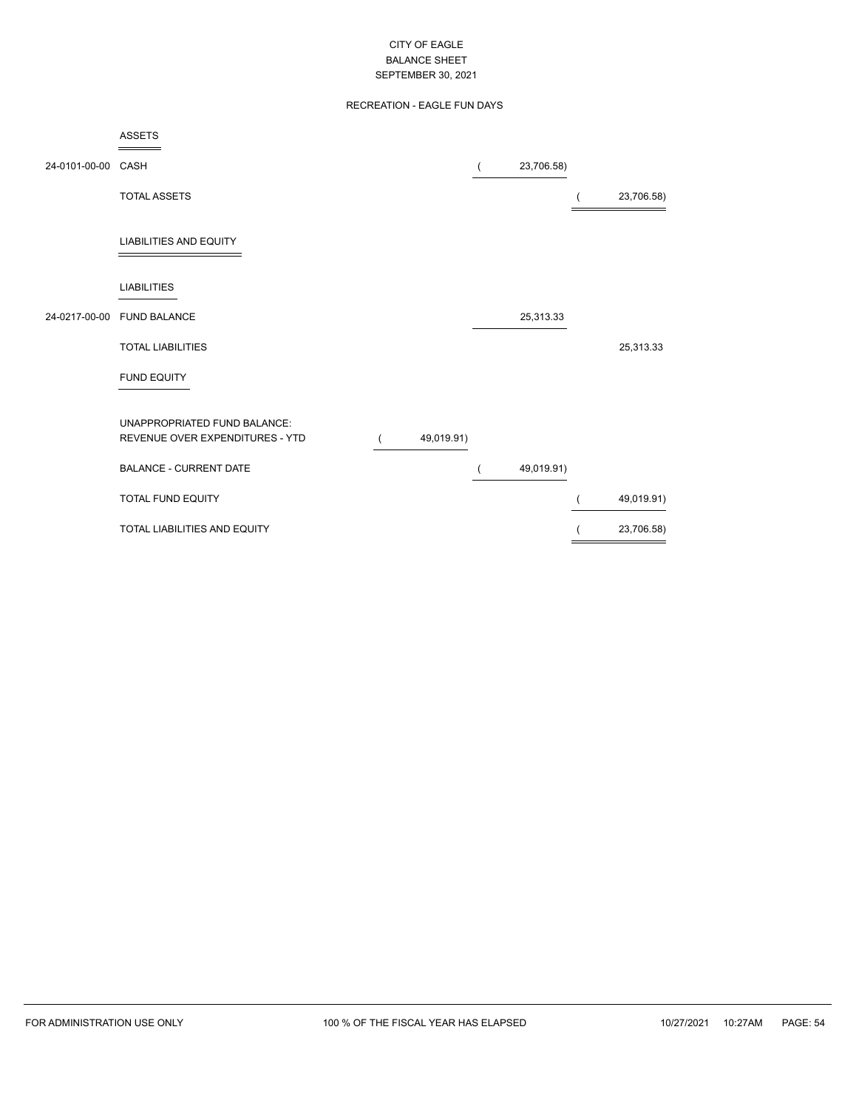## RECREATION - EAGLE FUN DAYS

|                    | ASSETS                                                          |            |            |            |
|--------------------|-----------------------------------------------------------------|------------|------------|------------|
| 24-0101-00-00 CASH |                                                                 |            | 23,706.58) |            |
|                    | <b>TOTAL ASSETS</b>                                             |            |            | 23,706.58) |
|                    | <b>LIABILITIES AND EQUITY</b>                                   |            |            |            |
|                    | <b>LIABILITIES</b>                                              |            |            |            |
|                    | 24-0217-00-00 FUND BALANCE                                      |            | 25,313.33  |            |
|                    | <b>TOTAL LIABILITIES</b>                                        |            |            | 25,313.33  |
|                    | FUND EQUITY                                                     |            |            |            |
|                    | UNAPPROPRIATED FUND BALANCE:<br>REVENUE OVER EXPENDITURES - YTD | 49,019.91) |            |            |
|                    | <b>BALANCE - CURRENT DATE</b>                                   |            | 49,019.91) |            |
|                    | <b>TOTAL FUND EQUITY</b>                                        |            |            | 49,019.91) |
|                    | TOTAL LIABILITIES AND EQUITY                                    |            |            | 23,706.58) |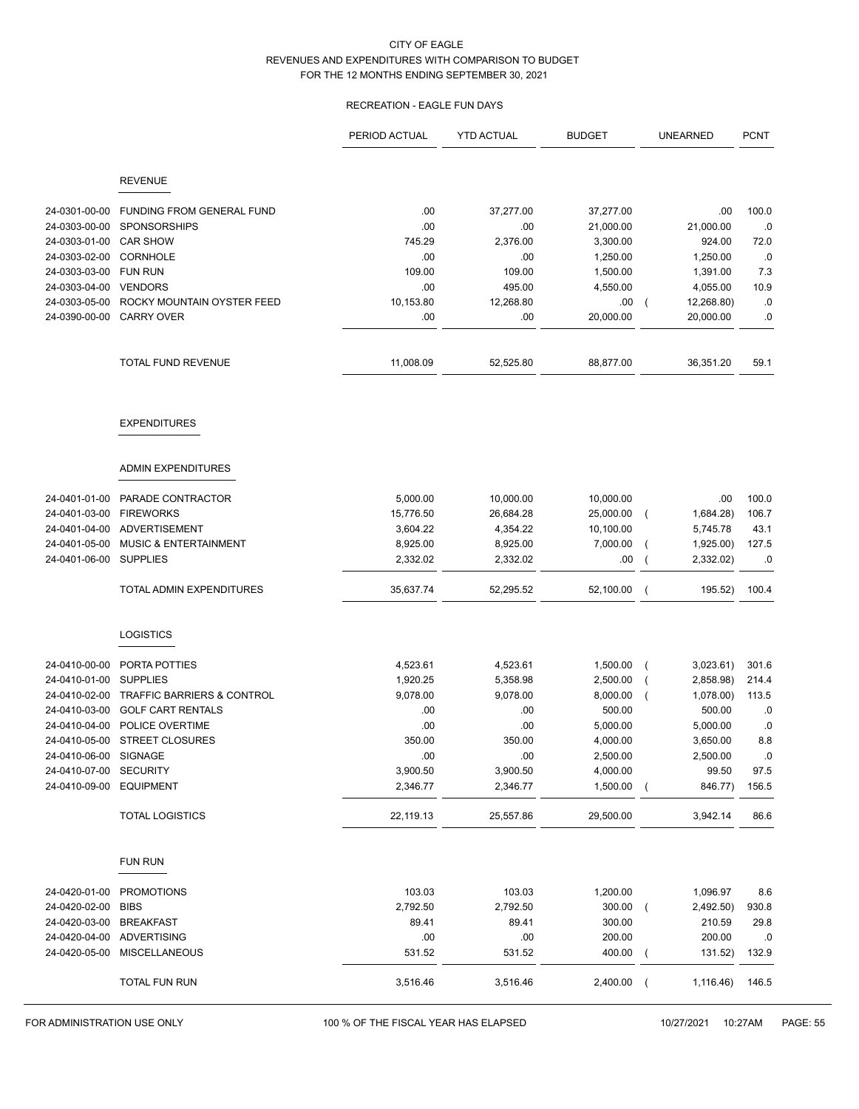# RECREATION - EAGLE FUN DAYS

|                                |                                  | PERIOD ACTUAL | <b>YTD ACTUAL</b> | <b>BUDGET</b> | <b>UNEARNED</b>             | <b>PCNT</b> |
|--------------------------------|----------------------------------|---------------|-------------------|---------------|-----------------------------|-------------|
|                                | <b>REVENUE</b>                   |               |                   |               |                             |             |
|                                |                                  |               |                   |               |                             |             |
| 24-0301-00-00                  | FUNDING FROM GENERAL FUND        | .00           | 37,277.00         | 37,277.00     | .00                         | 100.0       |
| 24-0303-00-00                  | <b>SPONSORSHIPS</b>              | .00           | .00               | 21,000.00     | 21,000.00                   | .0          |
| 24-0303-01-00                  | <b>CAR SHOW</b>                  | 745.29        | 2,376.00          | 3,300.00      | 924.00                      | 72.0        |
| 24-0303-02-00                  | <b>CORNHOLE</b>                  | .00           | .00               | 1,250.00      | 1,250.00                    | .0          |
| 24-0303-03-00                  | <b>FUN RUN</b>                   | 109.00        | 109.00            | 1,500.00      | 1,391.00                    | 7.3         |
| 24-0303-04-00                  | <b>VENDORS</b>                   | .00           | 495.00            | 4,550.00      | 4,055.00                    | 10.9        |
| 24-0303-05-00<br>24-0390-00-00 | ROCKY MOUNTAIN OYSTER FEED       | 10,153.80     | 12,268.80         | .00           | 12,268.80)<br>$\left($      | .0          |
|                                | <b>CARRY OVER</b>                | .00           | .00               | 20,000.00     | 20,000.00                   | .0          |
|                                | TOTAL FUND REVENUE               | 11,008.09     | 52,525.80         | 88,877.00     | 36,351.20                   | 59.1        |
|                                | <b>EXPENDITURES</b>              |               |                   |               |                             |             |
|                                | <b>ADMIN EXPENDITURES</b>        |               |                   |               |                             |             |
| 24-0401-01-00                  | PARADE CONTRACTOR                | 5,000.00      | 10,000.00         | 10,000.00     | .00                         | 100.0       |
| 24-0401-03-00                  | <b>FIREWORKS</b>                 | 15,776.50     | 26,684.28         | 25,000.00     | 1,684.28)                   | 106.7       |
| 24-0401-04-00                  | <b>ADVERTISEMENT</b>             | 3,604.22      | 4,354.22          | 10,100.00     | 5,745.78                    | 43.1        |
| 24-0401-05-00                  | <b>MUSIC &amp; ENTERTAINMENT</b> | 8,925.00      | 8,925.00          | 7,000.00      | 1,925.00)<br>$\overline{ }$ | 127.5       |
| 24-0401-06-00                  | <b>SUPPLIES</b>                  | 2,332.02      | 2,332.02          | .00           | 2,332.02)                   | .0          |
|                                | TOTAL ADMIN EXPENDITURES         | 35,637.74     | 52,295.52         | 52,100.00     | 195.52)<br>$\overline{ }$   | 100.4       |
|                                | <b>LOGISTICS</b>                 |               |                   |               |                             |             |
| 24-0410-00-00                  | PORTA POTTIES                    | 4,523.61      | 4,523.61          | 1,500.00      | 3,023.61)                   | 301.6       |
| 24-0410-01-00                  | <b>SUPPLIES</b>                  | 1,920.25      | 5,358.98          | 2,500.00      | 2,858.98)                   | 214.4       |
| 24-0410-02-00                  | TRAFFIC BARRIERS & CONTROL       | 9,078.00      | 9,078.00          | 8,000.00      | 1,078.00)                   | 113.5       |
| 24-0410-03-00                  | <b>GOLF CART RENTALS</b>         | .00           | .00.              | 500.00        | 500.00                      | .0          |
| 24-0410-04-00                  | POLICE OVERTIME                  | .00           | .00               | 5,000.00      | 5,000.00                    | .0          |
|                                | 24-0410-05-00 STREET CLOSURES    | 350.00        | 350.00            | 4,000.00      | 3,650.00                    | 8.8         |
| 24-0410-06-00                  | SIGNAGE                          | .00           | .00               | 2,500.00      | 2,500.00                    | 0.          |
| 24-0410-07-00                  | SECURITY                         | 3,900.50      | 3,900.50          | 4,000.00      | 99.50                       | 97.5        |
| 24-0410-09-00                  | <b>EQUIPMENT</b>                 | 2,346.77      | 2,346.77          | 1,500.00      | 846.77)<br>$\overline{ }$   | 156.5       |
|                                | <b>TOTAL LOGISTICS</b>           | 22,119.13     | 25,557.86         | 29,500.00     | 3,942.14                    | 86.6        |
|                                | <b>FUN RUN</b>                   |               |                   |               |                             |             |
| 24-0420-01-00                  | <b>PROMOTIONS</b>                | 103.03        | 103.03            | 1,200.00      | 1,096.97                    | 8.6         |
| 24-0420-02-00                  | <b>BIBS</b>                      | 2,792.50      | 2,792.50          | 300.00        | 2,492.50)<br>$\left($       | 930.8       |
| 24-0420-03-00                  | <b>BREAKFAST</b>                 | 89.41         | 89.41             | 300.00        | 210.59                      | 29.8        |
| 24-0420-04-00                  | <b>ADVERTISING</b>               | .00           | .00               | 200.00        | 200.00                      | .0          |
| 24-0420-05-00                  | <b>MISCELLANEOUS</b>             | 531.52        | 531.52            | 400.00        | 131.52)<br>$\overline{ }$   | 132.9       |
|                                | <b>TOTAL FUN RUN</b>             | 3,516.46      | 3,516.46          | 2,400.00      | 1,116.46)<br>$\overline{ }$ | 146.5       |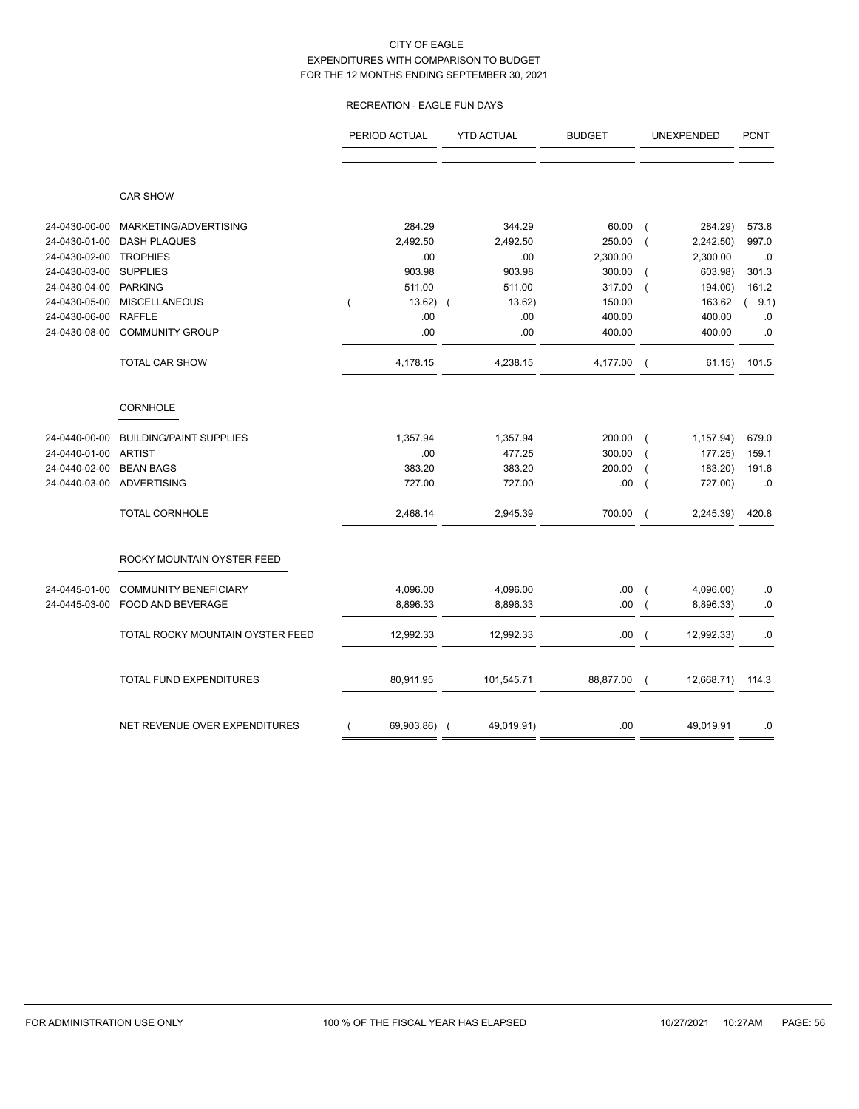## RECREATION - EAGLE FUN DAYS

|               |                                  | PERIOD ACTUAL | <b>YTD ACTUAL</b>        | <b>BUDGET</b> | UNEXPENDED                            | <b>PCNT</b>     |
|---------------|----------------------------------|---------------|--------------------------|---------------|---------------------------------------|-----------------|
|               | <b>CAR SHOW</b>                  |               |                          |               |                                       |                 |
|               |                                  |               |                          |               |                                       |                 |
| 24-0430-00-00 | MARKETING/ADVERTISING            | 284.29        | 344.29                   | 60.00         | 284.29)<br>$\overline{ }$             | 573.8           |
| 24-0430-01-00 | <b>DASH PLAQUES</b>              | 2,492.50      | 2,492.50                 | 250.00        | 2,242.50)<br>$\overline{ }$           | 997.0           |
| 24-0430-02-00 | <b>TROPHIES</b>                  | .00           | .00                      | 2,300.00      | 2,300.00                              | .0              |
| 24-0430-03-00 | <b>SUPPLIES</b>                  | 903.98        | 903.98                   | 300.00        | 603.98)<br>$\overline{ }$             | 301.3           |
| 24-0430-04-00 | <b>PARKING</b>                   | 511.00        | 511.00                   | 317.00        | 194.00)<br>$\overline{ }$             | 161.2           |
| 24-0430-05-00 | <b>MISCELLANEOUS</b>             | 13.62)        | 13.62)<br>$\overline{ }$ | 150.00        | 163.62                                | 9.1)            |
| 24-0430-06-00 | <b>RAFFLE</b>                    | .00           | .00                      | 400.00        | 400.00                                | $.0\,$          |
| 24-0430-08-00 | <b>COMMUNITY GROUP</b>           | .00           | .00                      | 400.00        | 400.00                                | .0              |
|               | <b>TOTAL CAR SHOW</b>            | 4,178.15      | 4,238.15                 | 4,177.00      | $\overline{ }$                        | 61.15)<br>101.5 |
|               | <b>CORNHOLE</b>                  |               |                          |               |                                       |                 |
| 24-0440-00-00 | <b>BUILDING/PAINT SUPPLIES</b>   | 1,357.94      | 1,357.94                 | 200.00        | 1,157.94)<br>$\overline{ }$           | 679.0           |
| 24-0440-01-00 | <b>ARTIST</b>                    | .00.          | 477.25                   | 300.00        | 177.25)<br>$\sqrt{ }$                 | 159.1           |
| 24-0440-02-00 | <b>BEAN BAGS</b>                 | 383.20        | 383.20                   | 200.00        | 183.20)<br>$\overline{\mathcal{L}}$   | 191.6           |
| 24-0440-03-00 | <b>ADVERTISING</b>               | 727.00        | 727.00                   | .00           | 727.00)                               | $.0\,$          |
|               | <b>TOTAL CORNHOLE</b>            | 2,468.14      | 2,945.39                 | 700.00        | 2,245.39)<br>$\overline{ }$           | 420.8           |
|               | ROCKY MOUNTAIN OYSTER FEED       |               |                          |               |                                       |                 |
| 24-0445-01-00 | <b>COMMUNITY BENEFICIARY</b>     | 4,096.00      | 4,096.00                 | .00           | 4,096.00)<br>$\overline{ }$           | .0              |
| 24-0445-03-00 | FOOD AND BEVERAGE                | 8,896.33      | 8,896.33                 | .00           | 8,896.33)<br>$\overline{\mathcal{L}}$ | $.0\,$          |
|               | TOTAL ROCKY MOUNTAIN OYSTER FEED | 12,992.33     | 12,992.33                | .00.          | 12,992.33)<br>$\left($                | .0              |
|               | TOTAL FUND EXPENDITURES          | 80,911.95     | 101,545.71               | 88,877.00     | 12,668.71)<br>$\left($                | 114.3           |
|               | NET REVENUE OVER EXPENDITURES    | 69,903.86) (  | 49,019.91)               | .00           | 49,019.91                             | .0              |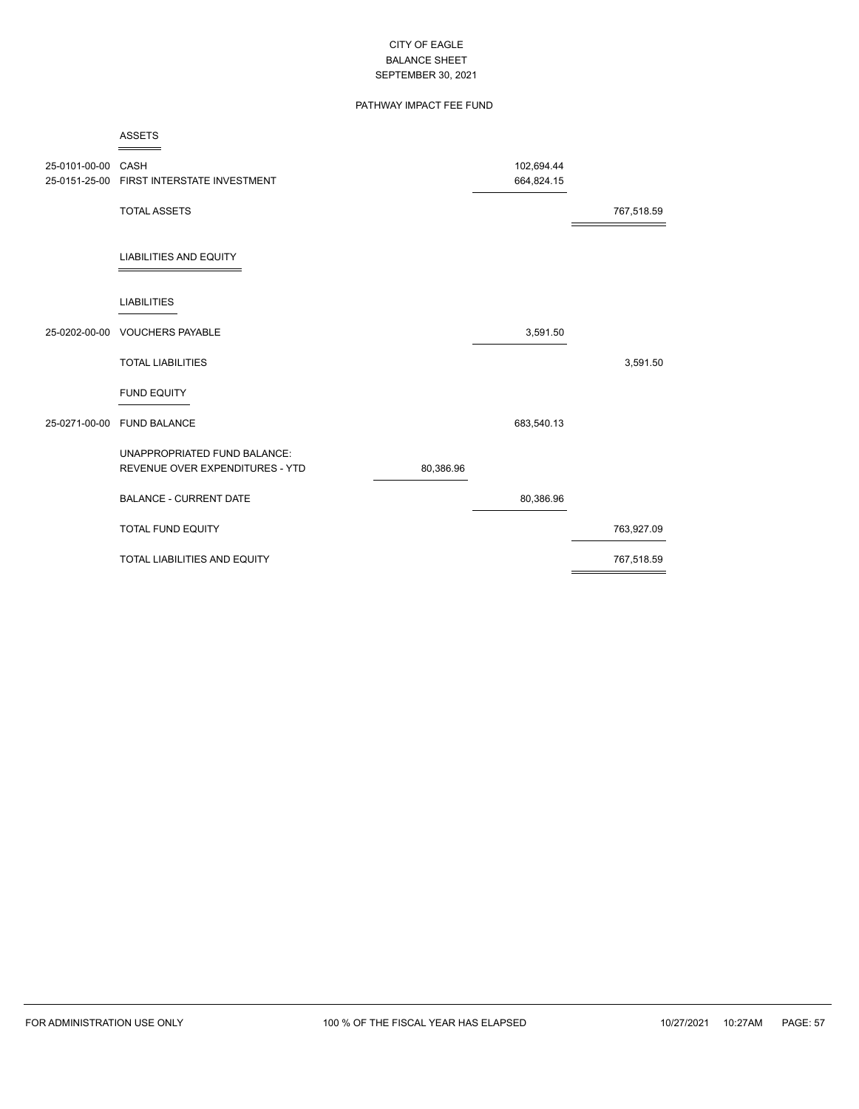## PATHWAY IMPACT FEE FUND

|                    | <b>ASSETS</b>                                                   |           |                          |            |
|--------------------|-----------------------------------------------------------------|-----------|--------------------------|------------|
| 25-0101-00-00 CASH | 25-0151-25-00 FIRST INTERSTATE INVESTMENT                       |           | 102,694.44<br>664,824.15 |            |
|                    | <b>TOTAL ASSETS</b>                                             |           |                          | 767,518.59 |
|                    | <b>LIABILITIES AND EQUITY</b>                                   |           |                          |            |
|                    | <b>LIABILITIES</b>                                              |           |                          |            |
| 25-0202-00-00      | <b>VOUCHERS PAYABLE</b>                                         |           | 3,591.50                 |            |
|                    | <b>TOTAL LIABILITIES</b>                                        |           |                          | 3,591.50   |
|                    | <b>FUND EQUITY</b>                                              |           |                          |            |
|                    | 25-0271-00-00 FUND BALANCE                                      |           | 683,540.13               |            |
|                    | UNAPPROPRIATED FUND BALANCE:<br>REVENUE OVER EXPENDITURES - YTD | 80,386.96 |                          |            |
|                    | <b>BALANCE - CURRENT DATE</b>                                   |           | 80,386.96                |            |
|                    | TOTAL FUND EQUITY                                               |           |                          | 763,927.09 |
|                    | <b>TOTAL LIABILITIES AND EQUITY</b>                             |           |                          | 767,518.59 |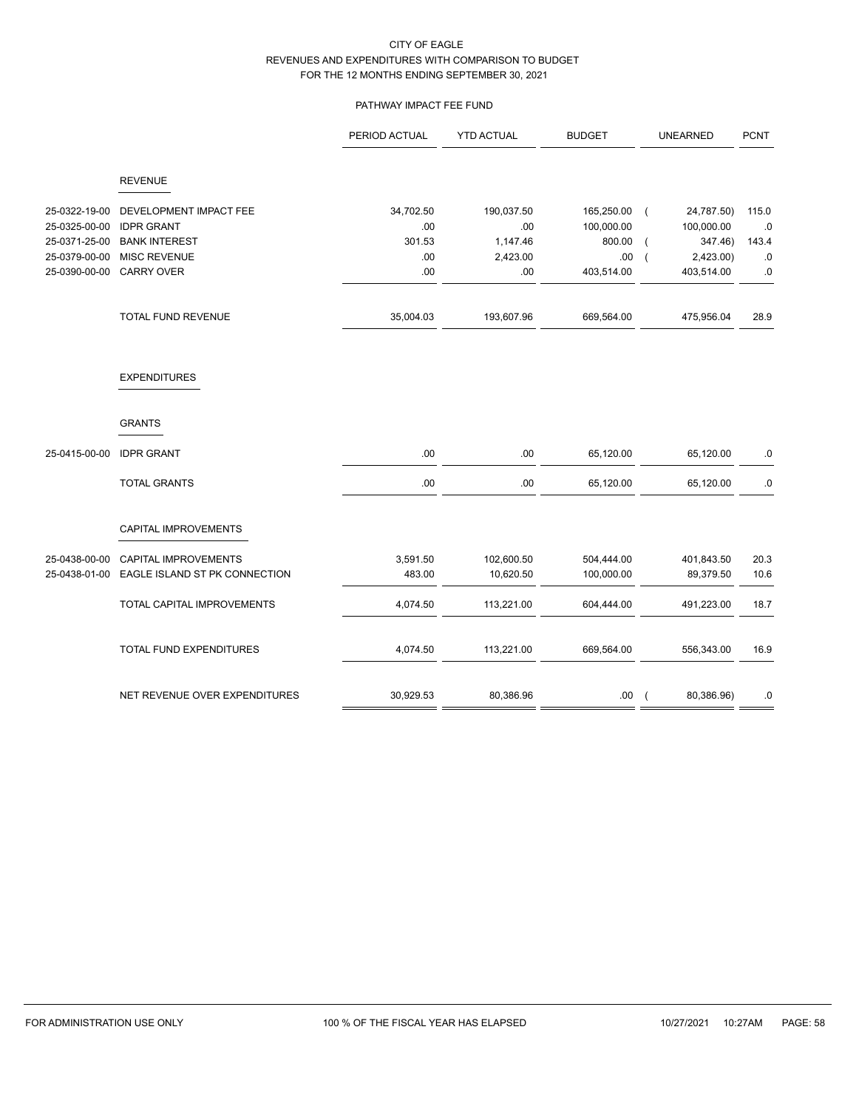## PATHWAY IMPACT FEE FUND

|               |                               | PERIOD ACTUAL | <b>YTD ACTUAL</b> | <b>BUDGET</b> | <b>UNEARNED</b>              | <b>PCNT</b> |
|---------------|-------------------------------|---------------|-------------------|---------------|------------------------------|-------------|
|               | <b>REVENUE</b>                |               |                   |               |                              |             |
| 25-0322-19-00 | DEVELOPMENT IMPACT FEE        | 34,702.50     | 190,037.50        | 165,250.00    | 24,787.50)<br>$\overline{ }$ | 115.0       |
| 25-0325-00-00 | <b>IDPR GRANT</b>             | .00           | .00               | 100,000.00    | 100,000.00                   | .0          |
| 25-0371-25-00 | <b>BANK INTEREST</b>          | 301.53        | 1,147.46          | 800.00        | 347.46)                      | 143.4       |
| 25-0379-00-00 | <b>MISC REVENUE</b>           | .00           | 2,423.00          | .00           | 2,423.00<br>$\overline{ }$   | $.0$        |
| 25-0390-00-00 | <b>CARRY OVER</b>             | .00           | .00               | 403,514.00    | 403,514.00                   | $.0\,$      |
|               | TOTAL FUND REVENUE            | 35,004.03     | 193,607.96        | 669,564.00    | 475,956.04                   | 28.9        |
|               | <b>EXPENDITURES</b>           |               |                   |               |                              |             |
|               | <b>GRANTS</b>                 |               |                   |               |                              |             |
| 25-0415-00-00 | <b>IDPR GRANT</b>             | .00           | .00               | 65,120.00     | 65,120.00                    | .0          |
|               | <b>TOTAL GRANTS</b>           | .00           | .00               | 65,120.00     | 65,120.00                    | $.0\,$      |
|               | CAPITAL IMPROVEMENTS          |               |                   |               |                              |             |
| 25-0438-00-00 | <b>CAPITAL IMPROVEMENTS</b>   | 3,591.50      | 102,600.50        | 504,444.00    | 401,843.50                   | 20.3        |
| 25-0438-01-00 | EAGLE ISLAND ST PK CONNECTION | 483.00        | 10,620.50         | 100,000.00    | 89,379.50                    | 10.6        |
|               | TOTAL CAPITAL IMPROVEMENTS    | 4,074.50      | 113,221.00        | 604,444.00    | 491,223.00                   | 18.7        |
|               | TOTAL FUND EXPENDITURES       | 4,074.50      | 113,221.00        | 669,564.00    | 556,343.00                   | 16.9        |
|               | NET REVENUE OVER EXPENDITURES | 30,929.53     | 80,386.96         | .00           | 80,386.96)<br>$\overline{ }$ | .0          |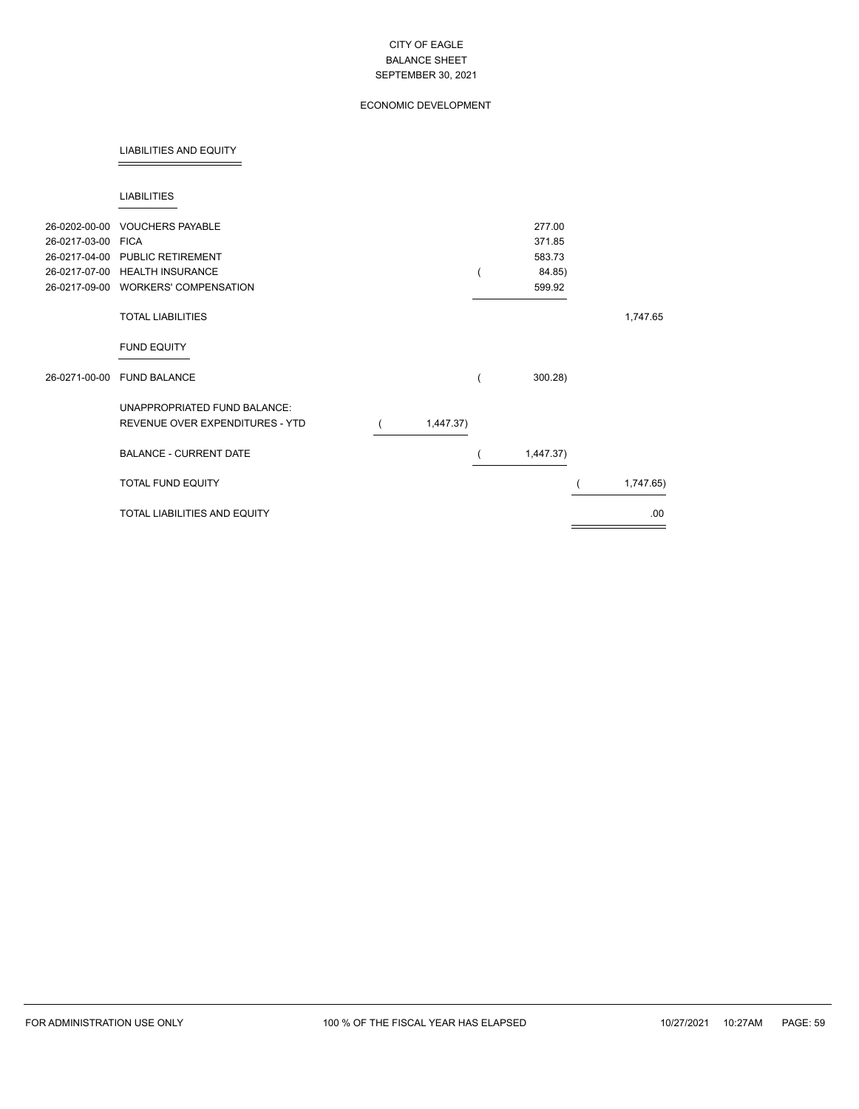## ECONOMIC DEVELOPMENT

#### LIABILITIES AND EQUITY

#### LIABILITIES

| 26-0202-00-00<br>26-0217-03-00<br>26-0217-04-00<br>26-0217-07-00 | <b>VOUCHERS PAYABLE</b><br><b>FICA</b><br><b>PUBLIC RETIREMENT</b><br><b>HEALTH INSURANCE</b><br>26-0217-09-00 WORKERS' COMPENSATION |           | 277.00<br>371.85<br>583.73<br>84.85)<br>599.92 |           |
|------------------------------------------------------------------|--------------------------------------------------------------------------------------------------------------------------------------|-----------|------------------------------------------------|-----------|
|                                                                  | <b>TOTAL LIABILITIES</b>                                                                                                             |           |                                                | 1,747.65  |
|                                                                  | <b>FUND EQUITY</b>                                                                                                                   |           |                                                |           |
| 26-0271-00-00                                                    | <b>FUND BALANCE</b>                                                                                                                  |           | 300.28                                         |           |
|                                                                  | UNAPPROPRIATED FUND BALANCE:<br>REVENUE OVER EXPENDITURES - YTD                                                                      | 1,447.37) |                                                |           |
|                                                                  | <b>BALANCE - CURRENT DATE</b>                                                                                                        |           | 1,447.37)                                      |           |
|                                                                  | <b>TOTAL FUND EQUITY</b>                                                                                                             |           |                                                | 1,747.65) |
|                                                                  | <b>TOTAL LIABILITIES AND EQUITY</b>                                                                                                  |           |                                                | .00.      |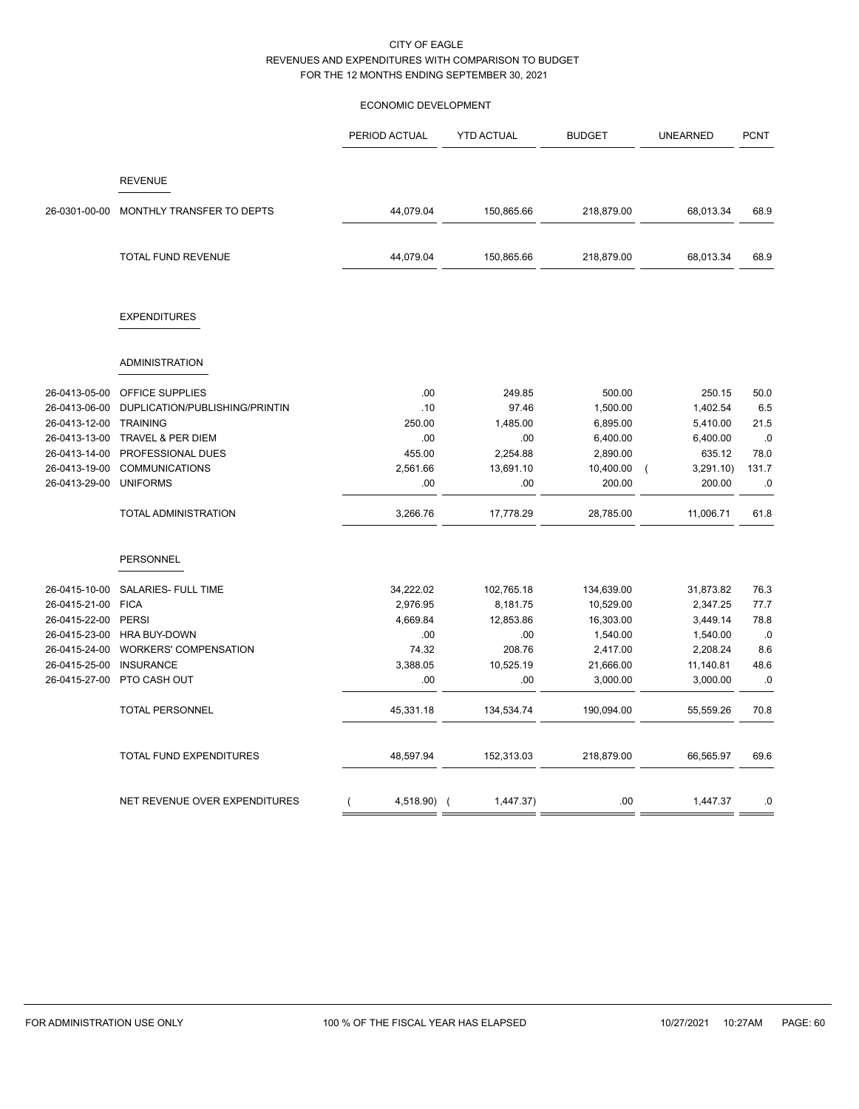### ECONOMIC DEVELOPMENT

|               |                                | PERIOD ACTUAL | <b>YTD ACTUAL</b> | <b>BUDGET</b> | <b>UNEARNED</b>      | <b>PCNT</b> |
|---------------|--------------------------------|---------------|-------------------|---------------|----------------------|-------------|
|               |                                |               |                   |               |                      |             |
|               | <b>REVENUE</b>                 |               |                   |               |                      |             |
| 26-0301-00-00 | MONTHLY TRANSFER TO DEPTS      | 44,079.04     | 150,865.66        | 218,879.00    | 68,013.34            | 68.9        |
|               | <b>TOTAL FUND REVENUE</b>      | 44,079.04     | 150,865.66        | 218,879.00    | 68,013.34            | 68.9        |
|               |                                |               |                   |               |                      |             |
|               | <b>EXPENDITURES</b>            |               |                   |               |                      |             |
|               |                                |               |                   |               |                      |             |
|               | <b>ADMINISTRATION</b>          |               |                   |               |                      |             |
| 26-0413-05-00 | OFFICE SUPPLIES                | .00           | 249.85            | 500.00        | 250.15               | 50.0        |
| 26-0413-06-00 | DUPLICATION/PUBLISHING/PRINTIN | .10           | 97.46             | 1,500.00      | 1,402.54             | 6.5         |
| 26-0413-12-00 | TRAINING                       | 250.00        | 1,485.00          | 6,895.00      | 5,410.00             | 21.5        |
| 26-0413-13-00 | TRAVEL & PER DIEM              | .00           | .00               | 6,400.00      | 6,400.00             | .0          |
| 26-0413-14-00 | PROFESSIONAL DUES              | 455.00        | 2,254.88          | 2,890.00      | 635.12               | 78.0        |
| 26-0413-19-00 | <b>COMMUNICATIONS</b>          | 2,561.66      | 13,691.10         | 10,400.00     | 3,291.10<br>$\left($ | 131.7       |
| 26-0413-29-00 | <b>UNIFORMS</b>                | .00           | .00               | 200.00        | 200.00               | .0          |
|               | <b>TOTAL ADMINISTRATION</b>    | 3,266.76      | 17,778.29         | 28,785.00     | 11,006.71            | 61.8        |
|               | PERSONNEL                      |               |                   |               |                      |             |
| 26-0415-10-00 | SALARIES- FULL TIME            | 34,222.02     | 102,765.18        | 134,639.00    | 31,873.82            | 76.3        |
| 26-0415-21-00 | <b>FICA</b>                    | 2,976.95      | 8,181.75          | 10,529.00     | 2,347.25             | 77.7        |
| 26-0415-22-00 | <b>PERSI</b>                   | 4,669.84      | 12,853.86         | 16,303.00     | 3,449.14             | 78.8        |
| 26-0415-23-00 | <b>HRA BUY-DOWN</b>            | .00           | .00               | 1,540.00      | 1,540.00             | .0          |
| 26-0415-24-00 | <b>WORKERS' COMPENSATION</b>   | 74.32         | 208.76            | 2,417.00      | 2,208.24             | 8.6         |
| 26-0415-25-00 | <b>INSURANCE</b>               | 3,388.05      | 10,525.19         | 21,666.00     | 11,140.81            | 48.6        |
| 26-0415-27-00 | PTO CASH OUT                   | .00           | .00               | 3,000.00      | 3,000.00             | .0          |
|               | <b>TOTAL PERSONNEL</b>         | 45,331.18     | 134,534.74        | 190,094.00    | 55,559.26            | 70.8        |
|               | TOTAL FUND EXPENDITURES        | 48,597.94     | 152,313.03        | 218,879.00    | 66,565.97            | 69.6        |
|               | NET REVENUE OVER EXPENDITURES  | 4,518.90) (   | 1,447.37)         | .00           | 1,447.37             | .0          |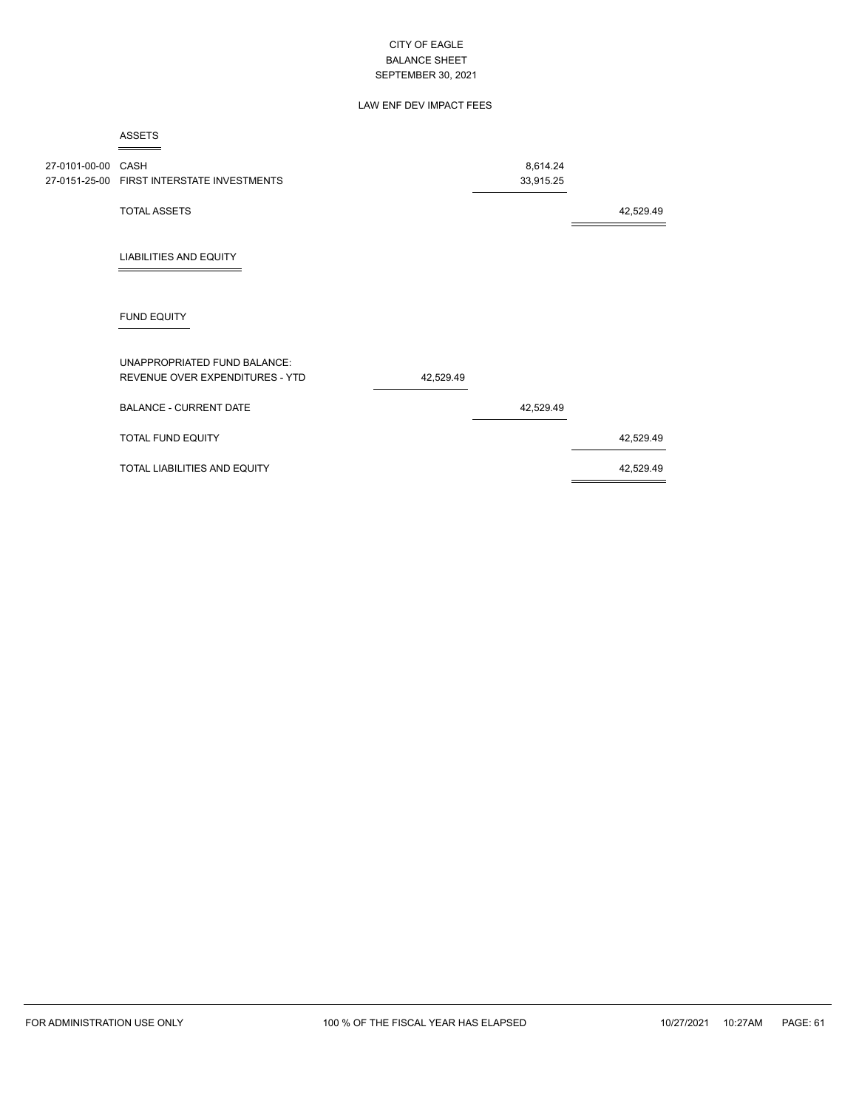## LAW ENF DEV IMPACT FEES

|                    | <b>ASSETS</b>                                                   |           |           |           |
|--------------------|-----------------------------------------------------------------|-----------|-----------|-----------|
| 27-0101-00-00 CASH |                                                                 |           | 8,614.24  |           |
|                    | 27-0151-25-00 FIRST INTERSTATE INVESTMENTS                      |           | 33,915.25 |           |
|                    | <b>TOTAL ASSETS</b>                                             |           |           | 42,529.49 |
|                    | <b>LIABILITIES AND EQUITY</b>                                   |           |           |           |
|                    | <b>FUND EQUITY</b>                                              |           |           |           |
|                    | UNAPPROPRIATED FUND BALANCE:<br>REVENUE OVER EXPENDITURES - YTD | 42,529.49 |           |           |
|                    | <b>BALANCE - CURRENT DATE</b>                                   |           | 42,529.49 |           |
|                    | <b>TOTAL FUND EQUITY</b>                                        |           |           | 42,529.49 |
|                    | TOTAL LIABILITIES AND EQUITY                                    |           |           | 42,529.49 |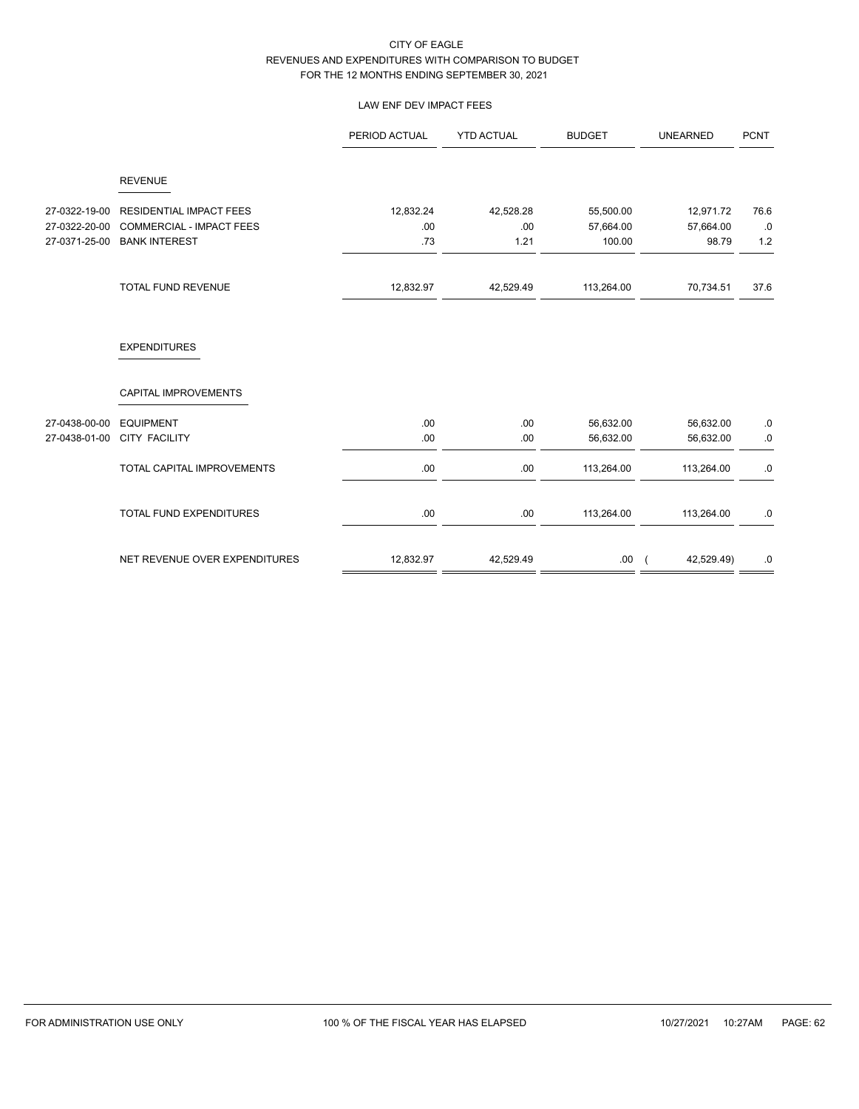## LAW ENF DEV IMPACT FEES

|                                |                                                         | PERIOD ACTUAL | <b>YTD ACTUAL</b> | <b>BUDGET</b>       | <b>UNEARNED</b>          | <b>PCNT</b> |
|--------------------------------|---------------------------------------------------------|---------------|-------------------|---------------------|--------------------------|-------------|
|                                | <b>REVENUE</b>                                          |               |                   |                     |                          |             |
| 27-0322-19-00                  | <b>RESIDENTIAL IMPACT FEES</b>                          | 12,832.24     | 42,528.28         | 55,500.00           | 12,971.72                | 76.6        |
| 27-0322-20-00<br>27-0371-25-00 | <b>COMMERCIAL - IMPACT FEES</b><br><b>BANK INTEREST</b> | .00.<br>.73   | .00<br>1.21       | 57,664.00<br>100.00 | 57,664.00<br>98.79       | $.0$<br>1.2 |
|                                | TOTAL FUND REVENUE                                      | 12,832.97     | 42,529.49         | 113,264.00          | 70,734.51                | 37.6        |
|                                | <b>EXPENDITURES</b>                                     |               |                   |                     |                          |             |
|                                | CAPITAL IMPROVEMENTS                                    |               |                   |                     |                          |             |
| 27-0438-00-00                  | <b>EQUIPMENT</b>                                        | .00.          | .00               | 56,632.00           | 56,632.00                | $.0\,$      |
| 27-0438-01-00                  | <b>CITY FACILITY</b>                                    | .00.          | .00               | 56,632.00           | 56,632.00                | $.0\,$      |
|                                | TOTAL CAPITAL IMPROVEMENTS                              | .00.          | .00               | 113,264.00          | 113,264.00               | .0          |
|                                | <b>TOTAL FUND EXPENDITURES</b>                          | .00.          | .00               | 113,264.00          | 113,264.00               | .0          |
|                                | NET REVENUE OVER EXPENDITURES                           | 12,832.97     | 42,529.49         | .00.                | 42,529.49)<br>$\sqrt{2}$ | .0          |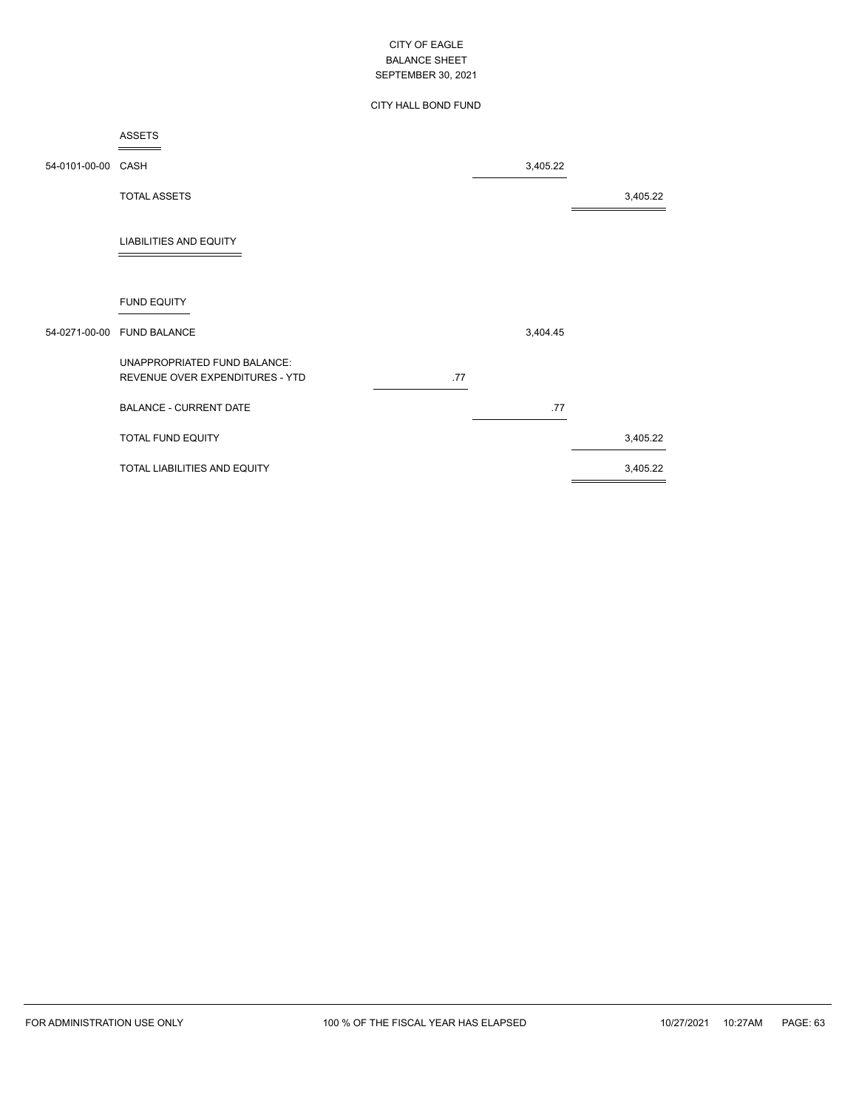## CITY HALL BOND FUND

|                    | ASSETS                                                          |     |          |          |
|--------------------|-----------------------------------------------------------------|-----|----------|----------|
| 54-0101-00-00 CASH |                                                                 |     | 3,405.22 |          |
|                    | <b>TOTAL ASSETS</b>                                             |     |          | 3,405.22 |
|                    | <b>LIABILITIES AND EQUITY</b>                                   |     |          |          |
|                    | <b>FUND EQUITY</b>                                              |     |          |          |
|                    | 54-0271-00-00 FUND BALANCE                                      |     | 3,404.45 |          |
|                    | UNAPPROPRIATED FUND BALANCE:<br>REVENUE OVER EXPENDITURES - YTD | .77 |          |          |
|                    | <b>BALANCE - CURRENT DATE</b>                                   |     | .77      |          |
|                    | <b>TOTAL FUND EQUITY</b>                                        |     |          | 3,405.22 |
|                    | TOTAL LIABILITIES AND EQUITY                                    |     |          | 3,405.22 |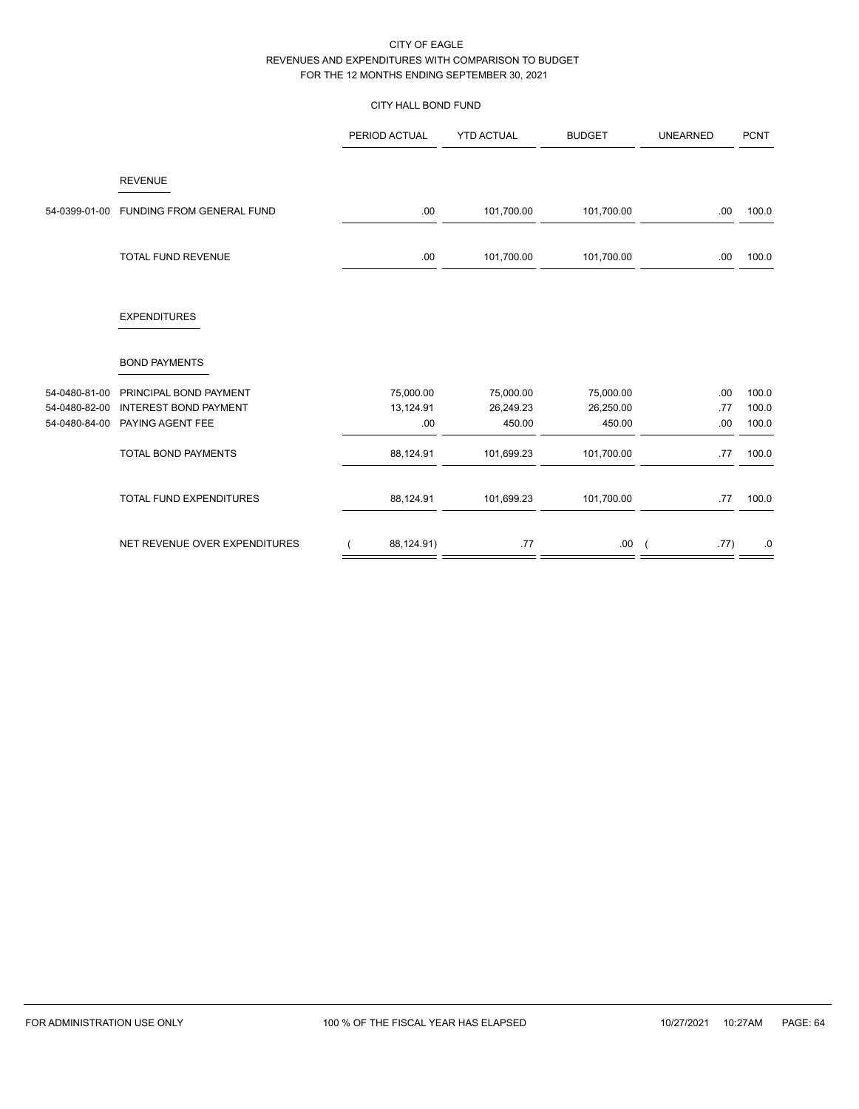# CITY HALL BOND FUND

|               |                               | PERIOD ACTUAL | <b>YTD ACTUAL</b> | <b>BUDGET</b> | <b>UNEARNED</b>    | <b>PCNT</b> |
|---------------|-------------------------------|---------------|-------------------|---------------|--------------------|-------------|
|               | <b>REVENUE</b>                |               |                   |               |                    |             |
| 54-0399-01-00 | FUNDING FROM GENERAL FUND     | .00           | 101,700.00        | 101,700.00    | .00                | 100.0       |
|               | TOTAL FUND REVENUE            | .00           | 101,700.00        | 101,700.00    | .00                | 100.0       |
|               | <b>EXPENDITURES</b>           |               |                   |               |                    |             |
|               | <b>BOND PAYMENTS</b>          |               |                   |               |                    |             |
| 54-0480-81-00 | PRINCIPAL BOND PAYMENT        | 75,000.00     | 75,000.00         | 75,000.00     | .00                | 100.0       |
| 54-0480-82-00 | <b>INTEREST BOND PAYMENT</b>  | 13,124.91     | 26,249.23         | 26,250.00     | .77                | 100.0       |
| 54-0480-84-00 | PAYING AGENT FEE              | .00           | 450.00            | 450.00        | .00                | 100.0       |
|               | TOTAL BOND PAYMENTS           | 88,124.91     | 101,699.23        | 101,700.00    | .77                | 100.0       |
|               | TOTAL FUND EXPENDITURES       | 88,124.91     | 101,699.23        | 101,700.00    | .77                | 100.0       |
|               | NET REVENUE OVER EXPENDITURES | 88,124.91)    | .77               | .00           | .77)<br>$\sqrt{2}$ | .0          |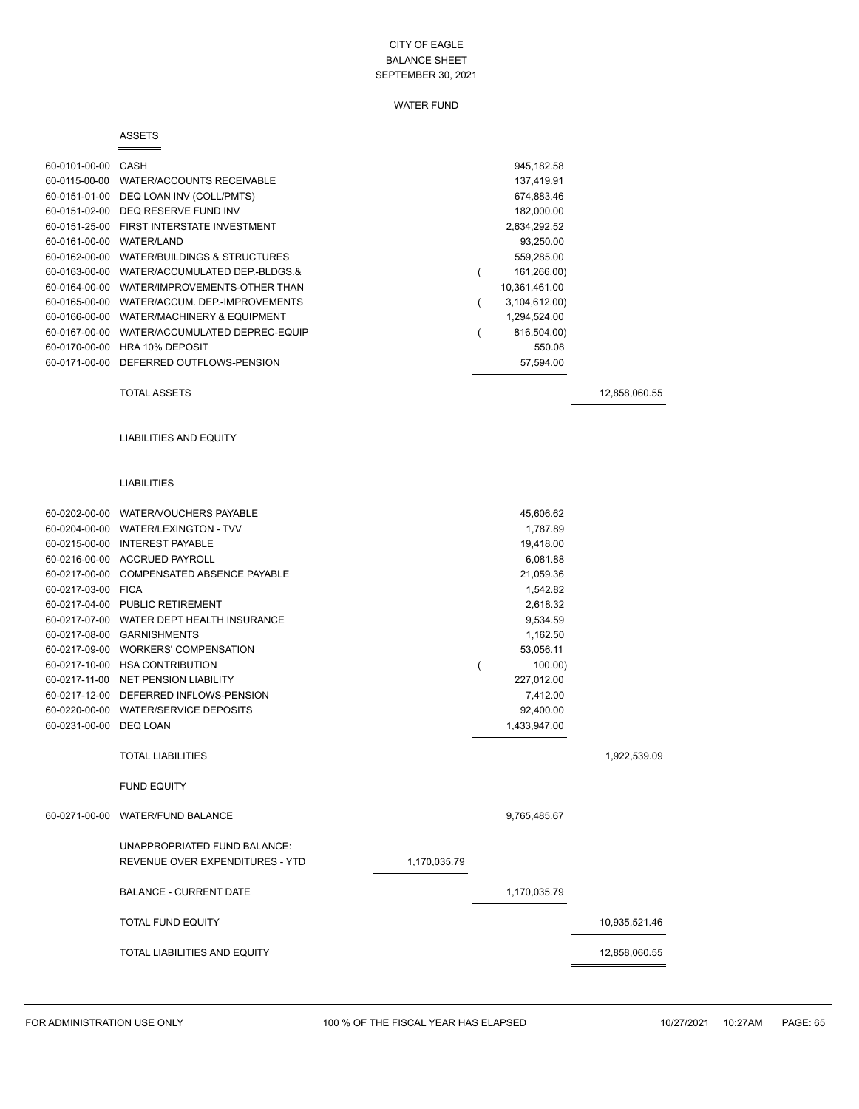## WATER FUND

#### ASSETS

| 60-0101-00-00 | CASH                                   | 945, 182.58   |
|---------------|----------------------------------------|---------------|
| 60-0115-00-00 | <b>WATER/ACCOUNTS RECEIVABLE</b>       | 137,419.91    |
| 60-0151-01-00 | DEQ LOAN INV (COLL/PMTS)               | 674,883.46    |
| 60-0151-02-00 | DEQ RESERVE FUND INV                   | 182,000.00    |
| 60-0151-25-00 | FIRST INTERSTATE INVESTMENT            | 2,634,292.52  |
| 60-0161-00-00 | WATER/LAND                             | 93,250.00     |
| 60-0162-00-00 | WATER/BUILDINGS & STRUCTURES           | 559,285.00    |
| 60-0163-00-00 | WATER/ACCUMULATED DEP-BLDGS.&          | 161,266.00)   |
| 60-0164-00-00 | WATER/IMPROVEMENTS-OTHER THAN          | 10,361,461.00 |
| 60-0165-00-00 | WATER/ACCUM, DEP.-IMPROVEMENTS         | 3,104,612.00) |
| 60-0166-00-00 | <b>WATER/MACHINERY &amp; EQUIPMENT</b> | 1,294,524.00  |
| 60-0167-00-00 | WATER/ACCUMULATED DEPREC-EQUIP         | 816,504.00)   |
| 60-0170-00-00 | <b>HRA 10% DEPOSIT</b>                 | 550.08        |
| 60-0171-00-00 | DEFERRED OUTFLOWS-PENSION              | 57,594.00     |
|               |                                        |               |

TOTAL ASSETS 12,858,060.55

## LIABILITIES AND EQUITY

## LIABILITIES

|                    | 60-0202-00-00 WATER/VOUCHERS PAYABLE      |              | 45,606.62    |               |
|--------------------|-------------------------------------------|--------------|--------------|---------------|
| 60-0204-00-00      | <b>WATER/LEXINGTON - TVV</b>              |              | 1,787.89     |               |
|                    | 60-0215-00-00 INTEREST PAYABLE            |              | 19,418.00    |               |
|                    | 60-0216-00-00 ACCRUED PAYROLL             |              | 6,081.88     |               |
|                    | 60-0217-00-00 COMPENSATED ABSENCE PAYABLE |              | 21,059.36    |               |
| 60-0217-03-00 FICA |                                           |              | 1,542.82     |               |
|                    | 60-0217-04-00 PUBLIC RETIREMENT           |              | 2,618.32     |               |
|                    | 60-0217-07-00 WATER DEPT HEALTH INSURANCE |              | 9,534.59     |               |
|                    | 60-0217-08-00 GARNISHMENTS                |              | 1,162.50     |               |
|                    | 60-0217-09-00 WORKERS' COMPENSATION       |              | 53,056.11    |               |
|                    | 60-0217-10-00 HSA CONTRIBUTION            |              | 100.00       |               |
|                    | 60-0217-11-00 NET PENSION LIABILITY       |              | 227,012.00   |               |
|                    | 60-0217-12-00 DEFERRED INFLOWS-PENSION    |              | 7,412.00     |               |
|                    | 60-0220-00-00 WATER/SERVICE DEPOSITS      |              | 92,400.00    |               |
| 60-0231-00-00      | <b>DEQ LOAN</b>                           |              | 1,433,947.00 |               |
|                    |                                           |              |              |               |
|                    | <b>TOTAL LIABILITIES</b>                  |              |              | 1,922,539.09  |
|                    | <b>FUND EQUITY</b>                        |              |              |               |
| 60-0271-00-00      | <b>WATER/FUND BALANCE</b>                 |              | 9,765,485.67 |               |
|                    | UNAPPROPRIATED FUND BALANCE:              |              |              |               |
|                    | REVENUE OVER EXPENDITURES - YTD           | 1,170,035.79 |              |               |
|                    | <b>BALANCE - CURRENT DATE</b>             |              | 1,170,035.79 |               |
|                    | <b>TOTAL FUND EQUITY</b>                  |              |              | 10,935,521.46 |
|                    | <b>TOTAL LIABILITIES AND EQUITY</b>       |              |              | 12,858,060.55 |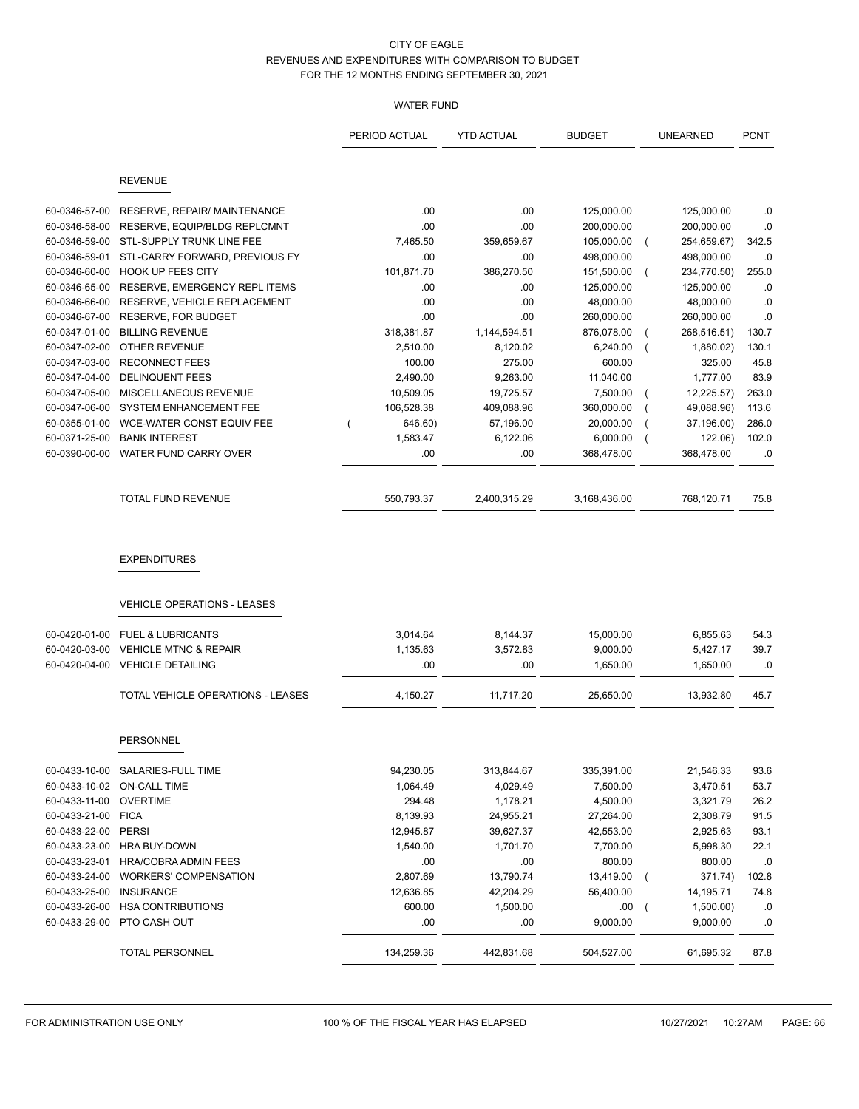## WATER FUND

|                    |                                                           | PERIOD ACTUAL | <b>YTD ACTUAL</b> | <b>BUDGET</b> |                | <b>UNEARNED</b> | <b>PCNT</b> |
|--------------------|-----------------------------------------------------------|---------------|-------------------|---------------|----------------|-----------------|-------------|
|                    | <b>REVENUE</b>                                            |               |                   |               |                |                 |             |
| 60-0346-57-00      | RESERVE, REPAIR/ MAINTENANCE                              | .00           | .00               | 125,000.00    |                | 125,000.00      | .0          |
| 60-0346-58-00      | RESERVE, EQUIP/BLDG REPLCMNT                              | .00           | .00               | 200,000.00    |                | 200,000.00      | 0.0         |
| 60-0346-59-00      | STL-SUPPLY TRUNK LINE FEE                                 | 7,465.50      | 359,659.67        | 105,000.00    | $\left($       | 254,659.67)     | 342.5       |
| 60-0346-59-01      | STL-CARRY FORWARD, PREVIOUS FY                            | .00           | .00               | 498,000.00    |                | 498,000.00      | .0          |
| 60-0346-60-00      | <b>HOOK UP FEES CITY</b>                                  | 101,871.70    | 386,270.50        | 151,500.00    |                | 234,770.50)     | 255.0       |
| 60-0346-65-00      | RESERVE, EMERGENCY REPL ITEMS                             | .00           | .00               | 125,000.00    |                | 125,000.00      | .0          |
| 60-0346-66-00      | RESERVE, VEHICLE REPLACEMENT                              | .00           | .00               | 48,000.00     |                | 48,000.00       | .0          |
| 60-0346-67-00      | <b>RESERVE, FOR BUDGET</b>                                | .00           | .00               | 260,000.00    |                | 260,000.00      | .0          |
| 60-0347-01-00      | <b>BILLING REVENUE</b>                                    | 318,381.87    | 1,144,594.51      | 876,078.00    |                | 268,516.51)     | 130.7       |
| 60-0347-02-00      | OTHER REVENUE                                             | 2,510.00      | 8,120.02          | 6,240.00      |                | 1,880.02)       | 130.1       |
| 60-0347-03-00      | <b>RECONNECT FEES</b>                                     | 100.00        | 275.00            | 600.00        |                | 325.00          | 45.8        |
| 60-0347-04-00      | <b>DELINQUENT FEES</b>                                    | 2,490.00      | 9,263.00          | 11,040.00     |                | 1,777.00        | 83.9        |
| 60-0347-05-00      | MISCELLANEOUS REVENUE                                     | 10,509.05     | 19,725.57         | 7,500.00      |                | 12,225.57)      | 263.0       |
| 60-0347-06-00      | SYSTEM ENHANCEMENT FEE                                    | 106,528.38    | 409,088.96        | 360,000.00    |                | 49,088.96)      | 113.6       |
| 60-0355-01-00      | WCE-WATER CONST EQUIV FEE                                 | 646.60)       | 57,196.00         | 20,000.00     |                | 37,196.00)      | 286.0       |
| 60-0371-25-00      | <b>BANK INTEREST</b>                                      | 1,583.47      | 6,122.06          | 6,000.00      |                | 122.06)         | 102.0       |
| 60-0390-00-00      | WATER FUND CARRY OVER                                     | .00           | .00               | 368,478.00    |                | 368,478.00      | .0          |
|                    | <b>TOTAL FUND REVENUE</b>                                 | 550,793.37    | 2,400,315.29      | 3,168,436.00  |                | 768,120.71      | 75.8        |
|                    | <b>EXPENDITURES</b><br><b>VEHICLE OPERATIONS - LEASES</b> |               |                   |               |                |                 |             |
|                    |                                                           |               |                   |               |                |                 |             |
| 60-0420-01-00      | <b>FUEL &amp; LUBRICANTS</b>                              | 3,014.64      | 8,144.37          | 15,000.00     |                | 6,855.63        | 54.3        |
| 60-0420-03-00      | <b>VEHICLE MTNC &amp; REPAIR</b>                          | 1,135.63      | 3,572.83          | 9,000.00      |                | 5,427.17        | 39.7        |
| 60-0420-04-00      | <b>VEHICLE DETAILING</b>                                  | .00           | .00               | 1,650.00      |                | 1,650.00        | .0          |
|                    | TOTAL VEHICLE OPERATIONS - LEASES                         | 4,150.27      | 11,717.20         | 25,650.00     |                | 13,932.80       | 45.7        |
|                    | <b>PERSONNEL</b>                                          |               |                   |               |                |                 |             |
|                    | 60-0433-10-00 SALARIES-FULL TIME                          | 94,230.05     | 313,844.67        | 335,391.00    |                | 21,546.33       | 93.6        |
|                    | 60-0433-10-02 ON-CALL TIME                                | 1,064.49      | 4,029.49          | 7,500.00      |                | 3,470.51        | 53.7        |
| 60-0433-11-00      | OVERTIME                                                  | 294.48        | 1,178.21          | 4,500.00      |                | 3,321.79        | 26.2        |
| 60-0433-21-00 FICA |                                                           | 8,139.93      | 24,955.21         | 27,264.00     |                | 2,308.79        | 91.5        |
| 60-0433-22-00      | <b>PERSI</b>                                              | 12,945.87     | 39,627.37         | 42,553.00     |                | 2,925.63        | 93.1        |
|                    | 60-0433-23-00 HRA BUY-DOWN                                | 1,540.00      | 1,701.70          | 7,700.00      |                | 5,998.30        | 22.1        |
| 60-0433-23-01      | HRA/COBRA ADMIN FEES                                      | .00           | .00               | 800.00        |                | 800.00          | .0          |
| 60-0433-24-00      | <b>WORKERS' COMPENSATION</b>                              | 2,807.69      | 13,790.74         | 13,419.00     | $\overline{ }$ | 371.74)         | 102.8       |
| 60-0433-25-00      | <b>INSURANCE</b>                                          | 12,636.85     | 42,204.29         | 56,400.00     |                | 14,195.71       | 74.8        |
| 60-0433-26-00      | <b>HSA CONTRIBUTIONS</b>                                  | 600.00        | 1,500.00          | .00.          | $\left($       | 1,500.00)       | .0          |
| 60-0433-29-00      | PTO CASH OUT                                              | .00           | .00               | 9,000.00      |                | 9,000.00        | .0          |
|                    | <b>TOTAL PERSONNEL</b>                                    | 134,259.36    | 442,831.68        | 504,527.00    |                | 61,695.32       | 87.8        |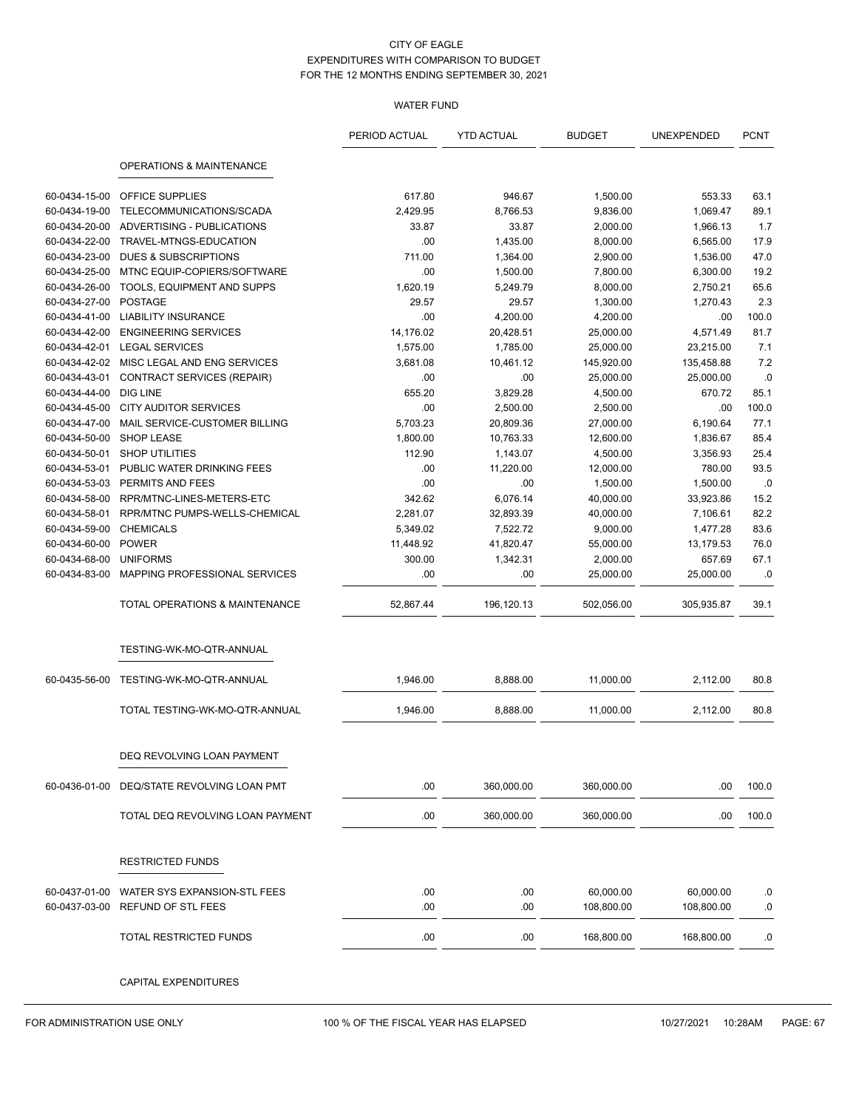## WATER FUND

|               |                                  | PERIOD ACTUAL | <b>YTD ACTUAL</b> | <b>BUDGET</b> | UNEXPENDED | <b>PCNT</b> |
|---------------|----------------------------------|---------------|-------------------|---------------|------------|-------------|
|               | OPERATIONS & MAINTENANCE         |               |                   |               |            |             |
| 60-0434-15-00 | OFFICE SUPPLIES                  | 617.80        | 946.67            | 1,500.00      | 553.33     | 63.1        |
| 60-0434-19-00 | TELECOMMUNICATIONS/SCADA         | 2,429.95      | 8,766.53          | 9,836.00      | 1,069.47   | 89.1        |
| 60-0434-20-00 | ADVERTISING - PUBLICATIONS       | 33.87         | 33.87             | 2,000.00      | 1,966.13   | 1.7         |
| 60-0434-22-00 | TRAVEL-MTNGS-EDUCATION           | .00           | 1,435.00          | 8,000.00      | 6,565.00   | 17.9        |
| 60-0434-23-00 | <b>DUES &amp; SUBSCRIPTIONS</b>  | 711.00        | 1,364.00          | 2,900.00      | 1,536.00   | 47.0        |
| 60-0434-25-00 | MTNC EQUIP-COPIERS/SOFTWARE      | .00           | 1,500.00          | 7,800.00      | 6,300.00   | 19.2        |
| 60-0434-26-00 | TOOLS, EQUIPMENT AND SUPPS       | 1,620.19      | 5,249.79          | 8,000.00      | 2,750.21   | 65.6        |
| 60-0434-27-00 | <b>POSTAGE</b>                   | 29.57         | 29.57             | 1,300.00      | 1,270.43   | 2.3         |
| 60-0434-41-00 | <b>LIABILITY INSURANCE</b>       | .00           | 4,200.00          | 4,200.00      | .00        | 100.0       |
| 60-0434-42-00 | <b>ENGINEERING SERVICES</b>      | 14,176.02     | 20,428.51         | 25,000.00     | 4,571.49   | 81.7        |
| 60-0434-42-01 | <b>LEGAL SERVICES</b>            | 1,575.00      | 1,785.00          | 25,000.00     | 23,215.00  | 7.1         |
| 60-0434-42-02 | MISC LEGAL AND ENG SERVICES      | 3,681.08      | 10,461.12         | 145,920.00    | 135,458.88 | 7.2         |
| 60-0434-43-01 | CONTRACT SERVICES (REPAIR)       | .00           | .00.              | 25,000.00     | 25,000.00  | .0          |
| 60-0434-44-00 | <b>DIG LINE</b>                  | 655.20        | 3,829.28          | 4,500.00      | 670.72     | 85.1        |
| 60-0434-45-00 | <b>CITY AUDITOR SERVICES</b>     | .00           | 2,500.00          | 2,500.00      | .00        | 100.0       |
| 60-0434-47-00 | MAIL SERVICE-CUSTOMER BILLING    | 5,703.23      | 20,809.36         | 27,000.00     | 6,190.64   | 77.1        |
| 60-0434-50-00 | <b>SHOP LEASE</b>                | 1,800.00      | 10,763.33         | 12,600.00     | 1,836.67   | 85.4        |
| 60-0434-50-01 | <b>SHOP UTILITIES</b>            | 112.90        | 1,143.07          | 4,500.00      | 3,356.93   | 25.4        |
| 60-0434-53-01 | PUBLIC WATER DRINKING FEES       | .00           | 11,220.00         | 12,000.00     | 780.00     | 93.5        |
| 60-0434-53-03 | PERMITS AND FEES                 | .00           | .00               | 1,500.00      | 1.500.00   | .0          |
| 60-0434-58-00 | RPR/MTNC-LINES-METERS-ETC        | 342.62        | 6,076.14          | 40,000.00     | 33,923.86  | 15.2        |
| 60-0434-58-01 | RPR/MTNC PUMPS-WELLS-CHEMICAL    | 2,281.07      | 32,893.39         | 40,000.00     | 7,106.61   | 82.2        |
| 60-0434-59-00 | <b>CHEMICALS</b>                 | 5,349.02      | 7,522.72          | 9,000.00      | 1,477.28   | 83.6        |
| 60-0434-60-00 | <b>POWER</b>                     | 11,448.92     | 41,820.47         | 55,000.00     | 13,179.53  | 76.0        |
| 60-0434-68-00 | <b>UNIFORMS</b>                  | 300.00        | 1,342.31          | 2,000.00      | 657.69     | 67.1        |
| 60-0434-83-00 | MAPPING PROFESSIONAL SERVICES    | .00           | .00               | 25,000.00     | 25,000.00  | .0          |
|               | TOTAL OPERATIONS & MAINTENANCE   | 52,867.44     | 196,120.13        | 502,056.00    | 305,935.87 | 39.1        |
|               | TESTING-WK-MO-QTR-ANNUAL         |               |                   |               |            |             |
| 60-0435-56-00 | TESTING-WK-MO-QTR-ANNUAL         | 1,946.00      | 8,888.00          | 11,000.00     | 2,112.00   | 80.8        |
|               | TOTAL TESTING-WK-MO-QTR-ANNUAL   | 1,946.00      | 8,888.00          | 11,000.00     | 2,112.00   | 80.8        |
|               | DEQ REVOLVING LOAN PAYMENT       |               |                   |               |            |             |
| 60-0436-01-00 | DEQ/STATE REVOLVING LOAN PMT     | .00.          | 360,000.00        | 360,000.00    | .00        | 100.0       |
|               | TOTAL DEQ REVOLVING LOAN PAYMENT | .00.          | 360,000.00        | 360,000.00    | .00        | 100.0       |
|               | <b>RESTRICTED FUNDS</b>          |               |                   |               |            |             |
| 60-0437-01-00 | WATER SYS EXPANSION-STL FEES     | .00           | .00               | 60,000.00     | 60,000.00  | .0          |
| 60-0437-03-00 | REFUND OF STL FEES               | .00.          | .00               | 108,800.00    | 108,800.00 | .0          |
|               | TOTAL RESTRICTED FUNDS           | .00           | .00               | 168,800.00    | 168,800.00 | .0          |
|               | CAPITAL EXPENDITURES             |               |                   |               |            |             |